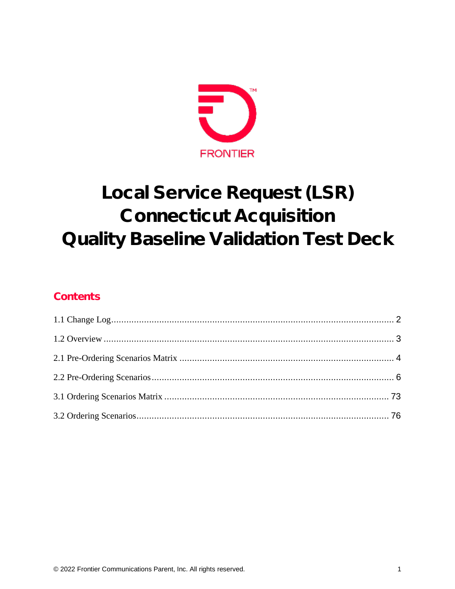

# Local Service Request (LSR) **Connecticut Acquisition** Quality Baseline Validation Test Deck

### Contents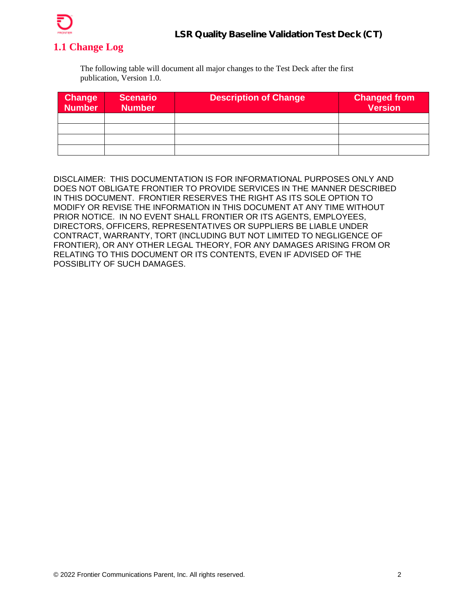

### <span id="page-1-0"></span>**1.1 Change Log**

The following table will document all major changes to the Test Deck after the first publication, Version 1.0.

| <b>Change</b><br><b>Number</b> | <b>Scenario</b><br><b>Number</b> | <b>Description of Change</b> | <b>Changed from</b><br><b>Version</b> |
|--------------------------------|----------------------------------|------------------------------|---------------------------------------|
|                                |                                  |                              |                                       |
|                                |                                  |                              |                                       |
|                                |                                  |                              |                                       |
|                                |                                  |                              |                                       |

DISCLAIMER: THIS DOCUMENTATION IS FOR INFORMATIONAL PURPOSES ONLY AND DOES NOT OBLIGATE FRONTIER TO PROVIDE SERVICES IN THE MANNER DESCRIBED IN THIS DOCUMENT. FRONTIER RESERVES THE RIGHT AS ITS SOLE OPTION TO MODIFY OR REVISE THE INFORMATION IN THIS DOCUMENT AT ANY TIME WITHOUT PRIOR NOTICE. IN NO EVENT SHALL FRONTIER OR ITS AGENTS, EMPLOYEES, DIRECTORS, OFFICERS, REPRESENTATIVES OR SUPPLIERS BE LIABLE UNDER CONTRACT, WARRANTY, TORT (INCLUDING BUT NOT LIMITED TO NEGLIGENCE OF FRONTIER), OR ANY OTHER LEGAL THEORY, FOR ANY DAMAGES ARISING FROM OR RELATING TO THIS DOCUMENT OR ITS CONTENTS, EVEN IF ADVISED OF THE POSSIBLITY OF SUCH DAMAGES.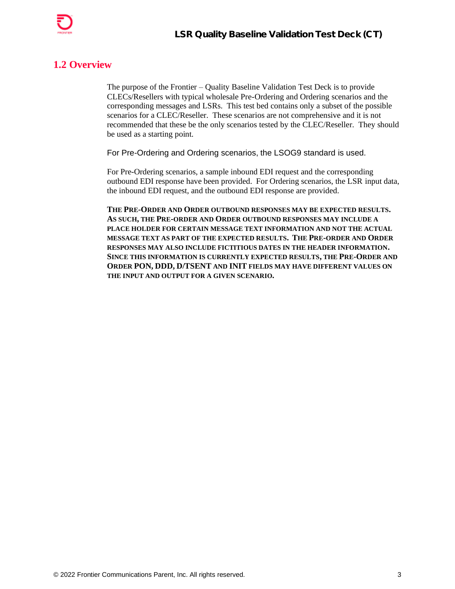

### <span id="page-2-0"></span>**1.2 Overview**

The purpose of the Frontier – Quality Baseline Validation Test Deck is to provide CLECs/Resellers with typical wholesale Pre-Ordering and Ordering scenarios and the corresponding messages and LSRs. This test bed contains only a subset of the possible scenarios for a CLEC/Reseller. These scenarios are not comprehensive and it is not recommended that these be the only scenarios tested by the CLEC/Reseller. They should be used as a starting point.

For Pre-Ordering and Ordering scenarios, the LSOG9 standard is used.

For Pre-Ordering scenarios, a sample inbound EDI request and the corresponding outbound EDI response have been provided. For Ordering scenarios, the LSR input data, the inbound EDI request, and the outbound EDI response are provided.

**THE PRE-ORDER AND ORDER OUTBOUND RESPONSES MAY BE EXPECTED RESULTS. AS SUCH, THE PRE-ORDER AND ORDER OUTBOUND RESPONSES MAY INCLUDE A PLACE HOLDER FOR CERTAIN MESSAGE TEXT INFORMATION AND NOT THE ACTUAL MESSAGE TEXT AS PART OF THE EXPECTED RESULTS. THE PRE-ORDER AND ORDER RESPONSES MAY ALSO INCLUDE FICTITIOUS DATES IN THE HEADER INFORMATION. SINCE THIS INFORMATION IS CURRENTLY EXPECTED RESULTS, THE PRE-ORDER AND ORDER PON, DDD, D/TSENT AND INIT FIELDS MAY HAVE DIFFERENT VALUES ON THE INPUT AND OUTPUT FOR A GIVEN SCENARIO.**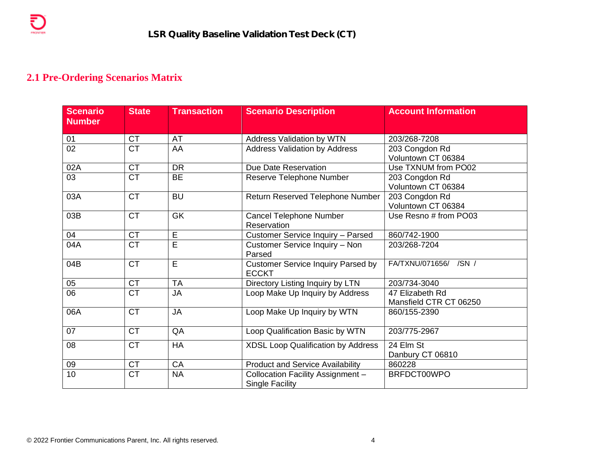### **2.1 Pre-Ordering Scenarios Matrix**

₹

<span id="page-3-0"></span>

| <b>Scenario</b><br><b>Number</b> | <b>State</b> | <b>Transaction</b> | <b>Scenario Description</b>                                 | <b>Account Information</b>                |
|----------------------------------|--------------|--------------------|-------------------------------------------------------------|-------------------------------------------|
| 01                               | <b>CT</b>    | <b>AT</b>          | <b>Address Validation by WTN</b>                            | 203/268-7208                              |
| 02                               | <b>CT</b>    | AA                 | <b>Address Validation by Address</b>                        | 203 Congdon Rd<br>Voluntown CT 06384      |
| 02A                              | <b>CT</b>    | <b>DR</b>          | Due Date Reservation                                        | Use TXNUM from PO02                       |
| 03                               | <b>CT</b>    | <b>BE</b>          | Reserve Telephone Number                                    | 203 Congdon Rd<br>Voluntown CT 06384      |
| 03A                              | <b>CT</b>    | <b>BU</b>          | Return Reserved Telephone Number                            | 203 Congdon Rd<br>Voluntown CT 06384      |
| 03B                              | <b>CT</b>    | <b>GK</b>          | <b>Cancel Telephone Number</b><br>Reservation               | Use Resno # from PO03                     |
| 04                               | <b>CT</b>    | $\overline{E}$     | Customer Service Inquiry - Parsed                           | 860/742-1900                              |
| 04A                              | <b>CT</b>    | E                  | Customer Service Inquiry - Non<br>Parsed                    | 203/268-7204                              |
| 04B                              | <b>CT</b>    | E                  | <b>Customer Service Inquiry Parsed by</b><br><b>ECCKT</b>   | FA/TXNU/071656/ /SN /                     |
| 05                               | <b>CT</b>    | <b>TA</b>          | Directory Listing Inquiry by LTN                            | 203/734-3040                              |
| 06                               | <b>CT</b>    | <b>JA</b>          | Loop Make Up Inquiry by Address                             | 47 Elizabeth Rd<br>Mansfield CTR CT 06250 |
| 06A                              | <b>CT</b>    | <b>JA</b>          | Loop Make Up Inquiry by WTN                                 | 860/155-2390                              |
| 07                               | <b>CT</b>    | QA                 | Loop Qualification Basic by WTN                             | 203/775-2967                              |
| 08                               | <b>CT</b>    | <b>HA</b>          | <b>XDSL Loop Qualification by Address</b>                   | 24 Elm St<br>Danbury CT 06810             |
| 09                               | <b>CT</b>    | CA                 | <b>Product and Service Availability</b>                     | 860228                                    |
| 10                               | <b>CT</b>    | <b>NA</b>          | Collocation Facility Assignment -<br><b>Single Facility</b> | BRFDCT00WPO                               |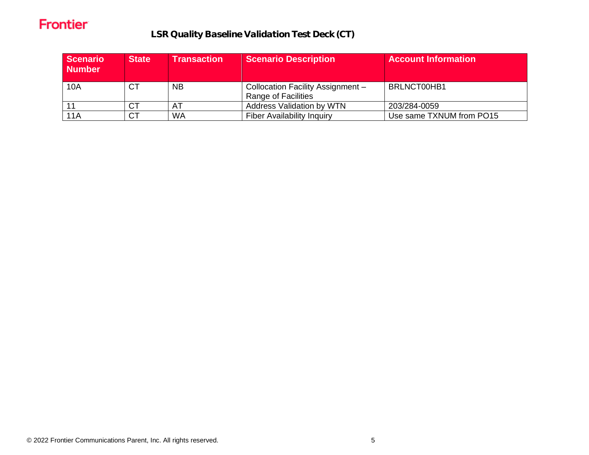LSR Quality Baseline Validation Test Deck (CT)

| <b>Scenario</b><br><b>Number</b> | <b>State</b> | <b>Transaction</b> | <b>Scenario Description</b>                              | <b>Account Information</b> |
|----------------------------------|--------------|--------------------|----------------------------------------------------------|----------------------------|
| 10A                              | <b>CT</b>    | <b>NB</b>          | Collocation Facility Assignment -<br>Range of Facilities | BRLNCT00HB1                |
|                                  | <b>CT</b>    | AT                 | <b>Address Validation by WTN</b>                         | 203/284-0059               |
| 11A                              | <b>CT</b>    | <b>WA</b>          | <b>Fiber Availability Inquiry</b>                        | Use same TXNUM from PO15   |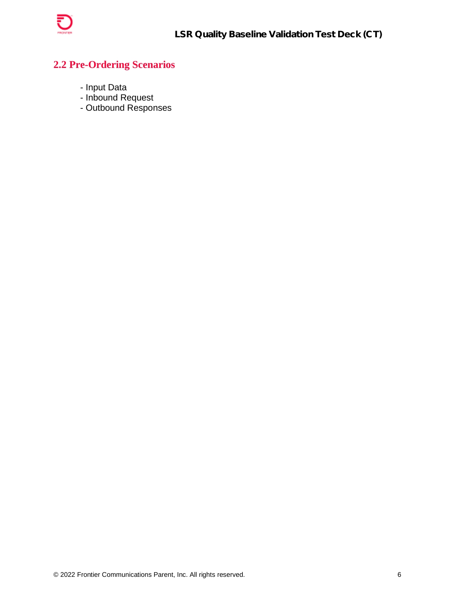

### <span id="page-5-0"></span>**2.2 Pre-Ordering Scenarios**

- Input Data
- Inbound Request
- Outbound Responses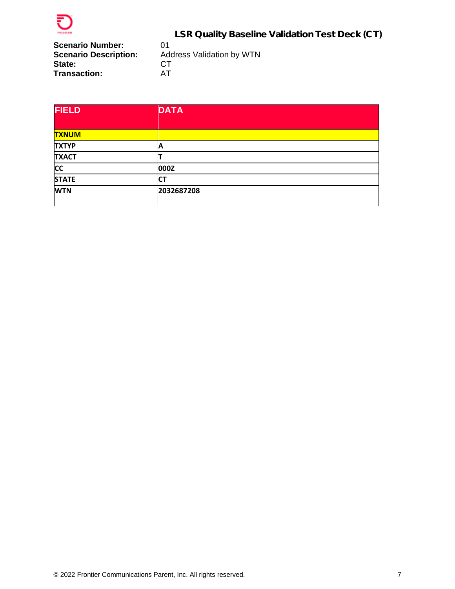

**Scenario Number:** 01<br>**Scenario Description:** Add State: **Transaction:** 

Address Validation by WTN<br>CT<br>AT

| <b>FIELD</b> | <b>DATA</b> |  |
|--------------|-------------|--|
|              |             |  |
| <b>TXNUM</b> |             |  |
| <b>TXTYP</b> | Α           |  |
| <b>TXACT</b> |             |  |
| <b>CC</b>    | 000Z        |  |
| <b>STATE</b> | СT          |  |
| <b>WTN</b>   | 2032687208  |  |
|              |             |  |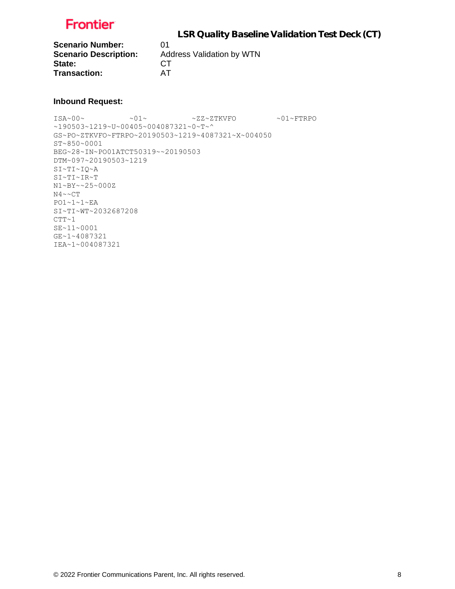

**Scenario Number:** 01<br>**Scenario Description:** Ad State: CT **Transaction:** AT

**Scenario Description:** Address Validation by WTN

#### **Inbound Request:**

ISA~00~ ~01~ ~ZZ~ZTKVFO ~01~FTRPO ~190503~1219~U~00405~004087321~0~T~^ GS~PO~ZTKVFO~FTRPO~20190503~1219~4087321~X~004050 ST~850~0001 BEG~28~IN~PO01ATCT50319~~20190503 DTM~097~20190503~1219 SI~TI~IQ~A SI~TI~IR~T N1~BY~~25~000Z N4~~CT  $PO1~1~1~1~$ SI~TI~WT~2032687208  $CTT~1$ SE~11~0001 GE~1~4087321 IEA~1~004087321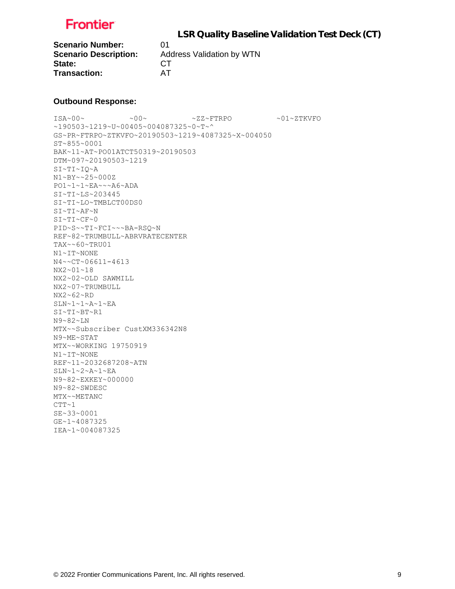

**Scenario Number:** 01 State: CT **Transaction:** AT

**Scenario Description:** Address Validation by WTN

#### **Outbound Response:**

ISA~00~ ~00~ ~ZZ~FTRPO ~01~ZTKVFO ~190503~1219~U~00405~004087325~0~T~^ GS~PR~FTRPO~ZTKVFO~20190503~1219~4087325~X~004050 ST~855~0001 BAK~11~AT~PO01ATCT50319~20190503 DTM~097~20190503~1219 SI~TI~IQ~A N1~BY~~25~000Z PO1~1~1~EA~~~A6~ADA SI~TI~LS~203445 SI~TI~LO~TMBLCT00DS0 SI~TI~AF~N SI~TI~CF~0 PID~S~~TI~FCI~~~BA-RSQ~N REF~82~TRUMBULL~ABRVRATECENTER TAX~~60~TRU01 N1~IT~NONE N4~~CT~06611-4613 NX2~01~18 NX2~02~OLD SAWMILL NX2~07~TRUMBULL NX2~62~RD  $\texttt{SLN}\texttt{-1}\texttt{-1}\texttt{-A}\texttt{-1}\texttt{-EA}$ SI~TI~BT~R1 N9~82~LN MTX~~Subscriber CustXM336342N8 N9~ME~STAT MTX~~WORKING 19750919 N1~IT~NONE REF~11~2032687208~ATN SLN~1~2~A~1~EA N9~82~EXKEY~000000 N9~82~SWDESC MTX~~METANC  $CTT~1$ SE~33~0001 GE~1~4087325 IEA~1~004087325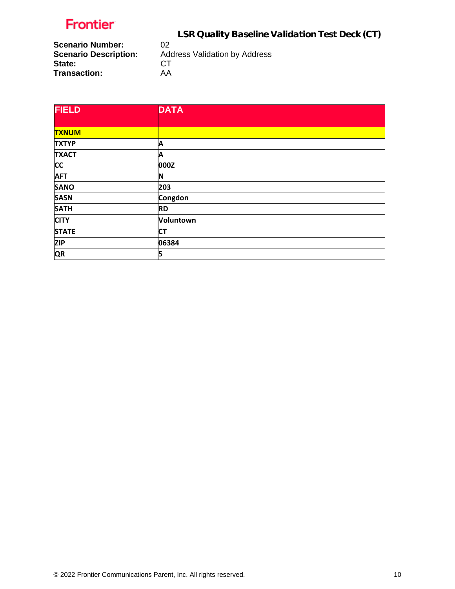LSR Quality Baseline Validation Test Deck (CT)

**Scenario Number:** 02<br>**Scenario Description:** Add **State:** CT<br>
Transaction: AA **Transaction:** 

Address Validation by Address CT

| <b>FIELD</b> | <b>DATA</b> |
|--------------|-------------|
|              |             |
| <b>TXNUM</b> |             |
| <b>TXTYP</b> | Α           |
| <b>TXACT</b> | Α           |
| <b>CC</b>    | 000Z        |
| <b>AFT</b>   | N           |
| <b>SANO</b>  | 203         |
| <b>SASN</b>  | Congdon     |
| <b>SATH</b>  | <b>RD</b>   |
| <b>CITY</b>  | Voluntown   |
| <b>STATE</b> | <b>CT</b>   |
| <b>ZIP</b>   | 06384       |
| <b>QR</b>    | 5           |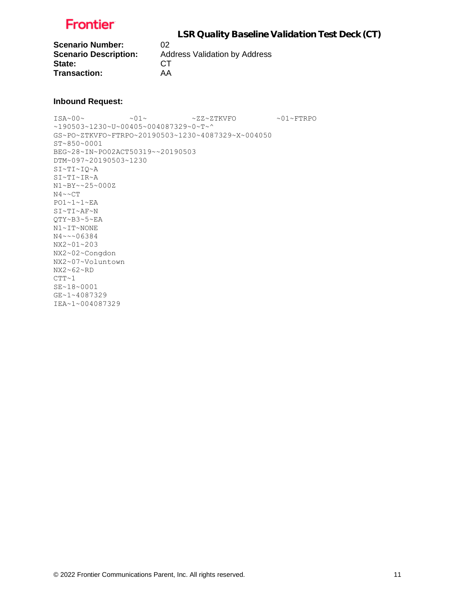

**Scenario Number:** 02 State: CT **Transaction:** AA

**Scenario Description:** Address Validation by Address

#### **Inbound Request:**

ISA~00~ ~01~ ~ZZ~ZTKVFO ~01~FTRPO ~190503~1230~U~00405~004087329~0~T~^ GS~PO~ZTKVFO~FTRPO~20190503~1230~4087329~X~004050 ST~850~0001 BEG~28~IN~PO02ACT50319~~20190503 DTM~097~20190503~1230 SI~TI~IQ~A SI~TI~IR~A N1~BY~~25~000Z N4~~CT  $PO1~1~1~$ SI~TI~AF~N QTY~B3~5~EA N1~IT~NONE N4~~~06384 NX2~01~203 NX2~02~Congdon NX2~07~Voluntown NX2~62~RD  $CTT~1$ SE~18~0001 GE~1~4087329 IEA~1~004087329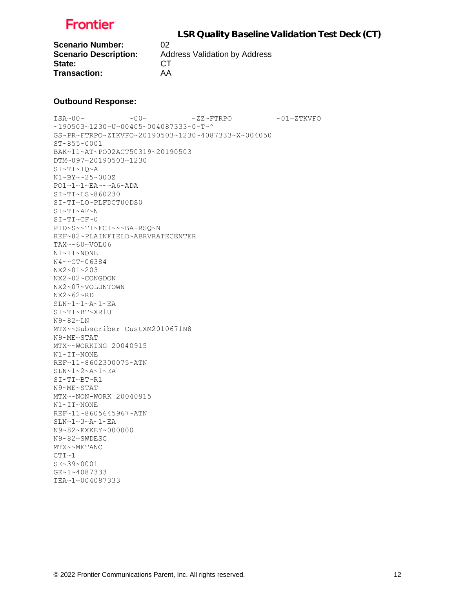

**Scenario Number:** 02 State: CT **Transaction:** AA

**Scenario Description:** Address Validation by Address

#### **Outbound Response:**

ISA~00~ ~00~ ~ZZ~FTRPO ~01~ZTKVFO ~190503~1230~U~00405~004087333~0~T~^ GS~PR~FTRPO~ZTKVFO~20190503~1230~4087333~X~004050 ST~855~0001 BAK~11~AT~PO02ACT50319~20190503 DTM~097~20190503~1230 SI~TI~IQ~A N1~BY~~25~000Z PO1~1~1~EA~~~A6~ADA SI~TI~LS~860230 SI~TI~LO~PLFDCT00DS0 SI~TI~AF~N SI~TI~CF~0 PID~S~~TI~FCI~~~BA-RSQ~N REF~82~PLAINFIELD~ABRVRATECENTER TAX~~60~VOL06 N1~IT~NONE N4~~CT~06384 NX2~01~203 NX2~02~CONGDON NX2~07~VOLUNTOWN NX2~62~RD SLN~1~1~A~1~EA SI~TI~BT~XR1U N9~82~LN MTX~~Subscriber CustXM2010671N8 N9~ME~STAT MTX~~WORKING 20040915 N1~IT~NONE REF~11~8602300075~ATN SLN~1~2~A~1~EA SI~TI~BT~R1 N9~ME~STAT MTX~~NON-WORK 20040915 N1~IT~NONE REF~11~8605645967~ATN SLN~1~3~A~1~EA N9~82~EXKEY~000000 N9~82~SWDESC MTX~~METANC  $CTT~1$ SE~39~0001 GE~1~4087333 IEA~1~004087333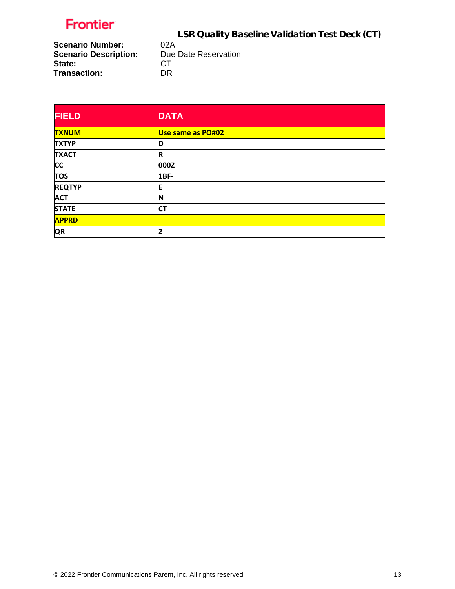LSR Quality Baseline Validation Test Deck (CT)

**Scenario Number:** 02A<br>**Scenario Description:** Due Date Reservation **Scenario Description:** Due<br> **State:** CT State: **Transaction:** DR

| <b>FIELD</b>  | <b>DATA</b>       |
|---------------|-------------------|
| <b>TXNUM</b>  | Use same as PO#02 |
| <b>TXTYP</b>  | D                 |
| <b>TXACT</b>  | R                 |
| <b>CC</b>     | 000Z              |
| <b>TOS</b>    | 1BF-              |
| <b>REQTYP</b> | E                 |
| <b>ACT</b>    | ΙN                |
| <b>STATE</b>  | <b>CT</b>         |
| <b>APPRD</b>  |                   |
| <b>QR</b>     | 2                 |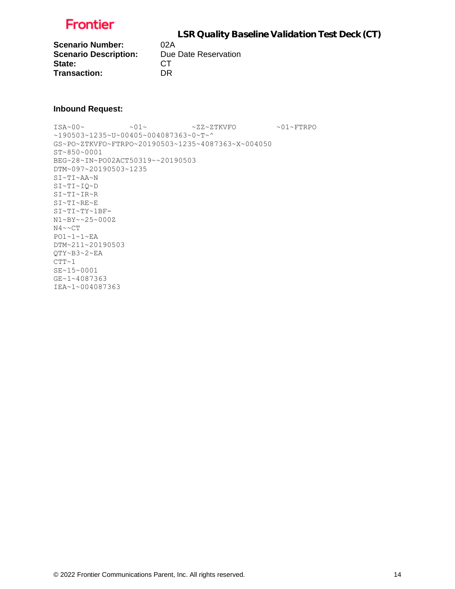

**Scenario Number:** 02A<br> **Scenario Description:** Due Date Reservation **Scenario Description:** State: CT **Transaction:** DR

#### **Inbound Request:**

 $\verb|ISA~00~|~\verb|V|~|~\verb|V|~|~\verb|V|~|~\verb|V|~|~\verb|V|~|~\verb|V|~|~\verb|V|~|~\verb|V|~|~\verb|V|~|~\verb|V|~|~\verb|V|~|~\verb|V|~|~\verb|V|~|~\verb|V|~|~\verb|V|~|~\verb|V|~|~\verb|V|~|~\verb|V|~|~\verb|V|~|~\verb|V|~|~\verb|V|~|~\verb|V|~|~\verb|V|~|~\verb|V|~|~\verb|V|~|~\verb|V|~|~\verb$ ~190503~1235~U~00405~004087363~0~T~^ GS~PO~ZTKVFO~FTRPO~20190503~1235~4087363~X~004050 ST~850~0001 BEG~28~IN~PO02ACT50319~~20190503 DTM~097~20190503~1235 SI~TI~AA~N SI~TI~IQ~D SI~TI~IR~R SI~TI~RE~E  $\texttt{SIN-TIV-1BF}$  – N1~BY~~25~000Z N4~~CT PO1~1~1~EA DTM~211~20190503 QTY~B3~2~EA  $CTT~1$ SE~15~0001 GE~1~4087363 IEA~1~004087363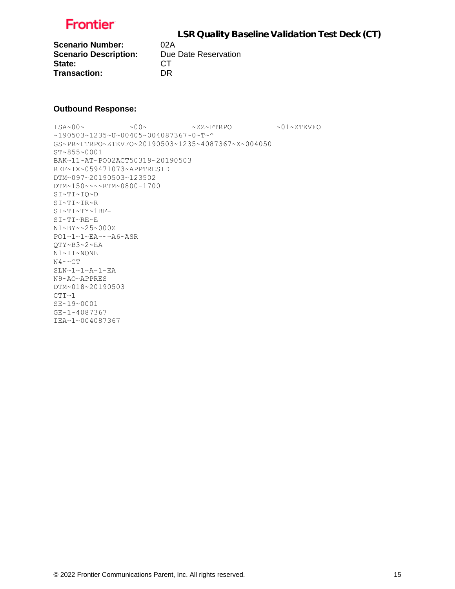

**Scenario Number:** 02A<br>**Scenario Description:** Due Date Reservation **Scenario Description:** State: CT **Transaction:** DR

#### **Outbound Response:**

 $ISA~00~$   $~$   $~$   $~$   $~$   $~$   $\sim$  00  $~$   $~$   $~$   $~$   $~$   $~$   $\sim$   $2Z~$   $~$   $~$   $\rm FTPO$   $~$   $~$   $~$   $~$   $\sim$  01~ZTKVFO ~190503~1235~U~00405~004087367~0~T~^ GS~PR~FTRPO~ZTKVFO~20190503~1235~4087367~X~004050 ST~855~0001 BAK~11~AT~PO02ACT50319~20190503 REF~IX~059471073~APPTRESID DTM~097~20190503~123502 DTM~150~~~~RTM~0800-1700 SI~TI~IQ~D SI~TI~IR~R SI~TI~TY~1BF-SI~TI~RE~E N1~BY~~25~000Z PO1~1~1~EA~~~A6~ASR QTY~B3~2~EA N1~IT~NONE  $N4 \sim C T$  $\texttt{SLN}\texttt{-1}\texttt{-1}\texttt{-A}\texttt{-1}\texttt{-EA}$ N9~AO~APPRES DTM~018~20190503  $CTT~1$ SE~19~0001 GE~1~4087367 IEA~1~004087367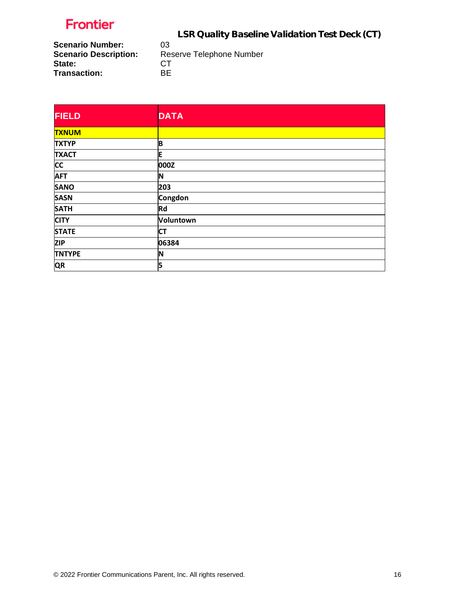LSR Quality Baseline Validation Test Deck (CT)

**Scenario Number:** 03<br>**Scenario Description:** Res **State:** CT<br>
Transaction: BE **Transaction:** 

Reserve Telephone Number<br>CT

| <b>FIELD</b>  | <b>DATA</b> |
|---------------|-------------|
| <b>TXNUM</b>  |             |
| <b>TXTYP</b>  | B           |
| <b>TXACT</b>  | E           |
| <b>CC</b>     | 000Z        |
| <b>AFT</b>    | N           |
| <b>SANO</b>   | 203         |
| <b>SASN</b>   | Congdon     |
| <b>SATH</b>   | <b>Rd</b>   |
| <b>CITY</b>   | Voluntown   |
| <b>STATE</b>  | <b>CT</b>   |
| <b>ZIP</b>    | 06384       |
| <b>TNTYPE</b> | IN          |
| <b>QR</b>     | 5           |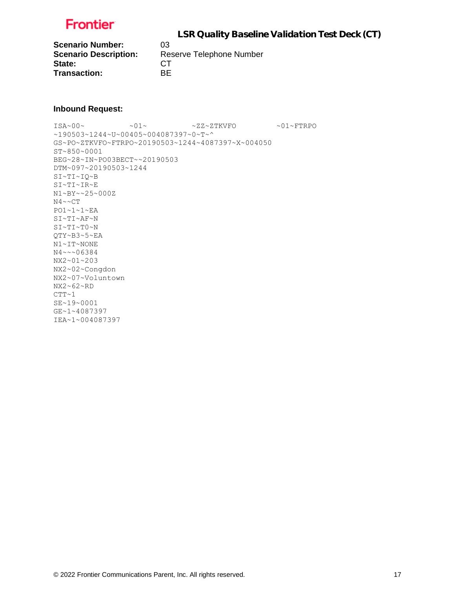

**Scenario Number:** 03<br>**Scenario Description:** Re State: CT **Transaction:** BE

**Scenario Description:** Reserve Telephone Number

#### **Inbound Request:**

 $ISA~00~\sim$   $~01~\sim$   $~01~\sim$   $~2Z~2$ TKVFO  $~01~\sim$  FTRPO ~190503~1244~U~00405~004087397~0~T~^ GS~PO~ZTKVFO~FTRPO~20190503~1244~4087397~X~004050 ST~850~0001 BEG~28~IN~PO03BECT~~20190503 DTM~097~20190503~1244 SI~TI~IQ~B SI~TI~IR~E N1~BY~~25~000Z N4~~CT PO1~1~1~EA SI~TI~AF~N SI~TI~T0~N QTY~B3~5~EA N1~IT~NONE N4~~~06384 NX2~01~203 NX2~02~Congdon NX2~07~Voluntown NX2~62~RD  $CTT~1$ SE~19~0001 GE~1~4087397 IEA~1~004087397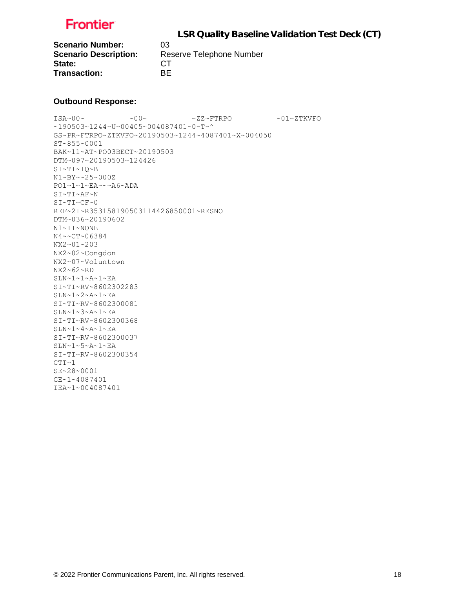

**Scenario Number:** 03 State: CT **Transaction:** BE

**Scenario Description:** Reserve Telephone Number

#### **Outbound Response:**

 $\sim 00 \times 100 \times 100 \times 200 \times 200 \times 200 \times 200 \times 200 \times 200 \times 200 \times 200 \times 200 \times 200 \times 200 \times 200 \times 200 \times 200 \times 200 \times 200 \times 200 \times 200 \times 200 \times 200 \times 200 \times 200 \times 200 \times 200 \times 200 \times 200 \times 200 \times 200 \times 200 \times 200 \times 200 \times 200 \times 200 \times 20$ ~190503~1244~U~00405~004087401~0~T~^ GS~PR~FTRPO~ZTKVFO~20190503~1244~4087401~X~004050 ST~855~0001 BAK~11~AT~PO03BECT~20190503 DTM~097~20190503~124426 SI~TI~IQ~B N1~BY~~25~000Z PO1~1~1~EA~~~A6~ADA SI~TI~AF~N  $SI~T~CF~0$ REF~2I~R353158190503114426850001~RESNO DTM~036~20190602 N1~IT~NONE N4~~CT~06384 NX2~01~203 NX2~02~Congdon NX2~07~Voluntown NX2~62~RD SLN~1~1~A~1~EA SI~TI~RV~8602302283 SLN~1~2~A~1~EA SI~TI~RV~8602300081  $SLN~1~3~$ A~ $1~$ EA SI~TI~RV~8602300368 SLN~1~4~A~1~EA SI~TI~RV~8602300037  $SLN~1~5~A~1~EA$ SI~TI~RV~8602300354 CTT~1 SE~28~0001 GE~1~4087401 IEA~1~004087401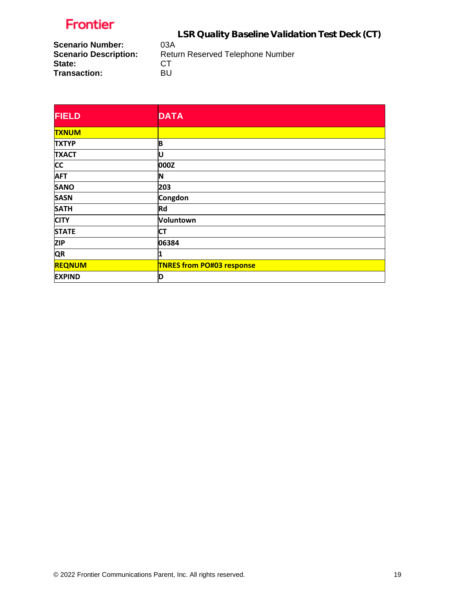LSR Quality Baseline Validation Test Deck (CT)

**Scenario Number:<br>Scenario Description: State:** CT<br>
Transaction: BU **Transaction:** 

Return Reserved Telephone Number<br>CT

| <b>FIELD</b>  | <b>DATA</b>                      |
|---------------|----------------------------------|
| <b>TXNUM</b>  |                                  |
| <b>TXTYP</b>  | B                                |
| <b>TXACT</b>  | U                                |
| <b>CC</b>     | 000Z                             |
| <b>AFT</b>    | N                                |
| <b>SANO</b>   | 203                              |
| <b>SASN</b>   | Congdon                          |
| <b>SATH</b>   | <b>Rd</b>                        |
| <b>CITY</b>   | Voluntown                        |
| <b>STATE</b>  | <b>CT</b>                        |
| <b>ZIP</b>    | 06384                            |
| <b>QR</b>     | 1                                |
| <b>REQNUM</b> | <b>TNRES from PO#03 response</b> |
| <b>EXPIND</b> | D                                |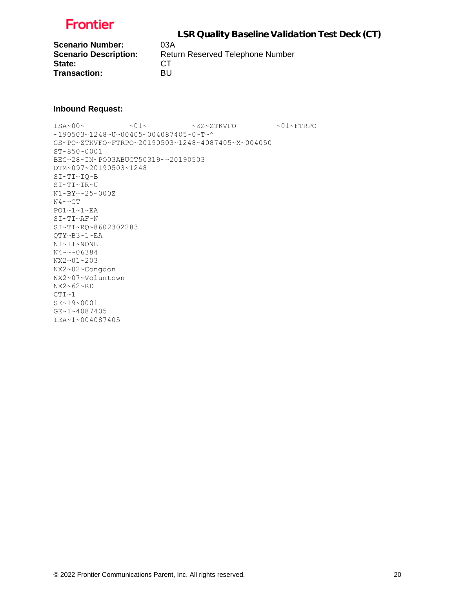

**Scenario Number:** 03A State: CT **Transaction:** BU

**Scenario Description:** Return Reserved Telephone Number

#### **Inbound Request:**

 $ISA~00~\sim$   $~01~\sim$   $~01~\sim$   $~2Z~2$ TKVFO  $~01~\sim$  FTRPO ~190503~1248~U~00405~004087405~0~T~^ GS~PO~ZTKVFO~FTRPO~20190503~1248~4087405~X~004050 ST~850~0001 BEG~28~IN~PO03ABUCT50319~~20190503 DTM~097~20190503~1248 SI~TI~IQ~B SI~TI~IR~U N1~BY~~25~000Z N4~~CT PO1~1~1~EA SI~TI~AF~N SI~TI~RQ~8602302283 QTY~B3~1~EA N1~IT~NONE N4~~~06384 NX2~01~203 NX2~02~Congdon NX2~07~Voluntown NX2~62~RD  $CTT~1$ SE~19~0001 GE~1~4087405 IEA~1~004087405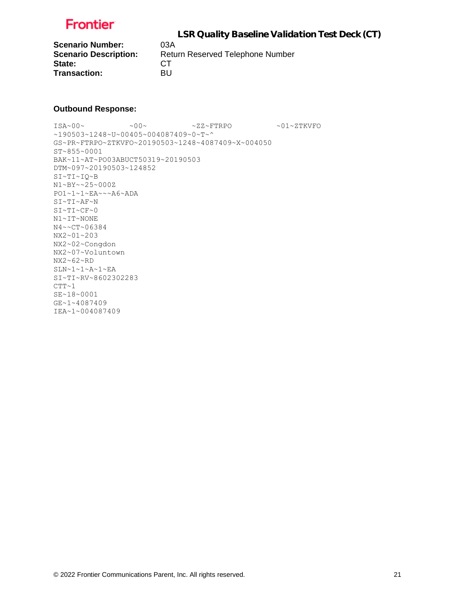

**Scenario Number:** 03A State: CT **Transaction:** BU

**Scenario Description:** Return Reserved Telephone Number

#### **Outbound Response:**

 $ISA~00~$   $~$   $~$   $~$   $~$   $~$   $\sim$  00  $~$   $~$   $~$   $~$   $~$   $~$   $\sim$   $2Z~$   $~$   $~$   $\rm FTPO$   $~$   $~$   $~$   $~$   $\sim$  01~ZTKVFO ~190503~1248~U~00405~004087409~0~T~^ GS~PR~FTRPO~ZTKVFO~20190503~1248~4087409~X~004050 ST~855~0001 BAK~11~AT~PO03ABUCT50319~20190503 DTM~097~20190503~124852 SI~TI~IQ~B N1~BY~~25~000Z PO1~1~1~EA~~~A6~ADA SI~TI~AF~N SI~TI~CF~0 N1~IT~NONE N4~~CT~06384 NX2~01~203 NX2~02~Congdon NX2~07~Voluntown NX2~62~RD SLN~1~1~A~1~EA SI~TI~RV~8602302283  $CTT~1$ SE~18~0001 GE~1~4087409 IEA~1~004087409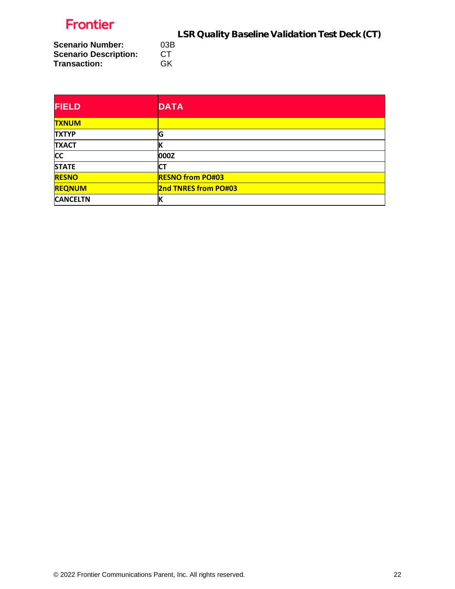LSR Quality Baseline Validation Test Deck (CT)<br> **CT** 

**Scenario Number: Scenario Description:** CT<br>Transaction: GK **Transaction:** 

| <b>FIELD</b>    | <b>DATA</b>                 |
|-----------------|-----------------------------|
| <b>TXNUM</b>    |                             |
| <b>TXTYP</b>    | G                           |
| <b>TXACT</b>    | К                           |
| <b>CC</b>       | 000Z                        |
| <b>STATE</b>    | СT                          |
| <b>RESNO</b>    | <b>RESNO from PO#03</b>     |
| <b>REQNUM</b>   | <b>2nd TNRES from PO#03</b> |
| <b>CANCELTN</b> | К                           |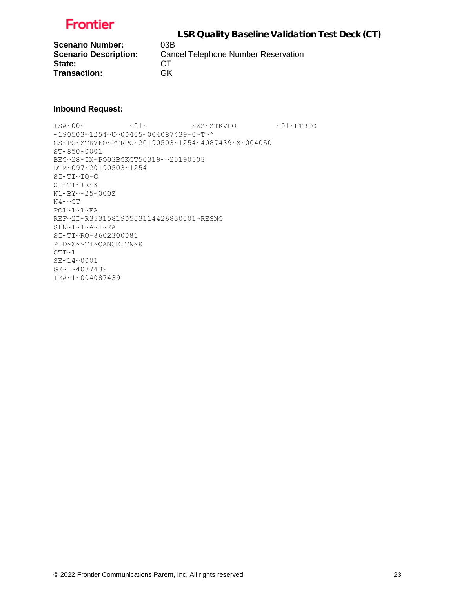

**Scenario Number:** 03B<br>**Scenario Description:** Can State: CT **Transaction:** GK

**Cancel Telephone Number Reservation** 

#### **Inbound Request:**

 $ISA~00~\sim$   $~01~\sim$   $~01~\sim$   $~2Z~2$ TKVFO  $~01~\sim$  FTRPO ~190503~1254~U~00405~004087439~0~T~^ GS~PO~ZTKVFO~FTRPO~20190503~1254~4087439~X~004050 ST~850~0001 BEG~28~IN~PO03BGKCT50319~~20190503 DTM~097~20190503~1254 SI~TI~IQ~G SI~TI~IR~K N1~BY~~25~000Z N4~~CT PO1~1~1~EA REF~2I~R353158190503114426850001~RESNO  $SLN~1~1~$ A~ $1~$  $FL$ SI~TI~RQ~8602300081 PID~X~~TI~CANCELTN~K  $CTT~1$ SE~14~0001 GE~1~4087439 IEA~1~004087439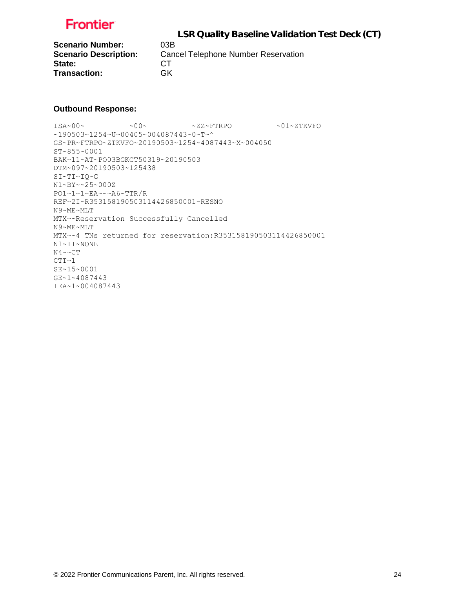

**Scenario Number:** 03B State: CT **Transaction:** GK

**Scenario Description:** Cancel Telephone Number Reservation

#### **Outbound Response:**

ISA~00~ ~00~ ~ZZ~FTRPO ~01~ZTKVFO ~190503~1254~U~00405~004087443~0~T~^ GS~PR~FTRPO~ZTKVFO~20190503~1254~4087443~X~004050 ST~855~0001 BAK~11~AT~PO03BGKCT50319~20190503 DTM~097~20190503~125438 SI~TI~IQ~G N1~BY~~25~000Z PO1~1~1~EA~~~A6~TTR/R REF~2I~R353158190503114426850001~RESNO N9~ME~MLT MTX~~Reservation Successfully Cancelled N9~ME~MLT MTX~~4 TNs returned for reservation:R353158190503114426850001 N1~IT~NONE  $N4 \sim C T$  $CTT~1$ SE~15~0001 GE~1~4087443 IEA~1~004087443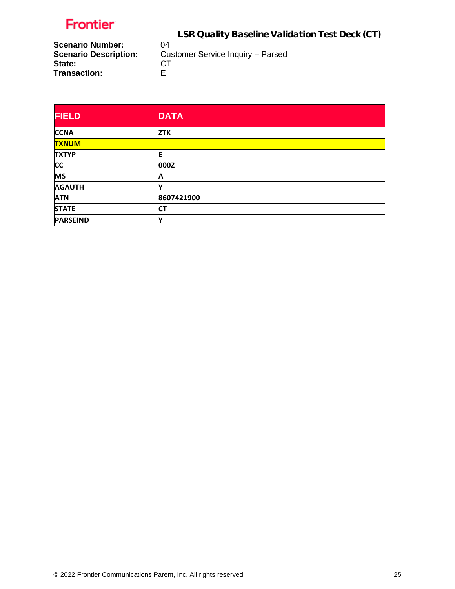LSR Quality Baseline Validation Test Deck (CT)

**Scenario Number:** 04<br>**Scenario Description:** Cu **State:** CT<br> **Transaction:** E **Transaction:** 

Customer Service Inquiry – Parsed<br>CT

| <b>FIELD</b>    | <b>DATA</b> |
|-----------------|-------------|
| <b>CCNA</b>     | <b>ZTK</b>  |
| <b>TXNUM</b>    |             |
| <b>TXTYP</b>    | ΙE          |
| <b>CC</b>       | 000Z        |
| <b>MS</b>       | Α           |
| <b>AGAUTH</b>   |             |
| <b>ATN</b>      | 8607421900  |
| <b>STATE</b>    | <b>CT</b>   |
| <b>PARSEIND</b> |             |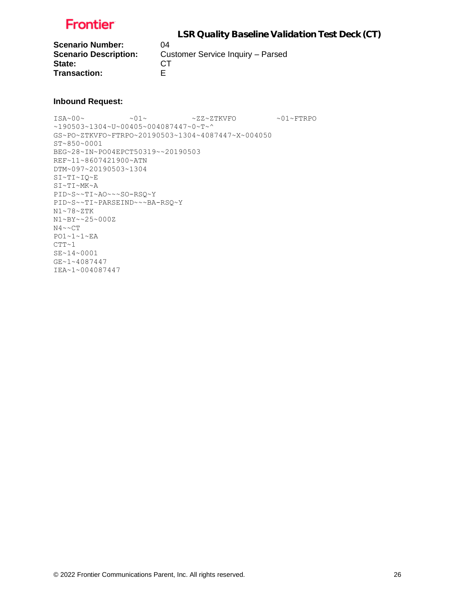

**Scenario Number:** 04 State: CT **Transaction:** E

**Scenario Description:** Customer Service Inquiry – Parsed

#### **Inbound Request:**

ISA~00~ ~01~ ~ZZ~ZTKVFO ~01~FTRPO ~190503~1304~U~00405~004087447~0~T~^ GS~PO~ZTKVFO~FTRPO~20190503~1304~4087447~X~004050 ST~850~0001 BEG~28~IN~PO04EPCT50319~~20190503 REF~11~8607421900~ATN DTM~097~20190503~1304 SI~TI~IQ~E SI~TI~MK~A PID~S~~TI~AO~~~SO-RSQ~Y PID~S~~TI~PARSEIND~~~BA-RSQ~Y N1~78~ZTK N1~BY~~25~000Z N4~~CT PO1~1~1~EA  $CTT~1$ SE~14~0001 GE~1~4087447 IEA~1~004087447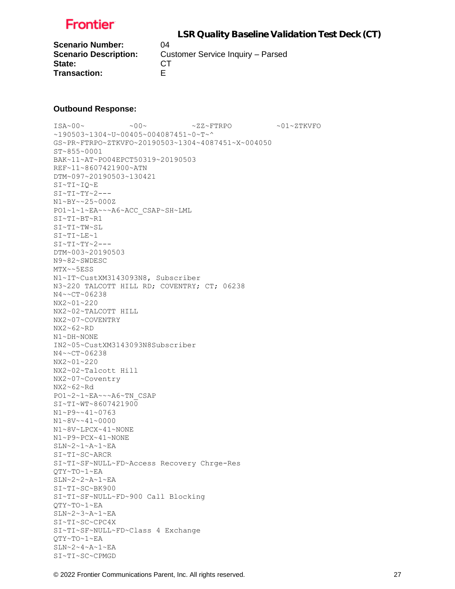

**Scenario Number:** 04 State: CT **Transaction:** E

**Scenario Description:** Customer Service Inquiry – Parsed

#### **Outbound Response:**

ISA~00~ ~00~ ~ZZ~FTRPO ~01~ZTKVFO ~190503~1304~U~00405~004087451~0~T~^ GS~PR~FTRPO~ZTKVFO~20190503~1304~4087451~X~004050 ST~855~0001 BAK~11~AT~PO04EPCT50319~20190503 REF~11~8607421900~ATN DTM~097~20190503~130421 SI~TI~IQ~E  $SI~T~T~T~T~Y~2--$ N1~BY~~25~000Z PO1~1~1~EA~~~A6~ACC\_CSAP~SH~LML SI~TI~BT~R1 SI~TI~TW~SL SI~TI~LE~1  $SI~TI~TY~2$ ---DTM~003~20190503 N9~82~SWDESC MTX~~5ESS N1~IT~CustXM3143093N8, Subscriber N3~220 TALCOTT HILL RD; COVENTRY; CT; 06238 N4~~CT~06238 NX2~01~220 NX2~02~TALCOTT HILL NX2~07~COVENTRY NX2~62~RD N1~DH~NONE IN2~05~CustXM3143093N8Subscriber N4~~CT~06238 NX2~01~220 NX2~02~Talcott Hill NX2~07~Coventry NX2~62~Rd PO1~2~1~EA~~~A6~TN\_CSAP SI~TI~WT~8607421900 N1~P9~~41~0763 N1~8V~~41~0000 N1~8V~LPCX~41~NONE N1~P9~PCX~41~NONE SLN~2~1~A~1~EA SI~TI~SC~ARCR SI~TI~SF~NULL~FD~Access Recovery Chrge-Res QTY~TO~1~EA SLN~2~2~A~1~EA SI~TI~SC~BK900 SI~TI~SF~NULL~FD~900 Call Blocking QTY~TO~1~EA SLN~2~3~A~1~EA SI~TI~SC~CPC4X SI~TI~SF~NULL~FD~Class 4 Exchange QTY~TO~1~EA  $SLN~2~4~4~$ A~ $1~$  $-EA$ SI~TI~SC~CPMGD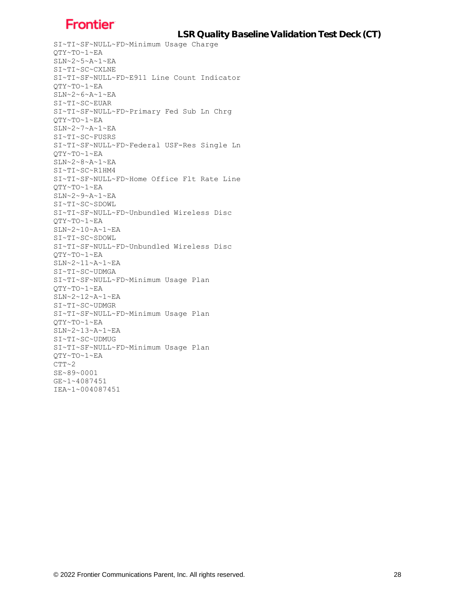LSR Quality Baseline Validation Test Deck (CT)

SI~TI~SF~NULL~FD~Minimum Usage Charge QTY~TO~1~EA SLN~2~5~A~1~EA SI~TI~SC~CXLNE SI~TI~SF~NULL~FD~E911 Line Count Indicator QTY~TO~1~EA SLN~2~6~A~1~EA SI~TI~SC~EUAR SI~TI~SF~NULL~FD~Primary Fed Sub Ln Chrg QTY~TO~1~EA  $SLN~2~~7~~A~1~~E$ A SI~TI~SC~FUSRS SI~TI~SF~NULL~FD~Federal USF-Res Single Ln QTY~TO~1~EA SLN~2~8~A~1~EA SI~TI~SC~R1HM4 SI~TI~SF~NULL~FD~Home Office Flt Rate Line QTY~TO~1~EA SLN~2~9~A~1~EA SI~TI~SC~SDOWL SI~TI~SF~NULL~FD~Unbundled Wireless Disc QTY~TO~1~EA SLN~2~10~A~1~EA SI~TI~SC~SDOWL SI~TI~SF~NULL~FD~Unbundled Wireless Disc QTY~TO~1~EA SLN~2~11~A~1~EA SI~TI~SC~UDMGA SI~TI~SF~NULL~FD~Minimum Usage Plan QTY~TO~1~EA  $SLN~2~12~A~1~EA$ SI~TI~SC~UDMGR SI~TI~SF~NULL~FD~Minimum Usage Plan QTY~TO~1~EA SLN~2~13~A~1~EA SI~TI~SC~UDMUG SI~TI~SF~NULL~FD~Minimum Usage Plan QTY~TO~1~EA  $CTT~2$ SE~89~0001 GE~1~4087451 IEA~1~004087451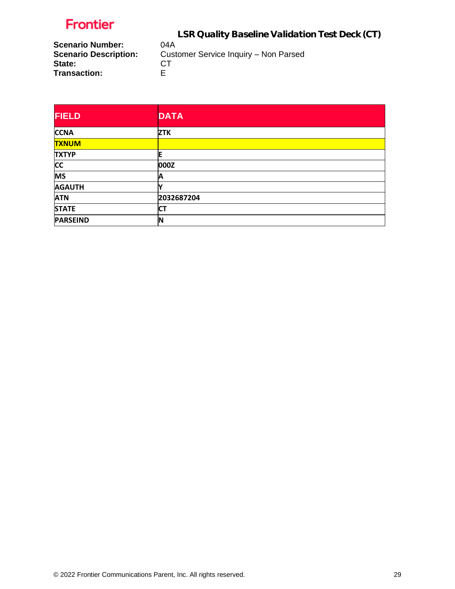LSR Quality Baseline Validation Test Deck (CT)

**Scenario Number:** 04A<br>**Scenario Description:** Cust **State:** CT<br> **Transaction:** E **Transaction:** 

Customer Service Inquiry – Non Parsed<br>CT

| <b>FIELD</b>    | <b>DATA</b> |
|-----------------|-------------|
| <b>CCNA</b>     | <b>ZTK</b>  |
| <b>TXNUM</b>    |             |
| <b>TXTYP</b>    | ΙE          |
| <b>CC</b>       | 000Z        |
| <b>MS</b>       | A           |
| <b>AGAUTH</b>   |             |
| <b>ATN</b>      | 2032687204  |
| <b>STATE</b>    | СT          |
| <b>PARSEIND</b> | IN          |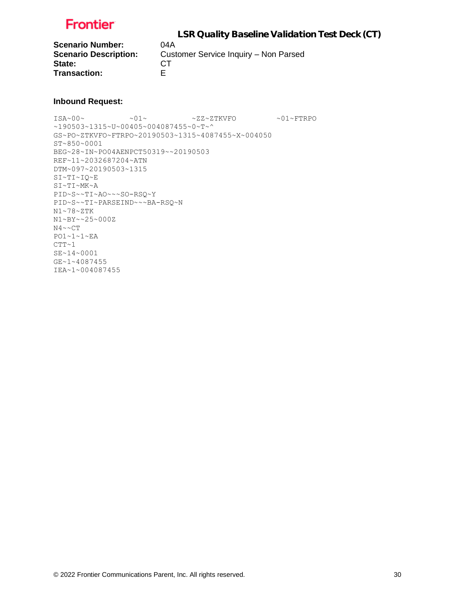

**Scenario Number:** 04A State: CT **Transaction:** E

**Scenario Description:** Customer Service Inquiry – Non Parsed

#### **Inbound Request:**

ISA~00~ ~01~ ~ZZ~ZTKVFO ~01~FTRPO ~190503~1315~U~00405~004087455~0~T~^ GS~PO~ZTKVFO~FTRPO~20190503~1315~4087455~X~004050 ST~850~0001 BEG~28~IN~PO04AENPCT50319~~20190503 REF~11~2032687204~ATN DTM~097~20190503~1315 SI~TI~IQ~E SI~TI~MK~A PID~S~~TI~AO~~~SO-RSQ~Y PID~S~~TI~PARSEIND~~~BA-RSQ~N N1~78~ZTK N1~BY~~25~000Z N4~~CT PO1~1~1~EA  $CTT~1$ SE~14~0001 GE~1~4087455 IEA~1~004087455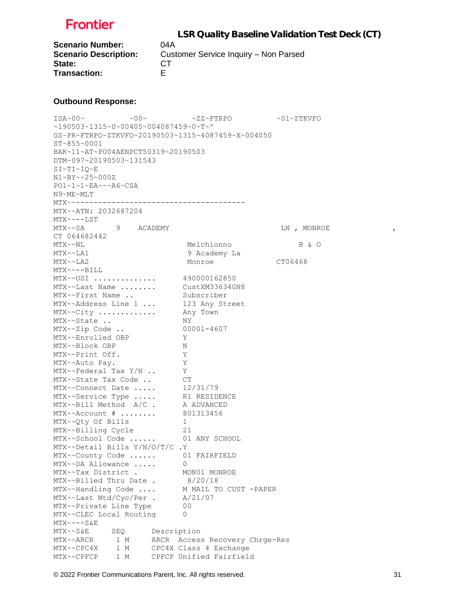

**Scenario Number:** 04A State: CT **Transaction:** E

**Scenario Description:** Customer Service Inquiry – Non Parsed

#### **Outbound Response:**

ISA~00~ ~00~ ~ZZ~FTRPO ~01~ZTKVFO ~190503~1315~U~00405~004087459~0~T~^ GS~PR~FTRPO~ZTKVFO~20190503~1315~4087459~X~004050 ST~855~0001 BAK~11~AT~PO04AENPCT50319~20190503 DTM~097~20190503~131543 SI~TI~IQ~E N1~BY~~25~000Z PO1~1~1~EA~~~A6~CSA N9~ME~MLT MTX~~-------------------------------------- MTX~~ATN: 2032687204 MTX~~--LST MTX~~SA  $\,$  9 ACADEMY  $\,$  LN , MONROE , , CT 064682442 MTX~~NL Melchionno B & O MTX~~LA1 9 Academy La MTX~~LA2 Monroe Monroe CT06468 MTX~~--BILL MTX~~USI .............. 490000162850 MTX~~Last Name ........ CustXM336340N8 MTX~~First Name .. Subscriber MTX~~Address Line 1 ... 123 Any Street MTX~~City ............. Any Town MTX~~State .. NY MTX~~Zip Code .. 00001-4607<br>MTX~~Enrolled OBP Y MTX~~Enrolled OBP MTX~~Block OBP N MTX~~Print Off. Y MTX~~Auto Pay. Y MTX~~Federal Tax Y/N .. Y MTX~~State Tax Code .. CT MTX~~Connect Date ..... 12/31/79 MTX~~Service Type ..... R1 RESIDENCE MTX~~Bill Method A/C . A ADVANCED MTX~~Account # ........ 801313456 MTX~~Qty Of Bills 1 MTX~~Billing Cycle 21 MTX~~School Code ...... 01 ANY SCHOOL MTX~~Detail Bills Y/N/O/T/C .Y MTX~~County Code ...... 01 FAIRFIELD MTX~~DA Allowance ..... 0 MTX~~Tax District . MON01 MONROE MTX~~Billed Thru Date . 8/20/18 MTX~~Handling Code .... M MAIL TO CUST -PAPER MTX~~Last Mtd/Cyc/Per . A/21/07 MTX~~Private Line Type 00 MTX~~CLEC Local Routing 0 MTX~~--S&E MTX~~S&E SEQ Description MTX~~ARCR 1 M ARCR Access Recovery Chrge-Res MTX~~CPC4X 1 M CPC4X Class 4 Exchange MTX~~CPFCP 1 M CPFCP Unified Fairfield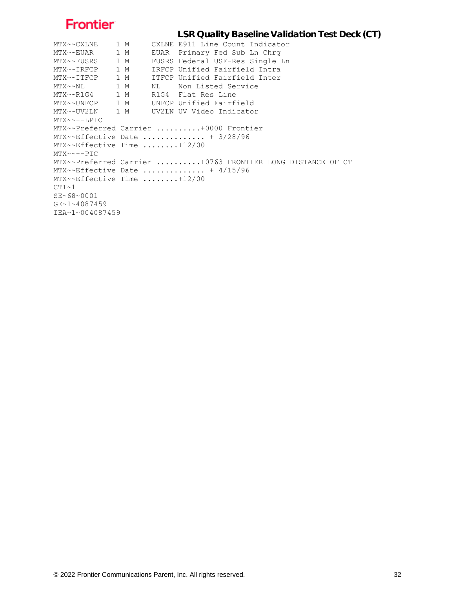```
 LSR Quality Baseline Validation Test Deck (CT)
MTX~~CXLNE 1 M CXLNE E911 Line Count Indicator
MTX~~EUAR 1 M EUAR Primary Fed Sub Ln Chrg
MTX~~FUSRS 1 M FUSRS Federal USF-Res Single Ln
MTX~~IRFCP 1 M IRFCP Unified Fairfield Intra
MTX~~ITFCP 1 M ITFCP Unified Fairfield Inter
MTX~~NL 1 M NL Non Listed Service
MTX~~R1G4 1 M R1G4 Flat Res Line
MTX~~UNFCP 1 M UNFCP Unified Fairfield
MTX~~UV2LN 1 M UV2LN UV Video Indicator
MTX~~--LPIC
MTX~~Preferred Carrier ..........+0000 Frontier
MTX~~Effective Date ............... + 3/28/96
MTX~~Effective Time ........+12/00
MTX~~--PIC
MTX~~Preferred Carrier ..........+0763 FRONTIER LONG DISTANCE OF CT
MTX~~Effective Date ............... + 4/15/96
MTX~~Effective Time ........+12/00
CTT~1SE~68~0001
GE~1~4087459
IEA~1~004087459
```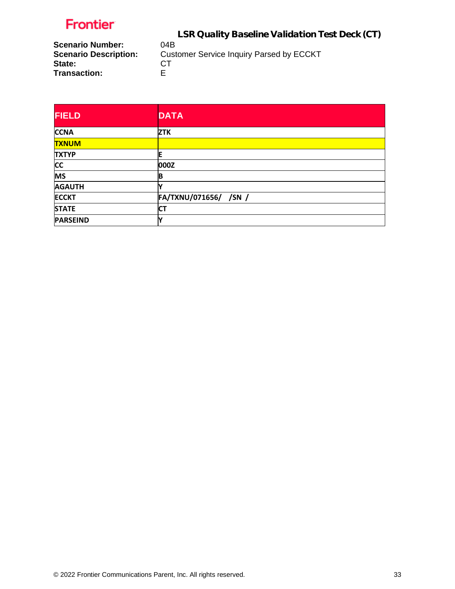LSR Quality Baseline Validation Test Deck (CT)

**Scenario Number:<br>Scenario Description: State:** CT<br> **Transaction:** E **Transaction:** 

**Customer Service Inquiry Parsed by ECCKT CT** 

| <b>FIELD</b>    | <b>DATA</b>           |
|-----------------|-----------------------|
| <b>CCNA</b>     | <b>ZTK</b>            |
| <b>TXNUM</b>    |                       |
| <b>TXTYP</b>    | ΙE                    |
| <b>CC</b>       | 000Z                  |
| <b>MS</b>       | B                     |
| <b>AGAUTH</b>   |                       |
| <b>ECCKT</b>    | FA/TXNU/071656/ /SN / |
| <b>STATE</b>    | <b>CT</b>             |
| <b>PARSEIND</b> | v                     |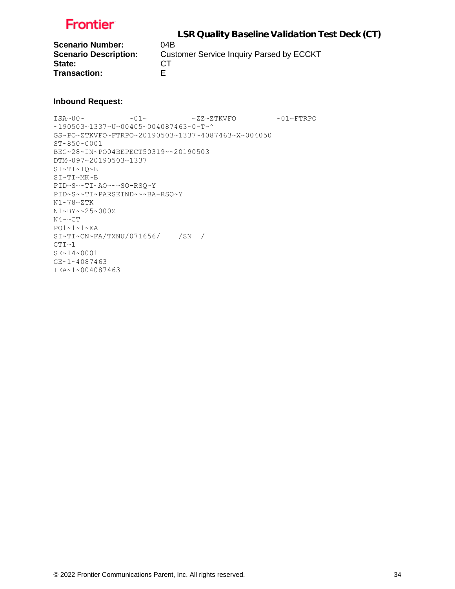

 LSR Quality Baseline Validation Test Deck (CT) **Scenario Number:** 04B **Scenario Description:** Customer Service Inquiry Parsed by ECCKT State: CT **Transaction:** E

#### **Inbound Request:**

ISA~00~ ~01~ ~ZZ~ZTKVFO ~01~FTRPO ~190503~1337~U~00405~004087463~0~T~^ GS~PO~ZTKVFO~FTRPO~20190503~1337~4087463~X~004050 ST~850~0001 BEG~28~IN~PO04BEPECT50319~~20190503 DTM~097~20190503~1337 SI~TI~IQ~E SI~TI~MK~B PID~S~~TI~AO~~~SO-RSQ~Y PID~S~~TI~PARSEIND~~~BA-RSQ~Y N1~78~ZTK N1~BY~~25~000Z  $N4 \sim C T$ PO1~1~1~EA SI~TI~CN~FA/TXNU/071656/ /SN /  $CTT~1$ SE~14~0001 GE~1~4087463 IEA~1~004087463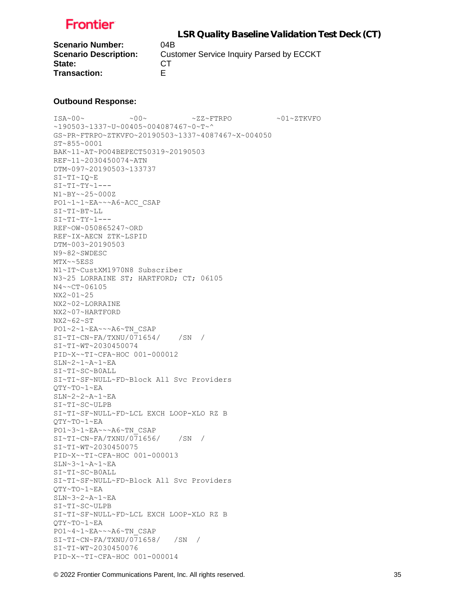

 LSR Quality Baseline Validation Test Deck (CT) **Scenario Number:** 04B **Scenario Description:** Customer Service Inquiry Parsed by ECCKT State: CT **Transaction:** E

#### **Outbound Response:**

ISA~00~ ~00~ ~ZZ~FTRPO ~01~ZTKVFO ~190503~1337~U~00405~004087467~0~T~^ GS~PR~FTRPO~ZTKVFO~20190503~1337~4087467~X~004050 ST~855~0001 BAK~11~AT~PO04BEPECT50319~20190503 REF~11~2030450074~ATN DTM~097~20190503~133737 SI~TI~IQ~E SI~TI~TY~1--- N1~BY~~25~000Z PO1~1~1~EA~~~A6~ACC\_CSAP SI~TI~BT~LL  $SI~TI~TY~1--$ REF~OW~050865247~ORD REF~IX~AECN ZTK~LSPID DTM~003~20190503 N9~82~SWDESC MTX~~5ESS N1~IT~CustXM1970N8 Subscriber N3~25 LORRAINE ST; HARTFORD; CT; 06105 N4~~CT~06105 NX2~01~25 NX2~02~LORRAINE NX2~07~HARTFORD NX2~62~ST PO1~2~1~EA~~~A6~TN\_CSAP SI~TI~CN~FA/TXNU/071654/ /SN / SI~TI~WT~2030450074 PID~X~~TI~CFA~HOC 001-000012 SLN~2~1~A~1~EA SI~TI~SC~B0ALL SI~TI~SF~NULL~FD~Block All Svc Providers QTY~TO~1~EA SLN~2~2~A~1~EA SI~TI~SC~ULPB SI~TI~SF~NULL~FD~LCL EXCH LOOP-XLO RZ B QTY~TO~1~EA PO1~3~1~EA~~~A6~TN\_CSAP  $SI~TI~CN~FA/TXNU/071656/$  /SN / SI~TI~WT~2030450075 PID~X~~TI~CFA~HOC 001-000013 SLN~3~1~A~1~EA SI~TI~SC~B0ALL SI~TI~SF~NULL~FD~Block All Svc Providers QTY~TO~1~EA SLN~3~2~A~1~EA SI~TI~SC~ULPB SI~TI~SF~NULL~FD~LCL EXCH LOOP-XLO RZ B QTY~TO~1~EA PO1~4~1~EA~~~A6~TN\_CSAP SI~TI~CN~FA/TXNU/071658/ /SN / SI~TI~WT~2030450076 PID~X~~TI~CFA~HOC 001-000014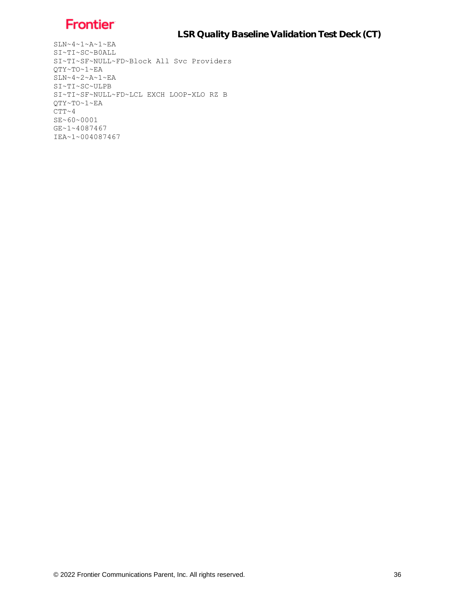LSR Quality Baseline Validation Test Deck (CT)

```
SLN~4~1~A~1~RSI~TI~SC~B0ALL
SI~TI~SF~NULL~FD~Block All Svc Providers
QTY~TO~1~EA
SLN~4~2~A~1~EA
SI~TI~SC~ULPB
SI~TI~SF~NULL~FD~LCL EXCH LOOP-XLO RZ B
QTY~TO~1~EA
CTT~ 4SE~60~0001
GE~1~4087467
IEA~1~004087467
```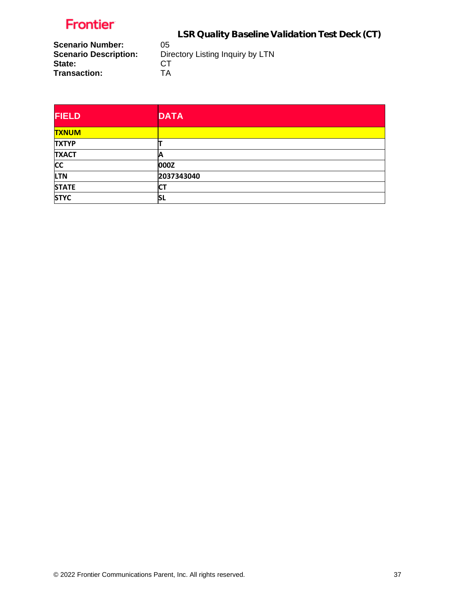LSR Quality Baseline Validation Test Deck (CT)

**Scenario Number:<br>Scenario Description: State:** CT<br>
Transaction: TA **Transaction:** 

**Directory Listing Inquiry by LTN CT** 

| <b>FIELD</b> | <b>DATA</b> |
|--------------|-------------|
| <b>TXNUM</b> |             |
| <b>TXTYP</b> |             |
| <b>TXACT</b> | А           |
| <b>CC</b>    | 000Z        |
| <b>LTN</b>   | 2037343040  |
| <b>STATE</b> | <b>CT</b>   |
| <b>STYC</b>  | <b>SL</b>   |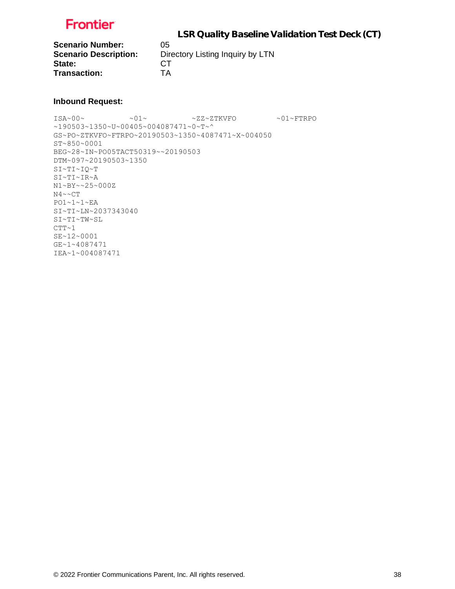

**Scenario Number:** 05<br>**Scenario Description:** Dir State: **Transaction:** TA

**Directory Listing Inquiry by LTN CT** 

### **Inbound Request:**

ISA~00~ ~01~ ~ZZ~ZTKVFO ~01~FTRPO ~190503~1350~U~00405~004087471~0~T~^ GS~PO~ZTKVFO~FTRPO~20190503~1350~4087471~X~004050 ST~850~0001 BEG~28~IN~PO05TACT50319~~20190503 DTM~097~20190503~1350 SI~TI~IQ~T SI~TI~IR~A N1~BY~~25~000Z N4~~CT PO1~1~1~EA SI~TI~LN~2037343040 SI~TI~TW~SL  $CTT-1$ SE~12~0001 GE~1~4087471 IEA~1~004087471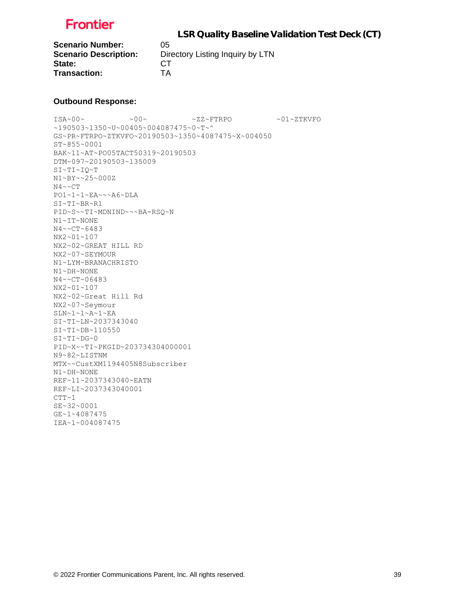

**Scenario Number:** 05 State: CT **Transaction:** TA

**Scenario Description:** Directory Listing Inquiry by LTN

#### **Outbound Response:**

 $\sim 00 \sim \qquad \qquad -00 \sim \qquad \qquad -01 \sim 27 \times 20 \sim \qquad \qquad -01 \sim 27 \times 20 \sim$ ~190503~1350~U~00405~004087475~0~T~^ GS~PR~FTRPO~ZTKVFO~20190503~1350~4087475~X~004050 ST~855~0001 BAK~11~AT~PO05TACT50319~20190503 DTM~097~20190503~135009 SI~TI~IQ~T N1~BY~~25~000Z N4~~CT PO1~1~1~EA~~~A6~DLA SI~TI~BR~R1 PID~S~~TI~MDNIND~~~BA-RSQ~N N1~IT~NONE N4~~CT~6483 NX2~01~107 NX2~02~GREAT HILL RD NX2~07~SEYMOUR N1~LYM~BRANACHRISTO N1~DH~NONE N4~~CT~06483 NX2~01~107 NX2~02~Great Hill Rd NX2~07~Seymour SLN~1~1~A~1~EA SI~TI~LN~2037343040 SI~TI~DB~110550 SI~TI~DG~0 PID~X~~TI~PKGID~203734304000001 N9~82~LISTNM MTX~~CustXM1194405N8Subscriber N1~DH~NONE REF~11~2037343040~EATN REF~LI~2037343040001  $CTT~1$ SE~32~0001 GE~1~4087475 IEA~1~004087475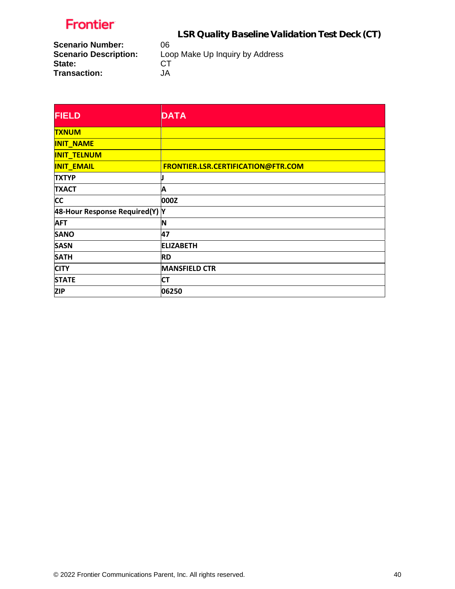LSR Quality Baseline Validation Test Deck (CT)

**Scenario Number:** 06<br>**Scenario Description:** Loo **State:** CT<br>
Transaction: JA **Transaction:** 

Loop Make Up Inquiry by Address<br>CT

| <b>FIELD</b>                   | <b>DATA</b>                        |
|--------------------------------|------------------------------------|
| <b>TXNUM</b>                   |                                    |
| <b>INIT_NAME</b>               |                                    |
| <b>INIT_TELNUM</b>             |                                    |
| <b>INIT_EMAIL</b>              | FRONTIER.LSR.CERTIFICATION@FTR.COM |
| <b>TXTYP</b>                   |                                    |
| <b>TXACT</b>                   | Α                                  |
| <b>CC</b>                      | 000Z                               |
| 48-Hour Response Required(Y) Y |                                    |
| <b>AFT</b>                     | IN                                 |
| <b>SANO</b>                    | 47                                 |
| <b>SASN</b>                    | <b>ELIZABETH</b>                   |
| <b>SATH</b>                    | <b>RD</b>                          |
| <b>CITY</b>                    | <b>MANSFIELD CTR</b>               |
| <b>STATE</b>                   | <b>CT</b>                          |
| <b>ZIP</b>                     | 06250                              |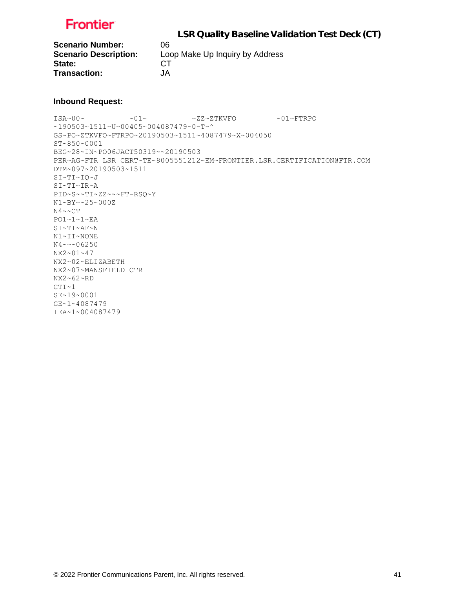

**Scenario Number:** 06 State: CT **Transaction:** JA

**Scenario Description:** Loop Make Up Inquiry by Address

#### **Inbound Request:**

ISA~00~ ~01~ ~ZZ~ZTKVFO ~01~FTRPO ~190503~1511~U~00405~004087479~0~T~^ GS~PO~ZTKVFO~FTRPO~20190503~1511~4087479~X~004050 ST~850~0001 BEG~28~IN~PO06JACT50319~~20190503 PER~AG~FTR LSR CERT~TE~8005551212~EM~FRONTIER.LSR.CERTIFICATION@FTR.COM DTM~097~20190503~1511 SI~TI~IQ~J SI~TI~IR~A PID~S~~TI~ZZ~~~FT-RSQ~Y N1~BY~~25~000Z N4~~CT PO1~1~1~EA SI~TI~AF~N N1~IT~NONE N4~~~06250 NX2~01~47 NX2~02~ELIZABETH NX2~07~MANSFIELD CTR NX2~62~RD  $CTT~1$ SE~19~0001 GE~1~4087479 IEA~1~004087479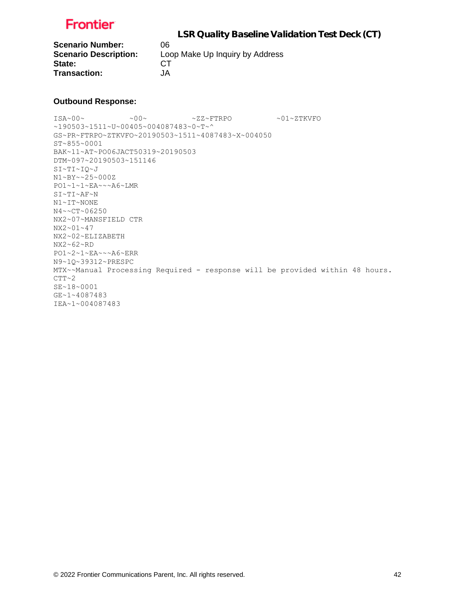

**Scenario Number:** 06 State: CT **Transaction:** JA

**Scenario Description:** Loop Make Up Inquiry by Address

#### **Outbound Response:**

ISA~00~ ~00~ ~ZZ~FTRPO ~01~ZTKVFO ~190503~1511~U~00405~004087483~0~T~^ GS~PR~FTRPO~ZTKVFO~20190503~1511~4087483~X~004050 ST~855~0001 BAK~11~AT~PO06JACT50319~20190503 DTM~097~20190503~151146 SI~TI~IQ~J N1~BY~~25~000Z PO1~1~1~EA~~~A6~LMR SI~TI~AF~N N1~IT~NONE N4~~CT~06250 NX2~07~MANSFIELD CTR NX2~01~47 NX2~02~ELIZABETH NX2~62~RD PO1~2~1~EA~~~A6~ERR N9~1Q~39312~PRESPC MTX~~Manual Processing Required - response will be provided within 48 hours.  $CTT~2$ SE~18~0001 GE~1~4087483 IEA~1~004087483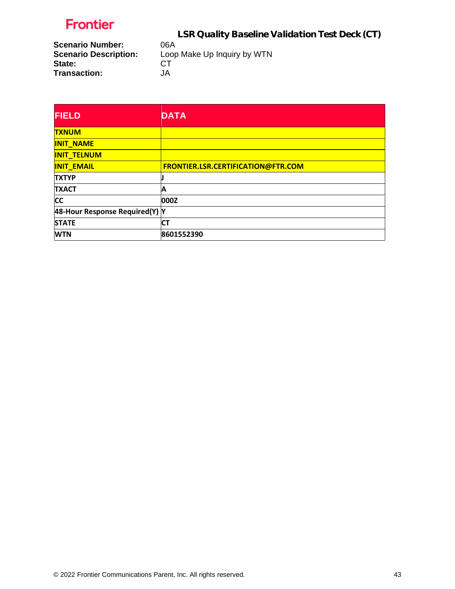LSR Quality Baseline Validation Test Deck (CT)

**Scenario Number:** 06A<br>**Scenario Description:** Loop **State:** CT<br>
Transaction: JA **Transaction:** 

Loop Make Up Inquiry by WTN<br>CT

| <b>FIELD</b>                   | <b>DATA</b>                        |
|--------------------------------|------------------------------------|
| <b>TXNUM</b>                   |                                    |
| <b>INIT NAME</b>               |                                    |
| <b>INIT_TELNUM</b>             |                                    |
| <b>INIT EMAIL</b>              | FRONTIER.LSR.CERTIFICATION@FTR.COM |
| <b>TXTYP</b>                   |                                    |
| <b>TXACT</b>                   | Α                                  |
| <b>CC</b>                      | 000Z                               |
| 48-Hour Response Required(Y) Y |                                    |
| <b>STATE</b>                   | <b>CT</b>                          |
| <b>WTN</b>                     | 8601552390                         |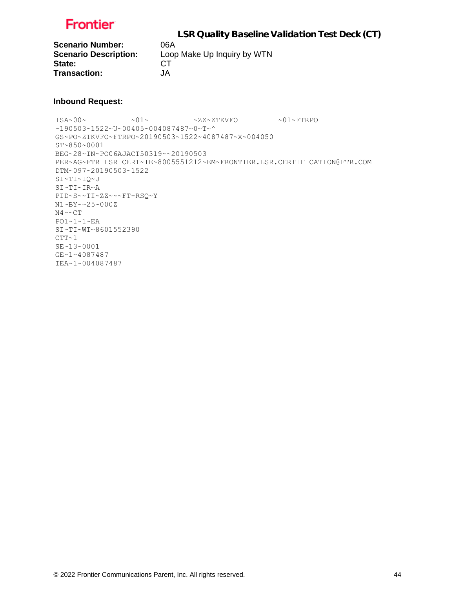

**Scenario Number:** 06A State: CT **Transaction:** JA

**Scenario Description:** Loop Make Up Inquiry by WTN

#### **Inbound Request:**

ISA~00~ ~01~ ~ZZ~ZTKVFO ~01~FTRPO  $~190503~1522~$   $~$  U~00405 ~ 004087487 ~ 0 ~ T ~ ^ GS~PO~ZTKVFO~FTRPO~20190503~1522~4087487~X~004050 ST~850~0001 BEG~28~IN~PO06AJACT50319~~20190503 PER~AG~FTR LSR CERT~TE~8005551212~EM~FRONTIER.LSR.CERTIFICATION@FTR.COM DTM~097~20190503~1522 SI~TI~IQ~J SI~TI~IR~A PID~S~~TI~ZZ~~~FT-RSQ~Y N1~BY~~25~000Z N4~~CT PO1~1~1~EA SI~TI~WT~8601552390  $CTT~1$ SE~13~0001 GE~1~4087487 IEA~1~004087487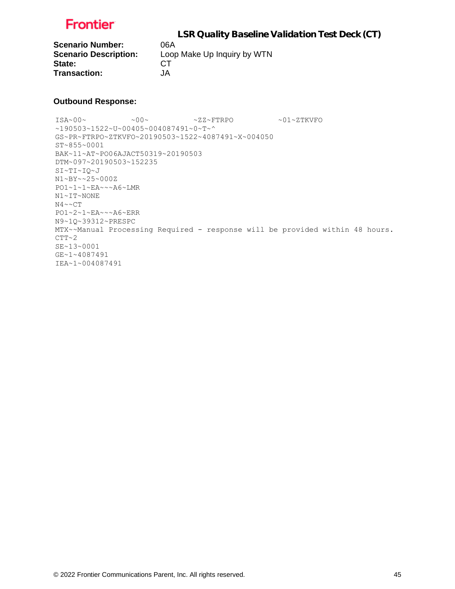

**Scenario Number:** 06A State: CT **Transaction:** JA

**Scenario Description:** Loop Make Up Inquiry by WTN

#### **Outbound Response:**

 $\sim 00 \times 00 \times 00$   $\sim 27 \times 77$  RPO  $\sim 01 \times 27$ KVFO  $~190503~1522~$   $~$  U  $~00405~$   $~004087491~$   $~0$   $~$  T  $~$ GS~PR~FTRPO~ZTKVFO~20190503~1522~4087491~X~004050 ST~855~0001 BAK~11~AT~PO06AJACT50319~20190503 DTM~097~20190503~152235 SI~TI~IQ~J N1~BY~~25~000Z PO1~1~1~EA~~~A6~LMR N1~IT~NONE N4~~CT PO1~2~1~EA~~~A6~ERR N9~1Q~39312~PRESPC MTX~~Manual Processing Required - response will be provided within 48 hours.  $CTT~2$ SE~13~0001 GE~1~4087491 IEA~1~004087491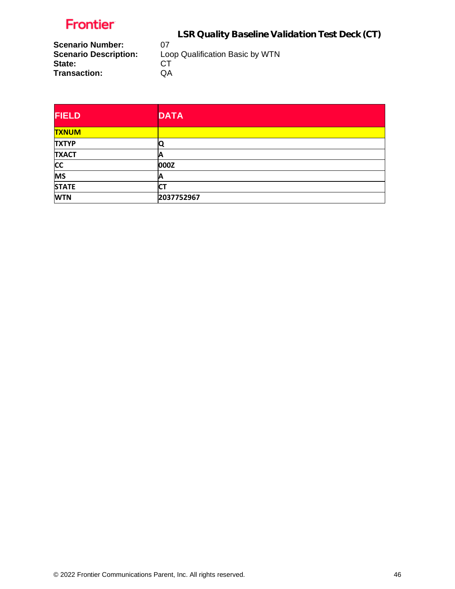LSR Quality Baseline Validation Test Deck (CT)

**Scenario Number:** 07<br>**Scenario Description:** Loo **State:** CT<br> **Transaction:** QA **Transaction:** 

Loop Qualification Basic by WTN<br>CT

| <b>FIELD</b> | <b>DATA</b> |
|--------------|-------------|
| <b>TXNUM</b> |             |
| <b>TXTYP</b> | Q           |
| <b>TXACT</b> | Α           |
| <b>CC</b>    | 000Z        |
| <b>MS</b>    | A           |
| <b>STATE</b> | <b>CT</b>   |
| <b>WTN</b>   | 2037752967  |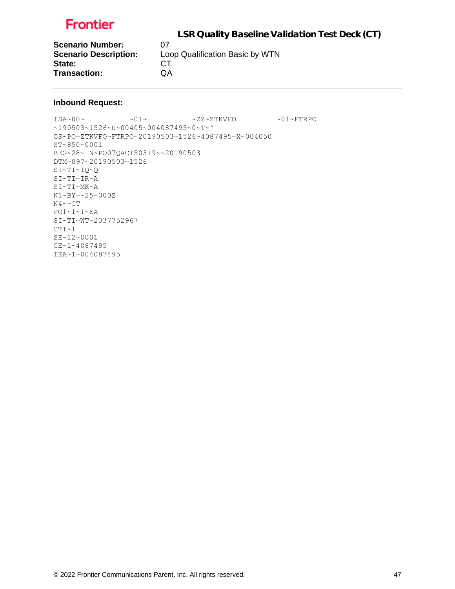LSR Quality Baseline Validation Test Deck (CT)

**Scenario Number:** 07<br>**Scenario Description:** Loo State: CT **Transaction:** QA

Loop Qualification Basic by WTN

### **Inbound Request:**

ISA~00~ ~01~ ~ZZ~ZTKVFO ~01~FTRPO ~190503~1526~U~00405~004087495~0~T~^ GS~PO~ZTKVFO~FTRPO~20190503~1526~4087495~X~004050 ST~850~0001 BEG~28~IN~PO07QACT50319~~20190503 DTM~097~20190503~1526 SI~TI~IQ~Q SI~TI~IR~A SI~TI~MK~A N1~BY~~25~000Z N4~~CT PO1~1~1~EA SI~TI~WT~2037752967  $CTT~1$ SE~12~0001 GE~1~4087495 IEA~1~004087495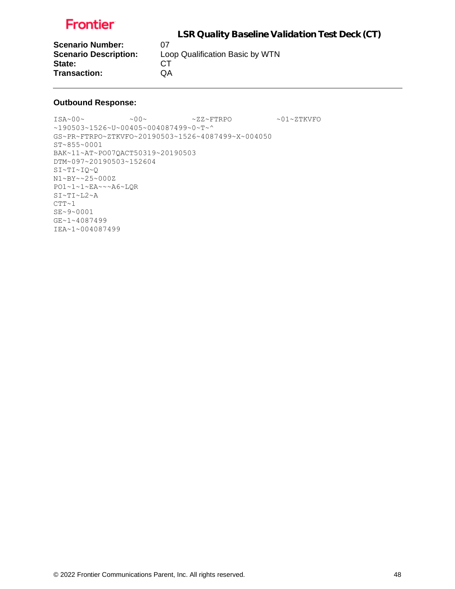LSR Quality Baseline Validation Test Deck (CT)

**Scenario Number:** 07<br>**Scenario Description:** Loo State: CT **Transaction:** QA

Loop Qualification Basic by WTN

### **Outbound Response:**

 $\sim 00\sim \qquad \qquad \sim 2Z\sim \text{FTRPO} \qquad \qquad \sim 01\sim \text{2TKVFO}$  $~190503~1526~$ v $~00405~$ v $004087499~$ v $~0$ ~ $T$ ~^ GS~PR~FTRPO~ZTKVFO~20190503~1526~4087499~X~004050 ST~855~0001 BAK~11~AT~PO07QACT50319~20190503 DTM~097~20190503~152604 SI~TI~IQ~Q N1~BY~~25~000Z PO1~1~1~EA~~~A6~LQR SI~TI~L2~A  $CTT~1$ SE~9~0001 GE~1~4087499 IEA~1~004087499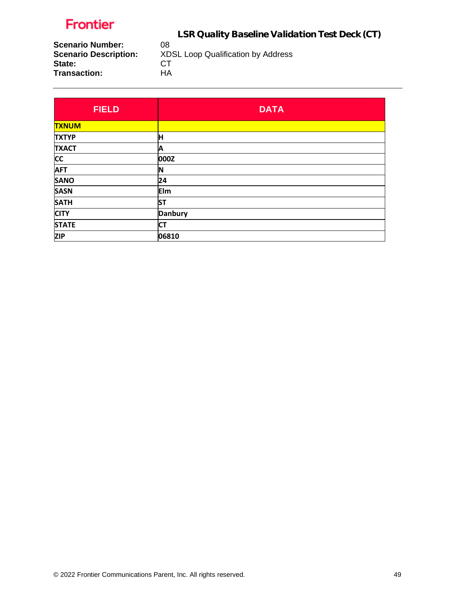LSR Quality Baseline Validation Test Deck (CT)

**Scenario Number:** 08<br>**Scenario Description:** XD **State:** CT<br>
Transaction: HA **Transaction:** 

**Scenario Description:** XDSL Loop Qualification by Address

| <b>FIELD</b> | <b>DATA</b>    |
|--------------|----------------|
| <b>TXNUM</b> |                |
| <b>TXTYP</b> | Η              |
| <b>TXACT</b> | Α              |
| <b>CC</b>    | 000Z           |
| <b>AFT</b>   | ΙN             |
| <b>SANO</b>  | 24             |
| <b>SASN</b>  | Elm            |
| <b>SATH</b>  | <b>ST</b>      |
| <b>CITY</b>  | <b>Danbury</b> |
| <b>STATE</b> | <b>CT</b>      |
| <b>ZIP</b>   | 06810          |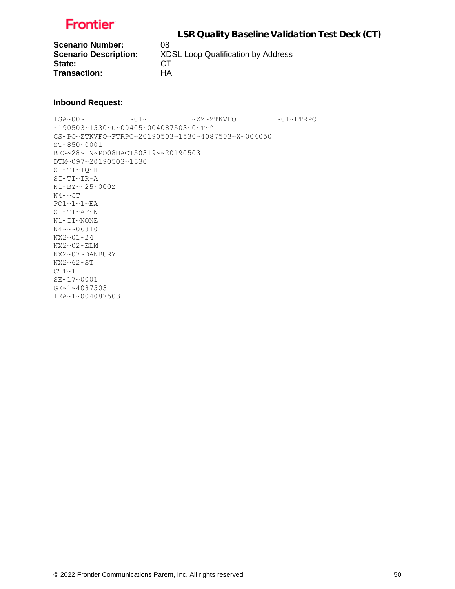LSR Quality Baseline Validation Test Deck (CT)

**Scenario Number:** 08<br>**Scenario Description:** XD State: CT **Transaction:** HA

**Scenario Description:** XDSL Loop Qualification by Address

### **Inbound Request:**

 $\verb|ISA~00~|~\verb|V5A~00~|~\verb|V5A~00~|~\verb|V5A~00~|~\verb|V5A~00~|~\verb|V5A~00~|~\verb|V5A~00~|~\verb|V5A~00~|~\verb|V5A~00~|~\verb|V5A~00~|~\verb|V5A~00~|~\verb|V5A~00~|~\verb|V5A~00~|~\verb|V5A~00~|~\verb|V5A~00~|~\verb|V5A~00~|~\verb|V5A~00~|~\verb|V5A~00~|~\verb|V5A$ ~190503~1530~U~00405~004087503~0~T~^ GS~PO~ZTKVFO~FTRPO~20190503~1530~4087503~X~004050 ST~850~0001 BEG~28~IN~PO08HACT50319~~20190503 DTM~097~20190503~1530 SI~TI~IQ~H SI~TI~IR~A N1~BY~~25~000Z N4~~CT PO1~1~1~EA SI~TI~AF~N N1~IT~NONE N4~~~06810 NX2~01~24 NX2~02~ELM NX2~07~DANBURY NX2~62~ST  $CTT~1$ SE~17~0001 GE~1~4087503 IEA~1~004087503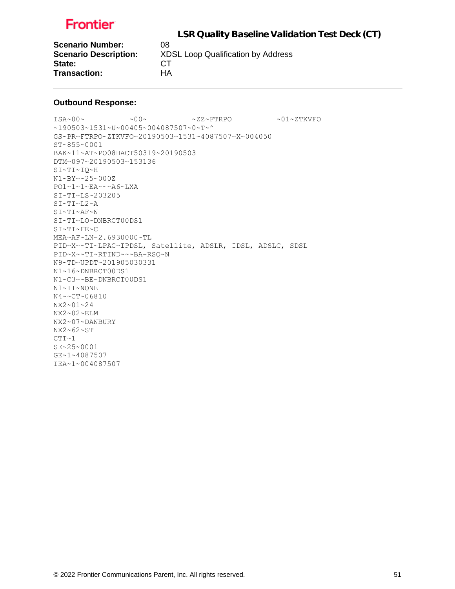

**Scenario Number:** 08 State: CT **Transaction:** HA

**Scenario Description:** XDSL Loop Qualification by Address

#### **Outbound Response:**

 $\sim 00 \sim \qquad \qquad -00 \sim \qquad \qquad -01 \sim 27 \times 20 \sim \qquad \qquad -01 \sim 27 \times 20 \sim$ ~190503~1531~U~00405~004087507~0~T~^ GS~PR~FTRPO~ZTKVFO~20190503~1531~4087507~X~004050 ST~855~0001 BAK~11~AT~PO08HACT50319~20190503 DTM~097~20190503~153136 SI~TI~IQ~H N1~BY~~25~000Z PO1~1~1~EA~~~A6~LXA SI~TI~LS~203205 SI~TI~L2~A SI~TI~AF~N SI~TI~LO~DNBRCT00DS1 SI~TI~FE~C MEA~AF~LN~2.6930000~TL PID~X~~TI~LPAC~IPDSL, Satellite, ADSLR, IDSL, ADSLC, SDSL PID~X~~TI~RTIND~~~BA-RSQ~N N9~TD~UPDT~201905030331 N1~16~DNBRCT00DS1 N1~C3~~BE~DNBRCT00DS1 N1~IT~NONE N4~~CT~06810 NX2~01~24 NX2~02~ELM NX2~07~DANBURY NX2~62~ST  $CTT~1$ SE~25~0001 GE~1~4087507 IEA~1~004087507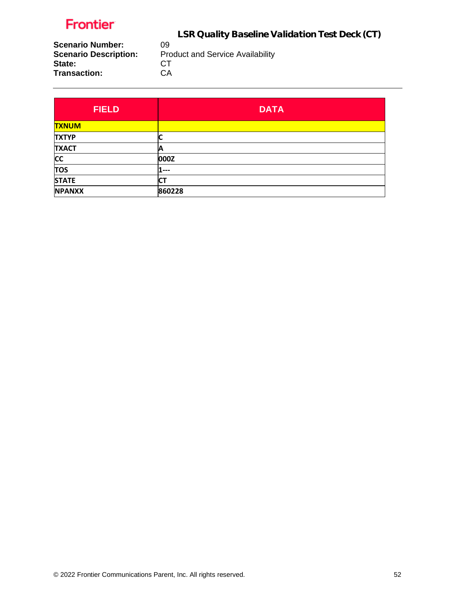LSR Quality Baseline Validation Test Deck (CT)

**Scenario Number:** 09<br>**Scenario Description:** Pro State: CT<br>
Transaction: CA **Transaction:** 

Product and Service Availability<br>CT

| <b>FIELD</b>  | <b>DATA</b> |
|---------------|-------------|
| <b>TXNUM</b>  |             |
| <b>TXTYP</b>  |             |
| <b>TXACT</b>  |             |
| <b>CC</b>     | 000Z        |
| <b>TOS</b>    | l ---       |
| <b>STATE</b>  | СT          |
| <b>NPANXX</b> | 860228      |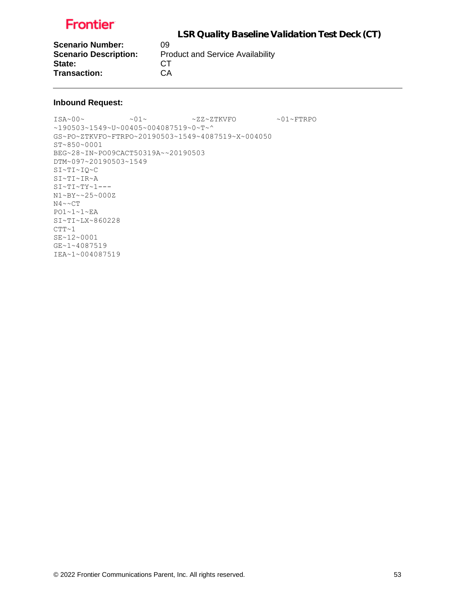LSR Quality Baseline Validation Test Deck (CT)

**Scenario Number:** 09<br>**Scenario Description:** Pro State: CT **Transaction:** CA

**Product and Service Availability** 

### **Inbound Request:**

ISA~00~ ~01~ ~ZZ~ZTKVFO ~01~FTRPO ~190503~1549~U~00405~004087519~0~T~^ GS~PO~ZTKVFO~FTRPO~20190503~1549~4087519~X~004050 ST~850~0001 BEG~28~IN~PO09CACT50319A~~20190503 DTM~097~20190503~1549 SI~TI~IQ~C SI~TI~IR~A SI~TI~TY~1--- N1~BY~~25~000Z N4~~CT PO1~1~1~EA SI~TI~LX~860228  $CTT~1$ SE~12~0001 GE~1~4087519 IEA~1~004087519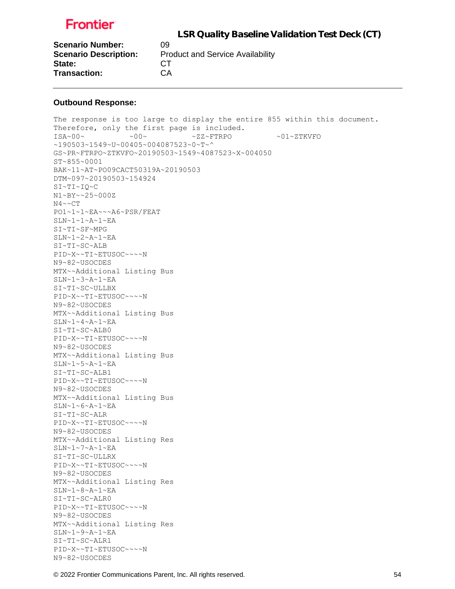

| <b>Scenario Number:</b>      | 09                                      |
|------------------------------|-----------------------------------------|
| <b>Scenario Description:</b> | <b>Product and Service Availability</b> |
| State:                       | CT.                                     |
| <b>Transaction:</b>          | СA                                      |

#### **Outbound Response:**

The response is too large to display the entire 855 within this document. Therefore, only the first page is included. ISA~00~ ~00~ ~ZZ~FTRPO ~01~ZTKVFO ~190503~1549~U~00405~004087523~0~T~^ GS~PR~FTRPO~ZTKVFO~20190503~1549~4087523~X~004050 ST~855~0001 BAK~11~AT~PO09CACT50319A~20190503 DTM~097~20190503~154924 SI~TI~IQ~C N1~BY~~25~000Z  $N4 \sim C T$ PO1~1~1~EA~~~A6~PSR/FEAT SLN~1~1~A~1~EA SI~TI~SF~MPG SLN~1~2~A~1~EA SI~TI~SC~ALB PID~X~~TI~ETUSOC~~~~N N9~82~USOCDES MTX~~Additional Listing Bus SLN~1~3~A~1~EA SI~TI~SC~ULLBX PID~X~~TI~ETUSOC~~~~N N9~82~USOCDES MTX~~Additional Listing Bus SLN~1~4~A~1~EA SI~TI~SC~ALB0 PID~X~~TI~ETUSOC~~~~N N9~82~USOCDES MTX~~Additional Listing Bus SLN~1~5~A~1~EA SI~TI~SC~ALB1 PID~X~~TI~ETUSOC~~~~N N9~82~USOCDES MTX~~Additional Listing Bus SLN~1~6~A~1~EA SI~TI~SC~ALR PID~X~~TI~ETUSOC~~~~N N9~82~USOCDES MTX~~Additional Listing Res  $SLN~1~~7~~A~1~~E$ A SI~TI~SC~ULLRX PID~X~~TI~ETUSOC~~~~N N9~82~USOCDES MTX~~Additional Listing Res SLN~1~8~A~1~EA SI~TI~SC~ALR0 PID~X~~TI~ETUSOC~~~~N N9~82~USOCDES MTX~~Additional Listing Res SLN~1~9~A~1~EA SI~TI~SC~ALR1 PID~X~~TI~ETUSOC~~~~N N9~82~USOCDES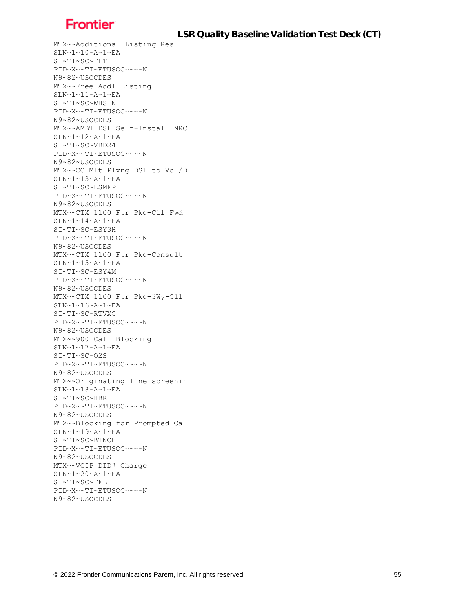MTX~~Additional Listing Res SLN~1~10~A~1~EA SI~TI~SC~FLT PID~X~~TI~ETUSOC~~~~N N9~82~USOCDES MTX~~Free Addl Listing SLN~1~11~A~1~EA SI~TI~SC~WHSIN PID~X~~TI~ETUSOC~~~~N N9~82~USOCDES MTX~~AMBT DSL Self-Install NRC SLN~1~12~A~1~EA SI~TI~SC~VBD24 PID~X~~TI~ETUSOC~~~~N N9~82~USOCDES MTX~~CO Mlt Plxng DS1 to Vc /D SLN~1~13~A~1~EA SI~TI~SC~ESMFP PID~X~~TI~ETUSOC~~~~N N9~82~USOCDES MTX~~CTX 1100 Ftr Pkg-Cll Fwd SLN~1~14~A~1~EA SI~TI~SC~ESY3H PID~X~~TI~ETUSOC~~~~N N9~82~USOCDES MTX~~CTX 1100 Ftr Pkg-Consult SLN~1~15~A~1~EA SI~TI~SC~ESY4M PID~X~~TI~ETUSOC~~~~N N9~82~USOCDES MTX~~CTX 1100 Ftr Pkg-3Wy-Cll SLN~1~16~A~1~EA SI~TI~SC~RTVXC PID~X~~TI~ETUSOC~~~~N N9~82~USOCDES MTX~~900 Call Blocking SLN~1~17~A~1~EA SI~TI~SC~O2S PID~X~~TI~ETUSOC~~~~N N9~82~USOCDES MTX~~Originating line screenin SLN~1~18~A~1~EA SI~TI~SC~HBR PID~X~~TI~ETUSOC~~~~N N9~82~USOCDES MTX~~Blocking for Prompted Cal SLN~1~19~A~1~EA SI~TI~SC~BTNCH PID~X~~TI~ETUSOC~~~~N N9~82~USOCDES MTX~~VOIP DID# Charge SLN~1~20~A~1~EA SI~TI~SC~FFL PID~X~~TI~ETUSOC~~~~N N9~82~USOCDES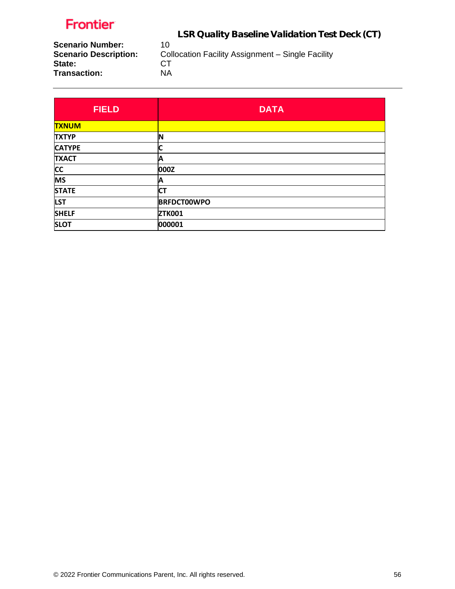LSR Quality Baseline Validation Test Deck (CT)

**Scenario Number:** 10<br>**Scenario Description:** Col **State:** CT<br>
Transaction: NA **Transaction:** 

Collocation Facility Assignment – Single Facility CT

| <b>FIELD</b>  | <b>DATA</b>        |
|---------------|--------------------|
| <b>TXNUM</b>  |                    |
| <b>TXTYP</b>  | N                  |
| <b>CATYPE</b> |                    |
| <b>TXACT</b>  | Α                  |
| <b>CC</b>     | 000Z               |
| <b>MS</b>     | А                  |
| <b>STATE</b>  | <b>CT</b>          |
| <b>LST</b>    | <b>BRFDCT00WPO</b> |
| <b>SHELF</b>  | <b>ZTK001</b>      |
| <b>SLOT</b>   | 000001             |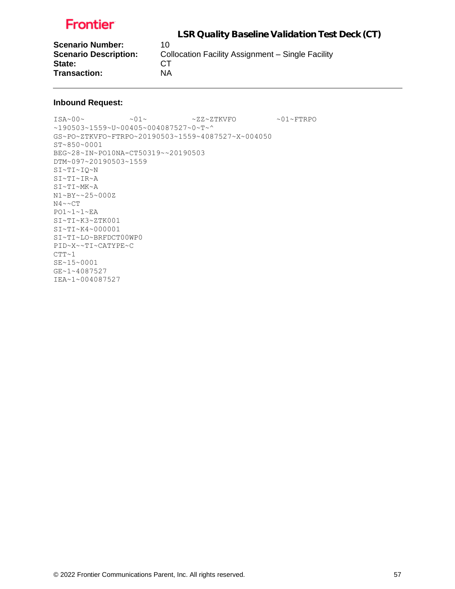LSR Quality Baseline Validation Test Deck (CT)

**Scenario Number:** 10<br>**Scenario Description:** Co State: CT **Transaction:** NA

**Collocation Facility Assignment – Single Facility** 

### **Inbound Request:**

ISA~00~ ~01~ ~ZZ~ZTKVFO ~01~FTRPO ~190503~1559~U~00405~004087527~0~T~^ GS~PO~ZTKVFO~FTRPO~20190503~1559~4087527~X~004050 ST~850~0001 BEG~28~IN~PO10NA-CT50319~~20190503 DTM~097~20190503~1559 SI~TI~IQ~N SI~TI~IR~A SI~TI~MK~A N1~BY~~25~000Z N4~~CT PO1~1~1~EA SI~TI~K3~ZTK001 SI~TI~K4~000001 SI~TI~LO~BRFDCT00WP0 PID~X~~TI~CATYPE~C  $CTT~1$ SE~15~0001 GE~1~4087527 IEA~1~004087527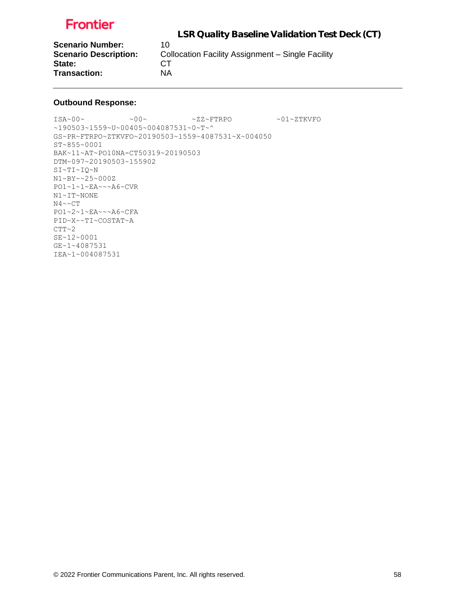

**Scenario Number:** 10<br>**Scenario Description:** Co State: CT **Transaction:** NA

**Collocation Facility Assignment – Single Facility** 

### **Outbound Response:**

 $1\,\text{SA}\sim00\,\sim\qquad \qquad 0\,\sim\qquad \qquad 2\,\text{Z}\sim\text{FTRPO}\qquad \qquad 0\,\sim\,2\,\text{TKVFO}$ ~190503~1559~U~00405~004087531~0~T~^ GS~PR~FTRPO~ZTKVFO~20190503~1559~4087531~X~004050 ST~855~0001 BAK~11~AT~PO10NA-CT50319~20190503 DTM~097~20190503~155902 SI~TI~IQ~N N1~BY~~25~000Z PO1~1~1~EA~~~A6~CVR N1~IT~NONE N4~~CT PO1~2~1~EA~~~A6~CFA PID~X~~TI~COSTAT~A  $CTT~2$ SE~12~0001 GE~1~4087531 IEA~1~004087531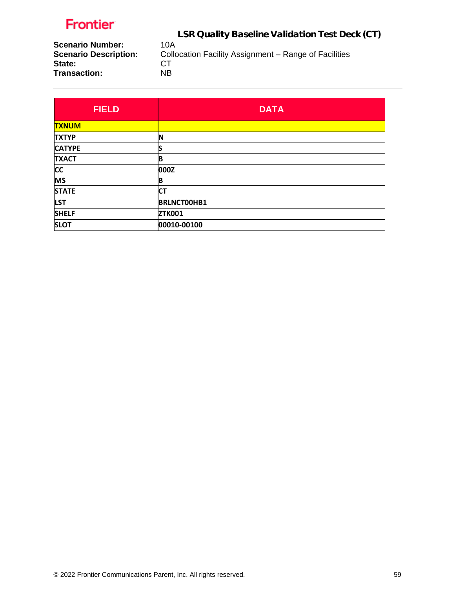LSR Quality Baseline Validation Test Deck (CT)

**Scenario Number:** 10A<br>**Scenario Description:** Collo **State:** CT<br>
Transaction: NB **Transaction:** 

Collocation Facility Assignment – Range of Facilities<br>CT

| <b>FIELD</b>  | <b>DATA</b>        |
|---------------|--------------------|
| <b>TXNUM</b>  |                    |
| <b>TXTYP</b>  | ΙN                 |
| <b>CATYPE</b> |                    |
| <b>TXACT</b>  | B                  |
| <b>CC</b>     | 000Z               |
| <b>MS</b>     | B                  |
| <b>STATE</b>  | <b>CT</b>          |
| <b>LST</b>    | <b>BRLNCT00HB1</b> |
| <b>SHELF</b>  | <b>ZTK001</b>      |
| <b>SLOT</b>   | 00010-00100        |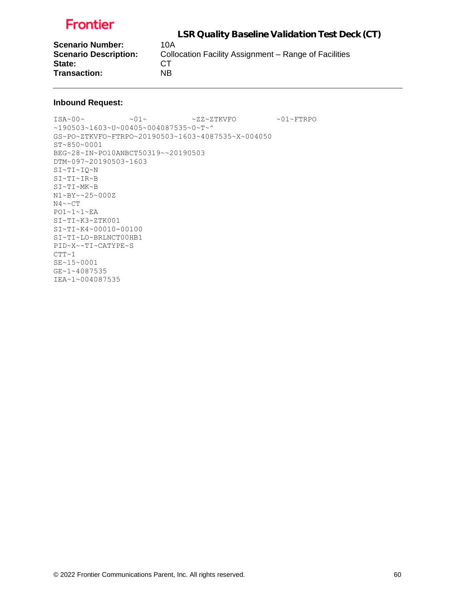LSR Quality Baseline Validation Test Deck (CT) **Scenario Number:** 10A<br>**Scenario Description:** Colle **Collocation Facility Assignment – Range of Facilities** State: CT **Transaction:** NB

#### **Inbound Request:**

 $\verb|ISA~00~|~\verb|V5A~00~|~\verb|V5A~00~|~\verb|V5A~00~|~\verb|V5A~00~|~\verb|V5A~00~|~\verb|V5A~00~|~\verb|V5A~00~|~\verb|V5A~00~|~\verb|V5A~00~|~\verb|V5A~00~|~\verb|V5A~00~|~\verb|V5A~00~|~\verb|V5A~00~|~\verb|V5A~00~|~\verb|V5A~00~|~\verb|V5A~00~|~\verb|V5A~00~|~\verb|V5A$ ~190503~1603~U~00405~004087535~0~T~^ GS~PO~ZTKVFO~FTRPO~20190503~1603~4087535~X~004050 ST~850~0001 BEG~28~IN~PO10ANBCT50319~~20190503 DTM~097~20190503~1603 SI~TI~IQ~N SI~TI~IR~B SI~TI~MK~B N1~BY~~25~000Z N4~~CT PO1~1~1~EA SI~TI~K3~ZTK001 SI~TI~K4~00010-00100 SI~TI~LO~BRLNCT00HB1 PID~X~~TI~CATYPE~S  $CTT~1$ SE~15~0001 GE~1~4087535 IEA~1~004087535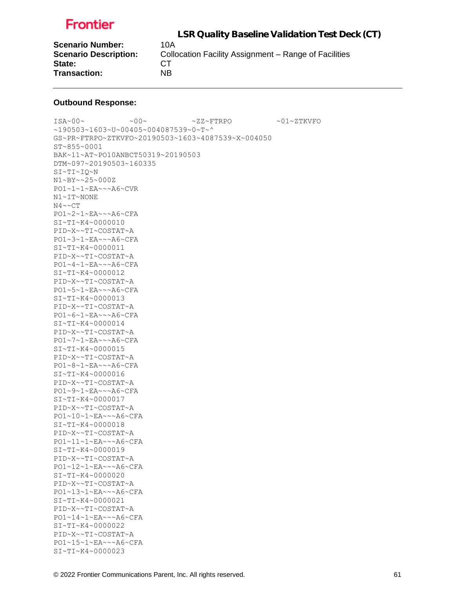LSR Quality Baseline Validation Test Deck (CT) **Scenario Number:** 10A **Scenario Description:** Collocation Facility Assignment – Range of Facilities State: CT **Transaction:** NB

#### **Outbound Response:**

ISA~00~ ~00~ ~ZZ~FTRPO ~01~ZTKVFO ~190503~1603~U~00405~004087539~0~T~^ GS~PR~FTRPO~ZTKVFO~20190503~1603~4087539~X~004050 ST~855~0001 BAK~11~AT~PO10ANBCT50319~20190503 DTM~097~20190503~160335 SI~TI~IQ~N N1~BY~~25~000Z PO1~1~1~EA~~~A6~CVR N1~IT~NONE N4~~CT PO1~2~1~EA~~~A6~CFA SI~TI~K4~0000010 PID~X~~TI~COSTAT~A PO1~3~1~EA~~~A6~CFA SI~TI~K4~0000011 PID~X~~TI~COSTAT~A PO1~4~1~EA~~~A6~CFA SI~TI~K4~0000012 PID~X~~TI~COSTAT~A PO1~5~1~EA~~~A6~CFA SI~TI~K4~0000013 PID~X~~TI~COSTAT~A PO1~6~1~EA~~~A6~CFA SI~TI~K4~0000014 PID~X~~TI~COSTAT~A PO1~7~1~EA~~~A6~CFA SI~TI~K4~0000015 PID~X~~TI~COSTAT~A PO1~8~1~EA~~~A6~CFA SI~TI~K4~0000016 PID~X~~TI~COSTAT~A PO1~9~1~EA~~~A6~CFA SI~TI~K4~0000017 PID~X~~TI~COSTAT~A PO1~10~1~EA~~~A6~CFA SI~TI~K4~0000018 PID~X~~TI~COSTAT~A PO1~11~1~EA~~~A6~CFA SI~TI~K4~0000019 PID~X~~TI~COSTAT~A PO1~12~1~EA~~~A6~CFA SI~TI~K4~0000020 PID~X~~TI~COSTAT~A PO1~13~1~EA~~~A6~CFA SI~TI~K4~0000021 PID~X~~TI~COSTAT~A PO1~14~1~EA~~~A6~CFA SI~TI~K4~0000022 PID~X~~TI~COSTAT~A PO1~15~1~EA~~~A6~CFA SI~TI~K4~0000023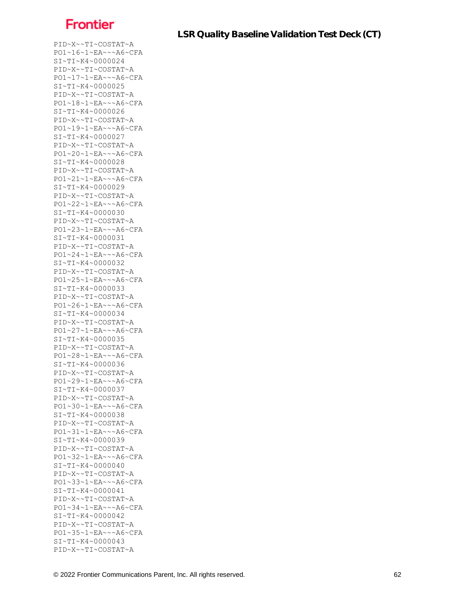PID~X~~TI~COSTAT~A PO1~16~1~EA~~~A6~CFA SI~TI~K4~0000024 PID~X~~TI~COSTAT~A PO1~17~1~EA~~~A6~CFA SI~TI~K4~0000025 PID~X~~TI~COSTAT~A PO1~18~1~EA~~~A6~CFA SI~TI~K4~0000026 PID~X~~TI~COSTAT~A PO1~19~1~EA~~~A6~CFA SI~TI~K4~0000027 PID~X~~TI~COSTAT~A PO1~20~1~EA~~~A6~CFA SI~TI~K4~0000028 PID~X~~TI~COSTAT~A PO1~21~1~EA~~~A6~CFA SI~TI~K4~0000029 PID~X~~TI~COSTAT~A PO1~22~1~EA~~~A6~CFA SI~TI~K4~0000030 PID~X~~TI~COSTAT~A PO1~23~1~EA~~~A6~CFA SI~TI~K4~0000031 PID~X~~TI~COSTAT~A PO1~24~1~EA~~~A6~CFA SI~TI~K4~0000032 PID~X~~TI~COSTAT~A PO1~25~1~EA~~~A6~CFA SI~TI~K4~0000033 PID~X~~TI~COSTAT~A PO1~26~1~EA~~~A6~CFA SI~TI~K4~0000034 PID~X~~TI~COSTAT~A PO1~27~1~EA~~~A6~CFA SI~TI~K4~0000035 PID~X~~TI~COSTAT~A PO1~28~1~EA~~~A6~CFA SI~TI~K4~0000036 PID~X~~TI~COSTAT~A PO1~29~1~EA~~~A6~CFA SI~TI~K4~0000037 PID~X~~TI~COSTAT~A PO1~30~1~EA~~~A6~CFA SI~TI~K4~0000038 PID~X~~TI~COSTAT~A PO1~31~1~EA~~~A6~CFA SI~TI~K4~0000039 PID~X~~TI~COSTAT~A PO1~32~1~EA~~~A6~CFA SI~TI~K4~0000040 PID~X~~TI~COSTAT~A PO1~33~1~EA~~~A6~CFA SI~TI~K4~0000041 PID~X~~TI~COSTAT~A PO1~34~1~EA~~~A6~CFA SI~TI~K4~0000042 PID~X~~TI~COSTAT~A PO1~35~1~EA~~~A6~CFA SI~TI~K4~0000043 PID~X~~TI~COSTAT~A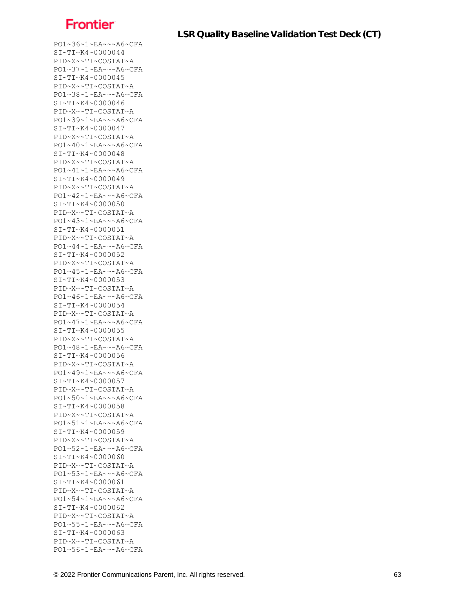PO1~36~1~EA~~~A6~CFA SI~TI~K4~0000044 PID~X~~TI~COSTAT~A PO1~37~1~EA~~~A6~CFA SI~TI~K4~0000045 PID~X~~TI~COSTAT~A PO1~38~1~EA~~~A6~CFA SI~TI~K4~0000046 PID~X~~TI~COSTAT~A PO1~39~1~EA~~~A6~CFA SI~TI~K4~0000047 PID~X~~TI~COSTAT~A PO1~40~1~EA~~~A6~CFA SI~TI~K4~0000048 PID~X~~TI~COSTAT~A PO1~41~1~EA~~~A6~CFA SI~TI~K4~0000049 PID~X~~TI~COSTAT~A PO1~42~1~EA~~~A6~CFA SI~TI~K4~0000050 PID~X~~TI~COSTAT~A PO1~43~1~EA~~~A6~CFA SI~TI~K4~0000051 PID~X~~TI~COSTAT~A PO1~44~1~EA~~~A6~CFA SI~TI~K4~0000052 PID~X~~TI~COSTAT~A PO1~45~1~EA~~~A6~CFA SI~TI~K4~0000053 PID~X~~TI~COSTAT~A PO1~46~1~EA~~~A6~CFA SI~TI~K4~0000054 PID~X~~TI~COSTAT~A PO1~47~1~EA~~~A6~CFA SI~TI~K4~0000055 PID~X~~TI~COSTAT~A PO1~48~1~EA~~~A6~CFA SI~TI~K4~0000056 PID~X~~TI~COSTAT~A PO1~49~1~EA~~~A6~CFA SI~TI~K4~0000057 PID~X~~TI~COSTAT~A PO1~50~1~EA~~~A6~CFA SI~TI~K4~0000058 PID~X~~TI~COSTAT~A PO1~51~1~EA~~~A6~CFA SI~TI~K4~0000059 PID~X~~TI~COSTAT~A PO1~52~1~EA~~~A6~CFA SI~TI~K4~0000060 PID~X~~TI~COSTAT~A PO1~53~1~EA~~~A6~CFA SI~TI~K4~0000061 PID~X~~TI~COSTAT~A PO1~54~1~EA~~~A6~CFA SI~TI~K4~0000062 PID~X~~TI~COSTAT~A PO1~55~1~EA~~~A6~CFA SI~TI~K4~0000063 PID~X~~TI~COSTAT~A PO1~56~1~EA~~~A6~CFA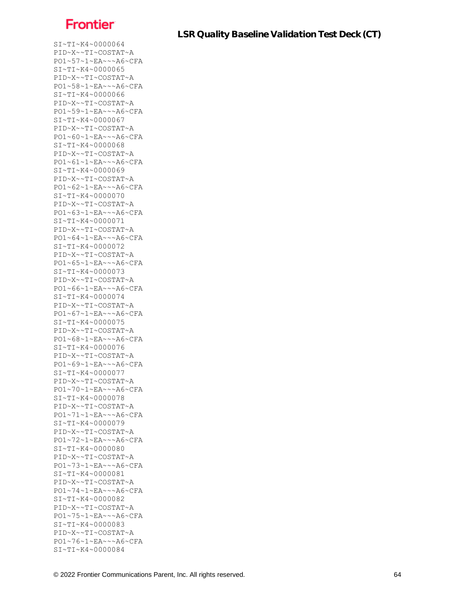SI~TI~K4~0000064 PID~X~~TI~COSTAT~A PO1~57~1~EA~~~A6~CFA SI~TI~K4~0000065 PID~X~~TI~COSTAT~A PO1~58~1~EA~~~A6~CFA SI~TI~K4~0000066 PID~X~~TI~COSTAT~A PO1~59~1~EA~~~A6~CFA SI~TI~K4~0000067 PID~X~~TI~COSTAT~A PO1~60~1~EA~~~A6~CFA SI~TI~K4~0000068 PID~X~~TI~COSTAT~A PO1~61~1~EA~~~A6~CFA SI~TI~K4~0000069 PID~X~~TI~COSTAT~A PO1~62~1~EA~~~A6~CFA SI~TI~K4~0000070 PID~X~~TI~COSTAT~A PO1~63~1~EA~~~A6~CFA SI~TI~K4~0000071 PID~X~~TI~COSTAT~A PO1~64~1~EA~~~A6~CFA SI~TI~K4~0000072 PID~X~~TI~COSTAT~A PO1~65~1~EA~~~A6~CFA SI~TI~K4~0000073 PID~X~~TI~COSTAT~A PO1~66~1~EA~~~A6~CFA SI~TI~K4~0000074 PID~X~~TI~COSTAT~A PO1~67~1~EA~~~A6~CFA SI~TI~K4~0000075 PID~X~~TI~COSTAT~A PO1~68~1~EA~~~A6~CFA SI~TI~K4~0000076 PID~X~~TI~COSTAT~A PO1~69~1~EA~~~A6~CFA SI~TI~K4~0000077 PID~X~~TI~COSTAT~A PO1~70~1~EA~~~A6~CFA SI~TI~K4~0000078 PID~X~~TI~COSTAT~A PO1~71~1~EA~~~A6~CFA SI~TI~K4~0000079 PID~X~~TI~COSTAT~A PO1~72~1~EA~~~A6~CFA SI~TI~K4~0000080 PID~X~~TI~COSTAT~A PO1~73~1~EA~~~A6~CFA SI~TI~K4~0000081 PID~X~~TI~COSTAT~A PO1~74~1~EA~~~A6~CFA SI~TI~K4~0000082 PID~X~~TI~COSTAT~A PO1~75~1~EA~~~A6~CFA SI~TI~K4~0000083 PID~X~~TI~COSTAT~A PO1~76~1~EA~~~A6~CFA SI~TI~K4~0000084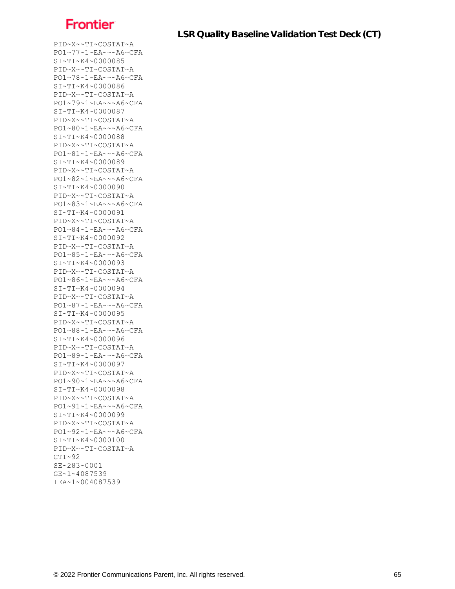PID~X~~TI~COSTAT~A PO1~77~1~EA~~~A6~CFA SI~TI~K4~0000085 PID~X~~TI~COSTAT~A PO1~78~1~EA~~~A6~CFA SI~TI~K4~0000086 PID~X~~TI~COSTAT~A PO1~79~1~EA~~~A6~CFA SI~TI~K4~0000087 PID~X~~TI~COSTAT~A PO1~80~1~EA~~~A6~CFA SI~TI~K4~0000088 PID~X~~TI~COSTAT~A PO1~81~1~EA~~~A6~CFA SI~TI~K4~0000089 PID~X~~TI~COSTAT~A PO1~82~1~EA~~~A6~CFA SI~TI~K4~0000090 PID~X~~TI~COSTAT~A PO1~83~1~EA~~~A6~CFA SI~TI~K4~0000091 PID~X~~TI~COSTAT~A PO1~84~1~EA~~~A6~CFA SI~TI~K4~0000092 PID~X~~TI~COSTAT~A PO1~85~1~EA~~~A6~CFA SI~TI~K4~0000093 PID~X~~TI~COSTAT~A PO1~86~1~EA~~~A6~CFA SI~TI~K4~0000094 PID~X~~TI~COSTAT~A PO1~87~1~EA~~~A6~CFA SI~TI~K4~0000095 PID~X~~TI~COSTAT~A PO1~88~1~EA~~~A6~CFA SI~TI~K4~0000096 PID~X~~TI~COSTAT~A PO1~89~1~EA~~~A6~CFA SI~TI~K4~0000097 PID~X~~TI~COSTAT~A PO1~90~1~EA~~~A6~CFA SI~TI~K4~0000098 PID~X~~TI~COSTAT~A PO1~91~1~EA~~~A6~CFA SI~TI~K4~0000099 PID~X~~TI~COSTAT~A PO1~92~1~EA~~~A6~CFA SI~TI~K4~0000100 PID~X~~TI~COSTAT~A  $CTT~92$ SE~283~0001 GE~1~4087539 IEA~1~004087539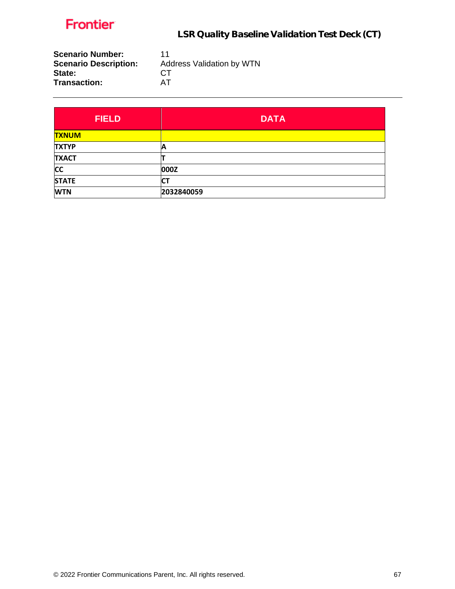

| <b>Scenario Number:</b><br><b>Scenario Description:</b> | 11<br><b>Address Validation by WTN</b> |
|---------------------------------------------------------|----------------------------------------|
| State:                                                  | CT.                                    |
| <b>Transaction:</b>                                     | AT                                     |

| <b>FIELD</b> | <b>DATA</b> |
|--------------|-------------|
| <b>TXNUM</b> |             |
| <b>TXTYP</b> | А           |
| <b>TXACT</b> |             |
| <b>CC</b>    | 000Z        |
| <b>STATE</b> | СT          |
| <b>WTN</b>   | 2032840059  |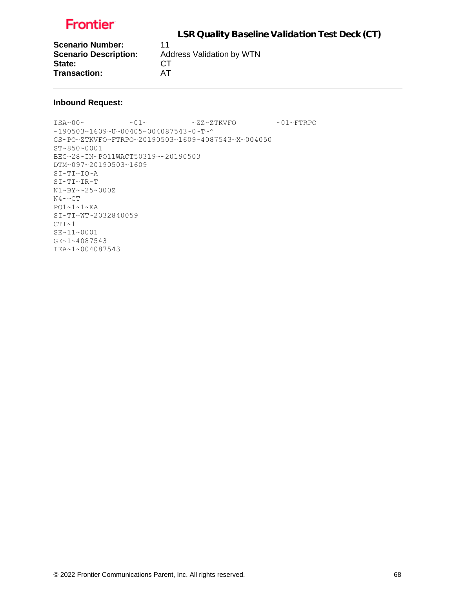LSR Quality Baseline Validation Test Deck (CT)

**Scenario Number:** 11<br>**Scenario Description:** Ad State: CT **Transaction:** AT

**Scenario Description:** Address Validation by WTN

### **Inbound Request:**

 $\sim 01 \sim 01 \sim 22 \sim 2 \text{TKVFO}$ ~190503~1609~U~00405~004087543~0~T~^ GS~PO~ZTKVFO~FTRPO~20190503~1609~4087543~X~004050 ST~850~0001 BEG~28~IN~PO11WACT50319~~20190503 DTM~097~20190503~1609 SI~TI~IQ~A SI~TI~IR~T N1~BY~~25~000Z  $N4 \sim C T$ PO1~1~1~EA SI~TI~WT~2032840059  $CTT-1$ SE~11~0001 GE~1~4087543 IEA~1~004087543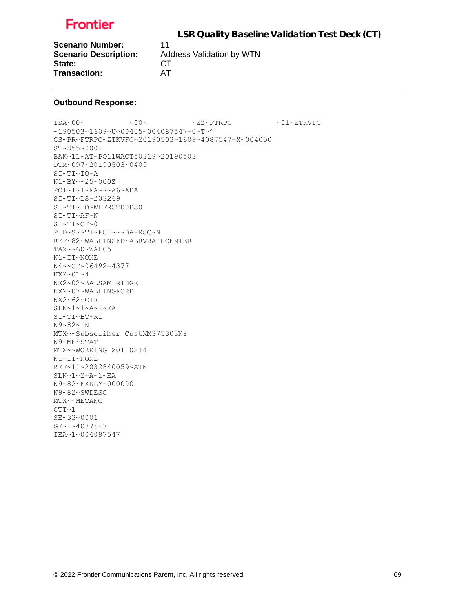LSR Quality Baseline Validation Test Deck (CT)

**Scenario Number:** 11 State: CT **Transaction:** AT

**Scenario Description:** Address Validation by WTN

#### **Outbound Response:**

ISA~00~ ~00~ ~ZZ~FTRPO ~01~ZTKVFO ~190503~1609~U~00405~004087547~0~T~^ GS~PR~FTRPO~ZTKVFO~20190503~1609~4087547~X~004050 ST~855~0001 BAK~11~AT~PO11WACT50319~20190503 DTM~097~20190503~0409 SI~TI~IQ~A N1~BY~~25~000Z PO1~1~1~EA~~~A6~ADA SI~TI~LS~203269 SI~TI~LO~WLFRCT00DS0 SI~TI~AF~N SI~TI~CF~0 PID~S~~TI~FCI~~~BA-RSQ~N REF~82~WALLINGFD~ABRVRATECENTER TAX~~60~WAL05 N1~IT~NONE N4~~CT~06492-4377 NX2~01~4 NX2~02~BALSAM RIDGE NX2~07~WALLINGFORD NX2~62~CIR SLN~1~1~A~1~EA SI~TI~BT~R1 N9~82~LN MTX~~Subscriber CustXM375303N8 N9~ME~STAT MTX~~WORKING 20110214 N1~IT~NONE REF~11~2032840059~ATN SLN~1~2~A~1~EA N9~82~EXKEY~000000 N9~82~SWDESC MTX~~METANC  $CTT~1$ SE~33~0001 GE~1~4087547 IEA~1~004087547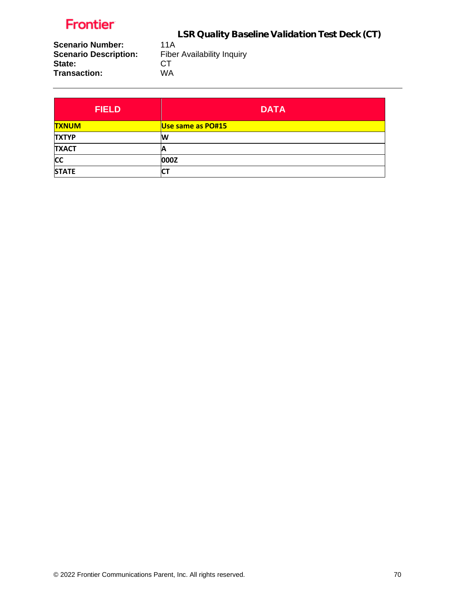LSR Quality Baseline Validation Test Deck (CT)

**Scenario Number:** 11A<br>**Scenario Description:** Fibe **State:** CT<br>
Transaction: WA **Transaction:** 

Fiber Availability Inquiry<br>CT

| <b>FIELD</b> | <b>DATA</b>       |
|--------------|-------------------|
| <b>TXNUM</b> | Use same as PO#15 |
| <b>TXTYP</b> | W                 |
| <b>TXACT</b> | A                 |
| <b>CC</b>    | 000Z              |
| <b>STATE</b> | СI                |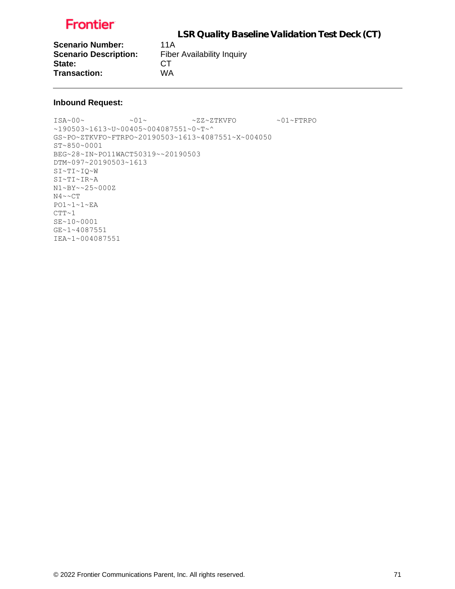LSR Quality Baseline Validation Test Deck (CT)

**Scenario Number:** 11A<br>**Scenario Description:** Fibe State: CT **Transaction:** WA

**Fiber Availability Inquiry** 

### **Inbound Request:**

ISA~00~ ~01~ ~ZZ~ZTKVFO ~01~FTRPO ~190503~1613~U~00405~004087551~0~T~^ GS~PO~ZTKVFO~FTRPO~20190503~1613~4087551~X~004050 ST~850~0001 BEG~28~IN~PO11WACT50319~~20190503 DTM~097~20190503~1613 SI~TI~IQ~W SI~TI~IR~A N1~BY~~25~000Z  $N4 \sim C T$ PO1~1~1~EA  $CTT~1$ SE~10~0001 GE~1~4087551 IEA~1~004087551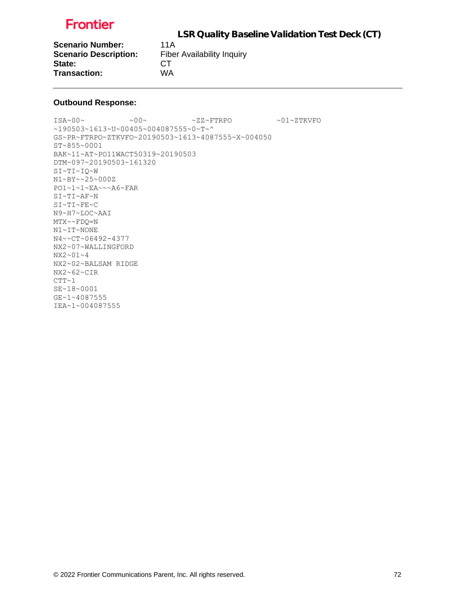LSR Quality Baseline Validation Test Deck (CT)

**Scenario Number:** 11A **Scenario Description:** Fiber Availability Inquiry State: CT **Transaction:** WA

#### **Outbound Response:**

ISA~00~ ~00~ ~ZZ~FTRPO ~01~ZTKVFO ~190503~1613~U~00405~004087555~0~T~^ GS~PR~FTRPO~ZTKVFO~20190503~1613~4087555~X~004050 ST~855~0001 BAK~11~AT~PO11WACT50319~20190503 DTM~097~20190503~161320 SI~TI~IQ~W N1~BY~~25~000Z PO1~1~1~EA~~~A6~FAR SI~TI~AF~N SI~TI~FE~C N9~H7~LOC~AAI MTX~~FDQ=N N1~IT~NONE N4~~CT~06492-4377 NX2~07~WALLINGFORD NX2~01~4 NX2~02~BALSAM RIDGE NX2~62~CIR  $CTT-1$ SE~18~0001 GE~1~4087555 IEA~1~004087555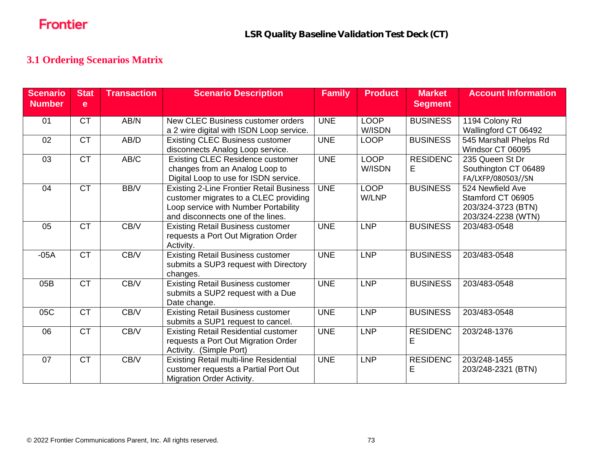### **3.1 Ordering Scenarios Matrix**

| <b>Scenario</b><br><b>Number</b> | <b>Stat</b><br>e | <b>Transaction</b> | <b>Scenario Description</b>                                                                                                                                           | <b>Family</b> | <b>Product</b>        | <b>Market</b><br><b>Segment</b> | <b>Account Information</b>                                                        |
|----------------------------------|------------------|--------------------|-----------------------------------------------------------------------------------------------------------------------------------------------------------------------|---------------|-----------------------|---------------------------------|-----------------------------------------------------------------------------------|
| 01                               | <b>CT</b>        | AB/N               | New CLEC Business customer orders<br>a 2 wire digital with ISDN Loop service.                                                                                         | <b>UNE</b>    | <b>LOOP</b><br>W/ISDN | <b>BUSINESS</b>                 | 1194 Colony Rd<br>Wallingford CT 06492                                            |
| 02                               | <b>CT</b>        | AB/D               | <b>Existing CLEC Business customer</b><br>disconnects Analog Loop service.                                                                                            | <b>UNE</b>    | <b>LOOP</b>           | <b>BUSINESS</b>                 | 545 Marshall Phelps Rd<br>Windsor CT 06095                                        |
| 03                               | <b>CT</b>        | AB/C               | <b>Existing CLEC Residence customer</b><br>changes from an Analog Loop to<br>Digital Loop to use for ISDN service.                                                    | <b>UNE</b>    | <b>LOOP</b><br>W/ISDN | <b>RESIDENC</b><br>Е            | 235 Queen St Dr<br>Southington CT 06489<br>FA/LXFP/080503//SN                     |
| 04                               | <b>CT</b>        | BB/V               | <b>Existing 2-Line Frontier Retail Business</b><br>customer migrates to a CLEC providing<br>Loop service with Number Portability<br>and disconnects one of the lines. | <b>UNE</b>    | LOOP<br>W/LNP         | <b>BUSINESS</b>                 | 524 Newfield Ave<br>Stamford CT 06905<br>203/324-3723 (BTN)<br>203/324-2238 (WTN) |
| 05                               | <b>CT</b>        | CB/V               | <b>Existing Retail Business customer</b><br>requests a Port Out Migration Order<br>Activity.                                                                          | <b>UNE</b>    | <b>LNP</b>            | <b>BUSINESS</b>                 | 203/483-0548                                                                      |
| $-05A$                           | <b>CT</b>        | CB/V               | <b>Existing Retail Business customer</b><br>submits a SUP3 request with Directory<br>changes.                                                                         | <b>UNE</b>    | <b>LNP</b>            | <b>BUSINESS</b>                 | 203/483-0548                                                                      |
| 05B                              | <b>CT</b>        | CB/V               | <b>Existing Retail Business customer</b><br>submits a SUP2 request with a Due<br>Date change.                                                                         | <b>UNE</b>    | <b>LNP</b>            | <b>BUSINESS</b>                 | 203/483-0548                                                                      |
| 05C                              | <b>CT</b>        | CB/V               | <b>Existing Retail Business customer</b><br>submits a SUP1 request to cancel.                                                                                         | <b>UNE</b>    | <b>LNP</b>            | <b>BUSINESS</b>                 | 203/483-0548                                                                      |
| 06                               | <b>CT</b>        | CB/V               | <b>Existing Retail Residential customer</b><br>requests a Port Out Migration Order<br>Activity. (Simple Port)                                                         | <b>UNE</b>    | <b>LNP</b>            | <b>RESIDENC</b><br>Е            | 203/248-1376                                                                      |
| 07                               | <b>CT</b>        | CB/V               | <b>Existing Retail multi-line Residential</b><br>customer requests a Partial Port Out<br><b>Migration Order Activity.</b>                                             | <b>UNE</b>    | <b>LNP</b>            | <b>RESIDENC</b><br>Ε            | 203/248-1455<br>203/248-2321 (BTN)                                                |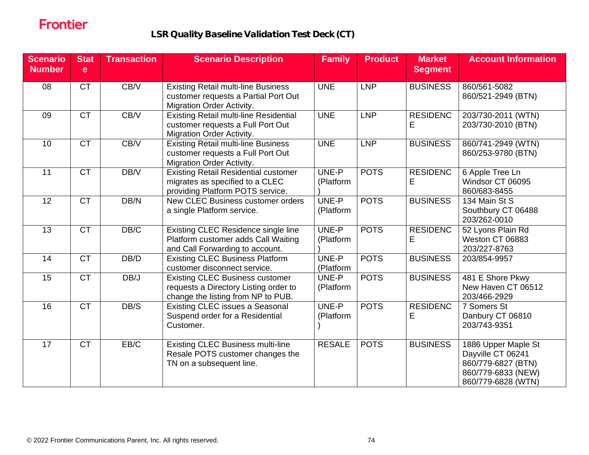| <b>Scenario</b><br><b>Number</b> | <b>Stat</b><br>e | <b>Transaction</b> | <b>Scenario Description</b>                                                                                           | <b>Family</b>      | <b>Product</b> | <b>Market</b><br><b>Segment</b> | <b>Account Information</b>                                                                                 |
|----------------------------------|------------------|--------------------|-----------------------------------------------------------------------------------------------------------------------|--------------------|----------------|---------------------------------|------------------------------------------------------------------------------------------------------------|
| 08                               | <b>CT</b>        | CB/V               | <b>Existing Retail multi-line Business</b><br>customer requests a Partial Port Out<br>Migration Order Activity.       | <b>UNE</b>         | <b>LNP</b>     | <b>BUSINESS</b>                 | 860/561-5082<br>860/521-2949 (BTN)                                                                         |
| 09                               | CT               | CB/V               | <b>Existing Retail multi-line Residential</b><br>customer requests a Full Port Out<br>Migration Order Activity.       | <b>UNE</b>         | <b>LNP</b>     | <b>RESIDENC</b><br>Ε            | 203/730-2011 (WTN)<br>203/730-2010 (BTN)                                                                   |
| 10                               | <b>CT</b>        | CB/V               | <b>Existing Retail multi-line Business</b><br>customer requests a Full Port Out<br><b>Migration Order Activity.</b>   | <b>UNE</b>         | <b>LNP</b>     | <b>BUSINESS</b>                 | 860/741-2949 (WTN)<br>860/253-9780 (BTN)                                                                   |
| 11                               | CT               | DB/V               | <b>Existing Retail Residential customer</b><br>migrates as specified to a CLEC<br>providing Platform POTS service.    | UNE-P<br>(Platform | <b>POTS</b>    | <b>RESIDENC</b><br>E            | 6 Apple Tree Ln<br>Windsor CT 06095<br>860/683-8455                                                        |
| 12                               | CT               | DB/N               | New CLEC Business customer orders<br>a single Platform service.                                                       | UNE-P<br>(Platform | <b>POTS</b>    | <b>BUSINESS</b>                 | 134 Main St S<br>Southbury CT 06488<br>203/262-0010                                                        |
| 13                               | CT               | DB/C               | Existing CLEC Residence single line<br>Platform customer adds Call Waiting<br>and Call Forwarding to account.         | UNE-P<br>(Platform | <b>POTS</b>    | <b>RESIDENC</b><br>E            | 52 Lyons Plain Rd<br>Weston CT 06883<br>203/227-8763                                                       |
| 14                               | <b>CT</b>        | DB/D               | <b>Existing CLEC Business Platform</b><br>customer disconnect service.                                                | UNE-P<br>(Platform | <b>POTS</b>    | <b>BUSINESS</b>                 | 203/854-9957                                                                                               |
| 15                               | <b>CT</b>        | DB/J               | <b>Existing CLEC Business customer</b><br>requests a Directory Listing order to<br>change the listing from NP to PUB. | UNE-P<br>(Platform | <b>POTS</b>    | <b>BUSINESS</b>                 | 481 E Shore Pkwy<br>New Haven CT 06512<br>203/466-2929                                                     |
| 16                               | $\overline{CT}$  | DB/S               | <b>Existing CLEC issues a Seasonal</b><br>Suspend order for a Residential<br>Customer.                                | UNE-P<br>(Platform | <b>POTS</b>    | <b>RESIDENC</b><br>E            | 7 Somers St<br>Danbury CT 06810<br>203/743-9351                                                            |
| $\overline{17}$                  | CT               | EB/C               | <b>Existing CLEC Business multi-line</b><br>Resale POTS customer changes the<br>TN on a subsequent line.              | <b>RESALE</b>      | <b>POTS</b>    | <b>BUSINESS</b>                 | 1886 Upper Maple St<br>Dayville CT 06241<br>860/779-6827 (BTN)<br>860/779-6833 (NEW)<br>860/779-6828 (WTN) |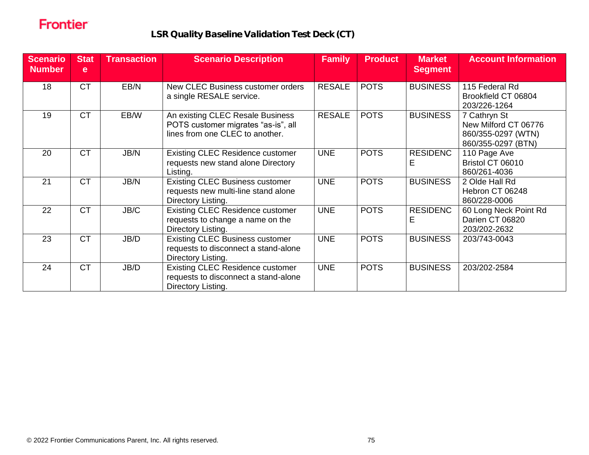| <b>Scenario</b><br><b>Number</b> | <b>Stat</b><br>e | <b>Transaction</b> | <b>Scenario Description</b>                                                                                | <b>Family</b> | <b>Product</b> | <b>Market</b><br><b>Segment</b> | <b>Account Information</b>                                                       |
|----------------------------------|------------------|--------------------|------------------------------------------------------------------------------------------------------------|---------------|----------------|---------------------------------|----------------------------------------------------------------------------------|
| 18                               | <b>CT</b>        | EB/N               | New CLEC Business customer orders<br>a single RESALE service.                                              | <b>RESALE</b> | <b>POTS</b>    | <b>BUSINESS</b>                 | 115 Federal Rd<br>Brookfield CT 06804<br>203/226-1264                            |
| 19                               | <b>CT</b>        | EB/W               | An existing CLEC Resale Business<br>POTS customer migrates "as-is", all<br>lines from one CLEC to another. | <b>RESALE</b> | <b>POTS</b>    | <b>BUSINESS</b>                 | 7 Cathryn St<br>New Milford CT 06776<br>860/355-0297 (WTN)<br>860/355-0297 (BTN) |
| 20                               | <b>CT</b>        | JB/N               | <b>Existing CLEC Residence customer</b><br>requests new stand alone Directory<br>Listing.                  | <b>UNE</b>    | <b>POTS</b>    | <b>RESIDENC</b><br>Е            | 110 Page Ave<br>Bristol CT 06010<br>860/261-4036                                 |
| 21                               | <b>CT</b>        | JB/N               | <b>Existing CLEC Business customer</b><br>requests new multi-line stand alone<br>Directory Listing.        | <b>UNE</b>    | <b>POTS</b>    | <b>BUSINESS</b>                 | 2 Olde Hall Rd<br>Hebron CT 06248<br>860/228-0006                                |
| 22                               | <b>CT</b>        | JB/C               | <b>Existing CLEC Residence customer</b><br>requests to change a name on the<br>Directory Listing.          | <b>UNE</b>    | <b>POTS</b>    | <b>RESIDENC</b><br>Е            | 60 Long Neck Point Rd<br>Darien CT 06820<br>203/202-2632                         |
| 23                               | <b>CT</b>        | JB/D               | <b>Existing CLEC Business customer</b><br>requests to disconnect a stand-alone<br>Directory Listing.       | <b>UNE</b>    | <b>POTS</b>    | <b>BUSINESS</b>                 | 203/743-0043                                                                     |
| 24                               | <b>CT</b>        | JB/D               | <b>Existing CLEC Residence customer</b><br>requests to disconnect a stand-alone<br>Directory Listing.      | <b>UNE</b>    | <b>POTS</b>    | <b>BUSINESS</b>                 | 203/202-2584                                                                     |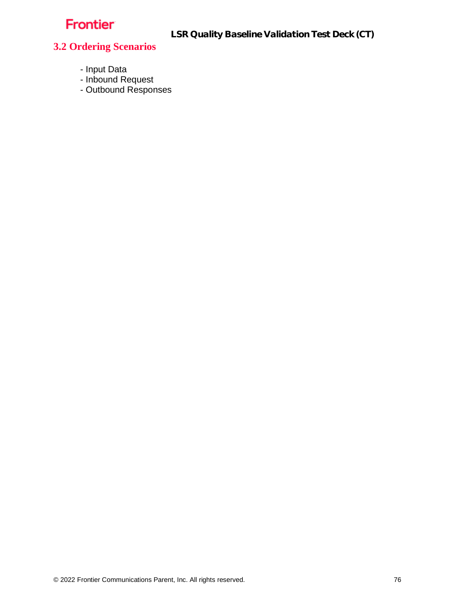LSR Quality Baseline Validation Test Deck (CT)

### **3.2 Ordering Scenarios**

- Input Data
- Inbound Request
- Outbound Responses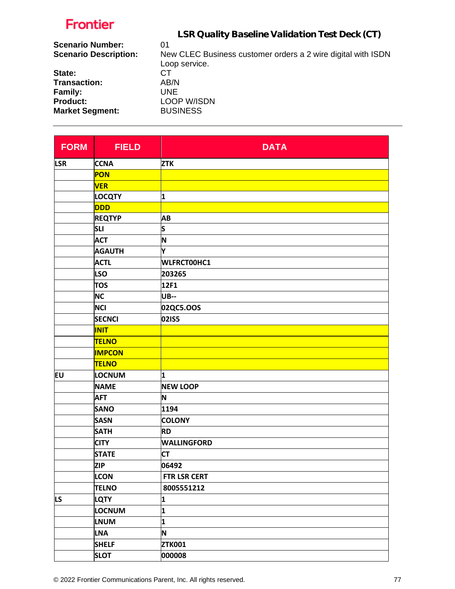| .                            |                                                              |
|------------------------------|--------------------------------------------------------------|
|                              | LSR Quality Baseline Validation Test Deck (CT)               |
| <b>Scenario Number:</b>      | 01                                                           |
| <b>Scenario Description:</b> | New CLEC Business customer orders a 2 wire digital with ISDN |
|                              | Loop service.                                                |
| State:                       | CТ                                                           |
| <b>Transaction:</b>          | AB/N                                                         |
| Family:                      | UNE.                                                         |
| <b>Product:</b>              | <b>LOOP W/ISDN</b>                                           |
| <b>Market Segment:</b>       | <b>BUSINESS</b>                                              |
|                              |                                                              |

| <b>FORM</b> | <b>FIELD</b>  | <b>DATA</b>        |
|-------------|---------------|--------------------|
| <b>LSR</b>  | <b>CCNA</b>   | <b>ZTK</b>         |
|             | PON           |                    |
|             | <b>VER</b>    |                    |
|             | <b>LOCQTY</b> | 1                  |
|             | DDD           |                    |
|             | <b>REQTYP</b> | AB                 |
|             | <b>SLI</b>    | S                  |
|             | <b>ACT</b>    | N                  |
|             | <b>AGAUTH</b> | Y                  |
|             | <b>ACTL</b>   | WLFRCT00HC1        |
|             | <b>LSO</b>    | 203265             |
|             | <b>TOS</b>    | 12F1               |
|             | <b>NC</b>     | <b>UB--</b>        |
|             | <b>NCI</b>    | 02QC5.OOS          |
|             | <b>SECNCI</b> | 02IS5              |
|             | <b>INIT</b>   |                    |
|             | <b>TELNO</b>  |                    |
|             | <b>IMPCON</b> |                    |
|             | <b>TELNO</b>  |                    |
| EU          | LOCNUM        | 1                  |
|             | <b>NAME</b>   | <b>NEW LOOP</b>    |
|             | <b>AFT</b>    | N                  |
|             | <b>SANO</b>   | 1194               |
|             | <b>SASN</b>   | <b>COLONY</b>      |
|             | <b>SATH</b>   | <b>RD</b>          |
|             | <b>CITY</b>   | <b>WALLINGFORD</b> |
|             | <b>STATE</b>  | <b>CT</b>          |
|             | <b>ZIP</b>    | 06492              |
|             | <b>LCON</b>   | FTR LSR CERT       |
|             | <b>TELNO</b>  | 8005551212         |
| LS.         | <b>LQTY</b>   | 1                  |
|             | <b>LOCNUM</b> | 1                  |
|             | <b>LNUM</b>   | 1                  |
|             | <b>LNA</b>    | N                  |
|             | <b>SHELF</b>  | <b>ZTK001</b>      |
|             | <b>SLOT</b>   | 000008             |

 $\mathbb{R}^2$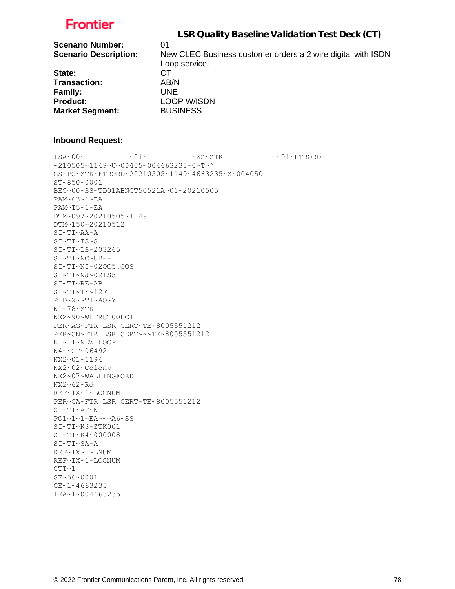|                              | LSR Quality Baseline Validation Test Deck (CT)                                |
|------------------------------|-------------------------------------------------------------------------------|
| <b>Scenario Number:</b>      | 01                                                                            |
| <b>Scenario Description:</b> | New CLEC Business customer orders a 2 wire digital with ISDN<br>Loop service. |
| State:                       | CТ                                                                            |
| <b>Transaction:</b>          | AB/N                                                                          |
| Family:                      | UNE.                                                                          |
| <b>Product:</b>              | <b>LOOP W/ISDN</b>                                                            |
| <b>Market Segment:</b>       | <b>BUSINESS</b>                                                               |
|                              |                                                                               |

#### **Inbound Request:**

 $ISA~00~$   $\sim$   $2I~$   $\sim$   $01~$   $\sim$   $2Z~2$  TK  $\sim$   $01~$   $\sim$   $T$  FTRORD ~210505~1149~U~00405~004663235~0~T~^ GS~PO~ZTK~FTRORD~20210505~1149~4663235~X~004050 ST~850~0001 BEG~00~SS~TD01ABNCT50521A~01~20210505 PAM~63~1~EA PAM~T5~1~EA DTM~097~20210505~1149 DTM~150~20210512 SI~TI~AA~A SI~TI~IS~S SI~TI~LS~203265 SI~TI~NC~UB-- SI~TI~NI~02QC5.OOS SI~TI~NJ~02IS5 SI~TI~RE~AB SI~TI~TY~12F1 PID~X~~TI~AO~Y N1~78~ZTK NX2~90~WLFRCT00HC1 PER~AG~FTR LSR CERT~TE~8005551212 PER~CN~FTR LSR CERT~~~TE~8005551212 N1~IT~NEW LOOP N4~~CT~06492 NX2~01~1194 NX2~02~Colony NX2~07~WALLINGFORD NX2~62~Rd REF~IX~1~LOCNUM PER~CA~FTR LSR CERT~TE~8005551212 SI~TI~AF~N PO1~1~1~EA~~~A6~SS SI~TI~K3~ZTK001 SI~TI~K4~000008 SI~TI~SA~A REF~IX~1~LNUM REF~IX~1~LOCNUM  $CTT~1$ SE~36~0001 GE~1~4663235 IEA~1~004663235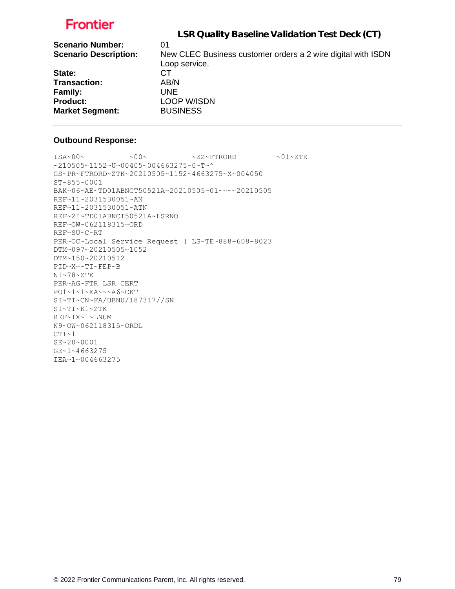|                              | LSR Quality Baseline Validation Test Deck (CT)               |
|------------------------------|--------------------------------------------------------------|
| <b>Scenario Number:</b>      | 01                                                           |
| <b>Scenario Description:</b> | New CLEC Business customer orders a 2 wire digital with ISDN |
|                              | Loop service.                                                |
| State:                       | СT                                                           |
| <b>Transaction:</b>          | AB/N                                                         |
| Family:                      | UNE.                                                         |
| <b>Product:</b>              | <b>LOOP W/ISDN</b>                                           |
| <b>Market Segment:</b>       | <b>BUSINESS</b>                                              |
|                              |                                                              |

### **Outbound Response:**

 $ISA~00~\sim$   $~00~\sim$   $~00~\sim$   $~0.727~\rm{F}$   $~0.01~\rm{F}$ ~210505~1152~U~00405~004663275~0~T~^ GS~PR~FTRORD~ZTK~20210505~1152~4663275~X~004050 ST~855~0001 BAK~06~AE~TD01ABNCT50521A~20210505~01~~~~20210505 REF~11~2031530051~AN REF~11~2031530051~ATN REF~2I~TD01ABNCT50521A~LSRNO REF~OW~062118315~ORD REF~SU~C~RT PER~OC~Local Service Request ( LS~TE~888-608-8023 DTM~097~20210505~1052 DTM~150~20210512 PID~X~~TI~FEP~B N1~78~ZTK PER~AG~FTR LSR CERT PO1~1~1~EA~~~A6~CKT SI~TI~CN~FA/UBNU/187317//SN SI~TI~K1~ZTK REF~IX~1~LNUM N9~OW~062118315~ORDL  $CTT~1$ SE~20~0001 GE~1~4663275 IEA~1~004663275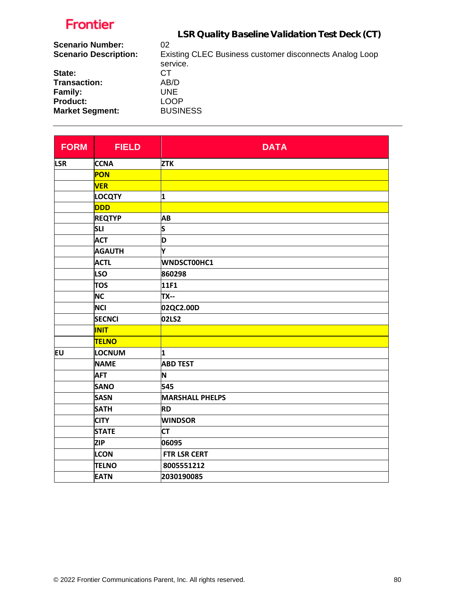| .                            |                                                         |
|------------------------------|---------------------------------------------------------|
|                              | LSR Quality Baseline Validation Test Deck (CT)          |
| <b>Scenario Number:</b>      | 02                                                      |
| <b>Scenario Description:</b> | Existing CLEC Business customer disconnects Analog Loop |
|                              | service.                                                |
| State:                       | CТ                                                      |
| <b>Transaction:</b>          | AB/D                                                    |
| Family:                      | UNE.                                                    |
| <b>Product:</b>              | <b>LOOP</b>                                             |
| <b>Market Segment:</b>       | <b>BUSINESS</b>                                         |
|                              |                                                         |

| <b>FORM</b> | <b>FIELD</b>  | <b>DATA</b>            |
|-------------|---------------|------------------------|
| <b>LSR</b>  | <b>CCNA</b>   | <b>ZTK</b>             |
|             | <b>PON</b>    |                        |
|             | <b>VER</b>    |                        |
|             | <b>LOCQTY</b> | 1                      |
|             | <b>DDD</b>    |                        |
|             | <b>REQTYP</b> | AB                     |
|             | <b>SLI</b>    | S                      |
|             | <b>ACT</b>    | D                      |
|             | <b>AGAUTH</b> | Y                      |
|             | <b>ACTL</b>   | WNDSCT00HC1            |
|             | <b>LSO</b>    | 860298                 |
|             | <b>TOS</b>    | 11F1                   |
|             | <b>NC</b>     | <b>TX--</b>            |
|             | <b>NCI</b>    | 02QC2.00D              |
|             | <b>SECNCI</b> | 02LS2                  |
|             | <b>INIT</b>   |                        |
|             | <b>TELNO</b>  |                        |
| EU          | LOCNUM        | 1                      |
|             | <b>NAME</b>   | <b>ABD TEST</b>        |
|             | <b>AFT</b>    | N                      |
|             | <b>SANO</b>   | 545                    |
|             | <b>SASN</b>   | <b>MARSHALL PHELPS</b> |
|             | <b>SATH</b>   | <b>RD</b>              |
|             | <b>CITY</b>   | <b>WINDSOR</b>         |
|             | <b>STATE</b>  | <b>CT</b>              |
|             | <b>ZIP</b>    | 06095                  |
|             | <b>LCON</b>   | FTR LSR CERT           |
|             | <b>TELNO</b>  | 8005551212             |
|             | <b>EATN</b>   | 2030190085             |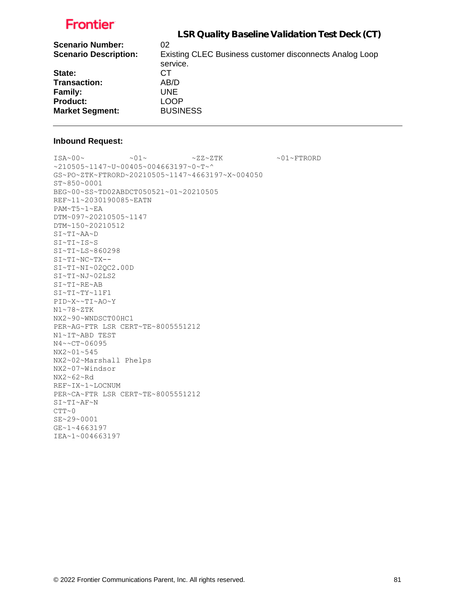|                              | LSR Quality Baseline Validation Test Deck (CT)                      |
|------------------------------|---------------------------------------------------------------------|
| <b>Scenario Number:</b>      | 02                                                                  |
| <b>Scenario Description:</b> | Existing CLEC Business customer disconnects Analog Loop<br>service. |
| State:                       | CТ                                                                  |
| <b>Transaction:</b>          | AB/D                                                                |
| <b>Family:</b>               | <b>UNE</b>                                                          |
| <b>Product:</b>              | <b>LOOP</b>                                                         |
| <b>Market Segment:</b>       | <b>BUSINESS</b>                                                     |

#### **Inbound Request:**

 $\sim 01 \times 100$   $\sim 01 \times 01$   $\sim 01 \times 27 \times 27 \times 50$   $\sim 01 \times 500$ ~210505~1147~U~00405~004663197~0~T~^ GS~PO~ZTK~FTRORD~20210505~1147~4663197~X~004050 ST~850~0001 BEG~00~SS~TD02ABDCT050521~01~20210505 REF~11~2030190085~EATN PAM~T5~1~EA DTM~097~20210505~1147 DTM~150~20210512 SI~TI~AA~D SI~TI~IS~S SI~TI~LS~860298 SI~TI~NC~TX-- SI~TI~NI~02QC2.00D SI~TI~NJ~02LS2 SI~TI~RE~AB SI~TI~TY~11F1 PID~X~~TI~AO~Y N1~78~ZTK NX2~90~WNDSCT00HC1 PER~AG~FTR LSR CERT~TE~8005551212 N1~IT~ABD TEST N4~~CT~06095 NX2~01~545 NX2~02~Marshall Phelps NX2~07~Windsor NX2~62~Rd REF~IX~1~LOCNUM PER~CA~FTR LSR CERT~TE~8005551212 SI~TI~AF~N CTT~0 SE~29~0001 GE~1~4663197 IEA~1~004663197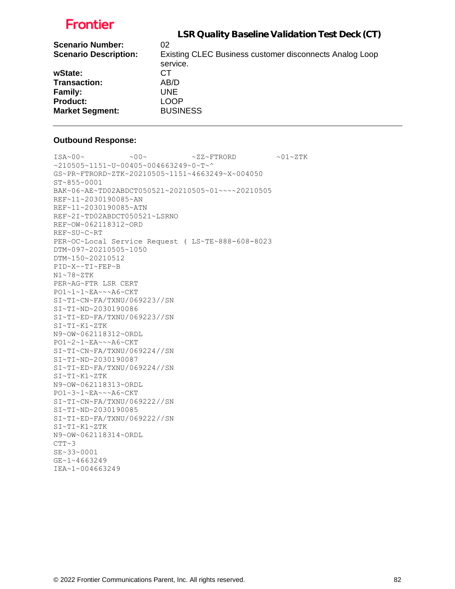|                              | LSR Quality Baseline Validation Test Deck (CT)                      |
|------------------------------|---------------------------------------------------------------------|
| <b>Scenario Number:</b>      | 02                                                                  |
| <b>Scenario Description:</b> | Existing CLEC Business customer disconnects Analog Loop<br>service. |
| wState:                      | CТ                                                                  |
| <b>Transaction:</b>          | AB/D                                                                |
| Family:                      | UNE                                                                 |
| <b>Product:</b>              | <b>LOOP</b>                                                         |
| <b>Market Segment:</b>       | <b>BUSINESS</b>                                                     |

### **Outbound Response:**

 $ISA~00~\sim$   $~00~\sim$   $~00~\sim$   $~01~\sim$   $ZZ~\sim$  FTRORD  $~01~\sim$   $2.1~\sim$   $Z$  TK ~210505~1151~U~00405~004663249~0~T~^ GS~PR~FTRORD~ZTK~20210505~1151~4663249~X~004050 ST~855~0001 BAK~06~AE~TD02ABDCT050521~20210505~01~~~~20210505 REF~11~2030190085~AN REF~11~2030190085~ATN REF~2I~TD02ABDCT050521~LSRNO REF~OW~062118312~ORD REF~SU~C~RT PER~OC~Local Service Request ( LS~TE~888-608-8023 DTM~097~20210505~1050 DTM~150~20210512 PID~X~~TI~FEP~B N1~78~ZTK PER~AG~FTR LSR CERT PO1~1~1~EA~~~A6~CKT SI~TI~CN~FA/TXNU/069223//SN SI~TI~ND~2030190086 SI~TI~ED~FA/TXNU/069223//SN SI~TI~K1~ZTK N9~OW~062118312~ORDL PO1~2~1~EA~~~A6~CKT SI~TI~CN~FA/TXNU/069224//SN SI~TI~ND~2030190087 SI~TI~ED~FA/TXNU/069224//SN SI~TI~K1~ZTK N9~OW~062118313~ORDL PO1~3~1~EA~~~A6~CKT SI~TI~CN~FA/TXNU/069222//SN SI~TI~ND~2030190085 SI~TI~ED~FA/TXNU/069222//SN SI~TI~K1~ZTK N9~OW~062118314~ORDL  $CTT~2$ SE~33~0001 GE~1~4663249 IEA~1~004663249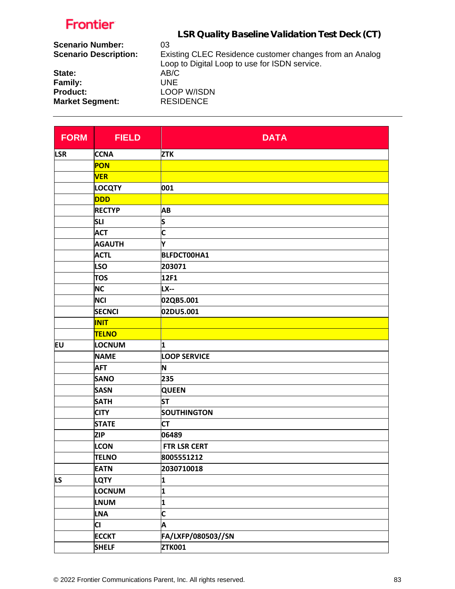|                              | LSR Quality Baseline Validation Test Deck (CT)                                                           |
|------------------------------|----------------------------------------------------------------------------------------------------------|
| <b>Scenario Number:</b>      | 03                                                                                                       |
| <b>Scenario Description:</b> | Existing CLEC Residence customer changes from an Analog<br>Loop to Digital Loop to use for ISDN service. |
| State:                       | AB/C                                                                                                     |
| Family:                      | UNE                                                                                                      |
| <b>Product:</b>              | <b>LOOP W/ISDN</b>                                                                                       |
| <b>Market Segment:</b>       | <b>RESIDENCE</b>                                                                                         |

| <b>FORM</b> | <b>FIELD</b>  | <b>DATA</b>         |
|-------------|---------------|---------------------|
| <b>LSR</b>  | <b>CCNA</b>   | <b>ZTK</b>          |
|             | <b>PON</b>    |                     |
|             | <b>VER</b>    |                     |
|             | <b>LOCQTY</b> | 001                 |
|             | <b>DDD</b>    |                     |
|             | <b>RECTYP</b> | AB                  |
|             | <b>SLI</b>    | ls.                 |
|             | <b>ACT</b>    | C                   |
|             | <b>AGAUTH</b> | Y                   |
|             | <b>ACTL</b>   | <b>BLFDCT00HA1</b>  |
|             | <b>LSO</b>    | 203071              |
|             | <b>TOS</b>    | 12F1                |
|             | <b>NC</b>     | <b>LX--</b>         |
|             | <b>NCI</b>    | 02QB5.001           |
|             | <b>SECNCI</b> | 02DU5.001           |
|             | <b>INIT</b>   |                     |
|             | <b>TELNO</b>  |                     |
| <b>EU</b>   | LOCNUM        | 1                   |
|             | <b>NAME</b>   | <b>LOOP SERVICE</b> |
|             | <b>AFT</b>    | N                   |
|             | <b>SANO</b>   | 235                 |
|             | <b>SASN</b>   | <b>QUEEN</b>        |
|             | <b>SATH</b>   | <b>ST</b>           |
|             | <b>CITY</b>   | <b>SOUTHINGTON</b>  |
|             | <b>STATE</b>  | <b>CT</b>           |
|             | <b>ZIP</b>    | 06489               |
|             | <b>LCON</b>   | FTR LSR CERT        |
|             | <b>TELNO</b>  | 8005551212          |
|             | <b>EATN</b>   | 2030710018          |
| <b>LS</b>   | <b>LQTY</b>   | 1                   |
|             | LOCNUM        | 1                   |
|             | <b>LNUM</b>   | 1                   |
|             | <b>LNA</b>    | C                   |
|             | <b>CI</b>     | A                   |
|             | <b>ECCKT</b>  | FA/LXFP/080503//SN  |
|             | <b>SHELF</b>  | <b>ZTK001</b>       |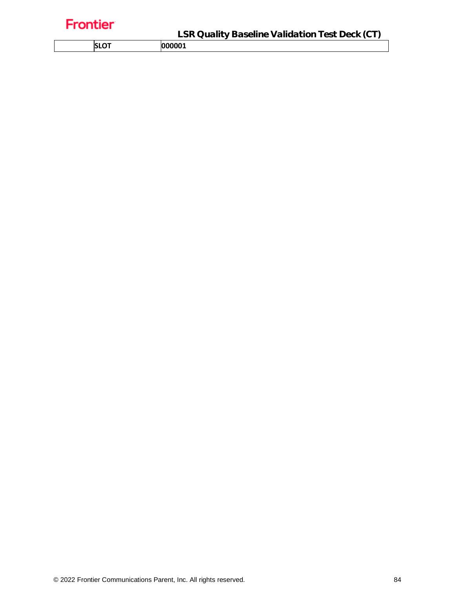| ı |  |  |
|---|--|--|
|   |  |  |
|   |  |  |

**SLOT 000001**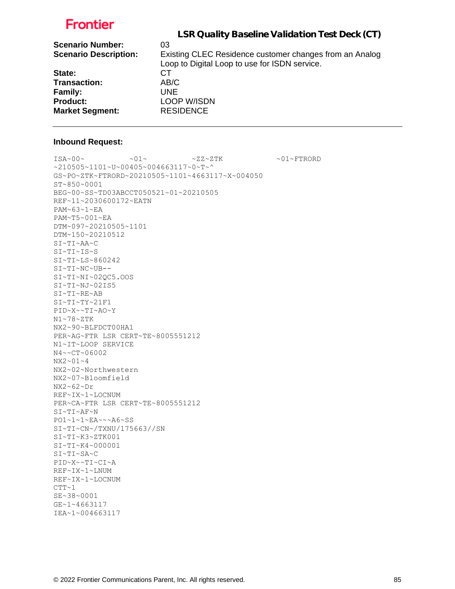|                                                         | LSR Quality Baseline Validation Test Deck (CT)                |
|---------------------------------------------------------|---------------------------------------------------------------|
| <b>Scenario Number:</b><br><b>Scenario Description:</b> | 03<br>Existing CLEC Residence customer changes from an Analog |
|                                                         | Loop to Digital Loop to use for ISDN service.                 |
| State:                                                  | CТ                                                            |
| <b>Transaction:</b>                                     | AB/C                                                          |
| Family:                                                 | UNE.                                                          |
| <b>Product:</b>                                         | <b>LOOP W/ISDN</b>                                            |
| <b>Market Segment:</b>                                  | <b>RESIDENCE</b>                                              |

#### **Inbound Request:**

 $\sim 01 \times 100 \times 100 \times 27 \times 27 \times 500 \times 100 \times 100 \times 100 \times 100 \times 100 \times 100 \times 100 \times 100 \times 100 \times 100 \times 100 \times 100 \times 100 \times 100 \times 100 \times 100 \times 100 \times 100 \times 100 \times 100 \times 100 \times 100 \times 100 \times 100 \times 100 \times 100 \times 100 \times 100 \times 100 \times 100 \times 100 \$ ~210505~1101~U~00405~004663117~0~T~^ GS~PO~ZTK~FTRORD~20210505~1101~4663117~X~004050 ST~850~0001 BEG~00~SS~TD03ABCCT050521~01~20210505 REF~11~2030600172~EATN PAM~63~1~EA PAM~T5~001~EA DTM~097~20210505~1101 DTM~150~20210512 SI~TI~AA~C SI~TI~IS~S SI~TI~LS~860242 SI~TI~NC~UB-- SI~TI~NI~02QC5.OOS SI~TI~NJ~02IS5 SI~TI~RE~AB SI~TI~TY~21F1 PID~X~~TI~AO~Y N1~78~ZTK NX2~90~BLFDCT00HA1 PER~AG~FTR LSR CERT~TE~8005551212 N1~IT~LOOP SERVICE N4~~CT~06002 NX2~01~4 NX2~02~Northwestern NX2~07~Bloomfield NX2~62~Dr REF~IX~1~LOCNUM PER~CA~FTR LSR CERT~TE~8005551212 SI~TI~AF~N PO1~1~1~EA~~~A6~SS SI~TI~CN~/TXNU/175663//SN SI~TI~K3~ZTK001 SI~TI~K4~000001 SI~TI~SA~C PID~X~~TI~CI~A REF~IX~1~LNUM REF~IX~1~LOCNUM  $CTT~1$ SE~38~0001 GE~1~4663117 IEA~1~004663117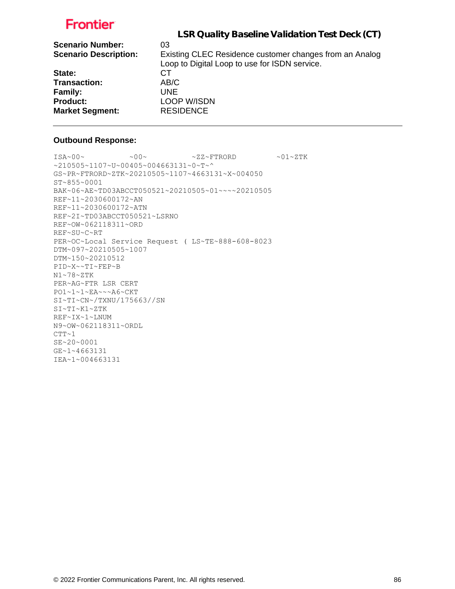|                              | LSR Quality Baseline Validation Test Deck (CT)          |
|------------------------------|---------------------------------------------------------|
| <b>Scenario Number:</b>      | 03                                                      |
| <b>Scenario Description:</b> | Existing CLEC Residence customer changes from an Analog |
|                              | Loop to Digital Loop to use for ISDN service.           |
| State:                       | CТ                                                      |
| <b>Transaction:</b>          | AB/C                                                    |
| Family:                      | UNE.                                                    |
| <b>Product:</b>              | <b>LOOP W/ISDN</b>                                      |
| <b>Market Segment:</b>       | <b>RESIDENCE</b>                                        |

### **Outbound Response:**

 $ISA~00~\sim$   $~00~\sim$   $~00~\sim$   $~0.727~\rm{F}$   $~0.01~\rm{F}$ ~210505~1107~U~00405~004663131~0~T~^ GS~PR~FTRORD~ZTK~20210505~1107~4663131~X~004050 ST~855~0001 BAK~06~AE~TD03ABCCT050521~20210505~01~~~~20210505 REF~11~2030600172~AN REF~11~2030600172~ATN REF~2I~TD03ABCCT050521~LSRNO REF~OW~062118311~ORD REF~SU~C~RT PER~OC~Local Service Request ( LS~TE~888-608-8023 DTM~097~20210505~1007 DTM~150~20210512 PID~X~~TI~FEP~B N1~78~ZTK PER~AG~FTR LSR CERT PO1~1~1~EA~~~A6~CKT SI~TI~CN~/TXNU/175663//SN SI~TI~K1~ZTK REF~IX~1~LNUM N9~OW~062118311~ORDL  $CTT~1$ SE~20~0001 GE~1~4663131 IEA~1~004663131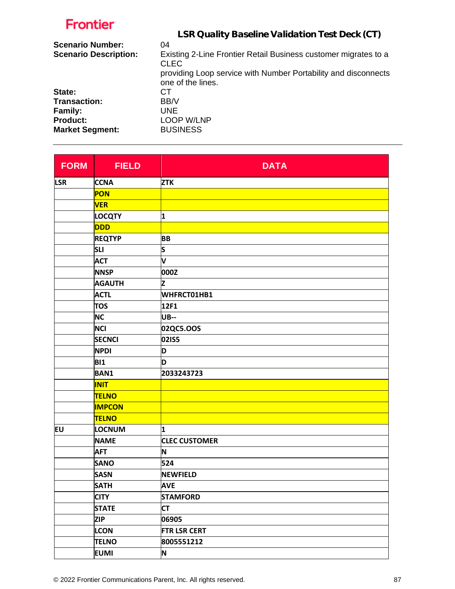| Frontier                     |                                                                                     |
|------------------------------|-------------------------------------------------------------------------------------|
|                              | LSR Quality Baseline Validation Test Deck (CT)                                      |
| <b>Scenario Number:</b>      | 04                                                                                  |
| <b>Scenario Description:</b> | Existing 2-Line Frontier Retail Business customer migrates to a<br><b>CLEC</b>      |
|                              | providing Loop service with Number Portability and disconnects<br>one of the lines. |
| State:                       | CТ                                                                                  |
| Transaction:                 | BB/V                                                                                |
| <b>Family:</b>               | <b>UNE</b>                                                                          |
| <b>Product:</b>              | LOOP W/LNP                                                                          |
| <b>Market Segment:</b>       | <b>BUSINESS</b>                                                                     |

| <b>FORM</b> | <b>FIELD</b>  | <b>DATA</b>          |
|-------------|---------------|----------------------|
| <b>LSR</b>  | <b>CCNA</b>   | <b>ZTK</b>           |
|             | PON           |                      |
|             | <b>VER</b>    |                      |
|             | <b>LOCQTY</b> | 1                    |
|             | <b>DDD</b>    |                      |
|             | <b>REQTYP</b> | <b>BB</b>            |
|             | <b>SLI</b>    | s                    |
|             | <b>ACT</b>    | V                    |
|             | <b>NNSP</b>   | 000Z                 |
|             | <b>AGAUTH</b> | Z                    |
|             | <b>ACTL</b>   | WHFRCT01HB1          |
|             | <b>TOS</b>    | 12F1                 |
|             | <b>NC</b>     | <b>UB--</b>          |
|             | <b>NCI</b>    | 02QC5.OOS            |
|             | <b>SECNCI</b> | 02IS5                |
|             | <b>NPDI</b>   | D                    |
|             | <b>BI1</b>    | D                    |
|             | <b>BAN1</b>   | 2033243723           |
|             | <b>INIT</b>   |                      |
|             | <b>TELNO</b>  |                      |
|             | <b>IMPCON</b> |                      |
|             | <b>TELNO</b>  |                      |
| EU          | <b>LOCNUM</b> | 1                    |
|             | <b>NAME</b>   | <b>CLEC CUSTOMER</b> |
|             | <b>AFT</b>    | N                    |
|             | <b>SANO</b>   | 524                  |
|             | <b>SASN</b>   | <b>NEWFIELD</b>      |
|             | <b>SATH</b>   | <b>AVE</b>           |
|             | <b>CITY</b>   | <b>STAMFORD</b>      |
|             | <b>STATE</b>  | <b>CT</b>            |
|             | <b>ZIP</b>    | 06905                |
|             | <b>LCON</b>   | <b>FTR LSR CERT</b>  |
|             | <b>TELNO</b>  | 8005551212           |
|             | <b>EUMI</b>   | N                    |

L.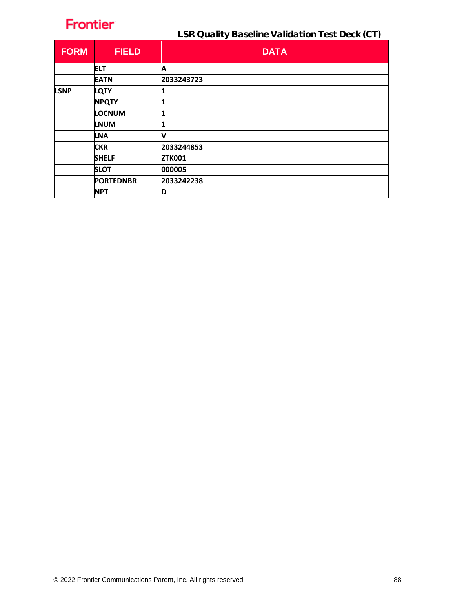| <b>FORM</b> | <b>FIELD</b>     | <b>DATA</b>   |
|-------------|------------------|---------------|
|             | <b>ELT</b>       | Α             |
|             | <b>EATN</b>      | 2033243723    |
| <b>LSNP</b> | <b>LQTY</b>      |               |
|             | <b>NPQTY</b>     |               |
|             | <b>LOCNUM</b>    | 1             |
|             | <b>LNUM</b>      | '1            |
|             | <b>LNA</b>       | V             |
|             | <b>CKR</b>       | 2033244853    |
|             | <b>SHELF</b>     | <b>ZTK001</b> |
|             | <b>SLOT</b>      | 000005        |
|             | <b>PORTEDNBR</b> | 2033242238    |
|             | <b>NPT</b>       | ID            |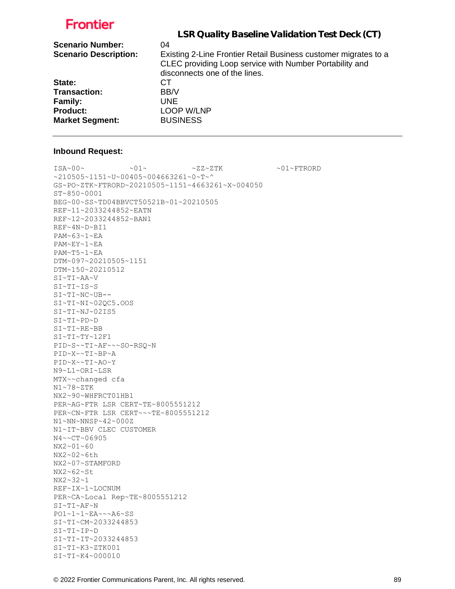|                              | LSR Quality Baseline Validation Test Deck (CT)                  |
|------------------------------|-----------------------------------------------------------------|
|                              |                                                                 |
| <b>Scenario Number:</b>      | 04                                                              |
| <b>Scenario Description:</b> | Existing 2-Line Frontier Retail Business customer migrates to a |
|                              | CLEC providing Loop service with Number Portability and         |
|                              | disconnects one of the lines.                                   |
| State:                       | CТ                                                              |
| <b>Transaction:</b>          | BB/V                                                            |
| <b>Family:</b>               | <b>UNE</b>                                                      |
| <b>Product:</b>              | LOOP W/LNP                                                      |
| <b>Market Segment:</b>       | <b>BUSINESS</b>                                                 |
|                              |                                                                 |

#### **Inbound Request:**

 $\sim 01 \times 100 \times 100 \times 27 \times 27 \times 500 \times 100 \times 100 \times 100 \times 100 \times 100 \times 100 \times 100 \times 100 \times 100 \times 100 \times 100 \times 100 \times 100 \times 100 \times 100 \times 100 \times 100 \times 100 \times 100 \times 100 \times 100 \times 100 \times 100 \times 100 \times 100 \times 100 \times 100 \times 100 \times 100 \times 100 \times 100 \$ ~210505~1151~U~00405~004663261~0~T~^ GS~PO~ZTK~FTRORD~20210505~1151~4663261~X~004050 ST~850~0001 BEG~00~SS~TD04BBVCT50521B~01~20210505 REF~11~2033244852~EATN REF~12~2033244852~BAN1 REF~4N~D~BI1 PAM~63~1~EA PAM~EY~1~EA PAM~T5~1~EA DTM~097~20210505~1151 DTM~150~20210512 SI~TI~AA~V SI~TI~IS~S SI~TI~NC~UB-- SI~TI~NI~02QC5.OOS SI~TI~NJ~02IS5 SI~TI~PD~D SI~TI~RE~BB SI~TI~TY~12F1 PID~S~~TI~AF~~~SO-RSQ~N PID~X~~TI~BP~A PID~X~~TI~AO~Y N9~L1~ORI~LSR MTX~~changed cfa N1~78~ZTK NX2~90~WHFRCT01HB1 PER~AG~FTR LSR CERT~TE~8005551212 PER~CN~FTR LSR CERT~~~TE~8005551212 N1~NN~NNSP~42~000Z N1~IT~BBV CLEC CUSTOMER N4~~CT~06905 NX2~01~60 NX2~02~6th NX2~07~STAMFORD NX2~62~St NX2~32~1 REF~IX~1~LOCNUM PER~CA~Local Rep~TE~8005551212 SI~TI~AF~N PO1~1~1~EA~~~A6~SS SI~TI~CM~2033244853 SI~TI~IP~D SI~TI~IT~2033244853 SI~TI~K3~ZTK001 SI~TI~K4~000010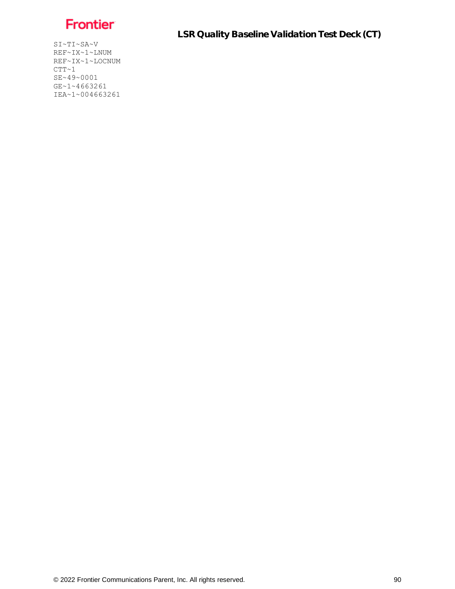

SI~TI~SA~V REF~IX~1~LNUM REF~IX~1~LOCNUM  $CTT~1$ SE~49~0001 GE~1~4663261 IEA~1~004663261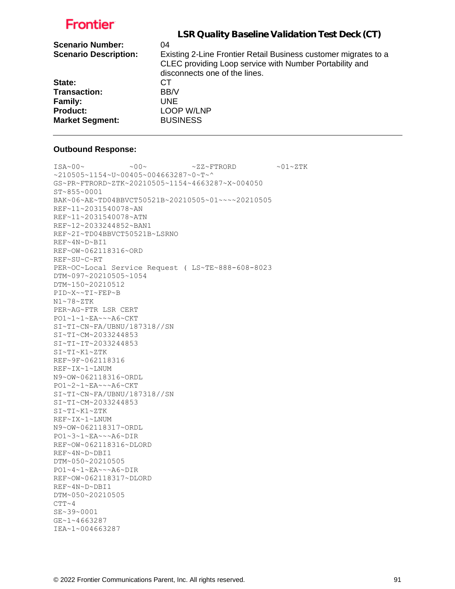|                              | LSR Quality Baseline Validation Test Deck (CT)                  |
|------------------------------|-----------------------------------------------------------------|
|                              |                                                                 |
| <b>Scenario Number:</b>      | 04                                                              |
| <b>Scenario Description:</b> | Existing 2-Line Frontier Retail Business customer migrates to a |
|                              | CLEC providing Loop service with Number Portability and         |
|                              | disconnects one of the lines.                                   |
| State:                       | CТ                                                              |
| <b>Transaction:</b>          | BB/V                                                            |
| <b>Family:</b>               | UNE.                                                            |
| <b>Product:</b>              | <b>LOOP W/LNP</b>                                               |
| <b>Market Segment:</b>       | <b>BUSINESS</b>                                                 |
|                              |                                                                 |

#### **Outbound Response:**

 $\texttt{ISA~00~}\sim$   $\sim$   $\texttt{00~}\sim$   $\sim$   $\texttt{02~}\sim$   $\texttt{FFRORD}$   $\sim$   $\texttt{01~}\sim$   $\texttt{2TK}$ ~210505~1154~U~00405~004663287~0~T~^ GS~PR~FTRORD~ZTK~20210505~1154~4663287~X~004050 ST~855~0001 BAK~06~AE~TD04BBVCT50521B~20210505~01~~~~20210505 REF~11~2031540078~AN REF~11~2031540078~ATN REF~12~2033244852~BAN1 REF~2I~TD04BBVCT50521B~LSRNO REF~4N~D~BI1 REF~OW~062118316~ORD REF~SU~C~RT PER~OC~Local Service Request ( LS~TE~888-608-8023 DTM~097~20210505~1054 DTM~150~20210512 PID~X~~TI~FEP~B N1~78~ZTK PER~AG~FTR LSR CERT PO1~1~1~EA~~~A6~CKT SI~TI~CN~FA/UBNU/187318//SN SI~TI~CM~2033244853 SI~TI~IT~2033244853 SI~TI~K1~ZTK REF~9F~062118316 REF~IX~1~LNUM N9~OW~062118316~ORDL PO1~2~1~EA~~~A6~CKT SI~TI~CN~FA/UBNU/187318//SN SI~TI~CM~2033244853 SI~TI~K1~ZTK REF~IX~1~LNUM N9~OW~062118317~ORDL PO1~3~1~EA~~~A6~DIR REF~OW~062118316~DLORD REF~4N~D~DBI1 DTM~050~20210505 PO1~4~1~EA~~~A6~DIR REF~OW~062118317~DLORD REF~4N~D~DBI1 DTM~050~20210505  $CTT~ 4$ SE~39~0001 GE~1~4663287 IEA~1~004663287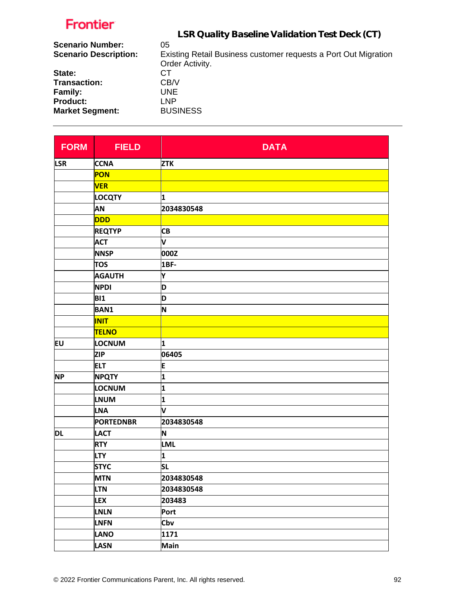| 05                                                              |
|-----------------------------------------------------------------|
| Existing Retail Business customer requests a Port Out Migration |
| Order Activity.                                                 |
| CТ                                                              |
| CB/V                                                            |
| <b>UNE</b>                                                      |
| LNP                                                             |
| <b>BUSINESS</b>                                                 |
|                                                                 |

| <b>FORM</b> | <b>FIELD</b>     | <b>DATA</b>             |
|-------------|------------------|-------------------------|
| <b>LSR</b>  | <b>CCNA</b>      | <b>ZTK</b>              |
|             | <b>PON</b>       |                         |
|             | <b>VER</b>       |                         |
|             | <b>LOCQTY</b>    | 1                       |
|             | AN               | 2034830548              |
|             | <b>DDD</b>       |                         |
|             | <b>REQTYP</b>    | <b>CB</b>               |
|             | <b>ACT</b>       | V                       |
|             | <b>NNSP</b>      | 000Z                    |
|             | <b>TOS</b>       | <b>1BF-</b>             |
|             | <b>AGAUTH</b>    | Υ                       |
|             | <b>NPDI</b>      | D                       |
|             | <b>BI1</b>       | D                       |
|             | <b>BAN1</b>      | N                       |
|             | <b>INIT</b>      |                         |
|             | <b>TELNO</b>     |                         |
| <b>EU</b>   | <b>LOCNUM</b>    | 1                       |
|             | <b>ZIP</b>       | 06405                   |
|             | <b>ELT</b>       | E                       |
| <b>NP</b>   | <b>NPQTY</b>     | 1                       |
|             | LOCNUM           | $\overline{\mathbf{1}}$ |
|             | <b>LNUM</b>      | $\overline{\mathbf{1}}$ |
|             | <b>LNA</b>       | V                       |
|             | <b>PORTEDNBR</b> | 2034830548              |
| DL          | <b>LACT</b>      | N                       |
|             | <b>RTY</b>       | <b>LML</b>              |
|             | <b>LTY</b>       | 1                       |
|             | <b>STYC</b>      | <b>SL</b>               |
|             | <b>MTN</b>       | 2034830548              |
|             | <b>LTN</b>       | 2034830548              |
|             | <b>LEX</b>       | 203483                  |
|             | <b>LNLN</b>      | Port                    |
|             | <b>LNFN</b>      | Cbv                     |
|             | <b>LANO</b>      | 1171                    |
|             | <b>LASN</b>      | <b>Main</b>             |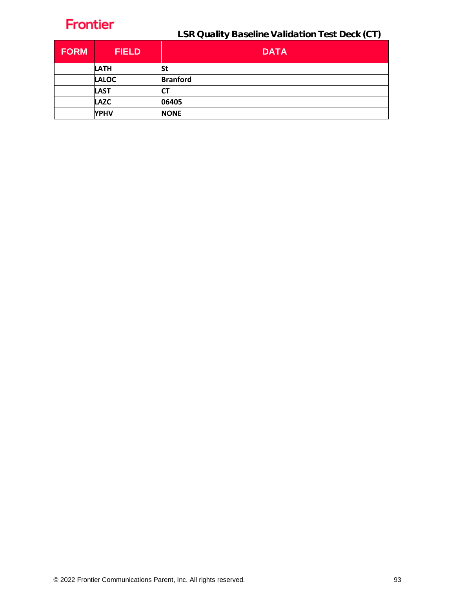| <b>FORM</b> | <b>FIELD</b> | <b>DATA</b>     |
|-------------|--------------|-----------------|
|             | <b>LATH</b>  | St              |
|             | <b>LALOC</b> | <b>Branford</b> |
|             | <b>LAST</b>  | ιu              |
|             | <b>LAZC</b>  | 06405           |
|             | <b>YPHV</b>  | <b>NONE</b>     |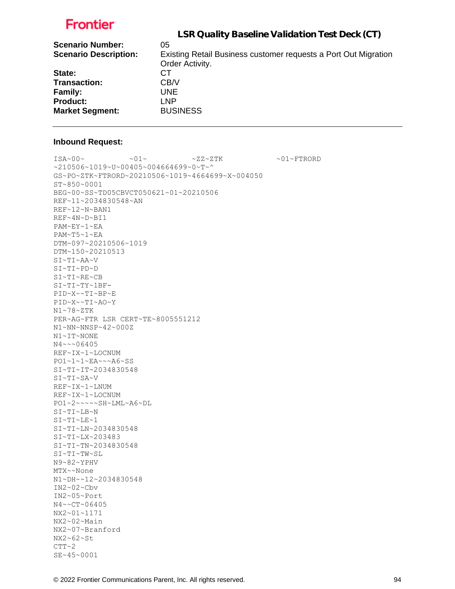|                              | LSR Quality Baseline Validation Test Deck (CT)                  |
|------------------------------|-----------------------------------------------------------------|
| <b>Scenario Number:</b>      | 05                                                              |
| <b>Scenario Description:</b> | Existing Retail Business customer requests a Port Out Migration |
|                              | Order Activity.                                                 |
| State:                       | CТ                                                              |
| <b>Transaction:</b>          | CB/V                                                            |
| <b>Family:</b>               | UNE.                                                            |
| <b>Product:</b>              | LNP                                                             |
| <b>Market Segment:</b>       | <b>BUSINESS</b>                                                 |
|                              |                                                                 |

#### **Inbound Request:**

 $\sim 01 \times 100 \times 100 \times 27 \times 27 \times 500 \times 100 \times 100 \times 100 \times 100 \times 100 \times 100 \times 100 \times 100 \times 100 \times 100 \times 100 \times 100 \times 100 \times 100 \times 100 \times 100 \times 100 \times 100 \times 100 \times 100 \times 100 \times 100 \times 100 \times 100 \times 100 \times 100 \times 100 \times 100 \times 100 \times 100 \times 100 \$ ~210506~1019~U~00405~004664699~0~T~^ GS~PO~ZTK~FTRORD~20210506~1019~4664699~X~004050 ST~850~0001 BEG~00~SS~TD05CBVCT050621~01~20210506 REF~11~2034830548~AN REF~12~N~BAN1 REF~4N~D~BI1 PAM~EY~1~EA PAM~T5~1~EA DTM~097~20210506~1019 DTM~150~20210513 SI~TI~AA~V SI~TI~PD~D SI~TI~RE~CB SI~TI~TY~1BF-PID~X~~TI~BP~E PID~X~~TI~AO~Y N1~78~ZTK PER~AG~FTR LSR CERT~TE~8005551212 N1~NN~NNSP~42~000Z N1~IT~NONE N4~~~06405 REF~IX~1~LOCNUM PO1~1~1~EA~~~A6~SS SI~TI~IT~2034830548 SI~TI~SA~V REF~IX~1~LNUM REF~IX~1~LOCNUM PO1~2~~~~~SH~LML~A6~DL SI~TI~LB~N SI~TI~LE~1 SI~TI~LN~2034830548 SI~TI~LX~203483 SI~TI~TN~2034830548 SI~TI~TW~SL N9~82~YPHV MTX~~None N1~DH~~12~2034830548 IN2~02~Cbv IN2~05~Port N4~~CT~06405 NX2~01~1171 NX2~02~Main NX2~07~Branford NX2~62~St  $CTT~2$ 

SE~45~0001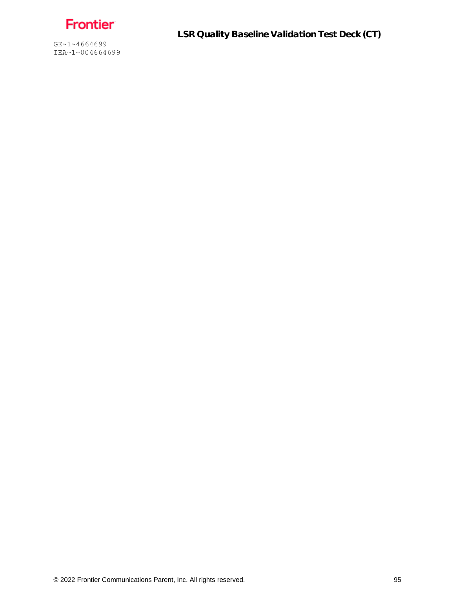Frontier

GE~1~4664699 IEA~1~004664699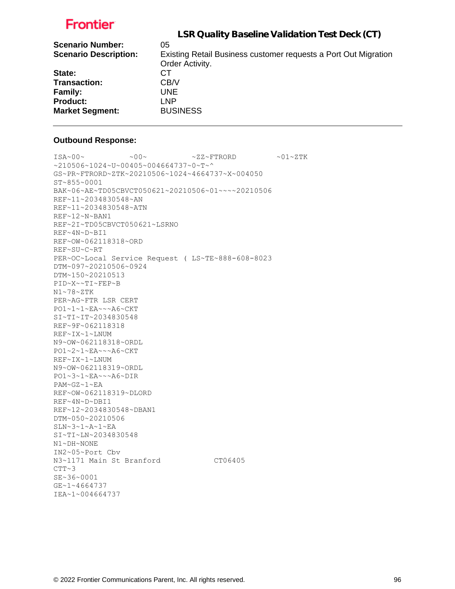| LSR Quality Baseline Validation Test Deck (CT)                  |
|-----------------------------------------------------------------|
| 05                                                              |
| Existing Retail Business customer requests a Port Out Migration |
| Order Activity.                                                 |
| CТ                                                              |
| CB/V                                                            |
| UNE.                                                            |
| LNP                                                             |
| <b>BUSINESS</b>                                                 |
|                                                                 |

#### **Outbound Response:**

```
ISA~00~\sim ~00~\sim ~00~\sim ~01~\sim ZZ~\sim FTRORD ~01~\sim 2~\rm TK~10506~1024~v~10405~v004664737v~0GS~PR~FTRORD~ZTK~20210506~1024~4664737~X~004050
ST~855~0001
BAK~06~AE~TD05CBVCT050621~20210506~01~~~~20210506
REF~11~2034830548~AN
REF~11~2034830548~ATN
REF~12~N~BAN1
REF~2I~TD05CBVCT050621~LSRNO
REF~4N~D~BI1
REF~OW~062118318~ORD
REF~SU~C~RT
PER~OC~Local Service Request ( LS~TE~888-608-8023
DTM~097~20210506~0924
DTM~150~20210513
PID~X~~TI~FEP~B
N1~78~ZTK
PER~AG~FTR LSR CERT
PO1~1~1~EA~~~A6~CKT
SI~TI~IT~2034830548
REF~9F~062118318
REF~IX~1~LNUM
N9~OW~062118318~ORDL
PO1~2~1~EA~~~A6~CKT
REF~IX~1~LNUM
N9~OW~062118319~ORDL
PO1~3~1~EA~~~A6~DIR
PAM~GZ~1~EA
REF~OW~062118319~DLORD
REF~4N~D~DBI1
REF~12~2034830548~DBAN1
DTM~050~20210506
SLN~3~1~A~1~EA
SI~TI~LN~2034830548
N1~DH~NONE
IN2~05~Port Cbv
N3~1171 Main St Branford CT06405
CTT~3SE~36~0001
GE~1~4664737
IEA~1~004664737
```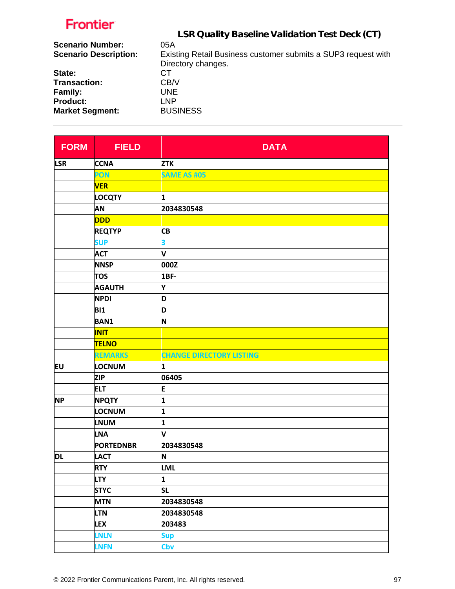| <b>Scenario Number:</b>      | 05A                                                           |
|------------------------------|---------------------------------------------------------------|
| <b>Scenario Description:</b> | Existing Retail Business customer submits a SUP3 request with |
|                              | Directory changes.                                            |
| State:                       | CT.                                                           |
| Transaction:                 | CB/V                                                          |
| <b>Family:</b>               | UNE                                                           |
| <b>Product:</b>              | I NP                                                          |
| <b>Market Segment:</b>       | <b>BUSINESS</b>                                               |

| <b>FORM</b> | <b>FIELD</b>     | <b>DATA</b>                     |
|-------------|------------------|---------------------------------|
| <b>LSR</b>  | <b>CCNA</b>      | <b>ZTK</b>                      |
|             | PON              | <b>SAME AS #05</b>              |
|             | <b>VER</b>       |                                 |
|             | <b>LOCQTY</b>    | 1                               |
|             | AN               | 2034830548                      |
|             | <b>DDD</b>       |                                 |
|             | <b>REQTYP</b>    | <b>CB</b>                       |
|             | <b>SUP</b>       | 3                               |
|             | <b>ACT</b>       | V                               |
|             | <b>NNSP</b>      | 000Z                            |
|             | <b>TOS</b>       | 1BF-                            |
|             | <b>AGAUTH</b>    | Υ                               |
|             | <b>NPDI</b>      | D                               |
|             | <b>BI1</b>       | D                               |
|             | <b>BAN1</b>      | N                               |
|             | <b>INIT</b>      |                                 |
|             | <b>TELNO</b>     |                                 |
|             | <b>REMARKS</b>   | <b>CHANGE DIRECTORY LISTING</b> |
| EU          | LOCNUM           | 1                               |
|             | <b>ZIP</b>       | 06405                           |
|             | <b>ELT</b>       | E                               |
| <b>NP</b>   | <b>NPQTY</b>     | $\overline{\mathbf{1}}$         |
|             | <b>LOCNUM</b>    | 1                               |
|             | <b>LNUM</b>      | 1                               |
|             | LNA              | V                               |
|             | <b>PORTEDNBR</b> | 2034830548                      |
| <b>DL</b>   | <b>LACT</b>      | N                               |
|             | <b>RTY</b>       | <b>LML</b>                      |
|             | <b>LTY</b>       | $\mathbf{1}$                    |
|             | <b>STYC</b>      | <b>SL</b>                       |
|             | <b>MTN</b>       | 2034830548                      |
|             | <b>LTN</b>       | 2034830548                      |
|             | <b>LEX</b>       | 203483                          |
|             | <b>LNLN</b>      | <b>Sup</b>                      |
|             | <b>LNFN</b>      | Cbv                             |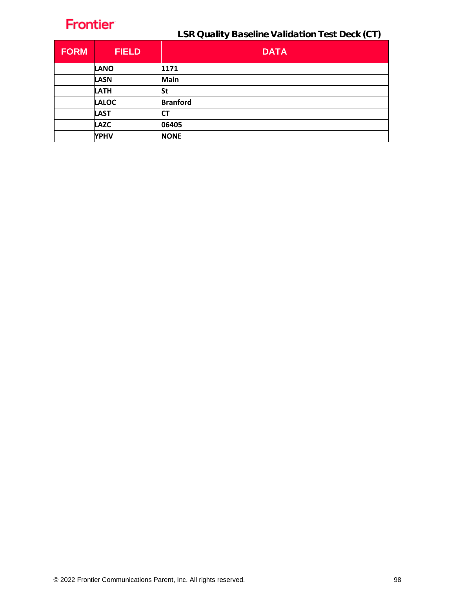| <b>FORM</b> | <b>FIELD</b> | <b>DATA</b>     |
|-------------|--------------|-----------------|
|             | <b>LANO</b>  | 1171            |
|             | <b>LASN</b>  | Main            |
|             | <b>LATH</b>  | St              |
|             | <b>LALOC</b> | <b>Branford</b> |
|             | <b>LAST</b>  | СT              |
|             | <b>LAZC</b>  | 06405           |
|             | <b>YPHV</b>  | <b>NONE</b>     |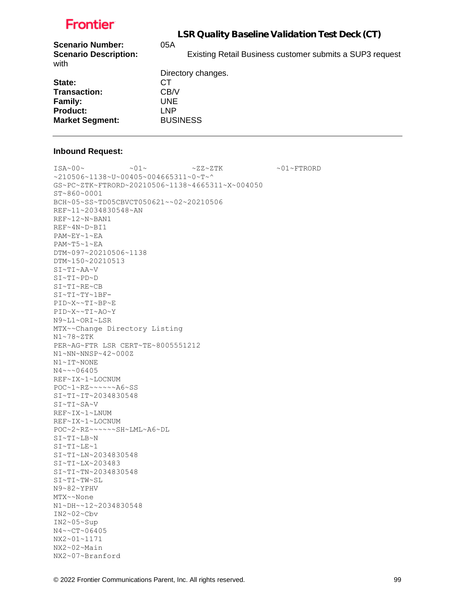LSR Quality Baseline Validation Test Deck (CT)

| <b>Scenario Number:</b>              | 05A                                                      |
|--------------------------------------|----------------------------------------------------------|
| <b>Scenario Description:</b><br>with | Existing Retail Business customer submits a SUP3 request |
|                                      | Directory changes.                                       |
| State:                               | CТ                                                       |
| Transaction:                         | CB/V                                                     |
| <b>Family:</b>                       | UNE.                                                     |
| <b>Product:</b>                      | LNP                                                      |
| <b>Market Segment:</b>               | <b>BUSINESS</b>                                          |

### **Inbound Request:**

 $\sim 01 \times 100 \times 100 \times 27 \times 27 \times 500 \times 100 \times 100 \times 100 \times 100 \times 100 \times 100 \times 100 \times 100 \times 100 \times 100 \times 100 \times 100 \times 100 \times 100 \times 100 \times 100 \times 100 \times 100 \times 100 \times 100 \times 100 \times 100 \times 100 \times 100 \times 100 \times 100 \times 100 \times 100 \times 100 \times 100 \times 100 \$ ~210506~1138~U~00405~004665311~0~T~^ GS~PC~ZTK~FTRORD~20210506~1138~4665311~X~004050 ST~860~0001 BCH~05~SS~TD05CBVCT050621~~02~20210506 REF~11~2034830548~AN REF~12~N~BAN1 REF~4N~D~BI1 PAM~EY~1~EA PAM~T5~1~EA DTM~097~20210506~1138 DTM~150~20210513 SI~TI~AA~V SI~TI~PD~D SI~TI~RE~CB SI~TI~TY~1BF-PID~X~~TI~BP~E PID~X~~TI~AO~Y N9~L1~ORI~LSR MTX~~Change Directory Listing N1~78~ZTK PER~AG~FTR LSR CERT~TE~8005551212 N1~NN~NNSP~42~000Z N1~IT~NONE N4~~~06405 REF~IX~1~LOCNUM POC~1~RZ~~~~~~A6~SS SI~TI~IT~2034830548 SI~TI~SA~V REF~IX~1~LNUM REF~IX~1~LOCNUM POC~2~RZ~~~~~~SH~LML~A6~DL SI~TI~LB~N SI~TI~LE~1 SI~TI~LN~2034830548 SI~TI~LX~203483 SI~TI~TN~2034830548 SI~TI~TW~SL N9~82~YPHV MTX~~None N1~DH~~12~2034830548 IN2~02~Cbv IN2~05~Sup N4~~CT~06405 NX2~01~1171 NX2~02~Main NX2~07~Branford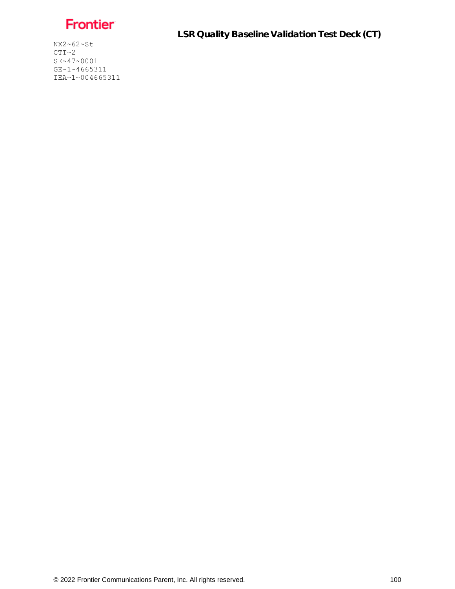Frontier

NX2~62~St  $CTT~2$ SE~47~0001 GE~1~4665311 IEA~1~004665311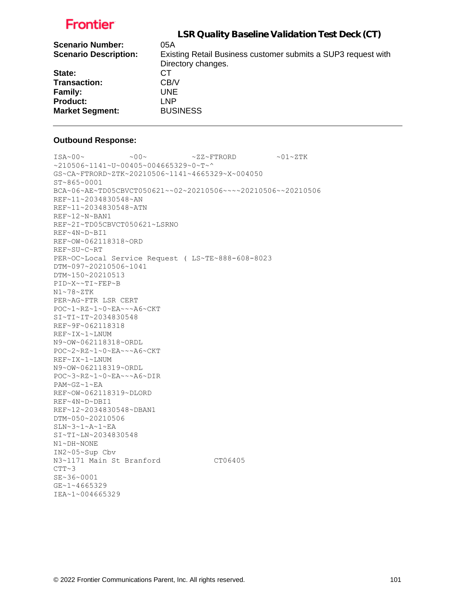|                              | LSR Quality Baseline Validation Test Deck (CT)                |
|------------------------------|---------------------------------------------------------------|
| <b>Scenario Number:</b>      | 05A                                                           |
| <b>Scenario Description:</b> | Existing Retail Business customer submits a SUP3 request with |
|                              | Directory changes.                                            |
| State:                       | CТ                                                            |
| <b>Transaction:</b>          | CB/V                                                          |
| <b>Family:</b>               | UNE.                                                          |
| <b>Product:</b>              | LNP                                                           |
| <b>Market Segment:</b>       | <b>BUSINESS</b>                                               |

#### **Outbound Response:**

```
ISA~00~\sim ~00~\sim ~00~\sim ~01~\sim ZZ~\sim FTRORD ~01~\sim 2.1~\sim Z TK
~1210506~1141~~U~00405~004665329~0~T~^
GS~CA~FTRORD~ZTK~20210506~1141~4665329~X~004050
ST~865~0001
BCA~06~AE~TD05CBVCT050621~~02~20210506~~~~20210506~~20210506
REF~11~2034830548~AN
REF~11~2034830548~ATN
REF~12~N~BAN1
REF~2I~TD05CBVCT050621~LSRNO
REF~4N~D~BI1
REF~OW~062118318~ORD
REF~SU~C~RT
PER~OC~Local Service Request ( LS~TE~888-608-8023
DTM~097~20210506~1041
DTM~150~20210513
PID~X~~TI~FEP~B
N1~78~ZTK
PER~AG~FTR LSR CERT
POC~1~RZ~1~0~EA~~~A6~CKT
SI~TI~IT~2034830548
REF~9F~062118318
REF~IX~1~LNUM
N9~OW~062118318~ORDL
POC~2~RZ~1~0~EA~~~A6~CKT
REF~IX~1~LNUM
N9~OW~062118319~ORDL
POC~3~RZ~1~0~EA~~~A6~DIR
PAM~GZ~1~EA
REF~OW~062118319~DLORD
REF~4N~D~DBI1
REF~12~2034830548~DBAN1
DTM~050~20210506
SLN~3~1~A~1~EA
SI~TI~LN~2034830548
N1~DH~NONE
IN2~05~Sup Cbv
N3~1171 Main St Branford CT06405
CTT~3SE~36~0001
GE~1~4665329
IEA~1~004665329
```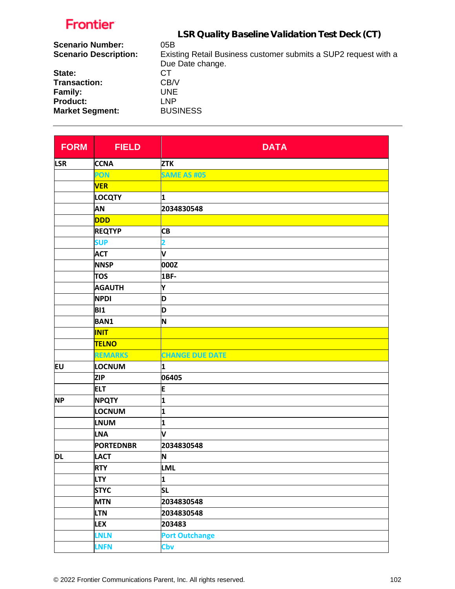| 05B                                                             |
|-----------------------------------------------------------------|
| Existing Retail Business customer submits a SUP2 request with a |
| Due Date change.                                                |
| CТ                                                              |
| CB/V                                                            |
| UNE                                                             |
| LNP.                                                            |
| <b>BUSINESS</b>                                                 |
|                                                                 |

| <b>FORM</b> | <b>FIELD</b>     | <b>DATA</b>            |
|-------------|------------------|------------------------|
| <b>LSR</b>  | <b>CCNA</b>      | <b>ZTK</b>             |
|             | PON              | <b>SAME AS #05</b>     |
|             | <b>VER</b>       |                        |
|             | <b>LOCQTY</b>    | 1                      |
|             | AN               | 2034830548             |
|             | <b>DDD</b>       |                        |
|             | <b>REQTYP</b>    | <b>CB</b>              |
|             | <b>SUP</b>       | 2                      |
|             | <b>ACT</b>       | V                      |
|             | <b>NNSP</b>      | 000Z                   |
|             | <b>TOS</b>       | 1BF-                   |
|             | <b>AGAUTH</b>    | Υ                      |
|             | <b>NPDI</b>      | D                      |
|             | <b>BI1</b>       | D                      |
|             | <b>BAN1</b>      | N                      |
|             | <b>INIT</b>      |                        |
|             | <b>TELNO</b>     |                        |
|             | <b>REMARKS</b>   | <b>CHANGE DUE DATE</b> |
| EU          | LOCNUM           | 1                      |
|             | <b>ZIP</b>       | 06405                  |
|             | <b>ELT</b>       | E                      |
| <b>NP</b>   | <b>NPQTY</b>     | 1                      |
|             | LOCNUM           | 1                      |
|             | <b>LNUM</b>      | 1                      |
|             | <b>LNA</b>       | V                      |
|             | <b>PORTEDNBR</b> | 2034830548             |
| <b>DL</b>   | <b>LACT</b>      | N                      |
|             | <b>RTY</b>       | <b>LML</b>             |
|             | <b>LTY</b>       | 1                      |
|             | <b>STYC</b>      | <b>SL</b>              |
|             | <b>MTN</b>       | 2034830548             |
|             | <b>LTN</b>       | 2034830548             |
|             | <b>LEX</b>       | 203483                 |
|             | <b>LNLN</b>      | <b>Port Outchange</b>  |
|             | <b>LNFN</b>      | Cbv                    |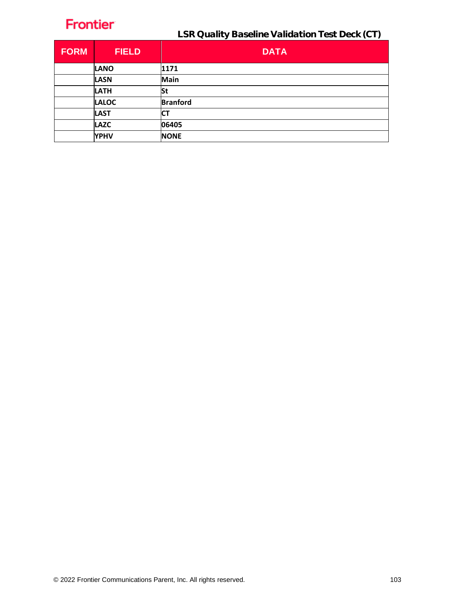| <b>FORM</b> | <b>FIELD</b> | <b>DATA</b>     |
|-------------|--------------|-----------------|
|             | <b>LANO</b>  | 1171            |
|             | <b>LASN</b>  | <b>Main</b>     |
|             | <b>LATH</b>  | <b>St</b>       |
|             | <b>LALOC</b> | <b>Branford</b> |
|             | <b>LAST</b>  | СT              |
|             | <b>LAZC</b>  | 06405           |
|             | <b>YPHV</b>  | <b>NONE</b>     |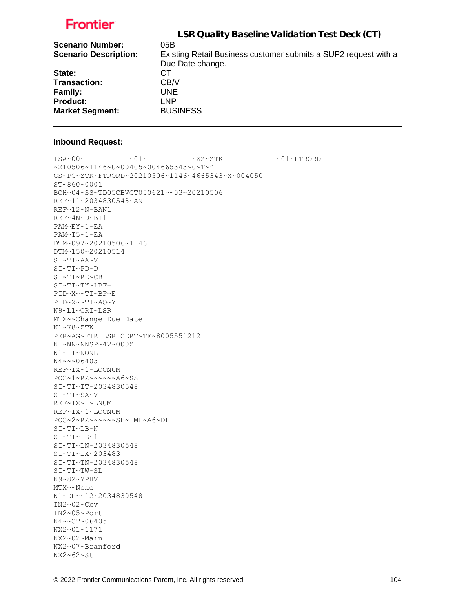|                              | LSR Quality Baseline Validation Test Deck (CT)                  |
|------------------------------|-----------------------------------------------------------------|
| <b>Scenario Number:</b>      | 05B                                                             |
| <b>Scenario Description:</b> | Existing Retail Business customer submits a SUP2 request with a |
|                              | Due Date change.                                                |
| State:                       | CТ                                                              |
| <b>Transaction:</b>          | CB/V                                                            |
| Family:                      | UNE.                                                            |
| <b>Product:</b>              | LNP                                                             |
| <b>Market Segment:</b>       | <b>BUSINESS</b>                                                 |
|                              |                                                                 |

#### **Inbound Request:**

 $\sim 01 \times 100 \times 100 \times 27 \times 27 \times 500 \times 100 \times 100 \times 100 \times 100 \times 100 \times 100 \times 100 \times 100 \times 100 \times 100 \times 100 \times 100 \times 100 \times 100 \times 100 \times 100 \times 100 \times 100 \times 100 \times 100 \times 100 \times 100 \times 100 \times 100 \times 100 \times 100 \times 100 \times 100 \times 100 \times 100 \times 100 \$ ~210506~1146~U~00405~004665343~0~T~^ GS~PC~ZTK~FTRORD~20210506~1146~4665343~X~004050 ST~860~0001 BCH~04~SS~TD05CBVCT050621~~03~20210506 REF~11~2034830548~AN REF~12~N~BAN1 REF~4N~D~BI1 PAM~EY~1~EA PAM~T5~1~EA DTM~097~20210506~1146 DTM~150~20210514 SI~TI~AA~V SI~TI~PD~D SI~TI~RE~CB SI~TI~TY~1BF-PID~X~~TI~BP~E PID~X~~TI~AO~Y N9~L1~ORI~LSR MTX~~Change Due Date N1~78~ZTK PER~AG~FTR LSR CERT~TE~8005551212 N1~NN~NNSP~42~000Z N1~IT~NONE N4~~~06405 REF~IX~1~LOCNUM POC~1~RZ~~~~~~A6~SS SI~TI~IT~2034830548 SI~TI~SA~V REF~IX~1~LNUM REF~IX~1~LOCNUM POC~2~RZ~~~~~~SH~LML~A6~DL SI~TI~LB~N SI~TI~LE~1 SI~TI~LN~2034830548 SI~TI~LX~203483 SI~TI~TN~2034830548 SI~TI~TW~SL N9~82~YPHV MTX~~None N1~DH~~12~2034830548 IN2~02~Cbv IN2~05~Port N4~~CT~06405 NX2~01~1171 NX2~02~Main NX2~07~Branford NX2~62~St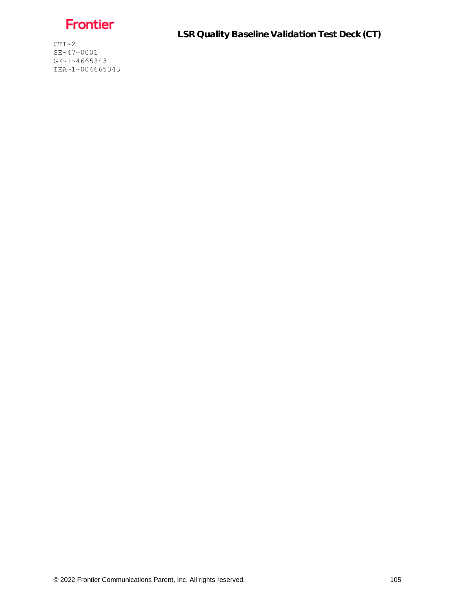Frontier

 $CTT~2$ SE~47~0001 GE~1~4665343 IEA~1~004665343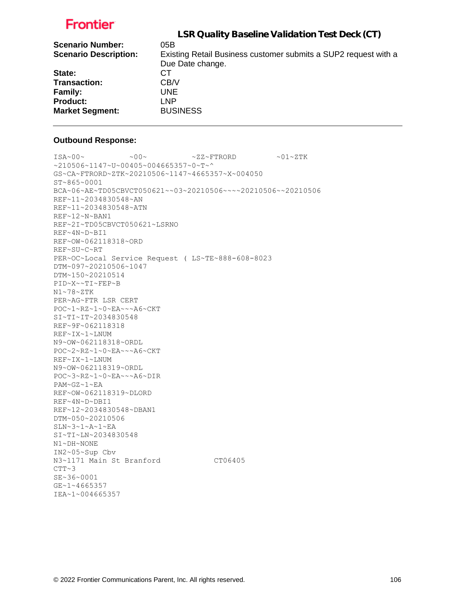| LSR Quality Baseline Validation Test Deck (CT)                  |
|-----------------------------------------------------------------|
| 05B                                                             |
| Existing Retail Business customer submits a SUP2 request with a |
| Due Date change.                                                |
| CТ                                                              |
| CB/V                                                            |
| UNE.                                                            |
| LNP.                                                            |
| <b>BUSINESS</b>                                                 |
|                                                                 |

#### **Outbound Response:**

```
ISA~00~\sim ~00~\sim ~00~\sim ~01~\sim ZZ~\sim FTRORD ~01~\sim 2.1~\sim Z TK
~1210506~1147~vU~00405~004665357~0~T~^
GS~CA~FTRORD~ZTK~20210506~1147~4665357~X~004050
ST~865~0001
BCA~06~AE~TD05CBVCT050621~~03~20210506~~~~20210506~~20210506
REF~11~2034830548~AN
REF~11~2034830548~ATN
REF~12~N~BAN1
REF~2I~TD05CBVCT050621~LSRNO
REF~4N~D~BI1
REF~OW~062118318~ORD
REF~SU~C~RT
PER~OC~Local Service Request ( LS~TE~888-608-8023
DTM~097~20210506~1047
DTM~150~20210514
PID~X~~TI~FEP~B
N1~78~ZTK
PER~AG~FTR LSR CERT
POC~1~RZ~1~0~EA~~~A6~CKT
SI~TI~IT~2034830548
REF~9F~062118318
REF~IX~1~LNUM
N9~OW~062118318~ORDL
POC~2~RZ~1~0~EA~~~A6~CKT
REF~IX~1~LNUM
N9~OW~062118319~ORDL
POC~3~RZ~1~0~EA~~~A6~DIR
PAM~GZ~1~EA
REF~OW~062118319~DLORD
REF~4N~D~DBI1
REF~12~2034830548~DBAN1
DTM~050~20210506
SLN~3~1~A~1~EA
SI~TI~LN~2034830548
N1~DH~NONE
IN2~05~Sup Cbv
N3~1171 Main St Branford CT06405
CTT~3SE~36~0001
GE~1~4665357
IEA~1~004665357
```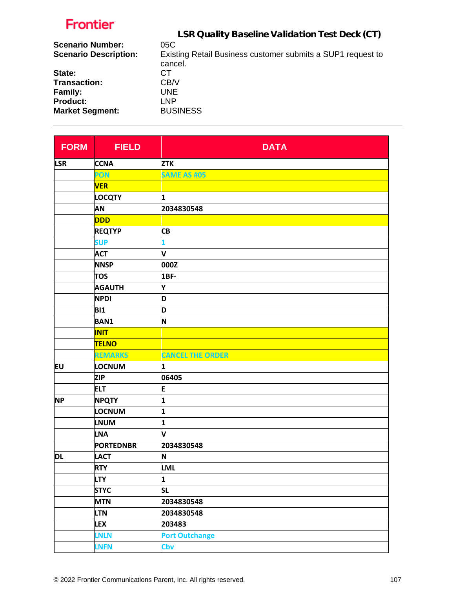|                              | LSR Quality Baseline Validation Test Deck (CT)              |
|------------------------------|-------------------------------------------------------------|
| <b>Scenario Number:</b>      | 05C                                                         |
| <b>Scenario Description:</b> | Existing Retail Business customer submits a SUP1 request to |
|                              | cancel.                                                     |
| State:                       | CТ                                                          |
| Transaction:                 | CB/V                                                        |
| Family:                      | UNE.                                                        |
| <b>Product:</b>              | <b>LNP</b>                                                  |
| <b>Market Segment:</b>       | <b>BUSINESS</b>                                             |
|                              |                                                             |

| <b>FORM</b> | <b>FIELD</b>     | <b>DATA</b>             |
|-------------|------------------|-------------------------|
| <b>LSR</b>  | <b>CCNA</b>      | <b>ZTK</b>              |
|             | PON              | <b>SAME AS #05</b>      |
|             | <b>VER</b>       |                         |
|             | <b>LOCQTY</b>    | 1                       |
|             | AN               | 2034830548              |
|             | <b>DDD</b>       |                         |
|             | <b>REQTYP</b>    | <b>CB</b>               |
|             | <b>SUP</b>       | 1                       |
|             | <b>ACT</b>       | V                       |
|             | <b>NNSP</b>      | 000Z                    |
|             | <b>TOS</b>       | <b>1BF-</b>             |
|             | <b>AGAUTH</b>    | Y                       |
|             | <b>NPDI</b>      | D                       |
|             | <b>BI1</b>       | D                       |
|             | <b>BAN1</b>      | N                       |
|             | <b>INIT</b>      |                         |
|             | <b>TELNO</b>     |                         |
|             | <b>REMARKS</b>   | <b>CANCEL THE ORDER</b> |
| EU          | LOCNUM           | 1                       |
|             | <b>ZIP</b>       | 06405                   |
|             | <b>ELT</b>       | E                       |
| <b>NP</b>   | <b>NPQTY</b>     | 1                       |
|             | LOCNUM           | 1                       |
|             | <b>LNUM</b>      | 1                       |
|             | LNA              | V                       |
|             | <b>PORTEDNBR</b> | 2034830548              |
| <b>DL</b>   | <b>LACT</b>      | N                       |
|             | <b>RTY</b>       | LML                     |
|             | <b>LTY</b>       | $\mathbf{1}$            |
|             | <b>STYC</b>      | <b>SL</b>               |
|             | <b>MTN</b>       | 2034830548              |
|             | <b>LTN</b>       | 2034830548              |
|             | <b>LEX</b>       | 203483                  |
|             | <b>LNLN</b>      | <b>Port Outchange</b>   |
|             | <b>LNFN</b>      | Cbv                     |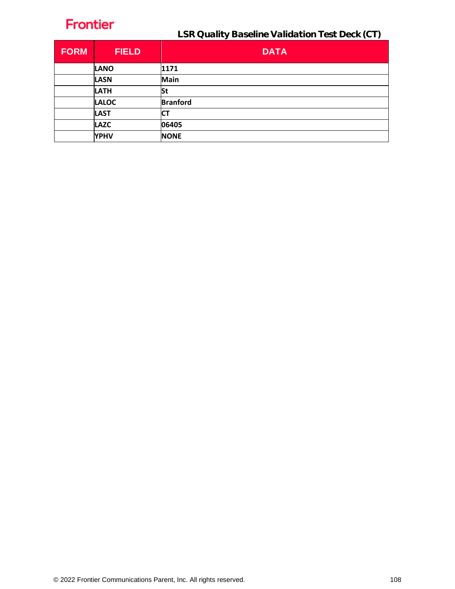| <b>FORM</b> | <b>FIELD</b> | <b>DATA</b>     |
|-------------|--------------|-----------------|
|             | <b>LANO</b>  | 1171            |
|             | <b>LASN</b>  | Main            |
|             | <b>LATH</b>  | St              |
|             | <b>LALOC</b> | <b>Branford</b> |
|             | <b>LAST</b>  | C1              |
|             | <b>LAZC</b>  | 06405           |
|             | <b>YPHV</b>  | <b>NONE</b>     |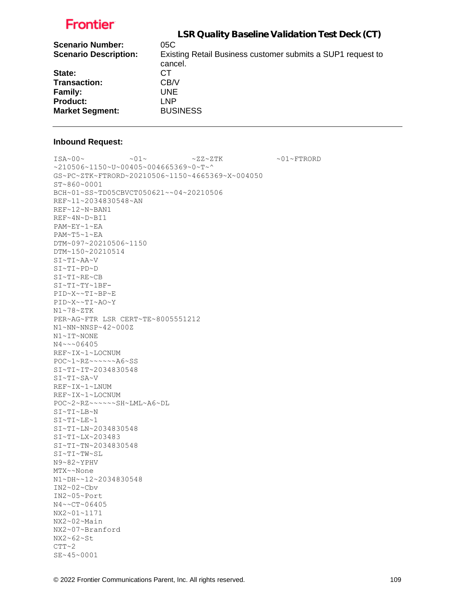|                              | LSR Quality Baseline Validation Test Deck (CT)              |
|------------------------------|-------------------------------------------------------------|
| <b>Scenario Number:</b>      | 05C                                                         |
| <b>Scenario Description:</b> | Existing Retail Business customer submits a SUP1 request to |
|                              | cancel.                                                     |
| State:                       | CТ                                                          |
| <b>Transaction:</b>          | CB/V                                                        |
| <b>Family:</b>               | <b>UNE</b>                                                  |
| <b>Product:</b>              | <b>LNP</b>                                                  |
| <b>Market Segment:</b>       | <b>BUSINESS</b>                                             |
|                              |                                                             |

#### **Inbound Request:**

 $\sim 01 \times 100 \times 100 \times 27 \times 27 \times 500 \times 100 \times 100 \times 100 \times 100 \times 100 \times 100 \times 100 \times 100 \times 100 \times 100 \times 100 \times 100 \times 100 \times 100 \times 100 \times 100 \times 100 \times 100 \times 100 \times 100 \times 100 \times 100 \times 100 \times 100 \times 100 \times 100 \times 100 \times 100 \times 100 \times 100 \times 100 \$ ~210506~1150~U~00405~004665369~0~T~^ GS~PC~ZTK~FTRORD~20210506~1150~4665369~X~004050 ST~860~0001 BCH~01~SS~TD05CBVCT050621~~04~20210506 REF~11~2034830548~AN REF~12~N~BAN1 REF~4N~D~BI1 PAM~EY~1~EA PAM~T5~1~EA DTM~097~20210506~1150 DTM~150~20210514 SI~TI~AA~V SI~TI~PD~D SI~TI~RE~CB SI~TI~TY~1BF-PID~X~~TI~BP~E PID~X~~TI~AO~Y N1~78~ZTK PER~AG~FTR LSR CERT~TE~8005551212 N1~NN~NNSP~42~000Z N1~IT~NONE N4~~~06405 REF~IX~1~LOCNUM POC~1~RZ~~~~~~A6~SS SI~TI~IT~2034830548 SI~TI~SA~V REF~IX~1~LNUM REF~IX~1~LOCNUM POC~2~RZ~~~~~~SH~LML~A6~DL SI~TI~LB~N SI~TI~LE~1 SI~TI~LN~2034830548 SI~TI~LX~203483 SI~TI~TN~2034830548 SI~TI~TW~SL N9~82~YPHV MTX~~None N1~DH~~12~2034830548 IN2~02~Cbv IN2~05~Port N4~~CT~06405 NX2~01~1171 NX2~02~Main NX2~07~Branford NX2~62~St  $CTT~2$ 

SE~45~0001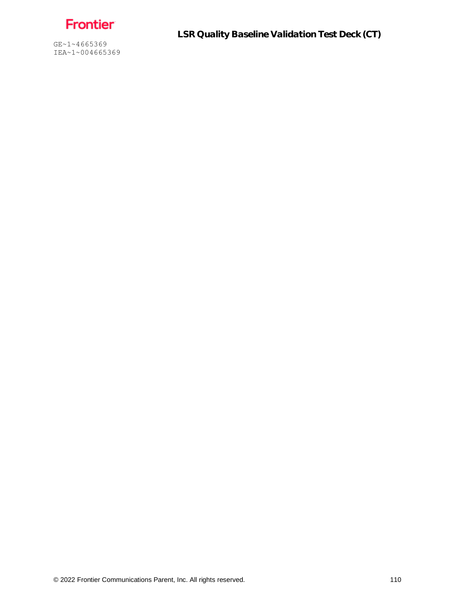Frontier

GE~1~4665369 IEA~1~004665369 LSR Quality Baseline Validation Test Deck (CT)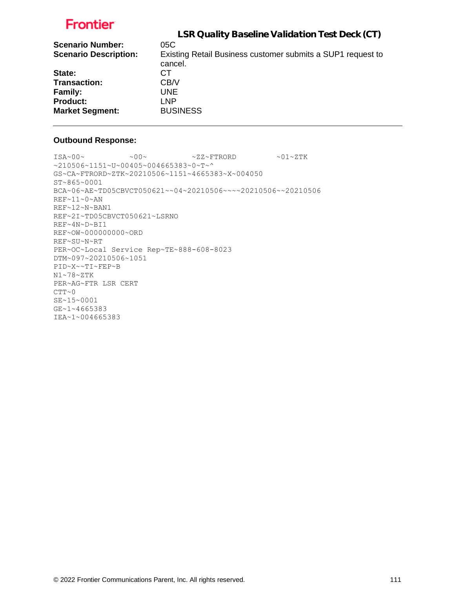|                              | LSR Quality Baseline Validation Test Deck (CT)                         |
|------------------------------|------------------------------------------------------------------------|
| <b>Scenario Number:</b>      | 05C                                                                    |
| <b>Scenario Description:</b> | Existing Retail Business customer submits a SUP1 request to<br>cancel. |
| State:                       | CТ                                                                     |
| <b>Transaction:</b>          | CB/V                                                                   |
| <b>Family:</b>               | UNE.                                                                   |
| <b>Product:</b>              | <b>LNP</b>                                                             |
| <b>Market Segment:</b>       | <b>BUSINESS</b>                                                        |

### **Outbound Response:**

 $\sim 00\sim \text{ 100} \times 2\text{K}^2 + 2\text{K}^2$ ~210506~1151~U~00405~004665383~0~T~^ GS~CA~FTRORD~ZTK~20210506~1151~4665383~X~004050 ST~865~0001 BCA~06~AE~TD05CBVCT050621~~04~20210506~~~~20210506~~20210506 REF~11~0~AN REF~12~N~BAN1 REF~2I~TD05CBVCT050621~LSRNO REF~4N~D~BI1 REF~OW~000000000~ORD REF~SU~N~RT PER~OC~Local Service Rep~TE~888-608-8023 DTM~097~20210506~1051 PID~X~~TI~FEP~B N1~78~ZTK PER~AG~FTR LSR CERT  $CTT~0$ SE~15~0001 GE~1~4665383 IEA~1~004665383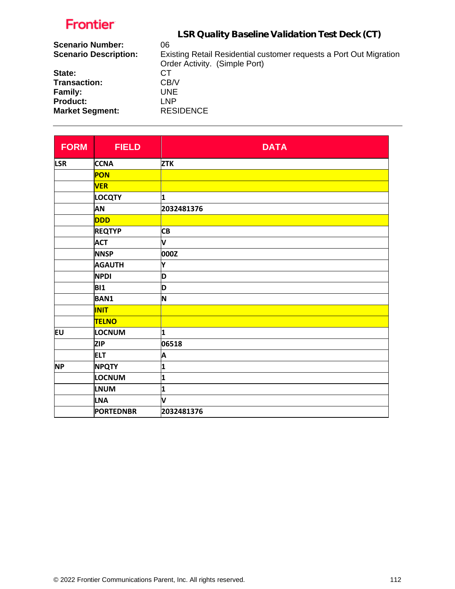|                              | LSR Quality Baseline Validation Test Deck (CT)                     |
|------------------------------|--------------------------------------------------------------------|
| <b>Scenario Number:</b>      | 06                                                                 |
| <b>Scenario Description:</b> | Existing Retail Residential customer requests a Port Out Migration |
|                              | Order Activity. (Simple Port)                                      |
| State:                       | CТ                                                                 |
| Transaction:                 | CB/V                                                               |
| Family:                      | UNE.                                                               |
| <b>Product:</b>              | <b>LNP</b>                                                         |
| <b>Market Segment:</b>       | <b>RESIDENCE</b>                                                   |
|                              |                                                                    |

| <b>FORM</b> | <b>FIELD</b>     | <b>DATA</b> |
|-------------|------------------|-------------|
| <b>LSR</b>  | <b>CCNA</b>      | <b>ZTK</b>  |
|             | PON              |             |
|             | <b>VER</b>       |             |
|             | <b>LOCQTY</b>    | 1           |
|             | <b>AN</b>        | 2032481376  |
|             | <b>DDD</b>       |             |
|             | <b>REQTYP</b>    | <b>CB</b>   |
|             | <b>ACT</b>       | V           |
|             | <b>NNSP</b>      | 000Z        |
|             | <b>AGAUTH</b>    | Υ           |
|             | <b>NPDI</b>      | D           |
|             | <b>BI1</b>       | D           |
|             | <b>BAN1</b>      | N           |
|             | <b>INIT</b>      |             |
|             | <b>TELNO</b>     |             |
| EU          | LOCNUM           | 1           |
|             | <b>ZIP</b>       | 06518       |
|             | <b>ELT</b>       | A           |
| <b>NP</b>   | <b>NPQTY</b>     | 1           |
|             | LOCNUM           | 1           |
|             | <b>LNUM</b>      | 1           |
|             | <b>LNA</b>       | V           |
|             | <b>PORTEDNBR</b> | 2032481376  |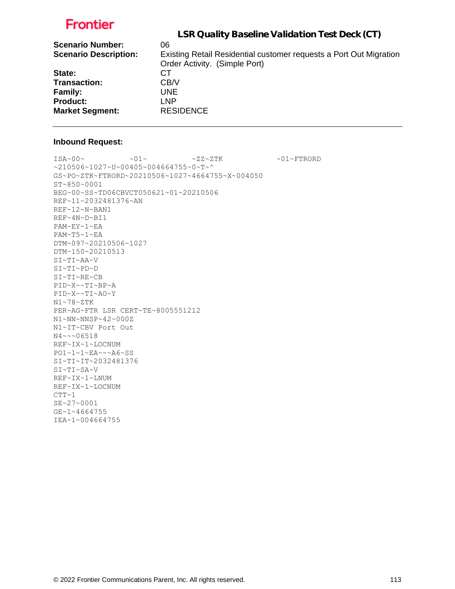| LSR Quality Baseline Validation Test Deck (CT)                     |
|--------------------------------------------------------------------|
| 06                                                                 |
| Existing Retail Residential customer requests a Port Out Migration |
| Order Activity. (Simple Port)                                      |
| CТ                                                                 |
| CB/V                                                               |
| UNE.                                                               |
| <b>LNP</b>                                                         |
| <b>RESIDENCE</b>                                                   |
|                                                                    |

#### **Inbound Request:**

 $\text{ISA~00~} \sim \text{O1~} \sim 01 \sim \text{O1~} \sim \text{ZZ~ZTK}$  .  $\sim 01 \sim \text{FTRORD}$ ~210506~1027~U~00405~004664755~0~T~^ GS~PO~ZTK~FTRORD~20210506~1027~4664755~X~004050 ST~850~0001 BEG~00~SS~TD06CBVCT050621~01~20210506 REF~11~2032481376~AN REF~12~N~BAN1 REF~4N~D~BI1 PAM~EY~1~EA PAM~T5~1~EA DTM~097~20210506~1027 DTM~150~20210513 SI~TI~AA~V SI~TI~PD~D SI~TI~RE~CB PID~X~~TI~BP~A PID~X~~TI~AO~Y N1~78~ZTK PER~AG~FTR LSR CERT~TE~8005551212 N1~NN~NNSP~42~000Z N1~IT~CBV Port Out N4~~~06518 REF~IX~1~LOCNUM PO1~1~1~EA~~~A6~SS SI~TI~IT~2032481376 SI~TI~SA~V REF~IX~1~LNUM REF~IX~1~LOCNUM  $CTT~1$ SE~27~0001 GE~1~4664755 IEA~1~004664755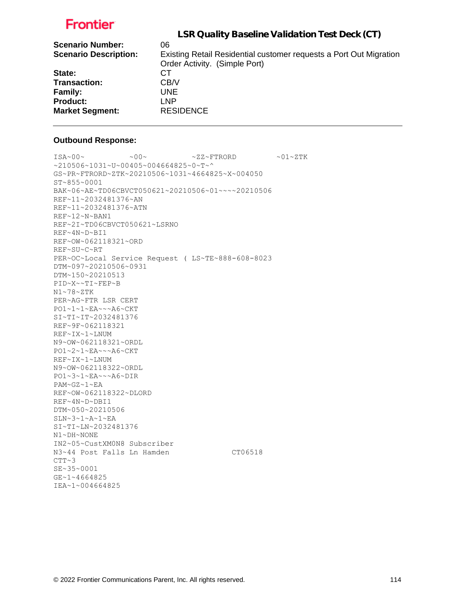| LSR Quality Baseline Validation Test Deck (CT)                     |
|--------------------------------------------------------------------|
| 06                                                                 |
| Existing Retail Residential customer requests a Port Out Migration |
| Order Activity. (Simple Port)                                      |
| CТ                                                                 |
| CB/V                                                               |
| UNE.                                                               |
| LNP                                                                |
| <b>RESIDENCE</b>                                                   |
|                                                                    |

### **Outbound Response:**

```
ISA~00~\sim ~00~\sim ~00~\sim ~01~\sim ZZ~\sim FTRORD ~01~\sim 2.1~\sim Z TK
~10506~1031~v~00405~v004664825~v0~r~GS~PR~FTRORD~ZTK~20210506~1031~4664825~X~004050
ST~855~0001
BAK~06~AE~TD06CBVCT050621~20210506~01~~~~20210506
REF~11~2032481376~AN
REF~11~2032481376~ATN
REF~12~N~BAN1
REF~2I~TD06CBVCT050621~LSRNO
REF~4N~D~BI1
REF~OW~062118321~ORD
REF~SU~C~RT
PER~OC~Local Service Request ( LS~TE~888-608-8023
DTM~097~20210506~0931
DTM~150~20210513
PID~X~~TI~FEP~B
N1~78~ZTK
PER~AG~FTR LSR CERT
PO1~1~1~EA~~~A6~CKT
SI~TI~IT~2032481376
REF~9F~062118321
REF~IX~1~LNUM
N9~OW~062118321~ORDL
PO1~2~1~EA~~~A6~CKT
REF~IX~1~LNUM
N9~OW~062118322~ORDL
PO1~3~1~EA~~~A6~DIR
PAM~GZ~1~EA
REF~OW~062118322~DLORD
REF~4N~D~DBI1
DTM~050~20210506
SLN~3~1~A~1~EA
SI~TI~LN~2032481376
N1~DH~NONE
IN2~05~CustXM0N8 Subscriber
N3~44 Post Falls Ln Hamden CT06518
CTT~3SE~35~0001
GE~1~4664825
IEA~1~004664825
```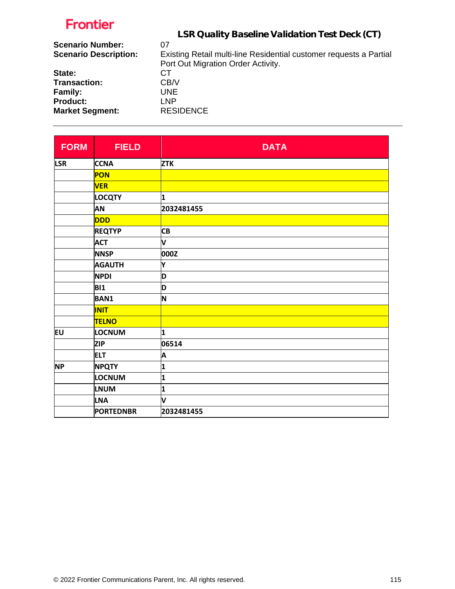|                              | LSR Quality Baseline Validation Test Deck (CT)                     |
|------------------------------|--------------------------------------------------------------------|
| <b>Scenario Number:</b>      | 07                                                                 |
| <b>Scenario Description:</b> | Existing Retail multi-line Residential customer requests a Partial |
|                              | Port Out Migration Order Activity.                                 |
| State:                       | CТ                                                                 |
| <b>Transaction:</b>          | CB/V                                                               |
| <b>Family:</b>               | UNE.                                                               |
| <b>Product:</b>              | <b>LNP</b>                                                         |
| <b>Market Segment:</b>       | <b>RESIDENCE</b>                                                   |

| <b>FORM</b> | <b>FIELD</b>     | <b>DATA</b> |
|-------------|------------------|-------------|
| <b>LSR</b>  | <b>CCNA</b>      | <b>ZTK</b>  |
|             | PON              |             |
|             | <b>VER</b>       |             |
|             | <b>LOCQTY</b>    | 1           |
|             | AN               | 2032481455  |
|             | <b>DDD</b>       |             |
|             | <b>REQTYP</b>    | <b>CB</b>   |
|             | <b>ACT</b>       | V           |
|             | <b>NNSP</b>      | 000Z        |
|             | <b>AGAUTH</b>    | Y           |
|             | <b>NPDI</b>      | D           |
|             | <b>BI1</b>       | D           |
|             | <b>BAN1</b>      | N           |
|             | <b>INIT</b>      |             |
|             | <b>TELNO</b>     |             |
| EU          | LOCNUM           | 1           |
|             | <b>ZIP</b>       | 06514       |
|             | <b>ELT</b>       | A           |
| <b>NP</b>   | <b>NPQTY</b>     | 1           |
|             | LOCNUM           | 1           |
|             | <b>LNUM</b>      | 1           |
|             | <b>LNA</b>       | V           |
|             | <b>PORTEDNBR</b> | 2032481455  |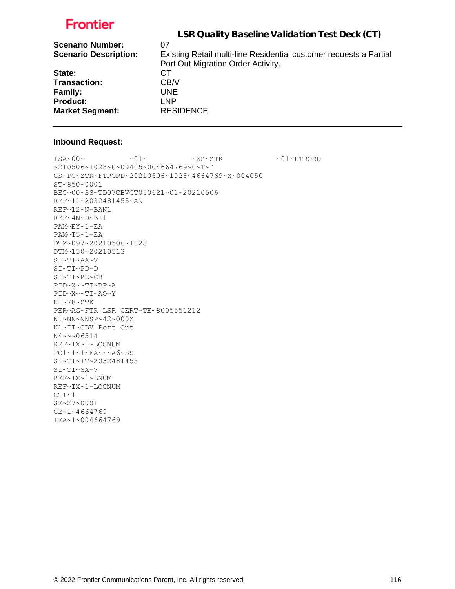|                              | LSR Quality Baseline Validation Test Deck (CT)                     |
|------------------------------|--------------------------------------------------------------------|
| <b>Scenario Number:</b>      | 07                                                                 |
| <b>Scenario Description:</b> | Existing Retail multi-line Residential customer requests a Partial |
|                              | Port Out Migration Order Activity.                                 |
| State:                       | CТ                                                                 |
| <b>Transaction:</b>          | CB/V                                                               |
| <b>Family:</b>               | UNE.                                                               |
| <b>Product:</b>              | <b>LNP</b>                                                         |
| <b>Market Segment:</b>       | <b>RESIDENCE</b>                                                   |

#### **Inbound Request:**

 $\sim 01 \sim \textrm{N} \sim 01 \sim \textrm{N} \sim 27 \sim 2 \, \textrm{N} \, \textrm{N} \, \textrm{N} \, \textrm{N} \, \textrm{N} \, \textrm{N} \, \textrm{N} \, \textrm{N} \, \textrm{N} \, \textrm{N} \, \textrm{N} \, \textrm{N} \, \textrm{N} \, \textrm{N} \, \textrm{N} \, \textrm{N} \, \textrm{N} \, \textrm{N} \, \textrm{N} \, \textrm{N} \, \$ ~210506~1028~U~00405~004664769~0~T~^ GS~PO~ZTK~FTRORD~20210506~1028~4664769~X~004050 ST~850~0001 BEG~00~SS~TD07CBVCT050621~01~20210506 REF~11~2032481455~AN REF~12~N~BAN1 REF~4N~D~BI1 PAM~EY~1~EA PAM~T5~1~EA DTM~097~20210506~1028 DTM~150~20210513 SI~TI~AA~V SI~TI~PD~D SI~TI~RE~CB PID~X~~TI~BP~A PID~X~~TI~AO~Y N1~78~ZTK PER~AG~FTR LSR CERT~TE~8005551212 N1~NN~NNSP~42~000Z N1~IT~CBV Port Out N4~~~06514 REF~IX~1~LOCNUM PO1~1~1~EA~~~A6~SS SI~TI~IT~2032481455 SI~TI~SA~V REF~IX~1~LNUM REF~IX~1~LOCNUM  $CTT~1$ SE~27~0001 GE~1~4664769 IEA~1~004664769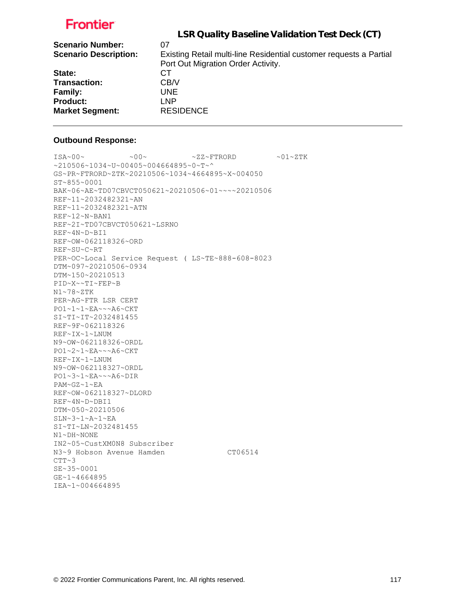| LSR Quality Baseline Validation Test Deck (CT)                     |
|--------------------------------------------------------------------|
| 07                                                                 |
| Existing Retail multi-line Residential customer requests a Partial |
| Port Out Migration Order Activity.                                 |
| СT                                                                 |
| CB/V                                                               |
| UNE.                                                               |
| <b>LNP</b>                                                         |
| <b>RESIDENCE</b>                                                   |
|                                                                    |

#### **Outbound Response:**

```
ISA~00~\sim ~00~\sim ~00~\sim ~01~\sim ZZ~\sim FTRORD ~01~\sim 2.1~\sim Z TK
~10506~1034~v~10405~004664895~0~T~^
GS~PR~FTRORD~ZTK~20210506~1034~4664895~X~004050
ST~855~0001
BAK~06~AE~TD07CBVCT050621~20210506~01~~~~20210506
REF~11~2032482321~AN
REF~11~2032482321~ATN
REF~12~N~BAN1
REF~2I~TD07CBVCT050621~LSRNO
REF~4N~D~BI1
REF~OW~062118326~ORD
REF~SU~C~RT
PER~OC~Local Service Request ( LS~TE~888-608-8023
DTM~097~20210506~0934
DTM~150~20210513
PID~X~~TI~FEP~B
N1~78~ZTK
PER~AG~FTR LSR CERT
PO1~1~1~EA~~~A6~CKT
SI~TI~IT~2032481455
REF~9F~062118326
REF~IX~1~LNUM
N9~OW~062118326~ORDL
PO1~2~1~EA~~~A6~CKT
REF~IX~1~LNUM
N9~OW~062118327~ORDL
PO1~3~1~EA~~~A6~DIR
PAM~GZ~1~EA
REF~OW~062118327~DLORD
REF~4N~D~DBI1
DTM~050~20210506
SLN~3~1~A~1~EA
SI~TI~LN~2032481455
N1~DH~NONE
IN2~05~CustXM0N8 Subscriber
N3~9 Hobson Avenue Hamden CT06514
CTT~3SE~35~0001
GE~1~4664895
IEA~1~004664895
```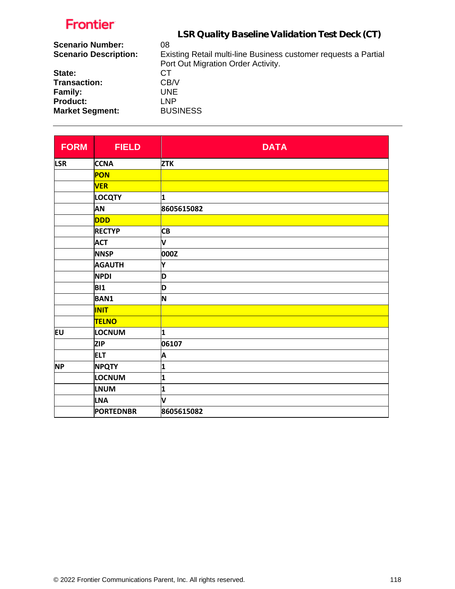|                              | LSR Quality Baseline Validation Test Deck (CT)                  |
|------------------------------|-----------------------------------------------------------------|
| <b>Scenario Number:</b>      | 08                                                              |
| <b>Scenario Description:</b> | Existing Retail multi-line Business customer requests a Partial |
|                              | Port Out Migration Order Activity.                              |
| State:                       | СT                                                              |
| <b>Transaction:</b>          | CB/V                                                            |
| <b>Family:</b>               | <b>UNE</b>                                                      |
| <b>Product:</b>              | LNP.                                                            |
| <b>Market Segment:</b>       | <b>BUSINESS</b>                                                 |

| <b>FORM</b> | <b>FIELD</b>     | <b>DATA</b> |
|-------------|------------------|-------------|
| <b>LSR</b>  | <b>CCNA</b>      | <b>ZTK</b>  |
|             | PON              |             |
|             | <b>VER</b>       |             |
|             | <b>LOCQTY</b>    | 1           |
|             | AN               | 8605615082  |
|             | <b>DDD</b>       |             |
|             | <b>RECTYP</b>    | <b>CB</b>   |
|             | <b>ACT</b>       | V           |
|             | <b>NNSP</b>      | 000Z        |
|             | <b>AGAUTH</b>    | Y           |
|             | <b>NPDI</b>      | D           |
|             | <b>BI1</b>       | D           |
|             | <b>BAN1</b>      | N           |
|             | <b>INIT</b>      |             |
|             | <b>TELNO</b>     |             |
| EU          | LOCNUM           | 1           |
|             | <b>ZIP</b>       | 06107       |
|             | <b>ELT</b>       | A           |
| <b>NP</b>   | <b>NPQTY</b>     | 1           |
|             | LOCNUM           | 1           |
|             | <b>LNUM</b>      | 1           |
|             | <b>LNA</b>       | V           |
|             | <b>PORTEDNBR</b> | 8605615082  |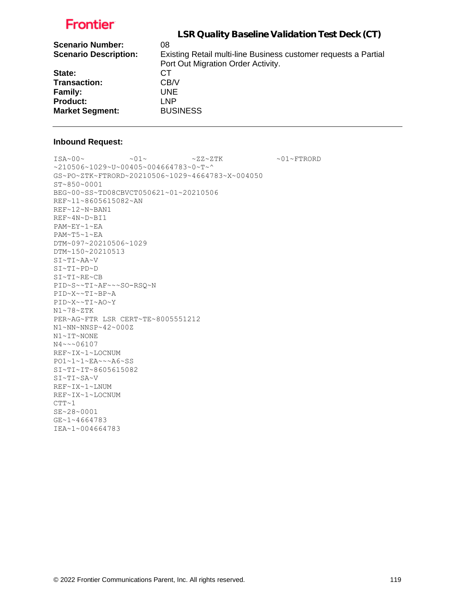|                              | LSR Quality Baseline Validation Test Deck (CT)                  |
|------------------------------|-----------------------------------------------------------------|
| <b>Scenario Number:</b>      | 08                                                              |
| <b>Scenario Description:</b> | Existing Retail multi-line Business customer requests a Partial |
|                              | Port Out Migration Order Activity.                              |
| State:                       | CТ                                                              |
| <b>Transaction:</b>          | CB/V                                                            |
| <b>Family:</b>               | <b>UNE</b>                                                      |
| <b>Product:</b>              | LNP.                                                            |
| <b>Market Segment:</b>       | <b>BUSINESS</b>                                                 |

#### **Inbound Request:**

 $\text{ISA~00~} \sim \text{O1~} \sim 01 \sim \text{O1~} \sim \text{ZZ~ZTK}$  .  $\sim 01 \sim \text{FTRORD}$ ~210506~1029~U~00405~004664783~0~T~^ GS~PO~ZTK~FTRORD~20210506~1029~4664783~X~004050 ST~850~0001 BEG~00~SS~TD08CBVCT050621~01~20210506 REF~11~8605615082~AN REF~12~N~BAN1 REF~4N~D~BI1 PAM~EY~1~EA PAM~T5~1~EA DTM~097~20210506~1029 DTM~150~20210513 SI~TI~AA~V SI~TI~PD~D SI~TI~RE~CB PID~S~~TI~AF~~~SO-RSQ~N PID~X~~TI~BP~A PID~X~~TI~AO~Y N1~78~ZTK PER~AG~FTR LSR CERT~TE~8005551212 N1~NN~NNSP~42~000Z N1~IT~NONE N4~~~06107 REF~IX~1~LOCNUM PO1~1~1~EA~~~A6~SS SI~TI~IT~8605615082 SI~TI~SA~V REF~IX~1~LNUM REF~IX~1~LOCNUM  $CTT~1$ SE~28~0001 GE~1~4664783 IEA~1~004664783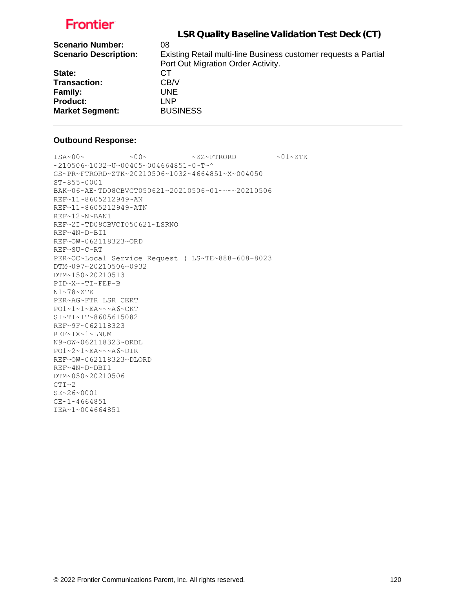| LSR Quality Baseline Validation Test Deck (CT)                  |
|-----------------------------------------------------------------|
| 08                                                              |
| Existing Retail multi-line Business customer requests a Partial |
| Port Out Migration Order Activity.                              |
| CТ                                                              |
| CB/V                                                            |
| UNE.                                                            |
| <b>LNP</b>                                                      |
| <b>BUSINESS</b>                                                 |
|                                                                 |

#### **Outbound Response:**

```
ISA~00~\sim ~00~\sim ~00~\sim ~0.727~\rm{F} ~0.01~\rm{F}~210506~1032~U~00405~004664851~0~T~^
GS~PR~FTRORD~ZTK~20210506~1032~4664851~X~004050
ST~855~0001
BAK~06~AE~TD08CBVCT050621~20210506~01~~~~20210506
REF~11~8605212949~AN
REF~11~8605212949~ATN
REF~12~N~BAN1
REF~2I~TD08CBVCT050621~LSRNO
REF~4N~D~BI1
REF~OW~062118323~ORD
REF~SU~C~RT
PER~OC~Local Service Request ( LS~TE~888-608-8023
DTM~097~20210506~0932
DTM~150~20210513
PID~X~~TI~FEP~B
N1~78~ZTK
PER~AG~FTR LSR CERT
PO1~1~1~EA~~~A6~CKT
SI~TI~IT~8605615082
REF~9F~062118323
REF~IX~1~LNUM
N9~OW~062118323~ORDL
PO1~2~1~EA~~~A6~DIR
REF~OW~062118323~DLORD
REF~4N~D~DBI1
DTM~050~20210506
CTT~2SE~26~0001
GE~1~4664851
IEA~1~004664851
```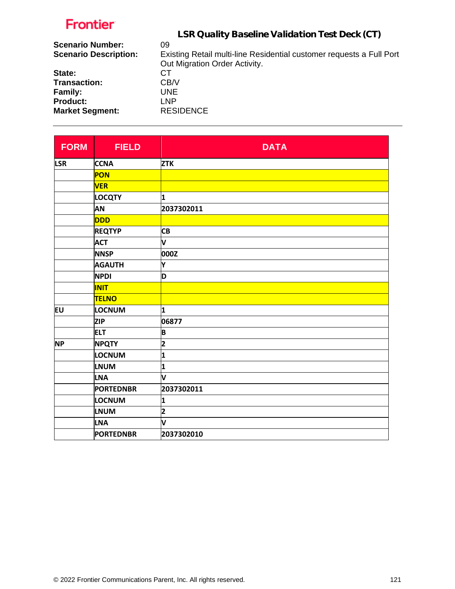|                              | LSR Quality Baseline Validation Test Deck (CT)                       |
|------------------------------|----------------------------------------------------------------------|
| <b>Scenario Number:</b>      | 09                                                                   |
| <b>Scenario Description:</b> | Existing Retail multi-line Residential customer requests a Full Port |
|                              | Out Migration Order Activity.                                        |
| State:                       | CТ                                                                   |
| <b>Transaction:</b>          | CB/V                                                                 |
| Family:                      | UNE.                                                                 |
| <b>Product:</b>              | <b>LNP</b>                                                           |
| <b>Market Segment:</b>       | <b>RESIDENCE</b>                                                     |
|                              |                                                                      |

| <b>FORM</b> | <b>FIELD</b>     | <b>DATA</b> |
|-------------|------------------|-------------|
| <b>LSR</b>  | <b>CCNA</b>      | <b>ZTK</b>  |
|             | <b>PON</b>       |             |
|             | <b>VER</b>       |             |
|             | <b>LOCQTY</b>    | 1           |
|             | <b>AN</b>        | 2037302011  |
|             | <b>DDD</b>       |             |
|             | <b>REQTYP</b>    | <b>CB</b>   |
|             | <b>ACT</b>       | V           |
|             | <b>NNSP</b>      | 000Z        |
|             | <b>AGAUTH</b>    | Υ           |
|             | <b>NPDI</b>      | D           |
|             | <b>INIT</b>      |             |
|             | <b>TELNO</b>     |             |
| EU          | LOCNUM           | 1           |
|             | <b>ZIP</b>       | 06877       |
|             | <b>ELT</b>       | B           |
| <b>NP</b>   | <b>NPQTY</b>     | 2           |
|             | LOCNUM           | 1           |
|             | <b>LNUM</b>      | 1           |
|             | <b>LNA</b>       | V           |
|             | <b>PORTEDNBR</b> | 2037302011  |
|             | LOCNUM           | 1           |
|             | <b>LNUM</b>      | 2           |
|             | <b>LNA</b>       | V           |
|             | <b>PORTEDNBR</b> | 2037302010  |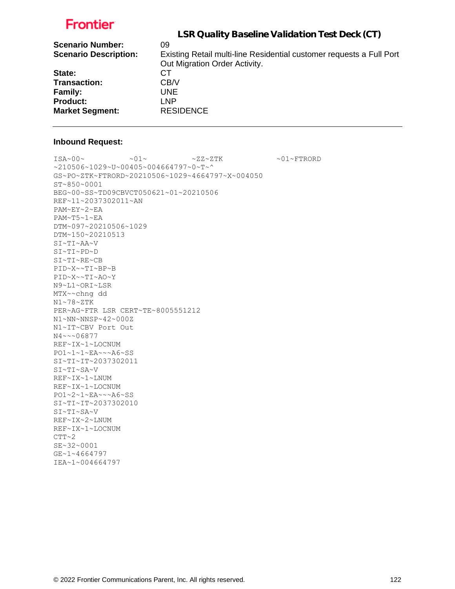|                              | LSR Quality Baseline Validation Test Deck (CT)                       |
|------------------------------|----------------------------------------------------------------------|
| <b>Scenario Number:</b>      | 09                                                                   |
| <b>Scenario Description:</b> | Existing Retail multi-line Residential customer requests a Full Port |
|                              | Out Migration Order Activity.                                        |
| State:                       | CТ                                                                   |
| <b>Transaction:</b>          | CB/V                                                                 |
| <b>Family:</b>               | UNE.                                                                 |
| <b>Product:</b>              | <b>LNP</b>                                                           |
| <b>Market Segment:</b>       | <b>RESIDENCE</b>                                                     |
|                              |                                                                      |

#### **Inbound Request:**

 $\sim 01 \times 100 \times 100 \times 27 \times 27 \times 500 \times 100 \times 27 \times 500 \times 100 \times 100 \times 100 \times 100 \times 100 \times 100 \times 100 \times 100 \times 100 \times 100 \times 100 \times 100 \times 100 \times 100 \times 100 \times 100 \times 100 \times 100 \times 100 \times 100 \times 100 \times 100 \times 100 \times 100 \times 100 \times 100 \times 100 \times 100 \times$ ~210506~1029~U~00405~004664797~0~T~^ GS~PO~ZTK~FTRORD~20210506~1029~4664797~X~004050 ST~850~0001 BEG~00~SS~TD09CBVCT050621~01~20210506 REF~11~2037302011~AN PAM~EY~2~EA PAM~T5~1~EA DTM~097~20210506~1029 DTM~150~20210513 SI~TI~AA~V SI~TI~PD~D SI~TI~RE~CB PID~X~~TI~BP~B PID~X~~TI~AO~Y N9~L1~ORI~LSR MTX~~chng dd N1~78~ZTK PER~AG~FTR LSR CERT~TE~8005551212 N1~NN~NNSP~42~000Z N1~IT~CBV Port Out N4~~~06877 REF~IX~1~LOCNUM PO1~1~1~EA~~~A6~SS SI~TI~IT~2037302011 SI~TI~SA~V REF~IX~1~LNUM REF~IX~1~LOCNUM PO1~2~1~EA~~~A6~SS SI~TI~IT~2037302010 SI~TI~SA~V REF~IX~2~LNUM REF~IX~1~LOCNUM  $CTT~2$ SE~32~0001 GE~1~4664797 IEA~1~004664797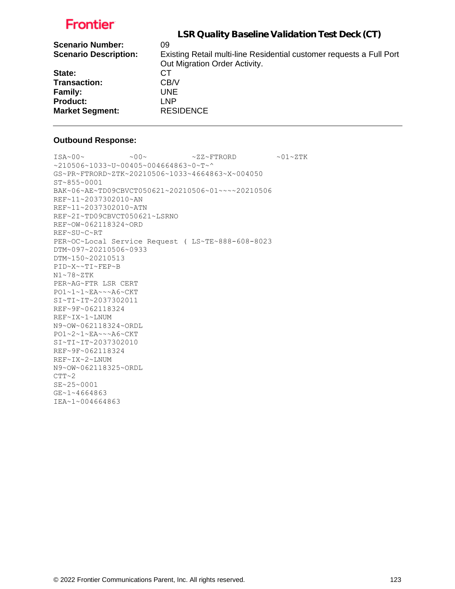| LSR Quality Baseline Validation Test Deck (CT)                       |
|----------------------------------------------------------------------|
| 09                                                                   |
| Existing Retail multi-line Residential customer requests a Full Port |
| Out Migration Order Activity.                                        |
| CТ                                                                   |
| CB/V                                                                 |
| UNE.                                                                 |
| LNP                                                                  |
| <b>RESIDENCE</b>                                                     |
|                                                                      |

#### **Outbound Response:**

```
ISA~00~\sim ~00~\sim ~00~\sim ~0.727~\rm{F} ~0.01~\rm{F}~210506~1033~U~00405~004664863~0~T~^
GS~PR~FTRORD~ZTK~20210506~1033~4664863~X~004050
ST~855~0001
BAK~06~AE~TD09CBVCT050621~20210506~01~~~~20210506
REF~11~2037302010~AN
REF~11~2037302010~ATN
REF~2I~TD09CBVCT050621~LSRNO
REF~OW~062118324~ORD
REF~SU~C~RT
PER~OC~Local Service Request ( LS~TE~888-608-8023
DTM~097~20210506~0933
DTM~150~20210513
PID~X~~TI~FEP~B
N1~78~ZTK
PER~AG~FTR LSR CERT
PO1~1~1~EA~~~A6~CKT
SI~TI~IT~2037302011
REF~9F~062118324
REF~IX~1~LNUM
N9~OW~062118324~ORDL
PO1~2~1~EA~~~A6~CKT
SI~TI~IT~2037302010
REF~9F~062118324
REF~IX~2~LNUM
N9~OW~062118325~ORDL
CTT~2SE~25~0001
GE~1~4664863
IEA~1~004664863
```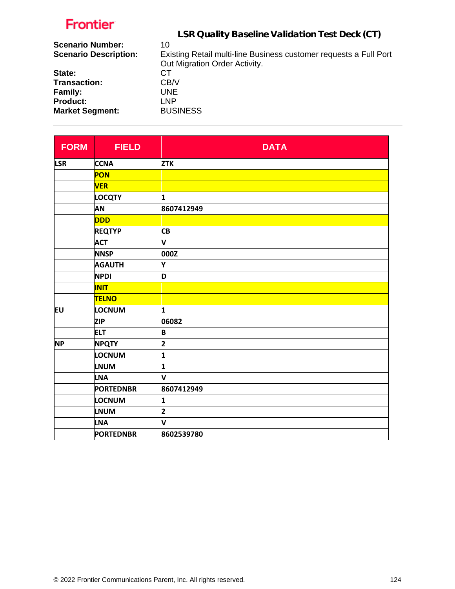|                              | LSR Quality Baseline Validation Test Deck (CT)                    |
|------------------------------|-------------------------------------------------------------------|
| <b>Scenario Number:</b>      | 10                                                                |
| <b>Scenario Description:</b> | Existing Retail multi-line Business customer requests a Full Port |
|                              | Out Migration Order Activity.                                     |
| State:                       | СT                                                                |
| <b>Transaction:</b>          | CB/V                                                              |
| <b>Family:</b>               | UNE.                                                              |
| <b>Product:</b>              | LNP                                                               |
| <b>Market Segment:</b>       | <b>BUSINESS</b>                                                   |
|                              |                                                                   |

| <b>FORM</b> | <b>FIELD</b>     | <b>DATA</b>             |
|-------------|------------------|-------------------------|
| <b>LSR</b>  | <b>CCNA</b>      | <b>ZTK</b>              |
|             | PON              |                         |
|             | <b>VER</b>       |                         |
|             | <b>LOCQTY</b>    | 1                       |
|             | AN               | 8607412949              |
|             | <b>DDD</b>       |                         |
|             | <b>REQTYP</b>    | <b>CB</b>               |
|             | <b>ACT</b>       | V                       |
|             | <b>NNSP</b>      | 000Z                    |
|             | <b>AGAUTH</b>    | Υ                       |
|             | <b>NPDI</b>      | D                       |
|             | <b>INIT</b>      |                         |
|             | <b>TELNO</b>     |                         |
| EU          | LOCNUM           | 1                       |
|             | <b>ZIP</b>       | 06082                   |
|             | <b>ELT</b>       | B                       |
| <b>NP</b>   | <b>NPQTY</b>     | $\overline{\mathbf{2}}$ |
|             | LOCNUM           | 1                       |
|             | <b>LNUM</b>      | 1                       |
|             | <b>LNA</b>       | V                       |
|             | <b>PORTEDNBR</b> | 8607412949              |
|             | LOCNUM           | 1                       |
|             | <b>LNUM</b>      | 2                       |
|             | <b>LNA</b>       | V                       |
|             | <b>PORTEDNBR</b> | 8602539780              |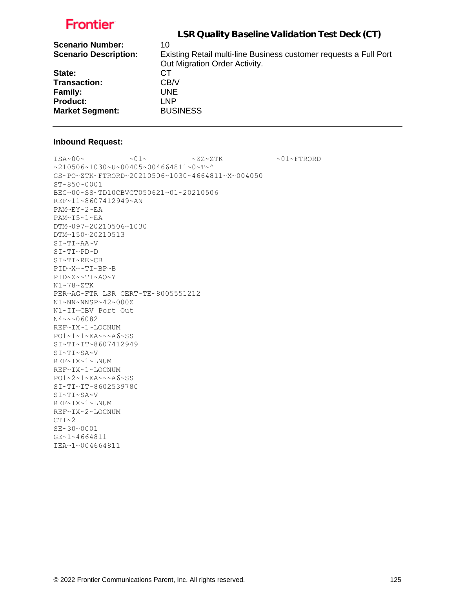|                              | LSR Quality Baseline Validation Test Deck (CT)                    |
|------------------------------|-------------------------------------------------------------------|
| <b>Scenario Number:</b>      | 10                                                                |
| <b>Scenario Description:</b> | Existing Retail multi-line Business customer requests a Full Port |
|                              | Out Migration Order Activity.                                     |
| State:                       | CТ                                                                |
| <b>Transaction:</b>          | CB/V                                                              |
| <b>Family:</b>               | UNE.                                                              |
| <b>Product:</b>              | <b>LNP</b>                                                        |
| <b>Market Segment:</b>       | <b>BUSINESS</b>                                                   |

### **Inbound Request:**

 $ISA~00~\sim$   $~01~\sim$   $~01~\sim$   $~2Z~2TK$   $~01~\sim$  FTRORD ~210506~1030~U~00405~004664811~0~T~^ GS~PO~ZTK~FTRORD~20210506~1030~4664811~X~004050 ST~850~0001 BEG~00~SS~TD10CBVCT050621~01~20210506 REF~11~8607412949~AN PAM~EY~2~EA PAM~T5~1~EA DTM~097~20210506~1030 DTM~150~20210513 SI~TI~AA~V SI~TI~PD~D SI~TI~RE~CB PID~X~~TI~BP~B PID~X~~TI~AO~Y N1~78~ZTK PER~AG~FTR LSR CERT~TE~8005551212 N1~NN~NNSP~42~000Z N1~IT~CBV Port Out N4~~~06082 REF~IX~1~LOCNUM PO1~1~1~EA~~~A6~SS SI~TI~IT~8607412949 SI~TI~SA~V REF~IX~1~LNUM REF~IX~1~LOCNUM PO1~2~1~EA~~~A6~SS SI~TI~IT~8602539780 SI~TI~SA~V REF~IX~1~LNUM REF~IX~2~LOCNUM  $CTT~2$ SE~30~0001 GE~1~4664811 IEA~1~004664811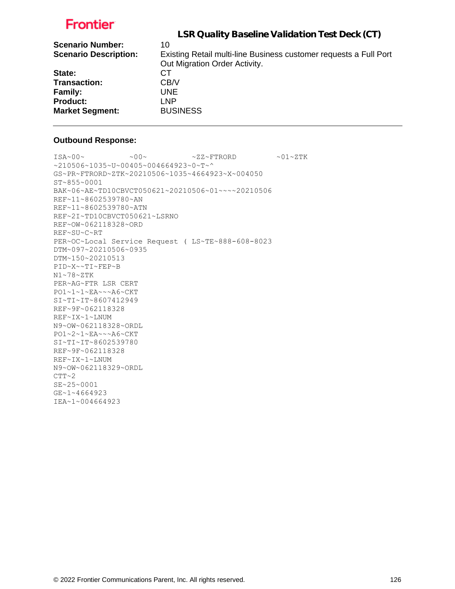|                              | LSR Quality Baseline Validation Test Deck (CT)                    |
|------------------------------|-------------------------------------------------------------------|
| <b>Scenario Number:</b>      | 10                                                                |
| <b>Scenario Description:</b> | Existing Retail multi-line Business customer requests a Full Port |
|                              | Out Migration Order Activity.                                     |
| State:                       | СT                                                                |
| <b>Transaction:</b>          | CB/V                                                              |
| <b>Family:</b>               | UNE.                                                              |
| <b>Product:</b>              | <b>LNP</b>                                                        |
| <b>Market Segment:</b>       | <b>BUSINESS</b>                                                   |

#### **Outbound Response:**

```
ISA~00~\sim ~00~\sim ~00~\sim ~0.727~\rm{F} ~0.01~\rm{F}~210506~1035~U~00405~004664923~0~T~^
GS~PR~FTRORD~ZTK~20210506~1035~4664923~X~004050
ST~855~0001
BAK~06~AE~TD10CBVCT050621~20210506~01~~~~20210506
REF~11~8602539780~AN
REF~11~8602539780~ATN
REF~2I~TD10CBVCT050621~LSRNO
REF~OW~062118328~ORD
REF~SU~C~RT
PER~OC~Local Service Request ( LS~TE~888-608-8023
DTM~097~20210506~0935
DTM~150~20210513
PID~X~~TI~FEP~B
N1~78~ZTK
PER~AG~FTR LSR CERT
PO1~1~1~EA~~~A6~CKT
SI~TI~IT~8607412949
REF~9F~062118328
REF~IX~1~LNUM
N9~OW~062118328~ORDL
PO1~2~1~EA~~~A6~CKT
SI~TI~IT~8602539780
REF~9F~062118328
REF~IX~1~LNUM
N9~OW~062118329~ORDL
CTT~2SE~25~0001
GE~1~4664923
IEA~1~004664923
```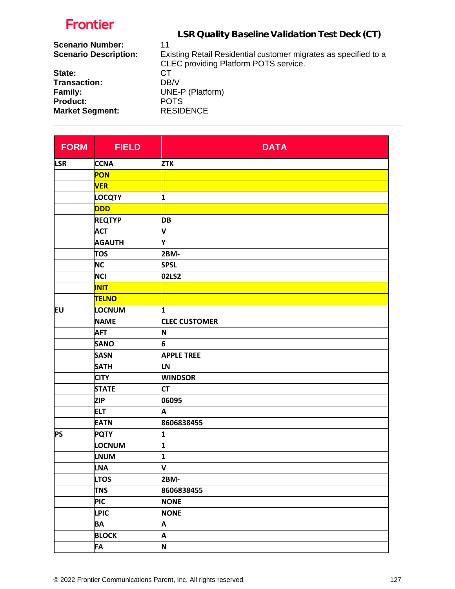| .                            |                                                                 |
|------------------------------|-----------------------------------------------------------------|
|                              | LSR Quality Baseline Validation Test Deck (CT)                  |
| <b>Scenario Number:</b>      | 11                                                              |
| <b>Scenario Description:</b> | Existing Retail Residential customer migrates as specified to a |
|                              | <b>CLEC</b> providing Platform POTS service.                    |
| State:                       | СT                                                              |
| <b>Transaction:</b>          | DB/V                                                            |
| Family:                      | UNE-P (Platform)                                                |
| <b>Product:</b>              | <b>POTS</b>                                                     |
| <b>Market Segment:</b>       | <b>RESIDENCE</b>                                                |
|                              |                                                                 |

| <b>FORM</b> | <b>FIELD</b>  | <b>DATA</b>          |
|-------------|---------------|----------------------|
| <b>LSR</b>  | <b>CCNA</b>   | <b>ZTK</b>           |
|             | PON           |                      |
|             | <b>VER</b>    |                      |
|             | <b>LOCQTY</b> | 1                    |
|             | DDD           |                      |
|             | <b>REQTYP</b> | <b>DB</b>            |
|             | <b>ACT</b>    | V                    |
|             | <b>AGAUTH</b> | Υ                    |
|             | <b>TOS</b>    | 2BM-                 |
|             | <b>NC</b>     | <b>SPSL</b>          |
|             | <b>NCI</b>    | 02LS2                |
|             | <b>INIT</b>   |                      |
|             | <b>TELNO</b>  |                      |
| EU          | LOCNUM        | 1                    |
|             | <b>NAME</b>   | <b>CLEC CUSTOMER</b> |
|             | <b>AFT</b>    | N                    |
|             | <b>SANO</b>   | 6                    |
|             | <b>SASN</b>   | <b>APPLE TREE</b>    |
|             | <b>SATH</b>   | <b>LN</b>            |
|             | <b>CITY</b>   | <b>WINDSOR</b>       |
|             | <b>STATE</b>  | <b>CT</b>            |
|             | <b>ZIP</b>    | 06095                |
|             | <b>ELT</b>    | A                    |
|             | <b>EATN</b>   | 8606838455           |
| <b>PS</b>   | <b>PQTY</b>   | 1                    |
|             | <b>LOCNUM</b> | 1                    |
|             | <b>LNUM</b>   | 1                    |
|             | <b>LNA</b>    | V                    |
|             | <b>LTOS</b>   | 2BM-                 |
|             | <b>TNS</b>    | 8606838455           |
|             | <b>PIC</b>    | <b>NONE</b>          |
|             | <b>LPIC</b>   | <b>NONE</b>          |
|             | <b>BA</b>     | A                    |
|             | <b>BLOCK</b>  | A                    |
|             | FA            | N                    |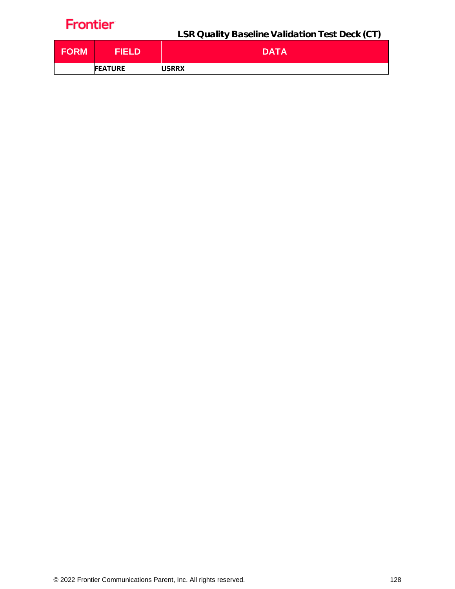LSR Quality Baseline Validation Test Deck (CT)

| <b>FORM</b> | FIELDI         | <b>DATA</b>   |
|-------------|----------------|---------------|
|             | <b>FEATURE</b> | <b>IU5RRX</b> |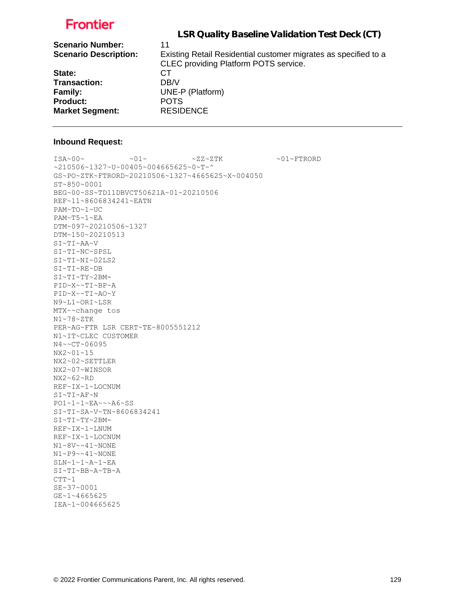| LSR Quality Baseline Validation Test Deck (CT)                  |
|-----------------------------------------------------------------|
| 11                                                              |
| Existing Retail Residential customer migrates as specified to a |
| <b>CLEC</b> providing Platform POTS service.                    |
| СT                                                              |
| DB/V                                                            |
| UNE-P (Platform)                                                |
| <b>POTS</b>                                                     |
| <b>RESIDENCE</b>                                                |
|                                                                 |

#### **Inbound Request:**

IEA~1~004665625

 $\sim 01 \times 100 \times 100 \times 27 \times 27 \times 500 \times 100 \times 100 \times 100 \times 100 \times 100 \times 100 \times 100 \times 100 \times 100 \times 100 \times 100 \times 100 \times 100 \times 100 \times 100 \times 100 \times 100 \times 100 \times 100 \times 100 \times 100 \times 100 \times 100 \times 100 \times 100 \times 100 \times 100 \times 100 \times 100 \times 100 \times 100 \$ ~210506~1327~U~00405~004665625~0~T~^ GS~PO~ZTK~FTRORD~20210506~1327~4665625~X~004050 ST~850~0001 BEG~00~SS~TD11DBVCT50621A~01~20210506 REF~11~8606834241~EATN PAM~TO~1~UC PAM~T5~1~EA DTM~097~20210506~1327 DTM~150~20210513 SI~TI~AA~V SI~TI~NC~SPSL SI~TI~NI~02LS2 SI~TI~RE~DB SI~TI~TY~2BM-PID~X~~TI~BP~A PID~X~~TI~AO~Y N9~L1~ORI~LSR MTX~~change tos N1~78~ZTK PER~AG~FTR LSR CERT~TE~8005551212 N1~IT~CLEC CUSTOMER N4~~CT~06095 NX2~01~15 NX2~02~SETTLER NX2~07~WINSOR NX2~62~RD REF~IX~1~LOCNUM SI~TI~AF~N PO1~1~1~EA~~~A6~SS SI~TI~SA~V~TN~8606834241 SI~TI~TY~2BM-REF~IX~1~LNUM REF~IX~1~LOCNUM N1~8V~~41~NONE N1~P9~~41~NONE SLN~1~1~A~1~EA SI~TI~BB~A~TB~A  $CTT~1$ SE~37~0001 GE~1~4665625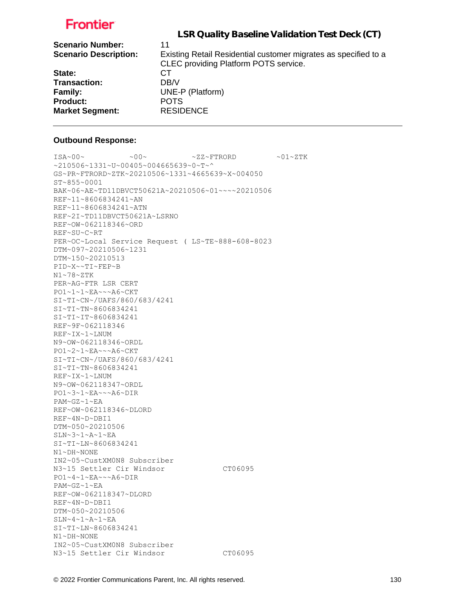| LSR Quality Baseline Validation Test Deck (CT)                  |
|-----------------------------------------------------------------|
| 11                                                              |
| Existing Retail Residential customer migrates as specified to a |
| <b>CLEC</b> providing Platform POTS service.                    |
| CТ                                                              |
| DB/V                                                            |
| UNE-P (Platform)                                                |
| <b>POTS</b>                                                     |
| <b>RESIDENCE</b>                                                |
|                                                                 |

#### **Outbound Response:**

 $ISA~00~\sim$   $\sim$  00 $\sim$   $\sim$   $2Z~\sim$  FTRORD  $\sim$  01 $\sim$  ZTK  $~10506~1331~$ v $~00405~$ v $004665639$ v $0~$ GS~PR~FTRORD~ZTK~20210506~1331~4665639~X~004050 ST~855~0001 BAK~06~AE~TD11DBVCT50621A~20210506~01~~~~20210506 REF~11~8606834241~AN REF~11~8606834241~ATN REF~2I~TD11DBVCT50621A~LSRNO REF~OW~062118346~ORD REF~SU~C~RT PER~OC~Local Service Request ( LS~TE~888-608-8023 DTM~097~20210506~1231 DTM~150~20210513 PID~X~~TI~FEP~B N1~78~ZTK PER~AG~FTR LSR CERT PO1~1~1~EA~~~A6~CKT SI~TI~CN~/UAFS/860/683/4241 SI~TI~TN~8606834241 SI~TI~IT~8606834241 REF~9F~062118346 REF~IX~1~LNUM N9~OW~062118346~ORDL PO1~2~1~EA~~~A6~CKT SI~TI~CN~/UAFS/860/683/4241 SI~TI~TN~8606834241 REF~IX~1~LNUM N9~OW~062118347~ORDL PO1~3~1~EA~~~A6~DIR PAM~GZ~1~EA REF~OW~062118346~DLORD REF~4N~D~DBI1 DTM~050~20210506  $SLN~3~1~4~$ A $~1~$  $~$ EA SI~TI~LN~8606834241 N1~DH~NONE IN2~05~CustXM0N8 Subscriber N3~15 Settler Cir Windsor CT06095 PO1~4~1~EA~~~A6~DIR PAM~GZ~1~EA REF~OW~062118347~DLORD REF~4N~D~DBI1 DTM~050~20210506  $SLN-4$ ~ $1$ ~ $A$ ~ $1$ ~ $EA$ SI~TI~LN~8606834241 N1~DH~NONE IN2~05~CustXM0N8 Subscriber N3~15 Settler Cir Windsor CT06095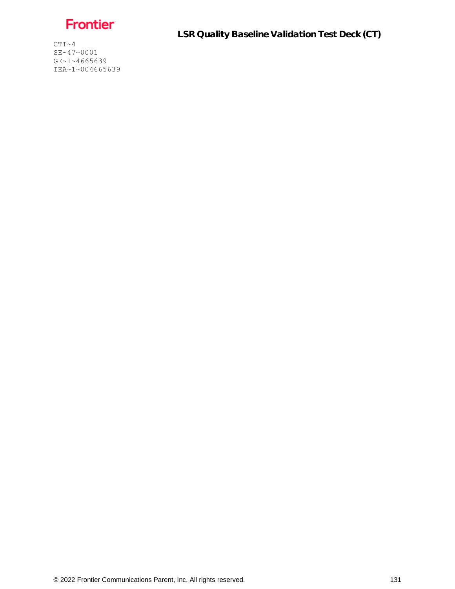

LSR Quality Baseline Validation Test Deck (CT)

 $CTT~ 4$ SE~47~0001 GE~1~4665639 IEA~1~004665639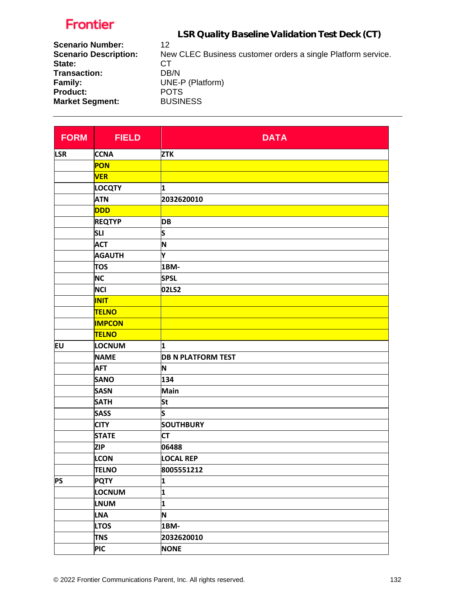LSR Quality Baseline Validation Test Deck (CT)

| <b>Scenario Number:</b>      | 12                                                           |
|------------------------------|--------------------------------------------------------------|
| <b>Scenario Description:</b> | New CLEC Business customer orders a single Platform service. |
| State:                       | CT.                                                          |
| Transaction:                 | DB/N                                                         |
| Family:                      | UNE-P (Platform)                                             |
| <b>Product:</b>              | <b>POTS</b>                                                  |
| <b>Market Segment:</b>       | <b>BUSINESS</b>                                              |
|                              |                                                              |

| <b>FORM</b> | <b>FIELD</b>  | <b>DATA</b>               |
|-------------|---------------|---------------------------|
| <b>LSR</b>  | <b>CCNA</b>   | <b>ZTK</b>                |
|             | PON           |                           |
|             | <b>VER</b>    |                           |
|             | <b>LOCQTY</b> | 1                         |
|             | <b>ATN</b>    | 2032620010                |
|             | <b>DDD</b>    |                           |
|             | <b>REQTYP</b> | DB                        |
|             | <b>SLI</b>    | S                         |
|             | <b>ACT</b>    | N                         |
|             | <b>AGAUTH</b> | Υ                         |
|             | <b>TOS</b>    | 1BM-                      |
|             | <b>NC</b>     | <b>SPSL</b>               |
|             | <b>NCI</b>    | 02LS2                     |
|             | <b>INIT</b>   |                           |
|             | <b>TELNO</b>  |                           |
|             | <b>IMPCON</b> |                           |
|             | <b>TELNO</b>  |                           |
| Eυ          | <b>LOCNUM</b> | 1                         |
|             | <b>NAME</b>   | <b>DB N PLATFORM TEST</b> |
|             | <b>AFT</b>    | N                         |
|             | <b>SANO</b>   | 134                       |
|             | <b>SASN</b>   | Main                      |
|             | <b>SATH</b>   | <b>St</b>                 |
|             | <b>SASS</b>   | S                         |
|             | <b>CITY</b>   | <b>SOUTHBURY</b>          |
|             | <b>STATE</b>  | <b>CT</b>                 |
|             | <b>ZIP</b>    | 06488                     |
|             | <b>LCON</b>   | <b>LOCAL REP</b>          |
|             | <b>TELNO</b>  | 8005551212                |
| <b>PS</b>   | <b>PQTY</b>   | 1                         |
|             | <b>LOCNUM</b> | 1                         |
|             | <b>LNUM</b>   | $\mathbf{1}$              |
|             | <b>LNA</b>    | N                         |
|             | <b>LTOS</b>   | 1BM-                      |
|             | <b>TNS</b>    | 2032620010                |
|             | <b>PIC</b>    | <b>NONE</b>               |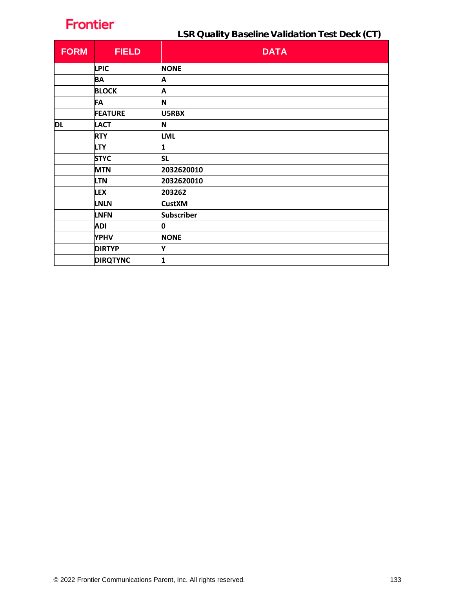LSR Quality Baseline Validation Test Deck (CT)

| <b>FORM</b> | <b>FIELD</b>    | <b>DATA</b>       |
|-------------|-----------------|-------------------|
|             | <b>LPIC</b>     | <b>NONE</b>       |
|             | <b>BA</b>       | Α                 |
|             | <b>BLOCK</b>    | Α                 |
|             | FA              | N                 |
|             | <b>FEATURE</b>  | U5RBX             |
| <b>DL</b>   | <b>LACT</b>     | N                 |
|             | <b>RTY</b>      | <b>LML</b>        |
|             | <b>LTY</b>      | 1                 |
|             | <b>STYC</b>     | <b>SL</b>         |
|             | <b>MTN</b>      | 2032620010        |
|             | <b>LTN</b>      | 2032620010        |
|             | <b>LEX</b>      | 203262            |
|             | <b>LNLN</b>     | <b>CustXM</b>     |
|             | <b>LNFN</b>     | <b>Subscriber</b> |
|             | <b>ADI</b>      | 0                 |
|             | <b>YPHV</b>     | <b>NONE</b>       |
|             | <b>DIRTYP</b>   | Υ                 |
|             | <b>DIRQTYNC</b> | 1                 |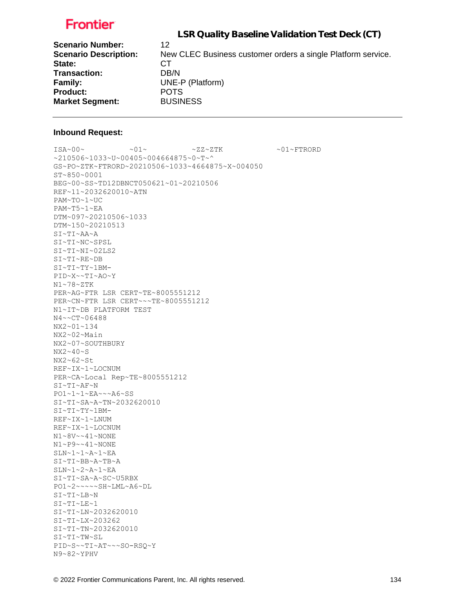LSR Quality Baseline Validation Test Deck (CT)

| <b>Scenario Number:</b>      | 12                                                           |
|------------------------------|--------------------------------------------------------------|
| <b>Scenario Description:</b> | New CLEC Business customer orders a single Platform service. |
| State:                       | CТ                                                           |
| <b>Transaction:</b>          | DB/N                                                         |
| Family:                      | UNE-P (Platform)                                             |
| <b>Product:</b>              | <b>POTS</b>                                                  |
| <b>Market Segment:</b>       | <b>BUSINESS</b>                                              |

#### **Inbound Request:**

 $ISA~00~$   $\sim 01~$   $\sim 01~$   $\sim 2Z~2$   $TK$   $\sim 01~$   $\sim$  FTRORD ~210506~1033~U~00405~004664875~0~T~^ GS~PO~ZTK~FTRORD~20210506~1033~4664875~X~004050 ST~850~0001 BEG~00~SS~TD12DBNCT050621~01~20210506 REF~11~2032620010~ATN PAM~TO~1~UC PAM~T5~1~EA DTM~097~20210506~1033 DTM~150~20210513 SI~TI~AA~A SI~TI~NC~SPSL SI~TI~NI~02LS2 SI~TI~RE~DB SI~TI~TY~1BM-PID~X~~TI~AO~Y N1~78~ZTK PER~AG~FTR LSR CERT~TE~8005551212 PER~CN~FTR LSR CERT~~~TE~8005551212 N1~IT~DB PLATFORM TEST N4~~CT~06488 NX2~01~134 NX2~02~Main NX2~07~SOUTHBURY NX2~40~S NX2~62~St REF~IX~1~LOCNUM PER~CA~Local Rep~TE~8005551212 SI~TI~AF~N PO1~1~1~EA~~~A6~SS SI~TI~SA~A~TN~2032620010 SI~TI~TY~1BM-REF~IX~1~LNUM REF~IX~1~LOCNUM N1~8V~~41~NONE N1~P9~~41~NONE SLN~1~1~A~1~EA SI~TI~BB~A~TB~A SLN~1~2~A~1~EA SI~TI~SA~A~SC~U5RBX PO1~2~~~~~SH~LML~A6~DL SI~TI~LB~N SI~TI~LE~1 SI~TI~LN~2032620010 SI~TI~LX~203262 SI~TI~TN~2032620010 SI~TI~TW~SL PID~S~~TI~AT~~~SO-RSQ~Y N9~82~YPHV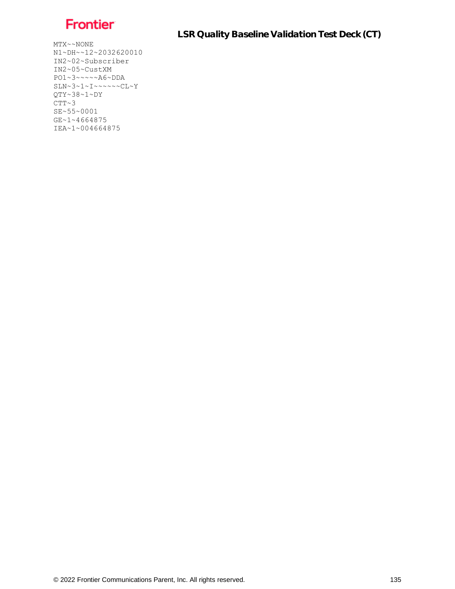

LSR Quality Baseline Validation Test Deck (CT)

 $MTX \sim \sim NONE$ N1~DH~~12~2032620010 IN2~02~Subscriber IN2~05~CustXM PO1~3~~~~~A6~DDA SLN~3~1~I~~~~~~CL~Y QTY~38~1~DY  $CTT~3$ SE~55~0001 GE~1~4664875 IEA~1~004664875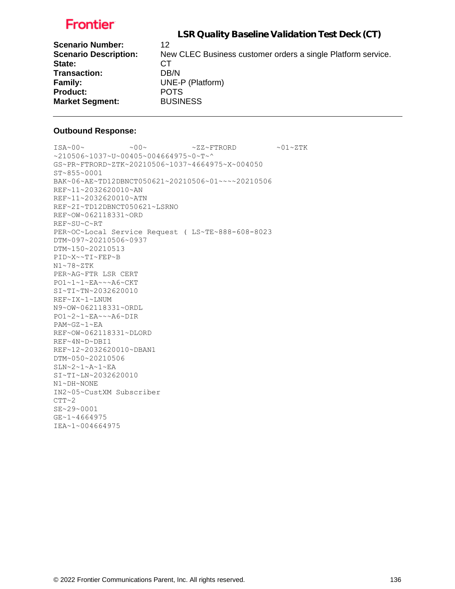LSR Quality Baseline Validation Test Deck (CT)

| <b>Scenario Number:</b>      | 12                                                           |
|------------------------------|--------------------------------------------------------------|
| <b>Scenario Description:</b> | New CLEC Business customer orders a single Platform service. |
| State:                       | CТ                                                           |
| <b>Transaction:</b>          | DB/N                                                         |
| Family:                      | UNE-P (Platform)                                             |
| <b>Product:</b>              | <b>POTS</b>                                                  |
| <b>Market Segment:</b>       | <b>BUSINESS</b>                                              |

### **Outbound Response:**

 $ISA~00~\sim$   $~00~\sim$   $~00~\sim$   $~2Z~\sim$  FTRORD  $~01~\sim$  ZTK ~210506~1037~U~00405~004664975~0~T~^ GS~PR~FTRORD~ZTK~20210506~1037~4664975~X~004050 ST~855~0001 BAK~06~AE~TD12DBNCT050621~20210506~01~~~~20210506 REF~11~2032620010~AN REF~11~2032620010~ATN REF~2I~TD12DBNCT050621~LSRNO REF~OW~062118331~ORD REF~SU~C~RT PER~OC~Local Service Request ( LS~TE~888-608-8023 DTM~097~20210506~0937 DTM~150~20210513 PID~X~~TI~FEP~B N1~78~ZTK PER~AG~FTR LSR CERT PO1~1~1~EA~~~A6~CKT SI~TI~TN~2032620010 REF~IX~1~LNUM N9~OW~062118331~ORDL PO1~2~1~EA~~~A6~DIR PAM~GZ~1~EA REF~OW~062118331~DLORD REF~4N~D~DBI1 REF~12~2032620010~DBAN1 DTM~050~20210506 SLN~2~1~A~1~EA SI~TI~LN~2032620010  $\texttt{N1}\!\sim\!\texttt{DH}\!\sim\!\texttt{NONE}$ IN2~05~CustXM Subscriber  $CTT~2$ SE~29~0001 GE~1~4664975 IEA~1~004664975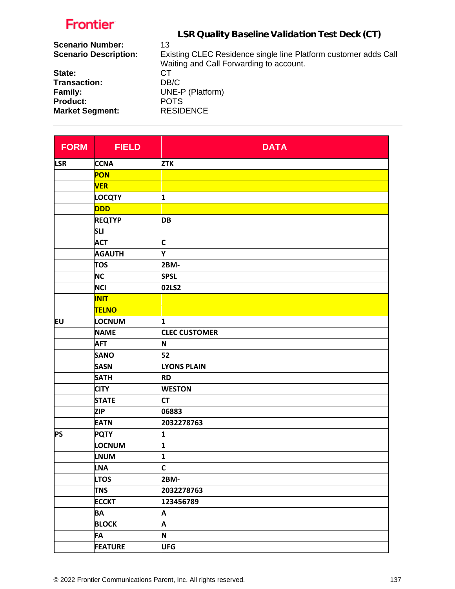| LSR Quality Baseline Validation Test Deck (CT)                  |
|-----------------------------------------------------------------|
| 13                                                              |
| Existing CLEC Residence single line Platform customer adds Call |
| Waiting and Call Forwarding to account.                         |
| СT                                                              |
| DB/C                                                            |
| UNE-P (Platform)                                                |
| <b>POTS</b>                                                     |
| <b>RESIDENCE</b>                                                |
|                                                                 |

| <b>FORM</b> | <b>FIELD</b>   | <b>DATA</b>             |
|-------------|----------------|-------------------------|
| <b>LSR</b>  | <b>CCNA</b>    | <b>ZTK</b>              |
|             | <b>PON</b>     |                         |
|             | <b>VER</b>     |                         |
|             | <b>LOCQTY</b>  | 1                       |
|             | DDD            |                         |
|             | <b>REQTYP</b>  | <b>DB</b>               |
|             | <b>SLI</b>     |                         |
|             | <b>ACT</b>     | C                       |
|             | <b>AGAUTH</b>  | Y                       |
|             | <b>TOS</b>     | 2BM-                    |
|             | <b>NC</b>      | <b>SPSL</b>             |
|             | <b>NCI</b>     | 02LS2                   |
|             | <b>INIT</b>    |                         |
|             | <b>TELNO</b>   |                         |
| EU          | LOCNUM         | 1                       |
|             | <b>NAME</b>    | <b>CLEC CUSTOMER</b>    |
|             | <b>AFT</b>     | N                       |
|             | <b>SANO</b>    | 52                      |
|             | <b>SASN</b>    | <b>LYONS PLAIN</b>      |
|             | <b>SATH</b>    | <b>RD</b>               |
|             | <b>CITY</b>    | <b>WESTON</b>           |
|             | <b>STATE</b>   | <b>CT</b>               |
|             | <b>ZIP</b>     | 06883                   |
|             | <b>EATN</b>    | 2032278763              |
| <b>PS</b>   | <b>PQTY</b>    | 1                       |
|             | LOCNUM         | 1                       |
|             | <b>LNUM</b>    | 1                       |
|             | <b>LNA</b>     | $\overline{\mathsf{c}}$ |
|             | <b>LTOS</b>    | 2BM-                    |
|             | <b>TNS</b>     | 2032278763              |
|             | <b>ECCKT</b>   | 123456789               |
|             | <b>BA</b>      | A                       |
|             | <b>BLOCK</b>   | A                       |
|             | <b>FA</b>      | N                       |
|             | <b>FEATURE</b> | <b>UFG</b>              |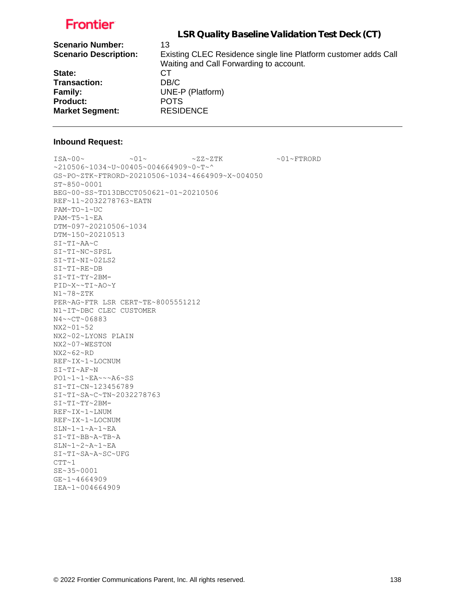|                              | LSR Quality Baseline Validation Test Deck (CT)                  |
|------------------------------|-----------------------------------------------------------------|
|                              |                                                                 |
| <b>Scenario Number:</b>      | 13                                                              |
| <b>Scenario Description:</b> | Existing CLEC Residence single line Platform customer adds Call |
|                              | Waiting and Call Forwarding to account.                         |
| State:                       | CТ                                                              |
| <b>Transaction:</b>          | DB/C                                                            |
| Family:                      | UNE-P (Platform)                                                |
| <b>Product:</b>              | <b>POTS</b>                                                     |
| <b>Market Segment:</b>       | <b>RESIDENCE</b>                                                |
|                              |                                                                 |

#### **Inbound Request:**

 $\sim 01 \times 100 \times 100 \times 27 \times 27 \times 500 \times 100 \times 100 \times 100 \times 100 \times 100 \times 100 \times 100 \times 100 \times 100 \times 100 \times 100 \times 100 \times 100 \times 100 \times 100 \times 100 \times 100 \times 100 \times 100 \times 100 \times 100 \times 100 \times 100 \times 100 \times 100 \times 100 \times 100 \times 100 \times 100 \times 100 \times 100 \$ ~210506~1034~U~00405~004664909~0~T~^ GS~PO~ZTK~FTRORD~20210506~1034~4664909~X~004050 ST~850~0001 BEG~00~SS~TD13DBCCT050621~01~20210506 REF~11~2032278763~EATN PAM~TO~1~UC PAM~T5~1~EA DTM~097~20210506~1034 DTM~150~20210513 SI~TI~AA~C SI~TI~NC~SPSL SI~TI~NI~02LS2 SI~TI~RE~DB SI~TI~TY~2BM-PID~X~~TI~AO~Y N1~78~ZTK PER~AG~FTR LSR CERT~TE~8005551212 N1~IT~DBC CLEC CUSTOMER N4~~CT~06883 NX2~01~52 NX2~02~LYONS PLAIN NX2~07~WESTON NX2~62~RD REF~IX~1~LOCNUM SI~TI~AF~N PO1~1~1~EA~~~A6~SS SI~TI~CN~123456789 SI~TI~SA~C~TN~2032278763 SI~TI~TY~2BM-REF~IX~1~LNUM REF~IX~1~LOCNUM SLN~1~1~A~1~EA SI~TI~BB~A~TB~A SLN~1~2~A~1~EA SI~TI~SA~A~SC~UFG  $CTT~1$ SE~35~0001 GE~1~4664909

IEA~1~004664909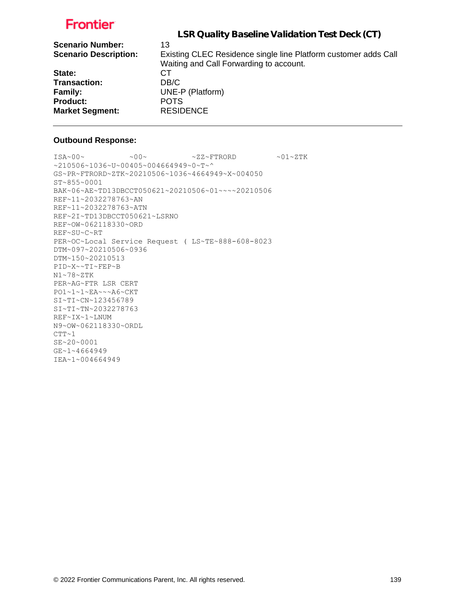|                              | LSR Quality Baseline Validation Test Deck (CT)                  |
|------------------------------|-----------------------------------------------------------------|
| <b>Scenario Number:</b>      | 13                                                              |
| <b>Scenario Description:</b> | Existing CLEC Residence single line Platform customer adds Call |
|                              | Waiting and Call Forwarding to account.                         |
| State:                       | СT                                                              |
| <b>Transaction:</b>          | DB/C                                                            |
| Family:                      | UNE-P (Platform)                                                |
| <b>Product:</b>              | <b>POTS</b>                                                     |
| <b>Market Segment:</b>       | <b>RESIDENCE</b>                                                |
|                              |                                                                 |

### **Outbound Response:**

```
\sim 00\sim \text{ 100} \times 2\text{K}^2 + 2\text{K}^2~210506~1036~U~00405~004664949~0~T~^
GS~PR~FTRORD~ZTK~20210506~1036~4664949~X~004050
ST~855~0001
BAK~06~AE~TD13DBCCT050621~20210506~01~~~~20210506
REF~11~2032278763~AN
REF~11~2032278763~ATN
REF~2I~TD13DBCCT050621~LSRNO
REF~OW~062118330~ORD
REF~SU~C~RT
PER~OC~Local Service Request ( LS~TE~888-608-8023
DTM~097~20210506~0936
DTM~150~20210513
PID~X~~TI~FEP~B
N1~78~ZTK
PER~AG~FTR LSR CERT
PO1~1~1~EA~~~A6~CKT
SI~TI~CN~123456789
SI~TI~TN~2032278763
REF~IX~1~LNUM
N9~OW~062118330~ORDL
CTT~1SE~20~0001
GE~1~4664949
IEA~1~004664949
```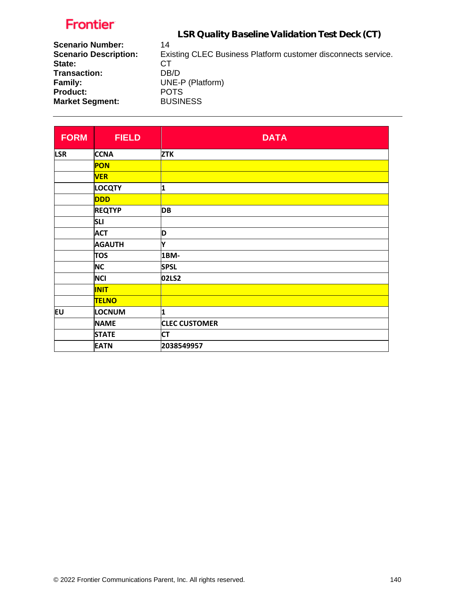LSR Quality Baseline Validation Test Deck (CT)

| <b>Scenario Number:</b>      | 14                                                            |
|------------------------------|---------------------------------------------------------------|
| <b>Scenario Description:</b> | Existing CLEC Business Platform customer disconnects service. |
| State:                       | CТ                                                            |
| Transaction:                 | DB/D                                                          |
| <b>Family:</b>               | UNE-P (Platform)                                              |
| <b>Product:</b>              | <b>POTS</b>                                                   |
| <b>Market Segment:</b>       | <b>BUSINESS</b>                                               |
|                              |                                                               |

| <b>FORM</b>                                            | <b>FIELD</b>  | <b>DATA</b>          |
|--------------------------------------------------------|---------------|----------------------|
| <b>LSR</b>                                             | <b>CCNA</b>   | <b>ZTK</b>           |
|                                                        | PON           |                      |
|                                                        | <b>VER</b>    |                      |
|                                                        | <b>LOCQTY</b> | 1                    |
|                                                        | <b>DDD</b>    |                      |
|                                                        | <b>REQTYP</b> | <b>DB</b>            |
| <b>SLI</b>                                             |               |                      |
|                                                        | <b>ACT</b>    | D                    |
|                                                        | <b>AGAUTH</b> | Y                    |
|                                                        | <b>TOS</b>    | 1BM-                 |
| <b>NC</b><br><b>NCI</b><br><b>INIT</b><br><b>TELNO</b> | <b>SPSL</b>   |                      |
|                                                        |               | 02LS2                |
|                                                        |               |                      |
|                                                        |               |                      |
| EU                                                     | LOCNUM        | 1                    |
|                                                        | <b>NAME</b>   | <b>CLEC CUSTOMER</b> |
|                                                        | <b>STATE</b>  | <b>CT</b>            |
|                                                        | <b>EATN</b>   | 2038549957           |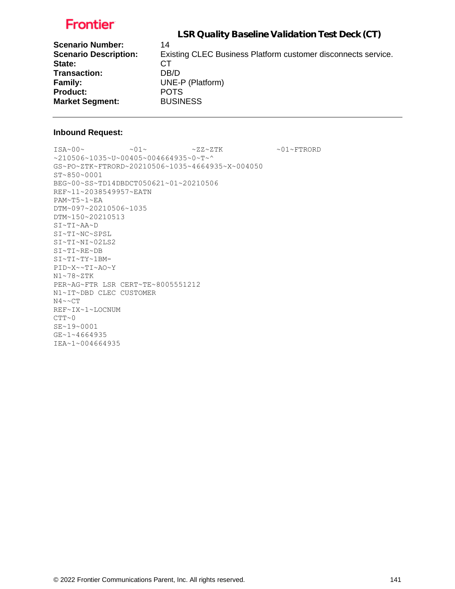LSR Quality Baseline Validation Test Deck (CT)

| <b>Scenario Number:</b>      | 14                                                            |
|------------------------------|---------------------------------------------------------------|
| <b>Scenario Description:</b> | Existing CLEC Business Platform customer disconnects service. |
| State:                       | CТ                                                            |
| Transaction:                 | DB/D                                                          |
| Family:                      | UNE-P (Platform)                                              |
| <b>Product:</b>              | <b>POTS</b>                                                   |
| <b>Market Segment:</b>       | <b>BUSINESS</b>                                               |

#### **Inbound Request:**

 $ISA~00~\sim$   $~01~\sim$   $~01~\sim$   $~2Z~2TK$   $~01~\sim$   $~01~\sim$  FTRORD ~210506~1035~U~00405~004664935~0~T~^ GS~PO~ZTK~FTRORD~20210506~1035~4664935~X~004050 ST~850~0001 BEG~00~SS~TD14DBDCT050621~01~20210506 REF~11~2038549957~EATN PAM~T5~1~EA DTM~097~20210506~1035 DTM~150~20210513 SI~TI~AA~D SI~TI~NC~SPSL SI~TI~NI~02LS2 SI~TI~RE~DB SI~TI~TY~1BM-PID~X~~TI~AO~Y N1~78~ZTK PER~AG~FTR LSR CERT~TE~8005551212 N1~IT~DBD CLEC CUSTOMER N4~~CT REF~IX~1~LOCNUM  $CTT~0$ SE~19~0001 GE~1~4664935 IEA~1~004664935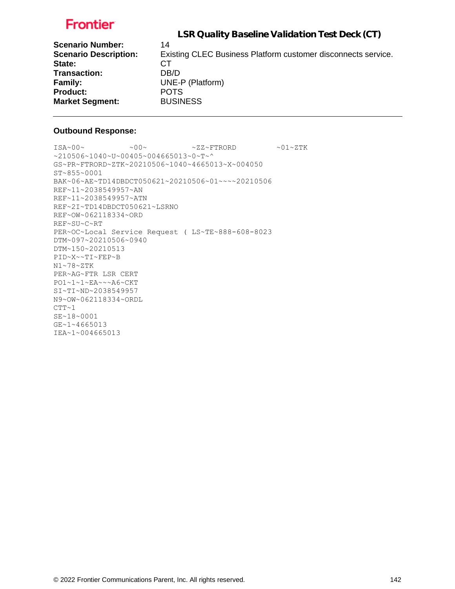LSR Quality Baseline Validation Test Deck (CT)

| <b>Scenario Number:</b>      | 14                                                            |
|------------------------------|---------------------------------------------------------------|
| <b>Scenario Description:</b> | Existing CLEC Business Platform customer disconnects service. |
| State:                       | CТ                                                            |
| <b>Transaction:</b>          | DB/D                                                          |
| <b>Family:</b>               | UNE-P (Platform)                                              |
| <b>Product:</b>              | <b>POTS</b>                                                   |
| <b>Market Segment:</b>       | <b>BUSINESS</b>                                               |

### **Outbound Response:**

 $\verb|ISA~00~|~\verb|<18A~00~|~\verb|<18A~00~|~\verb|<18A~00~|~\verb|<18A~00~|~\verb|<18A~00~|~\verb|<18A~00~|~\verb|<18A~00~|~\verb|<18A~00~|~\verb|<18A~00~|~\verb|<18A~00~|~\verb|<18A~00~|~\verb|<18A~00~|~\verb|<18A~00~|~\verb|<18A~00~|~\verb|<18A~00~|~\verb|<18A~00~|~\verb$  $~10506~1040~~$ u~00405~004665013~0~T~^ GS~PR~FTRORD~ZTK~20210506~1040~4665013~X~004050 ST~855~0001 BAK~06~AE~TD14DBDCT050621~20210506~01~~~~20210506 REF~11~2038549957~AN REF~11~2038549957~ATN REF~2I~TD14DBDCT050621~LSRNO REF~OW~062118334~ORD REF~SU~C~RT PER~OC~Local Service Request ( LS~TE~888-608-8023 DTM~097~20210506~0940 DTM~150~20210513 PID~X~~TI~FEP~B N1~78~ZTK PER~AG~FTR LSR CERT PO1~1~1~EA~~~A6~CKT SI~TI~ND~2038549957 N9~OW~062118334~ORDL  $CTT-1$ SE~18~0001 GE~1~4665013 IEA~1~004665013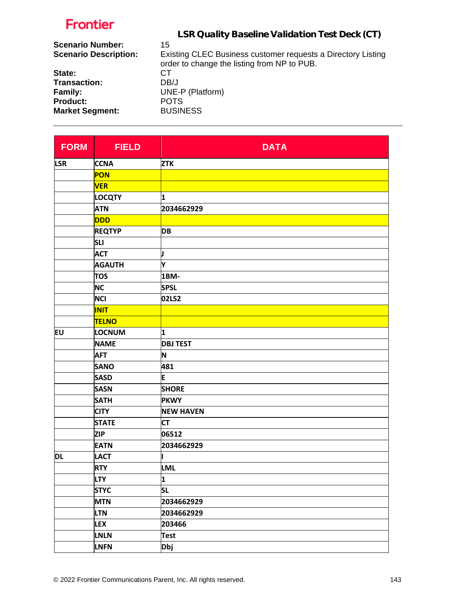| LSR Quality Baseline Validation Test Deck (CT)                                                              |
|-------------------------------------------------------------------------------------------------------------|
| 15                                                                                                          |
| Existing CLEC Business customer requests a Directory Listing<br>order to change the listing from NP to PUB. |
| СT                                                                                                          |
| DB/J                                                                                                        |
| UNE-P (Platform)                                                                                            |
| <b>POTS</b>                                                                                                 |
| <b>BUSINESS</b>                                                                                             |
|                                                                                                             |

| <b>FORM</b> | <b>FIELD</b>  | <b>DATA</b>      |
|-------------|---------------|------------------|
| <b>LSR</b>  | <b>CCNA</b>   | <b>ZTK</b>       |
|             | <b>PON</b>    |                  |
|             | <b>VER</b>    |                  |
|             | <b>LOCQTY</b> | 1                |
|             | <b>ATN</b>    | 2034662929       |
|             | <b>DDD</b>    |                  |
|             | <b>REQTYP</b> | <b>DB</b>        |
|             | <b>SLI</b>    |                  |
|             | <b>ACT</b>    | J                |
|             | <b>AGAUTH</b> | Y                |
|             | <b>TOS</b>    | 1BM-             |
|             | <b>NC</b>     | <b>SPSL</b>      |
|             | <b>NCI</b>    | 02LS2            |
|             | <b>INIT</b>   |                  |
|             | <b>TELNO</b>  |                  |
| <b>EU</b>   | LOCNUM        | 1                |
|             | <b>NAME</b>   | <b>DBJ TEST</b>  |
|             | <b>AFT</b>    | N                |
|             | <b>SANO</b>   | 481              |
|             | <b>SASD</b>   | E                |
|             | <b>SASN</b>   | <b>SHORE</b>     |
|             | <b>SATH</b>   | <b>PKWY</b>      |
|             | <b>CITY</b>   | <b>NEW HAVEN</b> |
|             | <b>STATE</b>  | <b>CT</b>        |
|             | <b>ZIP</b>    | 06512            |
|             | <b>EATN</b>   | 2034662929       |
| <b>DL</b>   | <b>LACT</b>   |                  |
|             | <b>RTY</b>    | <b>LML</b>       |
|             | <b>LTY</b>    | 1                |
|             | <b>STYC</b>   | <b>SL</b>        |
|             | <b>MTN</b>    | 2034662929       |
|             | <b>LTN</b>    | 2034662929       |
|             | <b>LEX</b>    | 203466           |
|             | <b>LNLN</b>   | <b>Test</b>      |
|             | <b>LNFN</b>   | <b>Dbj</b>       |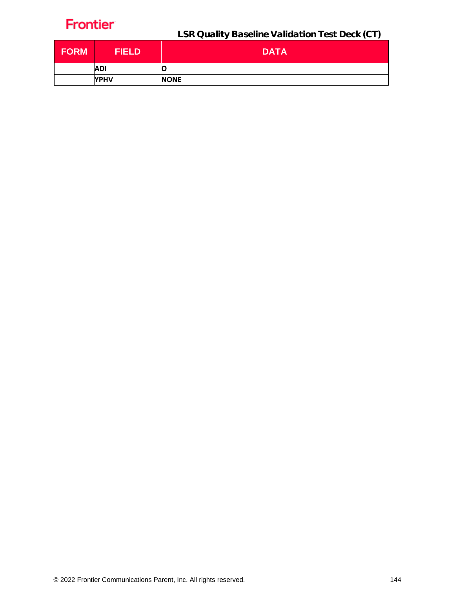LSR Quality Baseline Validation Test Deck (CT)

| <b>FORM</b> | <b>FIELD</b> | <b>DATA</b> |
|-------------|--------------|-------------|
|             | <b>ADI</b>   | O           |
|             | <b>YPHV</b>  | <b>NONE</b> |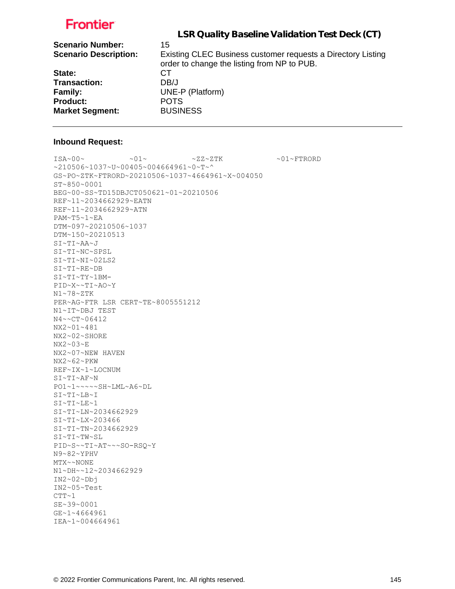| LSR Quality Baseline Validation Test Deck (CT)                                                              |
|-------------------------------------------------------------------------------------------------------------|
| 15                                                                                                          |
| Existing CLEC Business customer requests a Directory Listing<br>order to change the listing from NP to PUB. |
| CТ                                                                                                          |
| DB/J                                                                                                        |
| UNE-P (Platform)                                                                                            |
| <b>POTS</b>                                                                                                 |
| <b>BUSINESS</b>                                                                                             |
|                                                                                                             |

#### **Inbound Request:**

 $\sim 01 \times 100 \times 100 \times 27 \times 27 \times 500 \times 100 \times 100 \times 100 \times 100 \times 100 \times 100 \times 100 \times 100 \times 100 \times 100 \times 100 \times 100 \times 100 \times 100 \times 100 \times 100 \times 100 \times 100 \times 100 \times 100 \times 100 \times 100 \times 100 \times 100 \times 100 \times 100 \times 100 \times 100 \times 100 \times 100 \times 100 \$ ~210506~1037~U~00405~004664961~0~T~^ GS~PO~ZTK~FTRORD~20210506~1037~4664961~X~004050 ST~850~0001 BEG~00~SS~TD15DBJCT050621~01~20210506 REF~11~2034662929~EATN REF~11~2034662929~ATN PAM~T5~1~EA DTM~097~20210506~1037 DTM~150~20210513 SI~TI~AA~J SI~TI~NC~SPSL SI~TI~NI~02LS2 SI~TI~RE~DB SI~TI~TY~1BM-PID~X~~TI~AO~Y N1~78~ZTK PER~AG~FTR LSR CERT~TE~8005551212 N1~IT~DBJ TEST N4~~CT~06412 NX2~01~481 NX2~02~SHORE NX2~03~E NX2~07~NEW HAVEN NX2~62~PKW REF~IX~1~LOCNUM SI~TI~AF~N PO1~1~~~~~SH~LML~A6~DL SI~TI~LB~I SI~TI~LE~1 SI~TI~LN~2034662929 SI~TI~LX~203466 SI~TI~TN~2034662929 SI~TI~TW~SL PID~S~~TI~AT~~~SO-RSQ~Y N9~82~YPHV  $\verb|MTX~~\sim$NONE$ N1~DH~~12~2034662929 IN2~02~Dbj IN2~05~Test  $CTT~1$ SE~39~0001 GE~1~4664961 IEA~1~004664961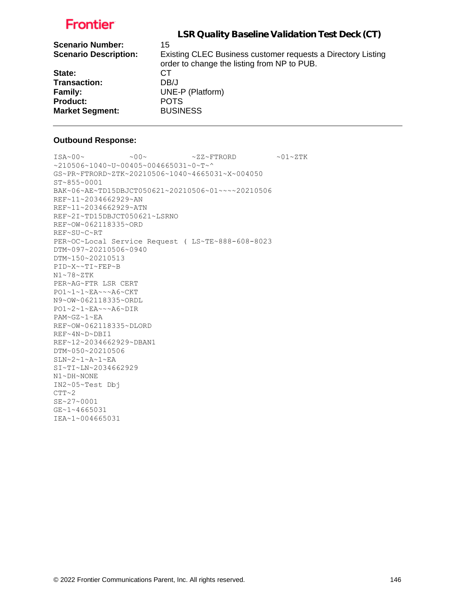| LSR Quality Baseline Validation Test Deck (CT)               |
|--------------------------------------------------------------|
|                                                              |
| 15                                                           |
| Existing CLEC Business customer requests a Directory Listing |
| order to change the listing from NP to PUB.                  |
| СT                                                           |
| DB/J                                                         |
| UNE-P (Platform)                                             |
| <b>POTS</b>                                                  |
| <b>BUSINESS</b>                                              |
|                                                              |

#### **Outbound Response:**

```
ISA~00~\sim ~00~\sim ~00~\sim ~0.727~\rm{F} ~0.01~\rm{F}~10506~1040~v~00405~004665031~0~T~^
GS~PR~FTRORD~ZTK~20210506~1040~4665031~X~004050
ST~855~0001
BAK~06~AE~TD15DBJCT050621~20210506~01~~~~20210506
REF~11~2034662929~AN
REF~11~2034662929~ATN
REF~2I~TD15DBJCT050621~LSRNO
REF~OW~062118335~ORD
REF~SU~C~RT
PER~OC~Local Service Request ( LS~TE~888-608-8023
DTM~097~20210506~0940
DTM~150~20210513
PID~X~~TI~FEP~B
N1~78~ZTK
PER~AG~FTR LSR CERT
PO1~1~1~EA~~~A6~CKT
N9~OW~062118335~ORDL
PO1~2~1~EA~~~A6~DIR
PAM~GZ~1~EA
REF~OW~062118335~DLORD
REF~4N~D~DBI1
REF~12~2034662929~DBAN1
DTM~050~20210506
SLN~2~1~A~1~EA
SI~TI~LN~2034662929
N1~DH~NONE
IN2~05~Test Dbj
CTT~2SE~27~0001
GE~1~4665031
IEA~1~004665031
```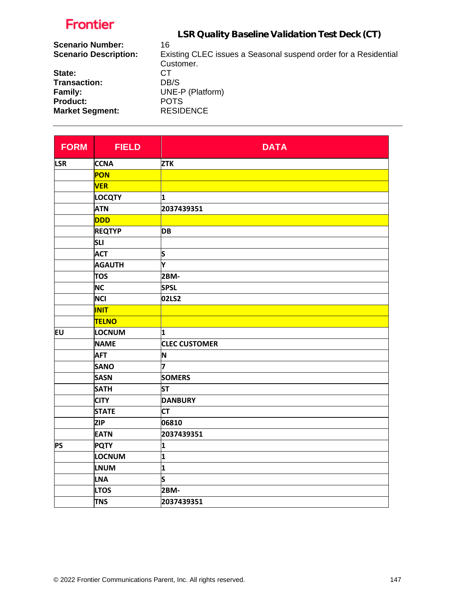|                              | LSR Quality Baseline Validation Test Deck (CT)                  |
|------------------------------|-----------------------------------------------------------------|
| <b>Scenario Number:</b>      | 16                                                              |
| <b>Scenario Description:</b> | Existing CLEC issues a Seasonal suspend order for a Residential |
|                              | Customer.                                                       |
| State:                       | CТ                                                              |
| Trancaction:                 | DR/S                                                            |

**Transaction:** DB/S **Family:** UNE-P (Platform) Product: POTS

**Market Segment:** RESIDENCE **FORM FIELD DATA LSR CCNA ZTK PON VER LOCQTY 1 ATN 2037439351 DDD REQTYD DB SLI ACT S**

| <b>IKEQIYP</b> | ID B                 |
|----------------|----------------------|
| <b>SLI</b>     |                      |
| <b>ACT</b>     | S                    |
| <b>AGAUTH</b>  | Y                    |
| <b>TOS</b>     | 2BM-                 |
| <b>NC</b>      | <b>SPSL</b>          |
| <b>NCI</b>     | 02LS2                |
| <b>INIT</b>    |                      |
| <b>TELNO</b>   |                      |
| <b>LOCNUM</b>  | 1                    |
| <b>NAME</b>    | <b>CLEC CUSTOMER</b> |
| <b>AFT</b>     | N                    |
| <b>SANO</b>    | 7                    |
| <b>SASN</b>    | <b>SOMERS</b>        |
| <b>SATH</b>    | <b>ST</b>            |
| <b>CITY</b>    | <b>DANBURY</b>       |
| <b>STATE</b>   | <b>CT</b>            |
| <b>ZIP</b>     | 06810                |
| <b>EATN</b>    | 2037439351           |
| <b>PQTY</b>    | 1                    |
| <b>LOCNUM</b>  | 1                    |
| <b>LNUM</b>    | 1                    |
| <b>LNA</b>     | S                    |
| <b>LTOS</b>    | 2BM-                 |
| <b>TNS</b>     | 2037439351           |
|                |                      |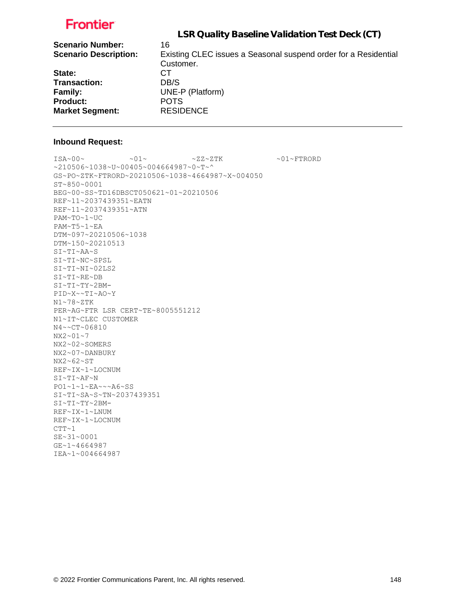|                              | LSR Quality Baseline Validation Test Deck (CT)                               |
|------------------------------|------------------------------------------------------------------------------|
| <b>Scenario Number:</b>      | 16                                                                           |
| <b>Scenario Description:</b> | Existing CLEC issues a Seasonal suspend order for a Residential<br>Customer. |
|                              |                                                                              |
| State:                       | CТ                                                                           |
| <b>Transaction:</b>          | DB/S                                                                         |
| <b>Family:</b>               | UNE-P (Platform)                                                             |
| <b>Product:</b>              | <b>POTS</b>                                                                  |
| <b>Market Segment:</b>       | <b>RESIDENCE</b>                                                             |
|                              |                                                                              |

#### **Inbound Request:**

 $\sim 01 \times 100 \times 100 \times 27 \times 27 \times 500 \times 100 \times 100 \times 100 \times 100 \times 100 \times 100 \times 100 \times 100 \times 100 \times 100 \times 100 \times 100 \times 100 \times 100 \times 100 \times 100 \times 100 \times 100 \times 100 \times 100 \times 100 \times 100 \times 100 \times 100 \times 100 \times 100 \times 100 \times 100 \times 100 \times 100 \times 100 \$ ~210506~1038~U~00405~004664987~0~T~^ GS~PO~ZTK~FTRORD~20210506~1038~4664987~X~004050 ST~850~0001 BEG~00~SS~TD16DBSCT050621~01~20210506 REF~11~2037439351~EATN REF~11~2037439351~ATN PAM~TO~1~UC PAM~T5~1~EA DTM~097~20210506~1038 DTM~150~20210513 SI~TI~AA~S SI~TI~NC~SPSL SI~TI~NI~02LS2 SI~TI~RE~DB SI~TI~TY~2BM-PID~X~~TI~AO~Y N1~78~ZTK PER~AG~FTR LSR CERT~TE~8005551212 N1~IT~CLEC CUSTOMER N4~~CT~06810 NX2~01~7 NX2~02~SOMERS NX2~07~DANBURY NX2~62~ST REF~IX~1~LOCNUM SI~TI~AF~N PO1~1~1~EA~~~A6~SS SI~TI~SA~S~TN~2037439351 SI~TI~TY~2BM-REF~IX~1~LNUM REF~IX~1~LOCNUM  $CTT~1$ SE~31~0001 GE~1~4664987 IEA~1~004664987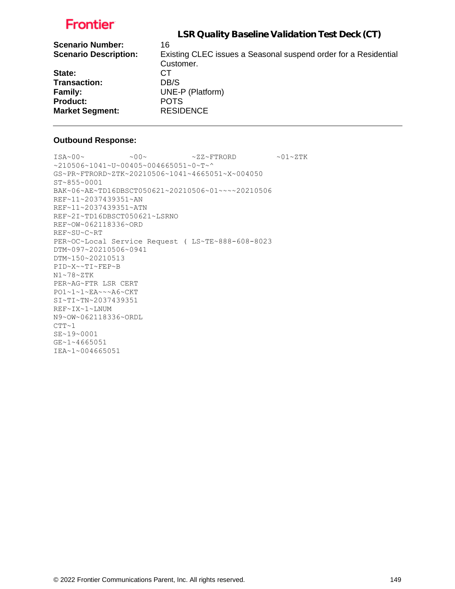|                              | LSR Quality Baseline Validation Test Deck (CT)                  |
|------------------------------|-----------------------------------------------------------------|
| <b>Scenario Number:</b>      | 16                                                              |
| <b>Scenario Description:</b> | Existing CLEC issues a Seasonal suspend order for a Residential |
|                              | Customer.                                                       |
| State:                       | CТ                                                              |
| <b>Transaction:</b>          | DB/S                                                            |
| Family:                      | UNE-P (Platform)                                                |
| <b>Product:</b>              | <b>POTS</b>                                                     |
| <b>Market Segment:</b>       | <b>RESIDENCE</b>                                                |
|                              |                                                                 |

#### **Outbound Response:**

```
\sim 00\sim \text{ 100} \times 2\text{K}^2 + 2\text{K}^2~210506~1041~U~00405~004665051~0~T~^
GS~PR~FTRORD~ZTK~20210506~1041~4665051~X~004050
ST~855~0001
BAK~06~AE~TD16DBSCT050621~20210506~01~~~~20210506
REF~11~2037439351~AN
REF~11~2037439351~ATN
REF~2I~TD16DBSCT050621~LSRNO
REF~OW~062118336~ORD
REF~SU~C~RT
PER~OC~Local Service Request ( LS~TE~888-608-8023
DTM~097~20210506~0941
DTM~150~20210513
PID~X~~TI~FEP~B
N1~78~ZTK
PER~AG~FTR LSR CERT
PO1~1~1~EA~~~A6~CKT
SI~TI~TN~2037439351
REF~IX~1~LNUM
N9~OW~062118336~ORDL
CTT-1SE~19~0001
GE~1~4665051
IEA~1~004665051
```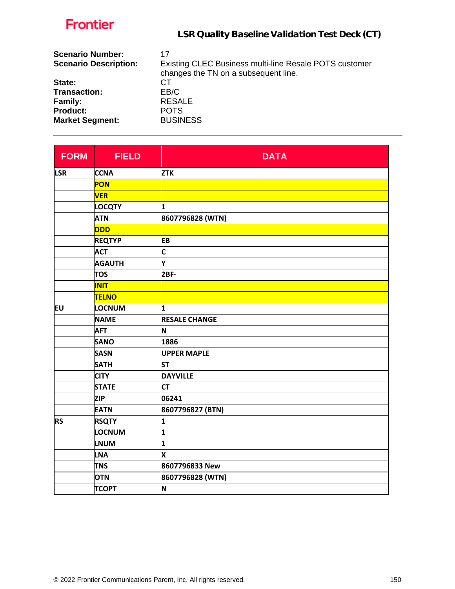| Frontier                                                | LSR Quality Baseline Validation Test Deck (CT)                                                       |
|---------------------------------------------------------|------------------------------------------------------------------------------------------------------|
| <b>Scenario Number:</b><br><b>Scenario Description:</b> | 17<br>Existing CLEC Business multi-line Resale POTS customer<br>changes the TN on a subsequent line. |
| State:                                                  | CТ                                                                                                   |
| Transaction:                                            | EB/C                                                                                                 |
| <b>Family:</b>                                          | <b>RESALE</b>                                                                                        |
| <b>Product:</b>                                         | <b>POTS</b>                                                                                          |
| <b>Market Segment:</b>                                  | <b>BUSINESS</b>                                                                                      |

| <b>FORM</b> | <b>FIELD</b>  | <b>DATA</b>             |
|-------------|---------------|-------------------------|
| <b>LSR</b>  | <b>CCNA</b>   | <b>ZTK</b>              |
|             | <b>PON</b>    |                         |
|             | <b>VER</b>    |                         |
|             | <b>LOCQTY</b> | 1                       |
|             | <b>ATN</b>    | 8607796828 (WTN)        |
|             | <b>DDD</b>    |                         |
|             | <b>REQTYP</b> | <b>EB</b>               |
|             | <b>ACT</b>    | $\overline{\mathsf{C}}$ |
|             | <b>AGAUTH</b> | Y                       |
|             | <b>TOS</b>    | <b>2BF-</b>             |
|             | <b>INIT</b>   |                         |
|             | <b>TELNO</b>  |                         |
| lΕU         | LOCNUM        | 1                       |
|             | <b>NAME</b>   | <b>RESALE CHANGE</b>    |
|             | <b>AFT</b>    | N                       |
|             | <b>SANO</b>   | 1886                    |
|             | <b>SASN</b>   | <b>UPPER MAPLE</b>      |
|             | <b>SATH</b>   | <b>ST</b>               |
|             | <b>CITY</b>   | <b>DAYVILLE</b>         |
|             | <b>STATE</b>  | <b>CT</b>               |
|             | <b>ZIP</b>    | 06241                   |
|             | <b>EATN</b>   | 8607796827 (BTN)        |
| <b>RS</b>   | <b>RSQTY</b>  | 1                       |
|             | LOCNUM        | 1                       |
|             | <b>LNUM</b>   | 1                       |
|             | <b>LNA</b>    | X                       |
|             | <b>TNS</b>    | 8607796833 New          |
|             | <b>OTN</b>    | 8607796828 (WTN)        |
|             | <b>TCOPT</b>  | N                       |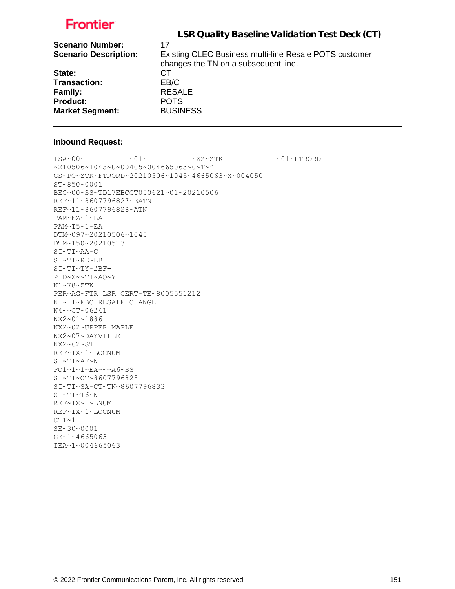|                              | LSR Quality Baseline Validation Test Deck (CT)                                                 |
|------------------------------|------------------------------------------------------------------------------------------------|
| <b>Scenario Number:</b>      | 17                                                                                             |
| <b>Scenario Description:</b> | Existing CLEC Business multi-line Resale POTS customer<br>changes the TN on a subsequent line. |
| State:                       | CТ                                                                                             |
| <b>Transaction:</b>          | EB/C                                                                                           |
| Family:                      | <b>RESALE</b>                                                                                  |
| <b>Product:</b>              | <b>POTS</b>                                                                                    |
| <b>Market Segment:</b>       | <b>BUSINESS</b>                                                                                |

#### **Inbound Request:**

 $\sim 01 \times 100 \times 100 \times 27 \times 27 \times 500 \times 100 \times 100 \times 100 \times 100 \times 100 \times 100 \times 100 \times 100 \times 100 \times 100 \times 100 \times 100 \times 100 \times 100 \times 100 \times 100 \times 100 \times 100 \times 100 \times 100 \times 100 \times 100 \times 100 \times 100 \times 100 \times 100 \times 100 \times 100 \times 100 \times 100 \times 100 \$ ~210506~1045~U~00405~004665063~0~T~^ GS~PO~ZTK~FTRORD~20210506~1045~4665063~X~004050 ST~850~0001 BEG~00~SS~TD17EBCCT050621~01~20210506 REF~11~8607796827~EATN REF~11~8607796828~ATN PAM~EZ~1~EA PAM~T5~1~EA DTM~097~20210506~1045 DTM~150~20210513 SI~TI~AA~C SI~TI~RE~EB SI~TI~TY~2BF-PID~X~~TI~AO~Y N1~78~ZTK PER~AG~FTR LSR CERT~TE~8005551212 N1~IT~EBC RESALE CHANGE N4~~CT~06241 NX2~01~1886 NX2~02~UPPER MAPLE NX2~07~DAYVILLE NX2~62~ST REF~IX~1~LOCNUM SI~TI~AF~N PO1~1~1~EA~~~A6~SS SI~TI~OT~8607796828 SI~TI~SA~CT~TN~8607796833 SI~TI~T6~N REF~IX~1~LNUM REF~IX~1~LOCNUM  $CTT-1$ SE~30~0001 GE~1~4665063 IEA~1~004665063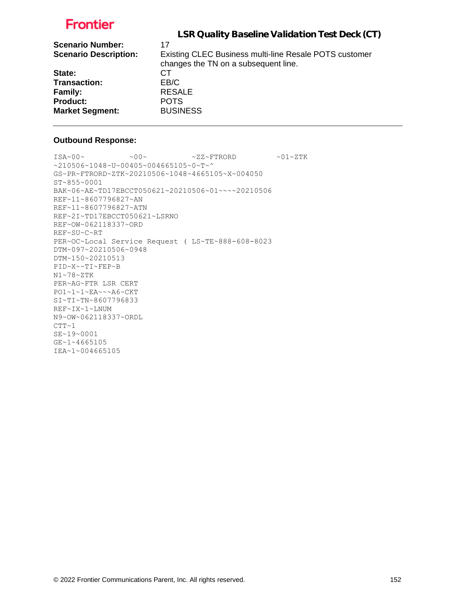| LSR Quality Baseline Validation Test Deck (CT)                                                 |
|------------------------------------------------------------------------------------------------|
| 17                                                                                             |
| Existing CLEC Business multi-line Resale POTS customer<br>changes the TN on a subsequent line. |
| CТ                                                                                             |
| EB/C                                                                                           |
| <b>RESALE</b>                                                                                  |
| <b>POTS</b>                                                                                    |
| <b>BUSINESS</b>                                                                                |
|                                                                                                |

#### **Outbound Response:**

 $\sim 00\sim \text{ 100} \times 2\text{K}^2 + 2\text{K}^2$ ~210506~1048~U~00405~004665105~0~T~^ GS~PR~FTRORD~ZTK~20210506~1048~4665105~X~004050 ST~855~0001 BAK~06~AE~TD17EBCCT050621~20210506~01~~~~20210506 REF~11~8607796827~AN REF~11~8607796827~ATN REF~2I~TD17EBCCT050621~LSRNO REF~OW~062118337~ORD REF~SU~C~RT PER~OC~Local Service Request ( LS~TE~888-608-8023 DTM~097~20210506~0948 DTM~150~20210513 PID~X~~TI~FEP~B N1~78~ZTK PER~AG~FTR LSR CERT PO1~1~1~EA~~~A6~CKT SI~TI~TN~8607796833 REF~IX~1~LNUM N9~OW~062118337~ORDL  $CTT-1$ SE~19~0001 GE~1~4665105 IEA~1~004665105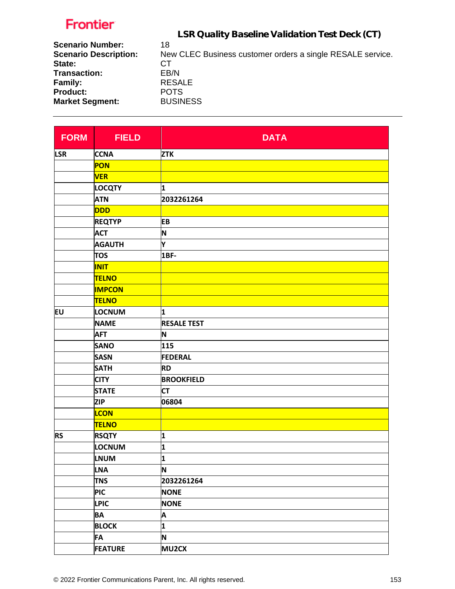LSR Quality Baseline Validation Test Deck (CT)

| <b>Scenario Number:</b>      | 18                                                         |
|------------------------------|------------------------------------------------------------|
| <b>Scenario Description:</b> | New CLEC Business customer orders a single RESALE service. |
| State:                       | CТ                                                         |
| Transaction:                 | EB/N                                                       |
| <b>Family:</b>               | <b>RESALE</b>                                              |
| <b>Product:</b>              | <b>POTS</b>                                                |
| <b>Market Segment:</b>       | <b>BUSINESS</b>                                            |

| <b>FORM</b> | <b>FIELD</b>   | <b>DATA</b>        |
|-------------|----------------|--------------------|
| <b>LSR</b>  | <b>CCNA</b>    | <b>ZTK</b>         |
|             | PON            |                    |
|             | <b>VER</b>     |                    |
|             | <b>LOCQTY</b>  | 1                  |
|             | <b>ATN</b>     | 2032261264         |
|             | <b>DDD</b>     |                    |
|             | <b>REQTYP</b>  | <b>EB</b>          |
|             | <b>ACT</b>     | N                  |
|             | <b>AGAUTH</b>  | Y                  |
|             | <b>TOS</b>     | 1BF-               |
|             | <b>INIT</b>    |                    |
|             | <b>TELNO</b>   |                    |
|             | <b>IMPCON</b>  |                    |
|             | <b>TELNO</b>   |                    |
| EU          | <b>LOCNUM</b>  | 1                  |
|             | <b>NAME</b>    | <b>RESALE TEST</b> |
|             | <b>AFT</b>     | N                  |
|             | <b>SANO</b>    | 115                |
|             | <b>SASN</b>    | <b>FEDERAL</b>     |
|             | <b>SATH</b>    | <b>RD</b>          |
|             | <b>CITY</b>    | <b>BROOKFIELD</b>  |
|             | <b>STATE</b>   | <b>CT</b>          |
|             | <b>ZIP</b>     | 06804              |
|             | <b>LCON</b>    |                    |
|             | <b>TELNO</b>   |                    |
| <b>RS</b>   | <b>RSQTY</b>   | 1                  |
|             | <b>LOCNUM</b>  | 1                  |
|             | <b>LNUM</b>    | 1                  |
|             | <b>LNA</b>     | N                  |
|             | <b>TNS</b>     | 2032261264         |
|             | <b>PIC</b>     | <b>NONE</b>        |
|             | <b>LPIC</b>    | <b>NONE</b>        |
|             | <b>BA</b>      | Α                  |
|             | <b>BLOCK</b>   | 1                  |
|             | <b>FA</b>      | N                  |
|             | <b>FEATURE</b> | <b>MU2CX</b>       |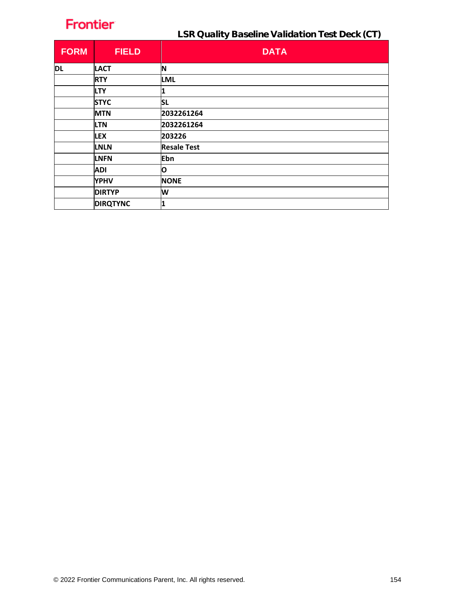LSR Quality Baseline Validation Test Deck (CT)

| <b>FORM</b> | <b>FIELD</b>    | <b>DATA</b>        |
|-------------|-----------------|--------------------|
| <b>DL</b>   | <b>LACT</b>     | N                  |
|             | <b>RTY</b>      | <b>LML</b>         |
|             | <b>LTY</b>      |                    |
|             | <b>STYC</b>     | <b>SL</b>          |
|             | <b>MTN</b>      | 2032261264         |
|             | <b>LTN</b>      | 2032261264         |
|             | <b>LEX</b>      | 203226             |
|             | <b>LNLN</b>     | <b>Resale Test</b> |
|             | <b>LNFN</b>     | Ebn                |
|             | <b>ADI</b>      | O                  |
|             | <b>YPHV</b>     | <b>NONE</b>        |
|             | <b>DIRTYP</b>   | W                  |
|             | <b>DIRQTYNC</b> | 1                  |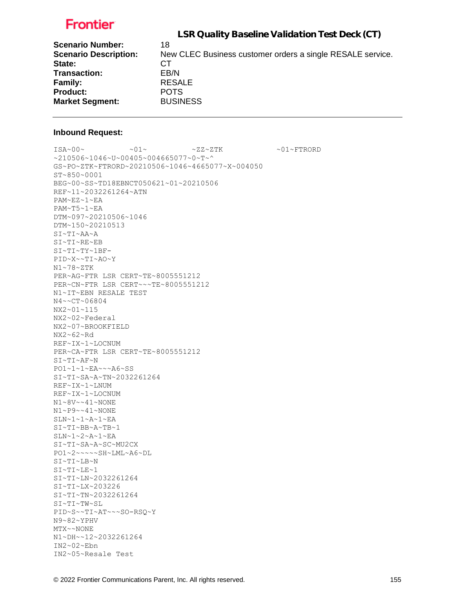LSR Quality Baseline Validation Test Deck (CT)

| <b>Scenario Number:</b>      | 18                                                         |
|------------------------------|------------------------------------------------------------|
| <b>Scenario Description:</b> | New CLEC Business customer orders a single RESALE service. |
| State:                       | CТ                                                         |
| Transaction:                 | EB/N                                                       |
| <b>Family:</b>               | <b>RESALE</b>                                              |
| <b>Product:</b>              | <b>POTS</b>                                                |
| <b>Market Segment:</b>       | <b>BUSINESS</b>                                            |
|                              |                                                            |

#### **Inbound Request:**

 $ISA~00~$   $\sim 01~$   $\sim 01~$   $\sim 2Z~2$   $TK$   $\sim 01~$   $\sim$  FTRORD ~210506~1046~U~00405~004665077~0~T~^ GS~PO~ZTK~FTRORD~20210506~1046~4665077~X~004050 ST~850~0001 BEG~00~SS~TD18EBNCT050621~01~20210506 REF~11~2032261264~ATN PAM~EZ~1~EA PAM~T5~1~EA DTM~097~20210506~1046 DTM~150~20210513 SI~TI~AA~A SI~TI~RE~EB SI~TI~TY~1BF-PID~X~~TI~AO~Y N1~78~ZTK PER~AG~FTR LSR CERT~TE~8005551212 PER~CN~FTR LSR CERT~~~TE~8005551212 N1~IT~EBN RESALE TEST N4~~CT~06804 NX2~01~115 NX2~02~Federal NX2~07~BROOKFIELD NX2~62~Rd REF~IX~1~LOCNUM PER~CA~FTR LSR CERT~TE~8005551212 SI~TI~AF~N PO1~1~1~EA~~~A6~SS SI~TI~SA~A~TN~2032261264 REF~IX~1~LNUM REF~IX~1~LOCNUM N1~8V~~41~NONE N1~P9~~41~NONE SLN~1~1~A~1~EA SI~TI~BB~A~TB~1  $SLN~1~2~$ A~ $1~$  $EA$ SI~TI~SA~A~SC~MU2CX PO1~2~~~~~SH~LML~A6~DL SI~TI~LB~N SI~TI~LE~1 SI~TI~LN~2032261264 SI~TI~LX~203226 SI~TI~TN~2032261264 SI~TI~TW~SL PID~S~~TI~AT~~~SO-RSQ~Y N9~82~YPHV MTX~~NONE N1~DH~~12~2032261264  $IN2~02~Fbn$ IN2~05~Resale Test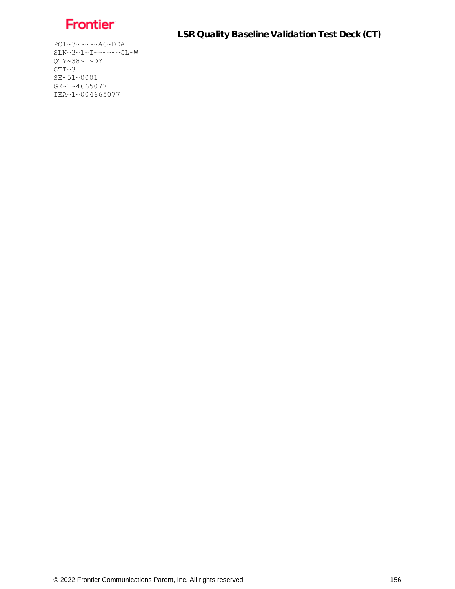

LSR Quality Baseline Validation Test Deck (CT)

PO1~3~~~~~A6~DDA SLN~3~1~I~~~~~~CL~W QTY~38~1~DY  $CTT~3$ SE~51~0001 GE~1~4665077 IEA~1~004665077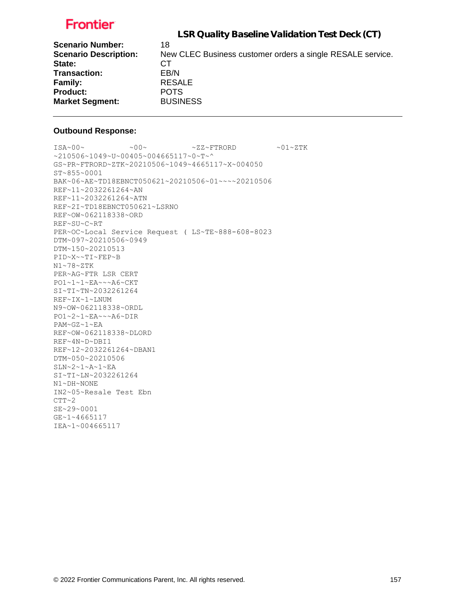LSR Quality Baseline Validation Test Deck (CT)

| New CLEC Business customer orders a single RESALE service. |
|------------------------------------------------------------|
|                                                            |
|                                                            |
|                                                            |
|                                                            |
|                                                            |
|                                                            |

#### **Outbound Response:**

 $ISA~00~\sim$   $~00~\sim$   $~00~\sim$   $~2Z~\sim$  FTRORD  $~01~\sim$  ZTK ~210506~1049~U~00405~004665117~0~T~^ GS~PR~FTRORD~ZTK~20210506~1049~4665117~X~004050 ST~855~0001 BAK~06~AE~TD18EBNCT050621~20210506~01~~~~20210506 REF~11~2032261264~AN REF~11~2032261264~ATN REF~2I~TD18EBNCT050621~LSRNO REF~OW~062118338~ORD REF~SU~C~RT PER~OC~Local Service Request ( LS~TE~888-608-8023 DTM~097~20210506~0949 DTM~150~20210513 PID~X~~TI~FEP~B N1~78~ZTK PER~AG~FTR LSR CERT PO1~1~1~EA~~~A6~CKT SI~TI~TN~2032261264 REF~IX~1~LNUM N9~OW~062118338~ORDL PO1~2~1~EA~~~A6~DIR PAM~GZ~1~EA REF~OW~062118338~DLORD REF~4N~D~DBI1 REF~12~2032261264~DBAN1 DTM~050~20210506 SLN~2~1~A~1~EA SI~TI~LN~2032261264  $\texttt{N1}\!\sim\!\texttt{DH}\!\sim\!\texttt{NONE}$ IN2~05~Resale Test Ebn  $CTT~2$ SE~29~0001 GE~1~4665117 IEA~1~004665117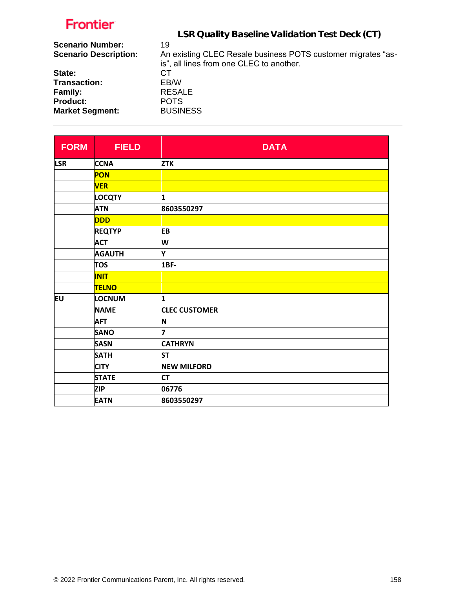|                                                         | LSR Quality Baseline Validation Test Deck (CT)                     |
|---------------------------------------------------------|--------------------------------------------------------------------|
| <b>Scenario Number:</b><br><b>Scenario Description:</b> | 19<br>An existing CLEC Resale business POTS customer migrates "as- |
| State:                                                  | is", all lines from one CLEC to another.<br>CТ                     |
| <b>Transaction:</b>                                     | EB/W                                                               |
| Family:                                                 | <b>RESALE</b>                                                      |
| <b>Product:</b>                                         | <b>POTS</b>                                                        |
| <b>Market Segment:</b>                                  | <b>BUSINESS</b>                                                    |
|                                                         |                                                                    |

| <b>FORM</b> | <b>FIELD</b>  | <b>DATA</b>          |
|-------------|---------------|----------------------|
| <b>LSR</b>  | <b>CCNA</b>   | <b>ZTK</b>           |
|             | PON           |                      |
|             | <b>VER</b>    |                      |
|             | <b>LOCQTY</b> | 1                    |
|             | <b>ATN</b>    | 8603550297           |
|             | <b>DDD</b>    |                      |
|             | <b>REQTYP</b> | <b>EB</b>            |
|             | <b>ACT</b>    | W                    |
|             | <b>AGAUTH</b> | Y                    |
|             | <b>TOS</b>    | <b>1BF-</b>          |
|             | <b>INIT</b>   |                      |
|             | <b>TELNO</b>  |                      |
| EU          | LOCNUM        | 1                    |
|             | <b>NAME</b>   | <b>CLEC CUSTOMER</b> |
|             | <b>AFT</b>    | N                    |
|             | <b>SANO</b>   | 7                    |
|             | <b>SASN</b>   | <b>CATHRYN</b>       |
|             | <b>SATH</b>   | <b>ST</b>            |
|             | <b>CITY</b>   | <b>NEW MILFORD</b>   |
|             | <b>STATE</b>  | <b>CT</b>            |
|             | <b>ZIP</b>    | 06776                |
|             | <b>EATN</b>   | 8603550297           |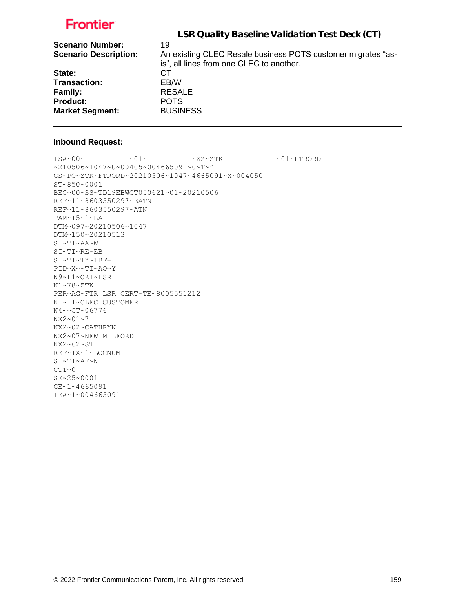|                                                         | LSR Quality Baseline Validation Test Deck (CT)                     |
|---------------------------------------------------------|--------------------------------------------------------------------|
| <b>Scenario Number:</b><br><b>Scenario Description:</b> | 19<br>An existing CLEC Resale business POTS customer migrates "as- |
| State:                                                  | is", all lines from one CLEC to another.<br>CТ                     |
| <b>Transaction:</b>                                     | EB/W                                                               |
| Family:                                                 | <b>RESALE</b>                                                      |
| <b>Product:</b>                                         | <b>POTS</b>                                                        |
| <b>Market Segment:</b>                                  | <b>BUSINESS</b>                                                    |
|                                                         |                                                                    |

#### **Inbound Request:**

 $\text{ISA~00~} \sim \text{O1~} \sim 01 \sim \text{O1~} \sim \text{ZZ~ZTK}$  .  $\sim 01 \sim \text{FTRORD}$ ~210506~1047~U~00405~004665091~0~T~^ GS~PO~ZTK~FTRORD~20210506~1047~4665091~X~004050 ST~850~0001 BEG~00~SS~TD19EBWCT050621~01~20210506 REF~11~8603550297~EATN REF~11~8603550297~ATN PAM~T5~1~EA DTM~097~20210506~1047 DTM~150~20210513 SI~TI~AA~W SI~TI~RE~EB SI~TI~TY~1BF-PID~X~~TI~AO~Y N9~L1~ORI~LSR N1~78~ZTK PER~AG~FTR LSR CERT~TE~8005551212 N1~IT~CLEC CUSTOMER N4~~CT~06776 NX2~01~7 NX2~02~CATHRYN NX2~07~NEW MILFORD NX2~62~ST REF~IX~1~LOCNUM SI~TI~AF~N  $CTT~0$ SE~25~0001 GE~1~4665091 IEA~1~004665091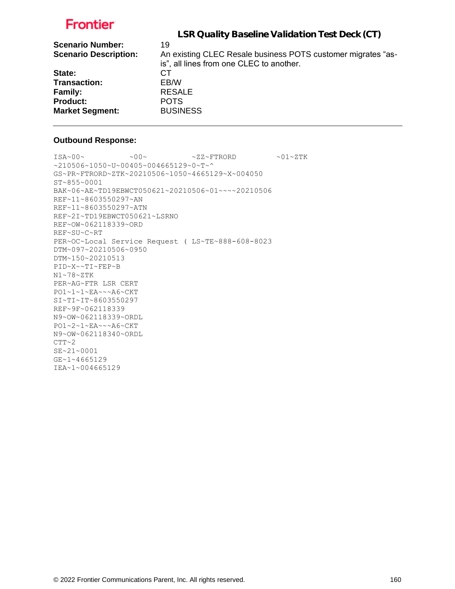| LSR Quality Baseline Validation Test Deck (CT)                                                                 |
|----------------------------------------------------------------------------------------------------------------|
| 19<br>An existing CLEC Resale business POTS customer migrates "as-<br>is", all lines from one CLEC to another. |
| CТ                                                                                                             |
| EB/W                                                                                                           |
| <b>RESALE</b>                                                                                                  |
| <b>POTS</b>                                                                                                    |
| <b>BUSINESS</b>                                                                                                |
|                                                                                                                |

#### **Outbound Response:**

```
\sim 00\sim \text{ 100} \times 2\text{K}^2 + 2\text{K}^2~210506~1050~U~00405~004665129~0~T~^
GS~PR~FTRORD~ZTK~20210506~1050~4665129~X~004050
ST~855~0001
BAK~06~AE~TD19EBWCT050621~20210506~01~~~~20210506
REF~11~8603550297~AN
REF~11~8603550297~ATN
REF~2I~TD19EBWCT050621~LSRNO
REF~OW~062118339~ORD
REF~SU~C~RT
PER~OC~Local Service Request ( LS~TE~888-608-8023
DTM~097~20210506~0950
DTM~150~20210513
PID~X~~TI~FEP~B
N1~78~ZTK
PER~AG~FTR LSR CERT
PO1~1~1~EA~~~A6~CKT
SI~TI~IT~8603550297
REF~9F~062118339
N9~OW~062118339~ORDL
PO1~2~1~EA~~~A6~CKT
N9~OW~062118340~ORDL
CTT~2SE~21~0001
GE~1~4665129
IEA~1~004665129
```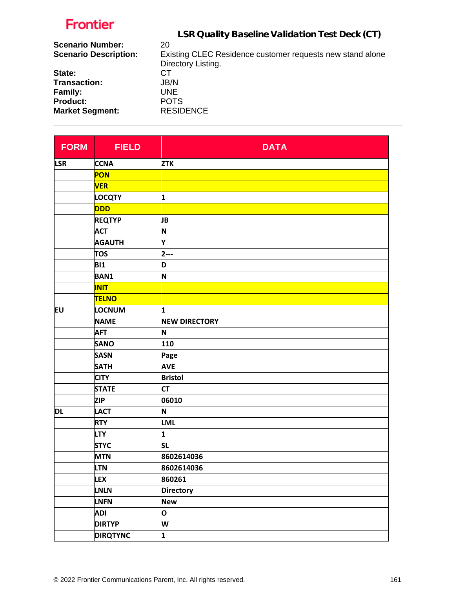|                              | LSR Quality Baseline Validation Test Deck (CT)            |
|------------------------------|-----------------------------------------------------------|
| <b>Scenario Number:</b>      | 20                                                        |
| <b>Scenario Description:</b> | Existing CLEC Residence customer requests new stand alone |
|                              | Directory Listing.                                        |
| State:                       | CТ                                                        |
| <b>Transaction:</b>          | JB/N                                                      |
| Family:                      | UNE.                                                      |
| <b>Product:</b>              | <b>POTS</b>                                               |
| <b>Market Segment:</b>       | <b>RESIDENCE</b>                                          |

| <b>FORM</b> | <b>FIELD</b>    | <b>DATA</b>          |
|-------------|-----------------|----------------------|
| <b>LSR</b>  | <b>CCNA</b>     | <b>ZTK</b>           |
|             | PON             |                      |
|             | <b>VER</b>      |                      |
|             | LOCQTY          | 1                    |
|             | <b>DDD</b>      |                      |
|             | <b>REQTYP</b>   | JB                   |
|             | <b>ACT</b>      | N                    |
|             | <b>AGAUTH</b>   | Y                    |
|             | <b>TOS</b>      | $2--$                |
|             | <b>BI1</b>      | D                    |
|             | <b>BAN1</b>     | N                    |
|             | <b>INIT</b>     |                      |
|             | <b>TELNO</b>    |                      |
| Eυ          | <b>LOCNUM</b>   | 1                    |
|             | <b>NAME</b>     | <b>NEW DIRECTORY</b> |
|             | <b>AFT</b>      | N                    |
|             | <b>SANO</b>     | 110                  |
|             | <b>SASN</b>     | Page                 |
|             | <b>SATH</b>     | <b>AVE</b>           |
|             | <b>CITY</b>     | <b>Bristol</b>       |
|             | <b>STATE</b>    | <b>CT</b>            |
|             | <b>ZIP</b>      | 06010                |
| DL          | <b>LACT</b>     | N                    |
|             | <b>RTY</b>      | <b>LML</b>           |
|             | <b>LTY</b>      | 1                    |
|             | <b>STYC</b>     | <b>SL</b>            |
|             | <b>MTN</b>      | 8602614036           |
|             | <b>LTN</b>      | 8602614036           |
|             | LEX             | 860261               |
|             | LNLN            | <b>Directory</b>     |
|             | LNFN            | <b>New</b>           |
|             | <b>ADI</b>      | O                    |
|             | <b>DIRTYP</b>   | W                    |
|             | <b>DIRQTYNC</b> | $\mathbf{1}$         |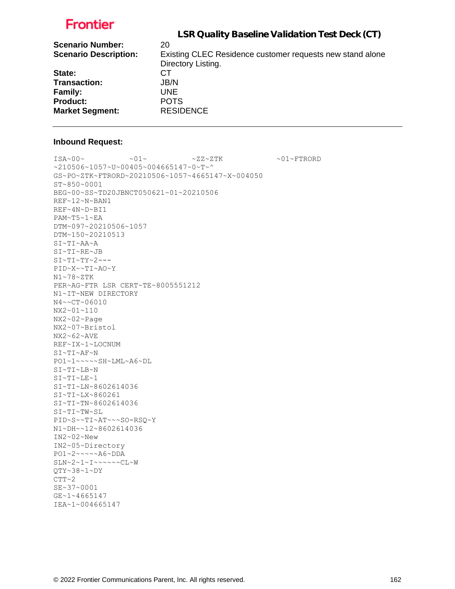|                              | LSR Quality Baseline Validation Test Deck (CT)            |
|------------------------------|-----------------------------------------------------------|
| <b>Scenario Number:</b>      | 20                                                        |
| <b>Scenario Description:</b> | Existing CLEC Residence customer requests new stand alone |
|                              | Directory Listing.                                        |
| State:                       | CТ                                                        |
| <b>Transaction:</b>          | JB/N                                                      |
| <b>Family:</b>               | UNE.                                                      |
| <b>Product:</b>              | <b>POTS</b>                                               |
| <b>Market Segment:</b>       | <b>RESIDENCE</b>                                          |
|                              |                                                           |

#### **Inbound Request:**

IEA~1~004665147

 $\sim 01 \times 100 \times 100 \times 27 \times 27 \times 500 \times 100 \times 27 \times 500 \times 100 \times 100 \times 100 \times 100 \times 100 \times 100 \times 100 \times 100 \times 100 \times 100 \times 100 \times 100 \times 100 \times 100 \times 100 \times 100 \times 100 \times 100 \times 100 \times 100 \times 100 \times 100 \times 100 \times 100 \times 100 \times 100 \times 100 \times 100 \times$ ~210506~1057~U~00405~004665147~0~T~^ GS~PO~ZTK~FTRORD~20210506~1057~4665147~X~004050 ST~850~0001 BEG~00~SS~TD20JBNCT050621~01~20210506 REF~12~N~BAN1 REF~4N~D~BI1 PAM~T5~1~EA DTM~097~20210506~1057 DTM~150~20210513 SI~TI~AA~A SI~TI~RE~JB  $SI~TI~TY~2--$ PID~X~~TI~AO~Y N1~78~ZTK PER~AG~FTR LSR CERT~TE~8005551212 N1~IT~NEW DIRECTORY N4~~CT~06010 NX2~01~110 NX2~02~Page NX2~07~Bristol NX2~62~AVE REF~IX~1~LOCNUM SI~TI~AF~N PO1~1~~~~~SH~LML~A6~DL SI~TI~LB~N SI~TI~LE~1 SI~TI~LN~8602614036 SI~TI~LX~860261 SI~TI~TN~8602614036 SI~TI~TW~SL PID~S~~TI~AT~~~SO-RSQ~Y N1~DH~~12~8602614036 IN2~02~New IN2~05~Directory PO1~2~~~~~A6~DDA SLN~2~1~I~~~~~~CL~W QTY~38~1~DY  $CTT~2$ SE~37~0001 GE~1~4665147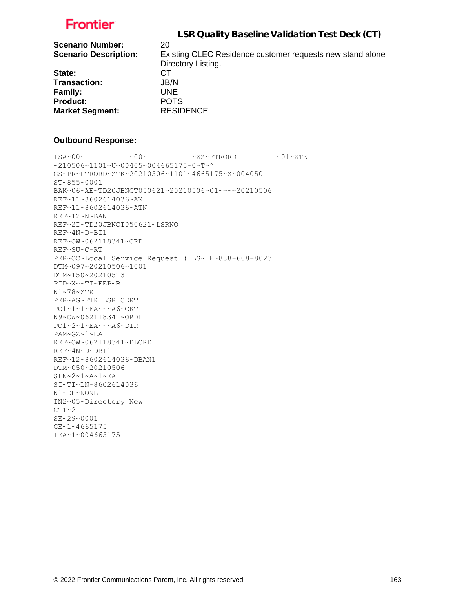|                              | LSR Quality Baseline Validation Test Deck (CT)            |
|------------------------------|-----------------------------------------------------------|
| <b>Scenario Number:</b>      | 20                                                        |
| <b>Scenario Description:</b> | Existing CLEC Residence customer requests new stand alone |
|                              | Directory Listing.                                        |
| State:                       | CТ                                                        |
| <b>Transaction:</b>          | JB/N                                                      |
| Family:                      | UNE.                                                      |
| <b>Product:</b>              | <b>POTS</b>                                               |
| <b>Market Segment:</b>       | <b>RESIDENCE</b>                                          |

#### **Outbound Response:**

 $ISA~00~\sim$   $~00~\sim$   $~00~\sim$   $~0.727~\rm{F}$   $~0.01~\rm{F}$ ~210506~1101~U~00405~004665175~0~T~^ GS~PR~FTRORD~ZTK~20210506~1101~4665175~X~004050 ST~855~0001 BAK~06~AE~TD20JBNCT050621~20210506~01~~~~20210506 REF~11~8602614036~AN REF~11~8602614036~ATN REF~12~N~BAN1 REF~2I~TD20JBNCT050621~LSRNO REF~4N~D~BI1 REF~OW~062118341~ORD REF~SU~C~RT PER~OC~Local Service Request ( LS~TE~888-608-8023 DTM~097~20210506~1001 DTM~150~20210513 PID~X~~TI~FEP~B N1~78~ZTK PER~AG~FTR LSR CERT PO1~1~1~EA~~~A6~CKT N9~OW~062118341~ORDL PO1~2~1~EA~~~A6~DIR PAM~GZ~1~EA REF~OW~062118341~DLORD REF~4N~D~DBI1 REF~12~8602614036~DBAN1 DTM~050~20210506 SLN~2~1~A~1~EA SI~TI~LN~8602614036 N1~DH~NONE IN2~05~Directory New  $CTT~2$ SE~29~0001 GE~1~4665175 IEA~1~004665175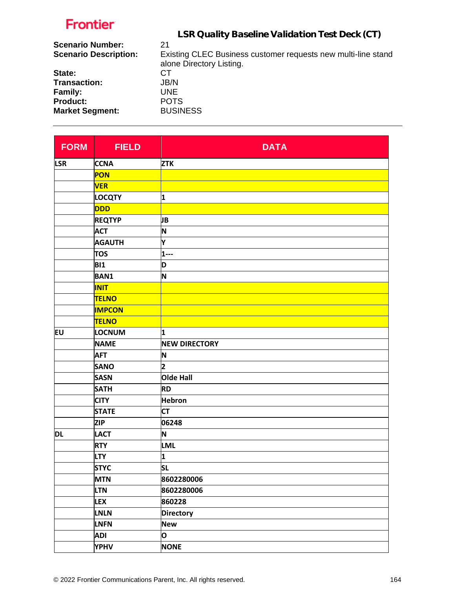| LSR Quality Baseline Validation Test Deck (CT) |  |
|------------------------------------------------|--|
|------------------------------------------------|--|

| <b>Scenario Number:</b><br><b>Scenario Description:</b> | 21<br>Existing CLEC Business customer requests new multi-line stand<br>alone Directory Listing. |
|---------------------------------------------------------|-------------------------------------------------------------------------------------------------|
| State:                                                  | CT.                                                                                             |
| Transaction:                                            | JB/N                                                                                            |
| <b>Family:</b>                                          | UNE.                                                                                            |
| <b>Product:</b>                                         | <b>POTS</b>                                                                                     |
| <b>Market Segment:</b>                                  | <b>BUSINESS</b>                                                                                 |

| <b>FORM</b> | <b>FIELD</b>  | <b>DATA</b>          |
|-------------|---------------|----------------------|
| <b>LSR</b>  | <b>CCNA</b>   | <b>ZTK</b>           |
|             | PON           |                      |
|             | <b>VER</b>    |                      |
|             | <b>LOCQTY</b> | 1                    |
|             | <b>DDD</b>    |                      |
|             | <b>REQTYP</b> | JB                   |
|             | <b>ACT</b>    | N                    |
|             | <b>AGAUTH</b> | Υ                    |
|             | <b>TOS</b>    | $1 - -$              |
|             | <b>BI1</b>    | D                    |
|             | <b>BAN1</b>   | N                    |
|             | <b>INIT</b>   |                      |
|             | <b>TELNO</b>  |                      |
|             | <b>IMPCON</b> |                      |
|             | <b>TELNO</b>  |                      |
| <b>EU</b>   | LOCNUM        | 1                    |
|             | <b>NAME</b>   | <b>NEW DIRECTORY</b> |
|             | <b>AFT</b>    | N                    |
|             | <b>SANO</b>   | 2                    |
|             | <b>SASN</b>   | Olde Hall            |
|             | <b>SATH</b>   | <b>RD</b>            |
|             | <b>CITY</b>   | <b>Hebron</b>        |
|             | <b>STATE</b>  | <b>CT</b>            |
|             | <b>ZIP</b>    | 06248                |
| <b>DL</b>   | <b>LACT</b>   | N                    |
|             | <b>RTY</b>    | <b>LML</b>           |
|             | <b>LTY</b>    | 1                    |
|             | <b>STYC</b>   | $ \mathsf{SL} $      |
|             | <b>MTN</b>    | 8602280006           |
|             | <b>LTN</b>    | 8602280006           |
|             | <b>LEX</b>    | 860228               |
|             | <b>LNLN</b>   | <b>Directory</b>     |
|             | LNFN          | <b>New</b>           |
|             | <b>ADI</b>    | O                    |
|             | <b>YPHV</b>   | <b>NONE</b>          |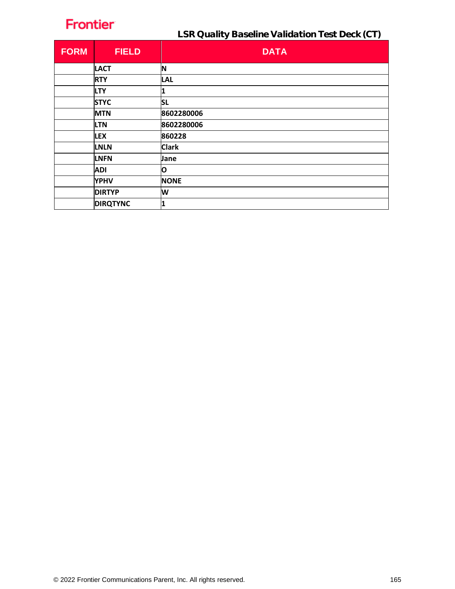LSR Quality Baseline Validation Test Deck (CT)

| <b>FORM</b> | <b>FIELD</b>    | <b>DATA</b>  |
|-------------|-----------------|--------------|
|             | <b>LACT</b>     | N            |
|             | <b>RTY</b>      | <b>LAL</b>   |
|             | <b>LTY</b>      |              |
|             | <b>STYC</b>     | <b>SL</b>    |
|             | <b>MTN</b>      | 8602280006   |
|             | <b>LTN</b>      | 8602280006   |
|             | <b>LEX</b>      | 860228       |
|             | <b>LNLN</b>     | <b>Clark</b> |
|             | <b>LNFN</b>     | Jane         |
|             | <b>ADI</b>      | O            |
|             | <b>YPHV</b>     | <b>NONE</b>  |
|             | <b>DIRTYP</b>   | W            |
|             | <b>DIRQTYNC</b> | 1            |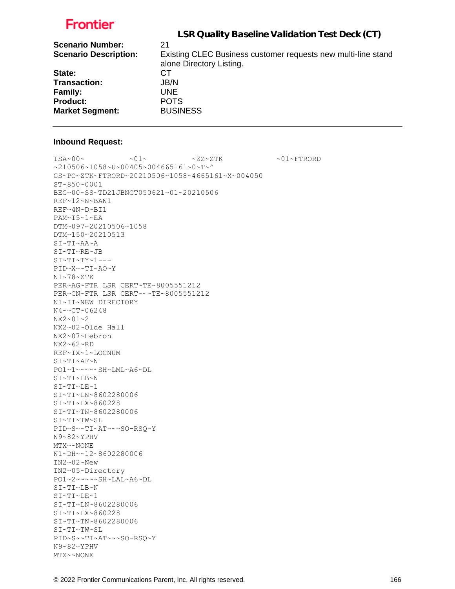| LSR Quality Baseline Validation Test Deck (CT)                                            |
|-------------------------------------------------------------------------------------------|
| 21                                                                                        |
| Existing CLEC Business customer requests new multi-line stand<br>alone Directory Listing. |
| СT                                                                                        |
| JB/N                                                                                      |
| UNE.                                                                                      |
| <b>POTS</b>                                                                               |
| <b>BUSINESS</b>                                                                           |
|                                                                                           |

#### **Inbound Request:**

 $\sim 01 \times 100 \times 100 \times 27 \times 27 \times 500 \times 100 \times 100 \times 100 \times 100 \times 100 \times 100 \times 100 \times 100 \times 100 \times 100 \times 100 \times 100 \times 100 \times 100 \times 100 \times 100 \times 100 \times 100 \times 100 \times 100 \times 100 \times 100 \times 100 \times 100 \times 100 \times 100 \times 100 \times 100 \times 100 \times 100 \times 100 \$  $~10506~1058~$ v $~100405$  ~ 004665161~0~T~^ GS~PO~ZTK~FTRORD~20210506~1058~4665161~X~004050 ST~850~0001 BEG~00~SS~TD21JBNCT050621~01~20210506 REF~12~N~BAN1 REF~4N~D~BI1 PAM~T5~1~EA DTM~097~20210506~1058 DTM~150~20210513 SI~TI~AA~A SI~TI~RE~JB  $SI~TI~TY~1$ ---PID~X~~TI~AO~Y N1~78~ZTK PER~AG~FTR LSR CERT~TE~8005551212 PER~CN~FTR LSR CERT~~~TE~8005551212 N1~IT~NEW DIRECTORY N4~~CT~06248 NX2~01~2 NX2~02~Olde Hall NX2~07~Hebron NX2~62~RD REF~IX~1~LOCNUM SI~TI~AF~N PO1~1~~~~~SH~LML~A6~DL SI~TI~LB~N SI~TI~LE~1 SI~TI~LN~8602280006 SI~TI~LX~860228 SI~TI~TN~8602280006 SI~TI~TW~SL PID~S~~TI~AT~~~SO-RSQ~Y N9~82~YPHV MTX~~NONE N1~DH~~12~8602280006 IN2~02~New IN2~05~Directory PO1~2~~~~~SH~LAL~A6~DL SI~TI~LB~N SI~TI~LE~1 SI~TI~LN~8602280006 SI~TI~LX~860228 SI~TI~TN~8602280006 SI~TI~TW~SL PID~S~~TI~AT~~~SO-RSQ~Y N9~82~YPHV MTX~~NONE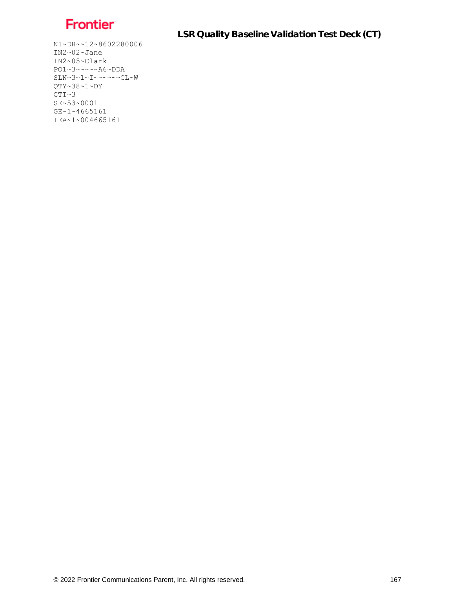

LSR Quality Baseline Validation Test Deck (CT)

N1~DH~~12~8602280006 IN2~02~Jane IN2~05~Clark PO1~3~~~~~A6~DDA  $SLN-3-1-1\sim\sim\sim\sim\sim CL\sim W$ QTY~38~1~DY  $CTT~3$ SE~53~0001 GE~1~4665161 IEA~1~004665161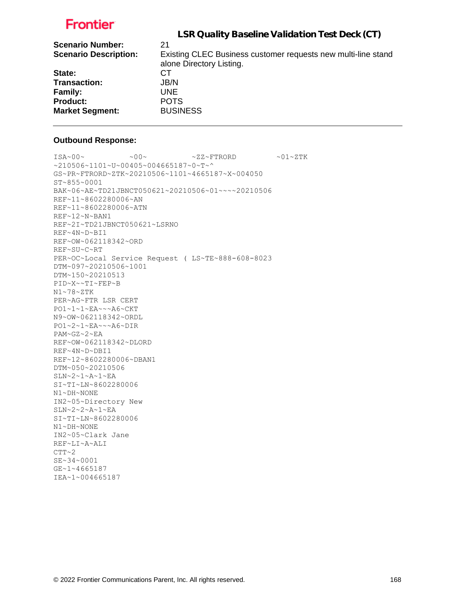|                              | LSR Quality Baseline Validation Test Deck (CT)                                            |
|------------------------------|-------------------------------------------------------------------------------------------|
| <b>Scenario Number:</b>      | 21                                                                                        |
| <b>Scenario Description:</b> | Existing CLEC Business customer requests new multi-line stand<br>alone Directory Listing. |
| State:                       | CT.                                                                                       |
| <b>Transaction:</b>          | JB/N                                                                                      |
| Family:                      | UNE.                                                                                      |
| <b>Product:</b>              | <b>POTS</b>                                                                               |
| <b>Market Segment:</b>       | <b>BUSINESS</b>                                                                           |

#### **Outbound Response:**

```
ISA~00~\sim ~00~\sim ~00~\sim ~01~\sim ZZ~\sim FTRORD ~01~\sim 2.1~\sim Z TK
~1210506~1101~~U~00405~004665187~0~T~^
GS~PR~FTRORD~ZTK~20210506~1101~4665187~X~004050
ST~855~0001
BAK~06~AE~TD21JBNCT050621~20210506~01~~~~20210506
REF~11~8602280006~AN
REF~11~8602280006~ATN
REF~12~N~BAN1
REF~2I~TD21JBNCT050621~LSRNO
REF~4N~D~BI1
REF~OW~062118342~ORD
REF~SU~C~RT
PER~OC~Local Service Request ( LS~TE~888-608-8023
DTM~097~20210506~1001
DTM~150~20210513
PID~X~~TI~FEP~B
N1~78~ZTK
PER~AG~FTR LSR CERT
PO1~1~1~EA~~~A6~CKT
N9~OW~062118342~ORDL
PO1~2~1~EA~~~A6~DIR
PAM~GZ~2~EA
REF~OW~062118342~DLORD
REF~4N~D~DBI1
REF~12~8602280006~DBAN1
DTM~050~20210506
SLN~2~1~A~1~EA
SI~TI~LN~8602280006
N1~DH~NONE
IN2~05~Directory New
SLN~2~2~A~1~EA
SI~TI~LN~8602280006
N1~DH~NONE
IN2~05~Clark Jane
REF~LI~A~ALI
CTT~2SE~34~0001
GE~1~4665187
IEA~1~004665187
```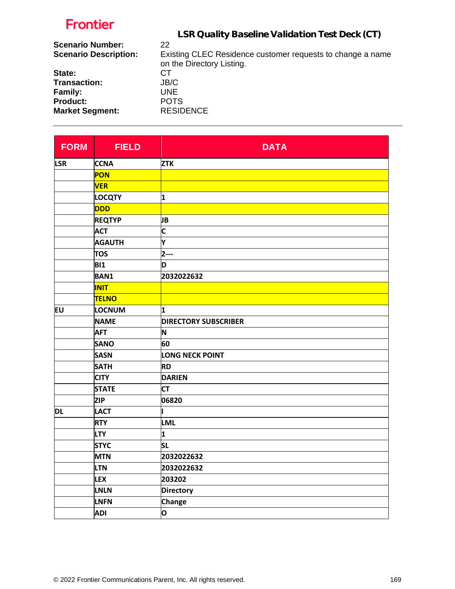| LSR Quality Baseline Validation Test Deck (CT)             |
|------------------------------------------------------------|
| 22                                                         |
| Existing CLEC Residence customer requests to change a name |
| on the Directory Listing.                                  |
| CT.                                                        |
| JB/C                                                       |
| UNE.                                                       |
| <b>POTS</b>                                                |
| <b>RESIDENCE</b>                                           |
|                                                            |

| <b>FORM</b> | <b>FIELD</b>  | <b>DATA</b>                 |
|-------------|---------------|-----------------------------|
| <b>LSR</b>  | <b>CCNA</b>   | <b>ZTK</b>                  |
|             | PON           |                             |
|             | <b>VER</b>    |                             |
|             | <b>LOCQTY</b> | 1                           |
|             | DDD           |                             |
|             | <b>REQTYP</b> | JB                          |
|             | <b>ACT</b>    | C                           |
|             | <b>AGAUTH</b> | Y                           |
|             | <b>TOS</b>    | 2---                        |
|             | <b>BI1</b>    | D                           |
|             | <b>BAN1</b>   | 2032022632                  |
|             | <b>INIT</b>   |                             |
|             | <b>TELNO</b>  |                             |
| EU          | LOCNUM        | 1                           |
|             | <b>NAME</b>   | <b>DIRECTORY SUBSCRIBER</b> |
|             | <b>AFT</b>    | N                           |
|             | <b>SANO</b>   | 60                          |
|             | <b>SASN</b>   | LONG NECK POINT             |
|             | <b>SATH</b>   | <b>RD</b>                   |
|             | <b>CITY</b>   | <b>DARIEN</b>               |
|             | <b>STATE</b>  | <b>CT</b>                   |
|             | <b>ZIP</b>    | 06820                       |
| DL          | <b>LACT</b>   |                             |
|             | <b>RTY</b>    | <b>LML</b>                  |
|             | <b>LTY</b>    | 1                           |
|             | <b>STYC</b>   | <b>SL</b>                   |
|             | <b>MTN</b>    | 2032022632                  |
|             | <b>LTN</b>    | 2032022632                  |
|             | <b>LEX</b>    | 203202                      |
|             | <b>LNLN</b>   | <b>Directory</b>            |
|             | <b>LNFN</b>   | <b>Change</b>               |
|             | <b>ADI</b>    | O                           |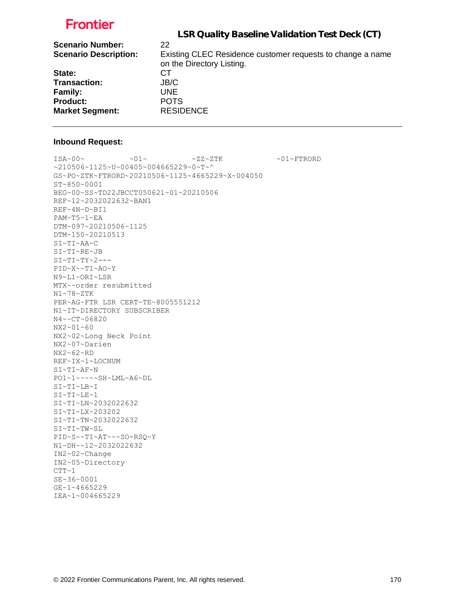|                              | LSR Quality Baseline Validation Test Deck (CT)             |
|------------------------------|------------------------------------------------------------|
| <b>Scenario Number:</b>      | 22                                                         |
| <b>Scenario Description:</b> | Existing CLEC Residence customer requests to change a name |
|                              | on the Directory Listing.                                  |
| State:                       | CT.                                                        |
| <b>Transaction:</b>          | JB/C                                                       |
| <b>Family:</b>               | UNE.                                                       |
| <b>Product:</b>              | <b>POTS</b>                                                |
| <b>Market Segment:</b>       | <b>RESIDENCE</b>                                           |
|                              |                                                            |

#### **Inbound Request:**

 $\sim 01 \times 100 \times 100 \times 27 \times 27 \times 500 \times 100 \times 100 \times 100 \times 100 \times 100 \times 100 \times 100 \times 100 \times 100 \times 100 \times 100 \times 100 \times 100 \times 100 \times 100 \times 100 \times 100 \times 100 \times 100 \times 100 \times 100 \times 100 \times 100 \times 100 \times 100 \times 100 \times 100 \times 100 \times 100 \times 100 \times 100 \$ ~210506~1125~U~00405~004665229~0~T~^ GS~PO~ZTK~FTRORD~20210506~1125~4665229~X~004050 ST~850~0001 BEG~00~SS~TD22JBCCT050621~01~20210506 REF~12~2032022632~BAN1 REF~4N~D~BI1 PAM~T5~1~EA DTM~097~20210506~1125 DTM~150~20210513 SI~TI~AA~C SI~TI~RE~JB  $SI~TI~TY~2--$ PID~X~~TI~AO~Y N9~L1~ORI~LSR MTX~~order resubmitted N1~78~ZTK PER~AG~FTR LSR CERT~TE~8005551212 N1~IT~DIRECTORY SUBSCRIBER N4~~CT~06820 NX2~01~60 NX2~02~Long Neck Point NX2~07~Darien NX2~62~RD REF~IX~1~LOCNUM SI~TI~AF~N PO1~1~~~~~SH~LML~A6~DL SI~TI~LB~I SI~TI~LE~1 SI~TI~LN~2032022632 SI~TI~LX~203202 SI~TI~TN~2032022632 SI~TI~TW~SL PID~S~~TI~AT~~~SO-RSQ~Y N1~DH~~12~2032022632 IN2~02~Change IN2~05~Directory  $CTT~1$ SE~36~0001

GE~1~4665229 IEA~1~004665229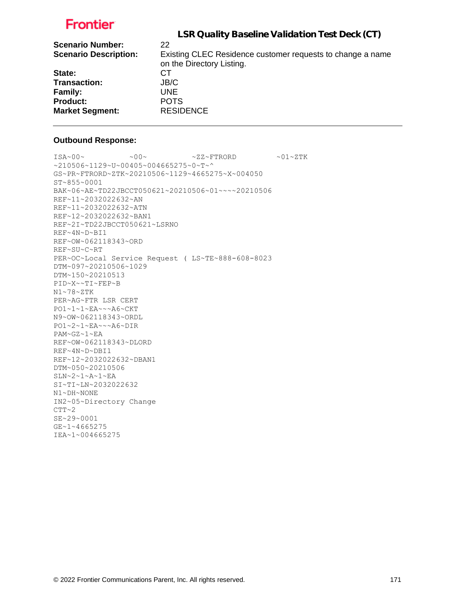|                              | LSR Quality Baseline Validation Test Deck (CT)             |
|------------------------------|------------------------------------------------------------|
| <b>Scenario Number:</b>      | 22                                                         |
| <b>Scenario Description:</b> | Existing CLEC Residence customer requests to change a name |
|                              | on the Directory Listing.                                  |
| State:                       | CТ                                                         |
| <b>Transaction:</b>          | JB/C                                                       |
| Family:                      | UNE.                                                       |
| <b>Product:</b>              | <b>POTS</b>                                                |
| <b>Market Segment:</b>       | <b>RESIDENCE</b>                                           |

#### **Outbound Response:**

 $ISA~00~\sim$   $~00~\sim$   $~00~\sim$   $~01~\sim$   $ZZ~\sim$  FTRORD  $~01~\sim$   $2.1~\sim$   $Z$  TK ~210506~1129~U~00405~004665275~0~T~^ GS~PR~FTRORD~ZTK~20210506~1129~4665275~X~004050 ST~855~0001 BAK~06~AE~TD22JBCCT050621~20210506~01~~~~20210506 REF~11~2032022632~AN REF~11~2032022632~ATN REF~12~2032022632~BAN1 REF~2I~TD22JBCCT050621~LSRNO REF~4N~D~BI1 REF~OW~062118343~ORD REF~SU~C~RT PER~OC~Local Service Request ( LS~TE~888-608-8023 DTM~097~20210506~1029 DTM~150~20210513 PID~X~~TI~FEP~B N1~78~ZTK PER~AG~FTR LSR CERT PO1~1~1~EA~~~A6~CKT N9~OW~062118343~ORDL PO1~2~1~EA~~~A6~DIR PAM~GZ~1~EA REF~OW~062118343~DLORD REF~4N~D~DBI1 REF~12~2032022632~DBAN1 DTM~050~20210506 SLN~2~1~A~1~EA SI~TI~LN~2032022632 N1~DH~NONE IN2~05~Directory Change  $CTT~2$ SE~29~0001 GE~1~4665275 IEA~1~004665275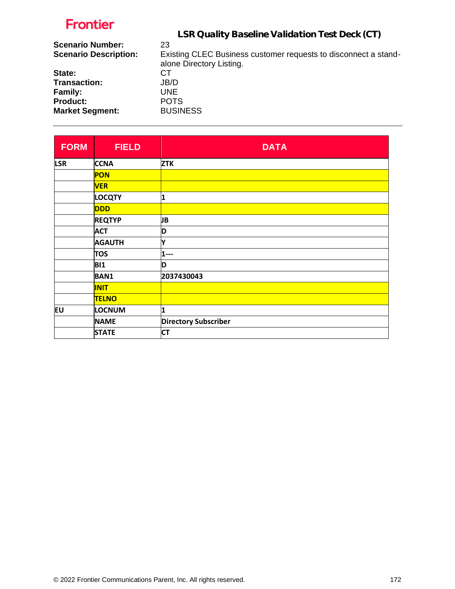|                              | LSR Quality Baseline Validation Test Deck (CT)                  |
|------------------------------|-----------------------------------------------------------------|
| <b>Scenario Number:</b>      | 23                                                              |
| <b>Scenario Description:</b> | Existing CLEC Business customer requests to disconnect a stand- |
|                              | alone Directory Listing.                                        |
| State:                       | CT.                                                             |
| Transaction:                 | JB/D                                                            |
| Family:                      | UNE.                                                            |
| <b>Product:</b>              | <b>POTS</b>                                                     |
| <b>Market Segment:</b>       | <b>BUSINESS</b>                                                 |
|                              |                                                                 |

| <b>FORM</b> | <b>FIELD</b>  | <b>DATA</b>                 |
|-------------|---------------|-----------------------------|
| <b>LSR</b>  | <b>CCNA</b>   | <b>ZTK</b>                  |
|             | <b>PON</b>    |                             |
|             | <b>VER</b>    |                             |
|             | <b>LOCQTY</b> | 1                           |
|             | <b>DDD</b>    |                             |
|             | <b>REQTYP</b> | JВ                          |
|             | <b>ACT</b>    | D                           |
|             | <b>AGAUTH</b> | İΥ                          |
|             | <b>TOS</b>    | $1 - -$                     |
|             | <b>BI1</b>    | D                           |
|             | <b>BAN1</b>   | 2037430043                  |
|             | <b>INIT</b>   |                             |
|             | <b>TELNO</b>  |                             |
| EU          | <b>LOCNUM</b> | 1                           |
|             | <b>NAME</b>   | <b>Directory Subscriber</b> |
|             | <b>STATE</b>  | <b>CT</b>                   |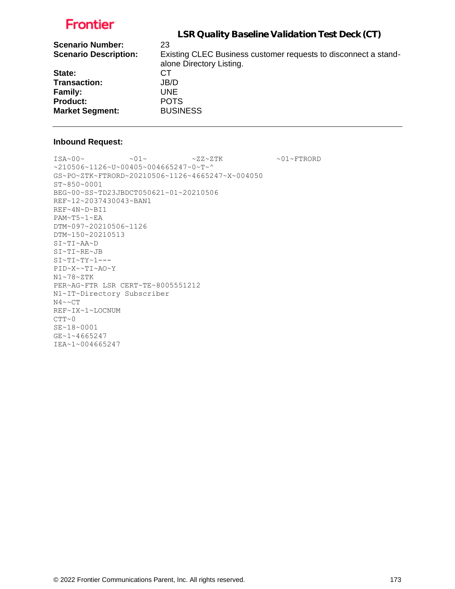| LSR Quality Baseline Validation Test Deck (CT)                                              |
|---------------------------------------------------------------------------------------------|
| 23                                                                                          |
| Existing CLEC Business customer requests to disconnect a stand-<br>alone Directory Listing. |
| СT                                                                                          |
| JB/D                                                                                        |
| UNE.                                                                                        |
| <b>POTS</b>                                                                                 |
| <b>BUSINESS</b>                                                                             |
|                                                                                             |

#### **Inbound Request:**

 $\sim 01 \sim \textrm{---} \sim 01 \sim \textrm{---} \sim 27 \sim 2 \, \textrm{---} \, \textrm{---} \, \sim 01 \sim \textrm{---} \, \textrm{---} \, \textrm{---} \, \textrm{---} \, \textrm{---} \, \textrm{---} \, \, \textrm{---} \, \, \textrm{---} \, \, \textrm{---} \, \, \textrm{---} \, \, \textrm{---} \, \, \textrm{---} \, \, \textrm{---} \, \, \textrm{---} \, \, \textrm{---} \, \, \$ ~210506~1126~U~00405~004665247~0~T~^ GS~PO~ZTK~FTRORD~20210506~1126~4665247~X~004050 ST~850~0001 BEG~00~SS~TD23JBDCT050621~01~20210506 REF~12~2037430043~BAN1 REF~4N~D~BI1 PAM~T5~1~EA DTM~097~20210506~1126 DTM~150~20210513 SI~TI~AA~D SI~TI~RE~JB SI~TI~TY~1--- PID~X~~TI~AO~Y N1~78~ZTK PER~AG~FTR LSR CERT~TE~8005551212 N1~IT~Directory Subscriber  $N4 \sim C T$ REF~IX~1~LOCNUM  $CTT~0$ SE~18~0001 GE~1~4665247 IEA~1~004665247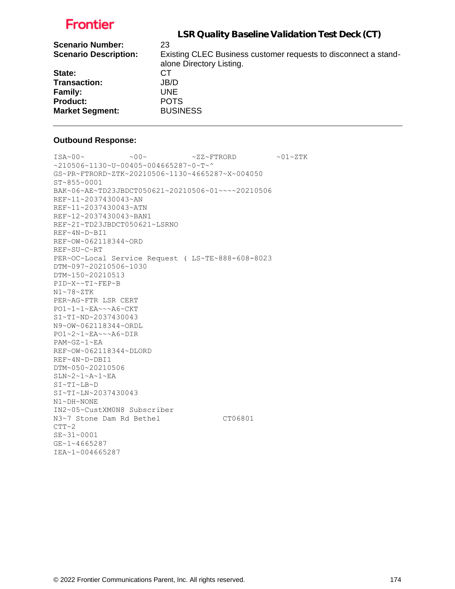|                              | LSR Quality Baseline Validation Test Deck (CT)                  |
|------------------------------|-----------------------------------------------------------------|
| <b>Scenario Number:</b>      | 23                                                              |
| <b>Scenario Description:</b> | Existing CLEC Business customer requests to disconnect a stand- |
|                              | alone Directory Listing.                                        |
| State:                       | CТ                                                              |
| <b>Transaction:</b>          | JB/D                                                            |
| <b>Family:</b>               | UNE.                                                            |
| <b>Product:</b>              | <b>POTS</b>                                                     |
| <b>Market Segment:</b>       | <b>BUSINESS</b>                                                 |
|                              |                                                                 |

#### **Outbound Response:**

```
ISA~00~\sim ~00~\sim ~00~\sim ~01~\sim ZZ~\sim FTRORD ~01~\sim 2.1~\sim Z TK
~1210506~1130~GS~PR~FTRORD~ZTK~20210506~1130~4665287~X~004050
ST~855~0001
BAK~06~AE~TD23JBDCT050621~20210506~01~~~~20210506
REF~11~2037430043~AN
REF~11~2037430043~ATN
REF~12~2037430043~BAN1
REF~2I~TD23JBDCT050621~LSRNO
REF~4N~D~BI1
REF~OW~062118344~ORD
REF~SU~C~RT
PER~OC~Local Service Request ( LS~TE~888-608-8023
DTM~097~20210506~1030
DTM~150~20210513
PID~X~~TI~FEP~B
N1~78~ZTK
PER~AG~FTR LSR CERT
PO1~1~1~EA~~~A6~CKT
SI~TI~ND~2037430043
N9~OW~062118344~ORDL
PO1~2~1~EA~~~A6~DIR
PAM~GZ~1~EA
REF~OW~062118344~DLORD
REF~4N~D~DBI1
DTM~050~20210506
SLN~2~1~A~1~EA
SI~TI~LB~D
SI~TI~LN~2037430043
N1~DH~NONE
IN2~05~CustXM0N8 Subscriber
N3~7 Stone Dam Rd Bethel CT06801
CTT~2
SE~31~0001
GE~1~4665287
IEA~1~004665287
```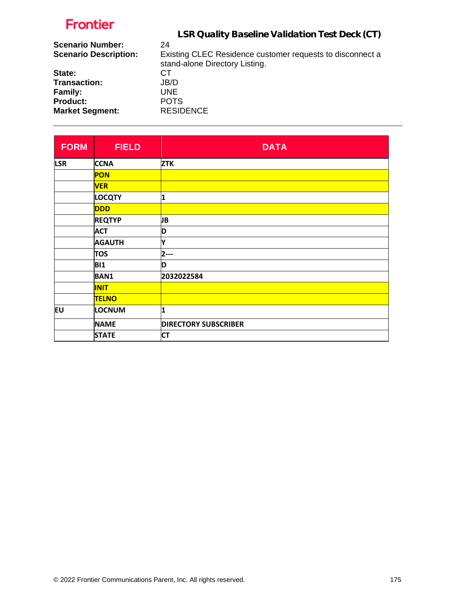|                              | LSR Quality Baseline Validation Test Deck (CT)            |
|------------------------------|-----------------------------------------------------------|
| <b>Scenario Number:</b>      | 24                                                        |
| <b>Scenario Description:</b> | Existing CLEC Residence customer requests to disconnect a |
|                              | stand-alone Directory Listing.                            |
| State:                       | СT                                                        |
| <b>Transaction:</b>          | JB/D                                                      |
| <b>Family:</b>               | <b>UNE</b>                                                |
| <b>Product:</b>              | <b>POTS</b>                                               |
| <b>Market Segment:</b>       | <b>RESIDENCE</b>                                          |

| <b>FORM</b> | <b>FIELD</b>  | <b>DATA</b>                 |
|-------------|---------------|-----------------------------|
| <b>LSR</b>  | <b>CCNA</b>   | <b>ZTK</b>                  |
|             | <b>PON</b>    |                             |
|             | <b>VER</b>    |                             |
|             | <b>LOCQTY</b> | 1                           |
|             | <b>DDD</b>    |                             |
|             | <b>REQTYP</b> | JB                          |
|             | <b>ACT</b>    | D                           |
|             | <b>AGAUTH</b> | Ý                           |
|             | <b>TOS</b>    | $2-$                        |
|             | <b>BI1</b>    | D                           |
|             | <b>BAN1</b>   | 2032022584                  |
|             | <b>INIT</b>   |                             |
|             | <b>TELNO</b>  |                             |
| EU          | <b>LOCNUM</b> | 1                           |
|             | <b>NAME</b>   | <b>DIRECTORY SUBSCRIBER</b> |
|             | <b>STATE</b>  | <b>CT</b>                   |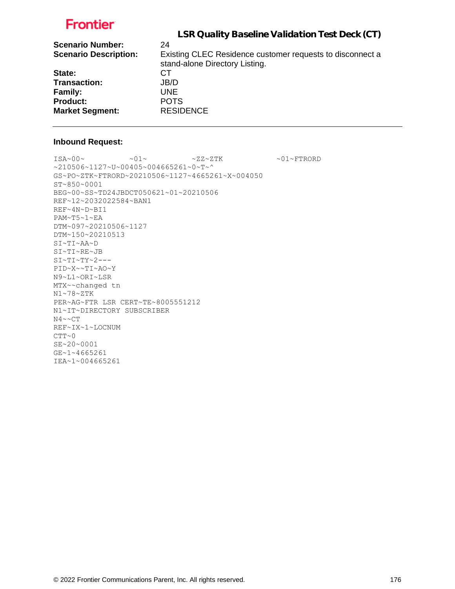| LSR Quality Baseline Validation Test Deck (CT)            |
|-----------------------------------------------------------|
| 24                                                        |
| Existing CLEC Residence customer requests to disconnect a |
| stand-alone Directory Listing.                            |
| CТ                                                        |
| JB/D                                                      |
| <b>UNE</b>                                                |
| <b>POTS</b>                                               |
| <b>RESIDENCE</b>                                          |
|                                                           |

#### **Inbound Request:**

 $\sim 01 \sim \textrm{N} \sim 01 \sim \textrm{N} \sim 27 \sim 2 \, \textrm{N} \, \textrm{N} \, \textrm{N} \, \textrm{N} \, \textrm{N} \, \textrm{N} \, \textrm{N} \, \textrm{N} \, \textrm{N} \, \textrm{N} \, \textrm{N} \, \textrm{N} \, \textrm{N} \, \textrm{N} \, \textrm{N} \, \textrm{N} \, \textrm{N} \, \textrm{N} \, \textrm{N} \, \textrm{N} \, \$ ~210506~1127~U~00405~004665261~0~T~^ GS~PO~ZTK~FTRORD~20210506~1127~4665261~X~004050 ST~850~0001 BEG~00~SS~TD24JBDCT050621~01~20210506 REF~12~2032022584~BAN1 REF~4N~D~BI1 PAM~T5~1~EA DTM~097~20210506~1127 DTM~150~20210513 SI~TI~AA~D SI~TI~RE~JB  $SI~T~T~T~T~Y~2--$ PID~X~~TI~AO~Y N9~L1~ORI~LSR MTX~~changed tn N1~78~ZTK PER~AG~FTR LSR CERT~TE~8005551212 N1~IT~DIRECTORY SUBSCRIBER  $\text{N4}\!\sim\!\text{-CT}$ REF~IX~1~LOCNUM  $CTT~0$ SE~20~0001 GE~1~4665261 IEA~1~004665261